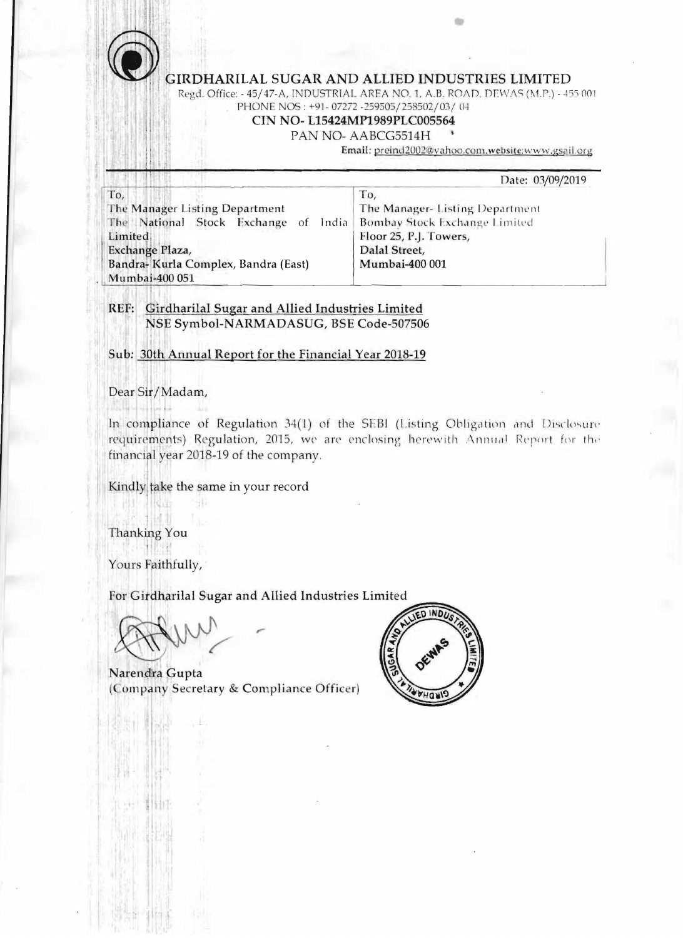

: GIRDHARILAL SUGAR AND ALLIED INDUSTRIES LIMITED

Regd. Office: - 45/47-A, INDUSTRIAL AREA NO. 1, A.B. ROAD, DEWAS (M.P.) - 455 001 PHONE NOS: +91-07272 -259505/258502/03/04

# CIN NO- L15424MP1989PLC005564

# PAN NO- AABCG5514H

Email: preind2002@vahoo.com.website:www.gsail.org

|                                                                                                                                                                         | Date: 03/09/2019                                                                                                                     |
|-------------------------------------------------------------------------------------------------------------------------------------------------------------------------|--------------------------------------------------------------------------------------------------------------------------------------|
| To,<br>The Manager Listing Department<br>The National Stock Exchange of<br>India<br>Limited<br>Exchange Plaza,<br>Bandra-Kurla Complex, Bandra (East)<br>Mumbai-400 051 | To.<br>The Manager- Listing Department<br>Bombay Stock Exchange Limited<br>Floor 25, P.J. Towers,<br>Dalal Street,<br>Mumbai-400 001 |

REF: Girdharilal Sugar and Allied Industries Limited NSE Symbol-NARMADASUG, BSE Code-507506

# $\overline{a}$ Sub: 30th Annual Report for the Financial Year 2018-19

# I Dear Sir/Madam,

I

r e 86 G

In compliance of Regulation 34(1) of the SEBI (Listing Obligation and Disclosure requirements) Regulation, 2015, we are enclosing herewith Annual Report for the financial year 2018-19 of the company.

# Kindly take the same in your record

Thanking You I Yours Faithfully,

For Girdharilal Sugar and Allied Industries Limited

Narendra Gupta (Company Secretary & Compliance Officer)

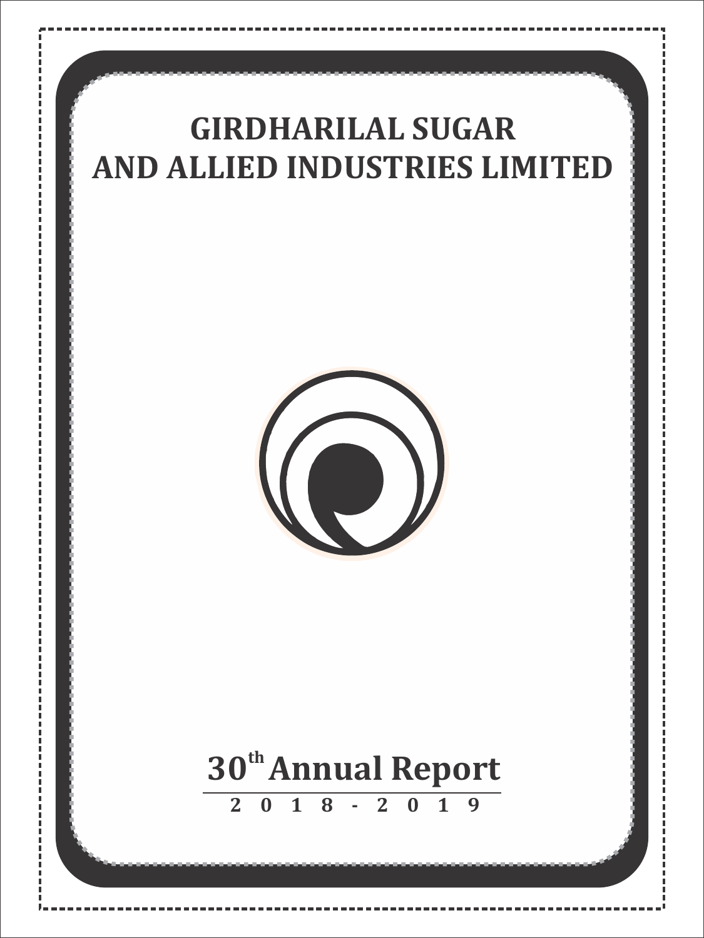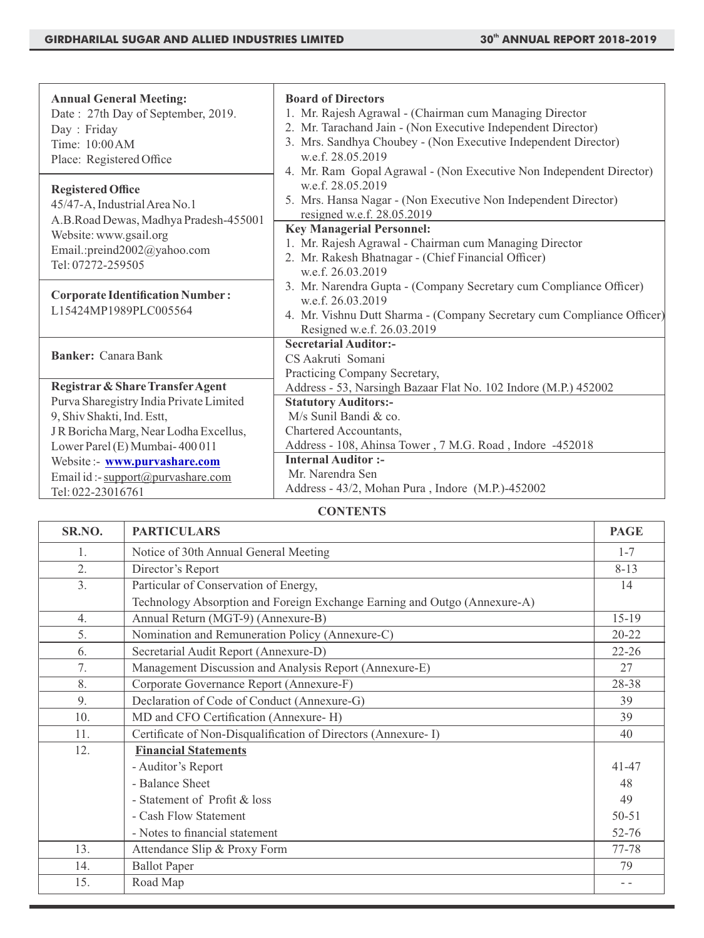| <b>Annual General Meeting:</b><br>Date: 27th Day of September, 2019.<br>Day: Friday<br>Time: $10:00$ AM<br>Place: Registered Office                                              | <b>Board of Directors</b><br>1. Mr. Rajesh Agrawal - (Chairman cum Managing Director<br>2. Mr. Tarachand Jain - (Non Executive Independent Director)<br>3. Mrs. Sandhya Choubey - (Non Executive Independent Director)<br>w.e.f. 28.05.2019<br>4. Mr. Ram Gopal Agrawal - (Non Executive Non Independent Director) |
|----------------------------------------------------------------------------------------------------------------------------------------------------------------------------------|--------------------------------------------------------------------------------------------------------------------------------------------------------------------------------------------------------------------------------------------------------------------------------------------------------------------|
| <b>Registered Office</b><br>45/47-A, Industrial Area No.1<br>A.B.Road Dewas, Madhya Pradesh-455001<br>Website: www.gsail.org<br>Email.:preind2002@yahoo.com<br>Tel: 07272-259505 | w.e.f. 28.05.2019<br>5. Mrs. Hansa Nagar - (Non Executive Non Independent Director)<br>resigned w.e.f. 28.05.2019<br><b>Key Managerial Personnel:</b><br>1. Mr. Rajesh Agrawal - Chairman cum Managing Director<br>2. Mr. Rakesh Bhatnagar - (Chief Financial Officer)<br>w.e.f. 26.03.2019                        |
| <b>Corporate Identification Number:</b><br>L15424MP1989PLC005564                                                                                                                 | 3. Mr. Narendra Gupta - (Company Secretary cum Compliance Officer)<br>w.e.f. 26.03.2019<br>4. Mr. Vishnu Dutt Sharma - (Company Secretary cum Compliance Officer)<br>Resigned w.e.f. 26.03.2019                                                                                                                    |
| <b>Banker:</b> Canara Bank                                                                                                                                                       | Secretarial Auditor:-<br>CS Aakruti Somani<br>Practicing Company Secretary,                                                                                                                                                                                                                                        |
| Registrar & Share Transfer Agent                                                                                                                                                 | Address - 53, Narsingh Bazaar Flat No. 102 Indore (M.P.) 452002                                                                                                                                                                                                                                                    |
| Purva Sharegistry India Private Limited                                                                                                                                          | <b>Statutory Auditors:-</b>                                                                                                                                                                                                                                                                                        |
| 9, Shiv Shakti, Ind. Estt,                                                                                                                                                       | $M/s$ Sunil Bandi & co.                                                                                                                                                                                                                                                                                            |
| JR Boricha Marg, Near Lodha Excellus,                                                                                                                                            | Chartered Accountants,                                                                                                                                                                                                                                                                                             |
| Lower Parel (E) Mumbai-400 011                                                                                                                                                   | Address - 108, Ahinsa Tower, 7 M.G. Road, Indore -452018                                                                                                                                                                                                                                                           |
| Website:- www.purvashare.com                                                                                                                                                     | <b>Internal Auditor:-</b>                                                                                                                                                                                                                                                                                          |
| Email id:- $\frac{\text{support}(a)}{\text{purvashare.com}}$                                                                                                                     | Mr. Narendra Sen                                                                                                                                                                                                                                                                                                   |
| Tel: 022-23016761                                                                                                                                                                | Address - 43/2, Mohan Pura, Indore (M.P.)-452002                                                                                                                                                                                                                                                                   |

# **CONTENTS**

| SR.NO.           | <b>PARTICULARS</b>                                                        | <b>PAGE</b> |
|------------------|---------------------------------------------------------------------------|-------------|
| 1.               | Notice of 30th Annual General Meeting                                     | $1 - 7$     |
| $\overline{2}$ . | Director's Report                                                         | $8 - 13$    |
| 3.               | Particular of Conservation of Energy,                                     | 14          |
|                  | Technology Absorption and Foreign Exchange Earning and Outgo (Annexure-A) |             |
| 4.               | Annual Return (MGT-9) (Annexure-B)                                        | $15-19$     |
| 5.               | Nomination and Remuneration Policy (Annexure-C)                           | $20 - 22$   |
| 6.               | Secretarial Audit Report (Annexure-D)                                     | $22 - 26$   |
| 7.               | Management Discussion and Analysis Report (Annexure-E)                    | 27          |
| 8.               | Corporate Governance Report (Annexure-F)                                  | 28-38       |
| 9.               | Declaration of Code of Conduct (Annexure-G)                               | 39          |
| 10.              | MD and CFO Certification (Annexure-H)                                     | 39          |
| 11.              | Certificate of Non-Disqualification of Directors (Annexure- I)            | 40          |
| 12.              | <b>Financial Statements</b>                                               |             |
|                  | - Auditor's Report                                                        | $41 - 47$   |
|                  | - Balance Sheet                                                           | 48          |
|                  | - Statement of Profit & loss                                              | 49          |
|                  | - Cash Flow Statement                                                     | $50 - 51$   |
|                  | - Notes to financial statement                                            | 52-76       |
| 13.              | Attendance Slip & Proxy Form                                              | 77-78       |
| 14.              | <b>Ballot</b> Paper                                                       | 79          |
| 15.              | Road Map                                                                  | $ -$        |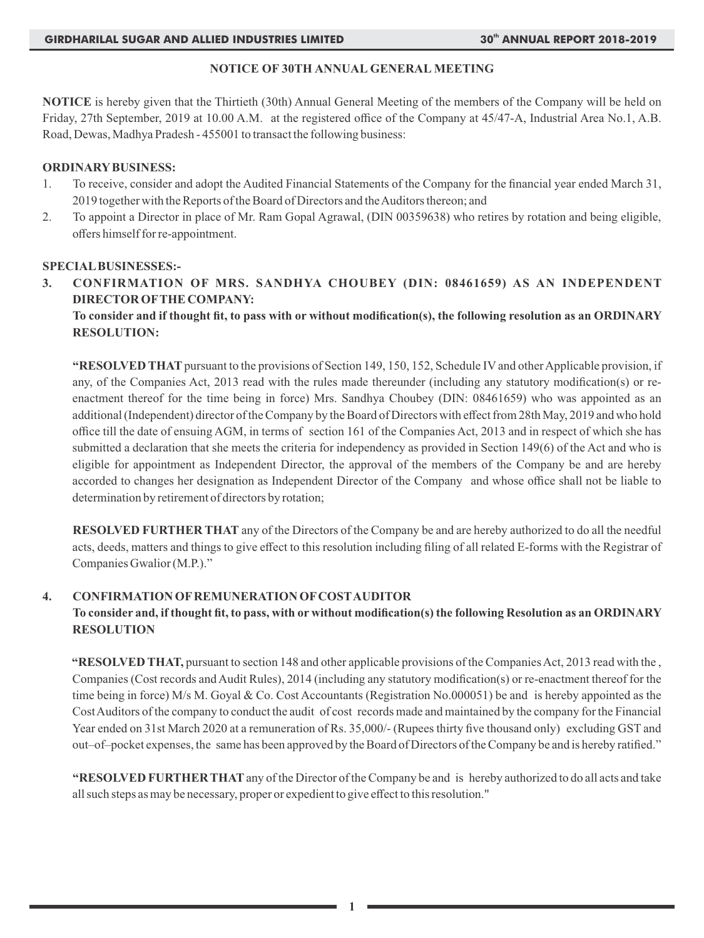# **NOTICE OF 30TH ANNUAL GENERAL MEETING**

**NOTICE** is hereby given that the Thirtieth (30th) Annual General Meeting of the members of the Company will be held on Friday, 27th September, 2019 at 10.00 A.M. at the registered office of the Company at 45/47-A, Industrial Area No.1, A.B. Road, Dewas, Madhya Pradesh - 455001 to transact the following business:

# **ORDINARYBUSINESS:**

- 1. To receive, consider and adopt the Audited Financial Statements of the Company for the financial year ended March 31, 2019 together with the Reports of the Board of Directors and the Auditors thereon; and
- 2. To appoint a Director in place of Mr. Ram Gopal Agrawal, (DIN 00359638) who retires by rotation and being eligible, offers himself for re-appointment.

# **SPECIALBUSINESSES:-**

**3. CONFIRMATION OF MRS. SANDHYA CHOUBEY (DIN: 08461659) AS AN INDEPENDENT DIRECTOR OFTHE COMPANY:**

**To consider and if thought fit, to pass with or without modification(s), the following resolution as an ORDINARY RESOLUTION:**

**"RESOLVED THAT** pursuant to the provisions of Section 149, 150, 152, Schedule IV and other Applicable provision, if any, of the Companies Act, 2013 read with the rules made thereunder (including any statutory modification(s) or reenactment thereof for the time being in force) Mrs. Sandhya Choubey (DIN: 08461659) who was appointed as an additional (Independent) director of the Company by the Board of Directors with effect from 28th May, 2019 and who hold office till the date of ensuing AGM, in terms of section 161 of the Companies Act, 2013 and in respect of which she has submitted a declaration that she meets the criteria for independency as provided in Section 149(6) of the Act and who is eligible for appointment as Independent Director, the approval of the members of the Company be and are hereby accorded to changes her designation as Independent Director of the Company and whose office shall not be liable to determination by retirement of directors by rotation;

**RESOLVED FURTHER THAT** any of the Directors of the Company be and are hereby authorized to do all the needful acts, deeds, matters and things to give effect to this resolution including filing of all related E-forms with the Registrar of Companies Gwalior (M.P.)."

# **4. CONFIRMATION OFREMUNERATION OFCOSTAUDITOR**

# **To consider and, if thought fit, to pass, with or without modification(s) the following Resolution as an ORDINARY RESOLUTION**

**"RESOLVED THAT,** pursuant to section 148 and other applicable provisions of the Companies Act, 2013 read with the , Companies (Cost records and Audit Rules), 2014 (including any statutory modification(s) or re-enactment thereof for the time being in force) M/s M. Goyal & Co. Cost Accountants (Registration No.000051) be and is hereby appointed as the Cost Auditors of the company to conduct the audit of cost records made and maintained by the company for the Financial Year ended on 31st March 2020 at a remuneration of Rs. 35,000/- (Rupees thirty five thousand only) excluding GST and out–of–pocket expenses, the same has been approved by the Board of Directors of the Company be and is hereby ratified."

**"RESOLVED FURTHER THAT**any of the Director of the Company be and is hereby authorized to do all acts and take all such steps as may be necessary, proper or expedient to give effect to this resolution."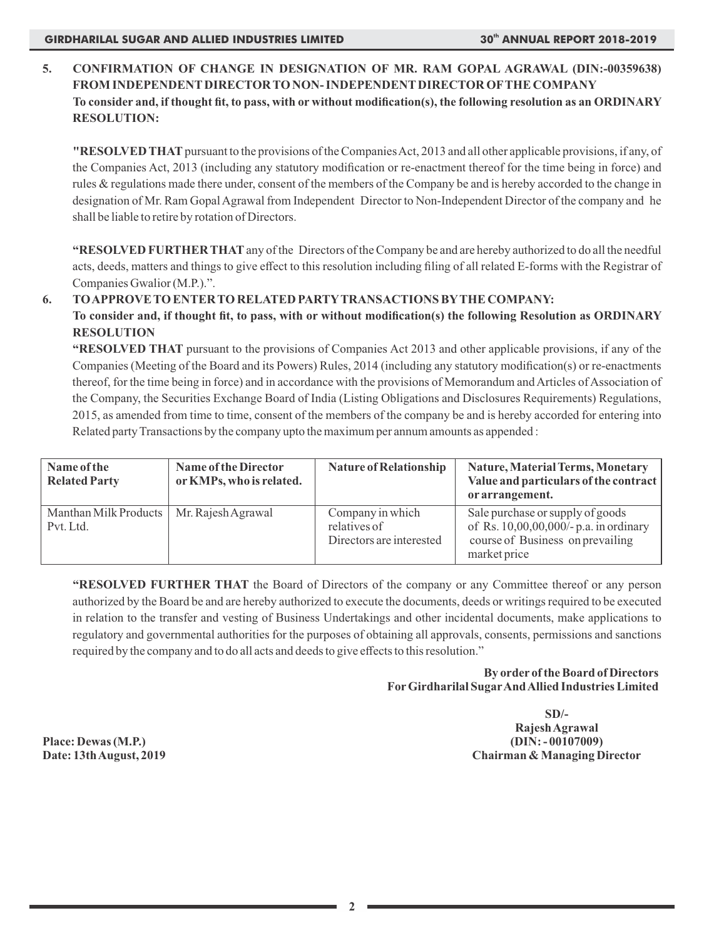# **5. CONFIRMATION OF CHANGE IN DESIGNATION OF MR. RAM GOPAL AGRAWAL (DIN:-00359638) FROM INDEPENDENTDIRECTOR TO NON- INDEPENDENTDIRECTOR OFTHE COMPANY To consider and, if thought fit, to pass, with or without modification(s), the following resolution as an ORDINARY RESOLUTION:**

**"RESOLVED THAT** pursuant to the provisions of the Companies Act, 2013 and all other applicable provisions, if any, of the Companies Act, 2013 (including any statutory modification or re-enactment thereof for the time being in force) and rules & regulations made there under, consent of the members of the Company be and is hereby accorded to the change in designation of Mr. Ram Gopal Agrawal from Independent Director to Non-Independent Director of the company and he shall be liable to retire by rotation of Directors.

**"RESOLVED FURTHER THAT**any of the Directors of the Company be and are hereby authorized to do all the needful acts, deeds, matters and things to give effect to this resolution including filing of all related E-forms with the Registrar of Companies Gwalior (M.P.).".

# **6. TO APPROVE TO ENTER TO RELATED PARTYTRANSACTIONS BYTHE COMPANY:**

**To consider and, if thought fit, to pass, with or without modification(s) the following Resolution as ORDINARY RESOLUTION**

 **"RESOLVED THAT** pursuant to the provisions of Companies Act 2013 and other applicable provisions, if any of the Companies (Meeting of the Board and its Powers) Rules, 2014 (including any statutory modification(s) or re-enactments thereof, for the time being in force) and in accordance with the provisions of Memorandum and Articles of Association of the Company, the Securities Exchange Board of India (Listing Obligations and Disclosures Requirements) Regulations, 2015, as amended from time to time, consent of the members of the company be and is hereby accorded for entering into Related party Transactions by the company upto the maximum per annum amounts as appended :

| Name of the<br><b>Related Party</b> | Name of the Director<br>or KMPs, who is related. | <b>Nature of Relationship</b>                                | <b>Nature, Material Terms, Monetary</b><br>Value and particulars of the contract<br>or arrangement.                            |
|-------------------------------------|--------------------------------------------------|--------------------------------------------------------------|--------------------------------------------------------------------------------------------------------------------------------|
| Manthan Milk Products<br>Pvt. Ltd.  | Mr. Rajesh Agrawal                               | Company in which<br>relatives of<br>Directors are interested | Sale purchase or supply of goods<br>of Rs. 10,00,00,000/- p.a. in ordinary<br>course of Business on prevailing<br>market price |

**"RESOLVED FURTHER THAT** the Board of Directors of the company or any Committee thereof or any person authorized by the Board be and are hereby authorized to execute the documents, deeds or writings required to be executed in relation to the transfer and vesting of Business Undertakings and other incidental documents, make applications to regulatory and governmental authorities for the purposes of obtaining all approvals, consents, permissions and sanctions required by the company and to do all acts and deeds to give effects to this resolution."

# **By order of the Board of Directors ForGirdharilal SugarAnd Allied Industries Limited**

**SD/- Rajesh Agrawal**  Place: Dewas (M.P.) (DIN: -00107009)<br>Date: 13th August, 2019 (Date: 13th August, 2019) **Chairman & Managing Director**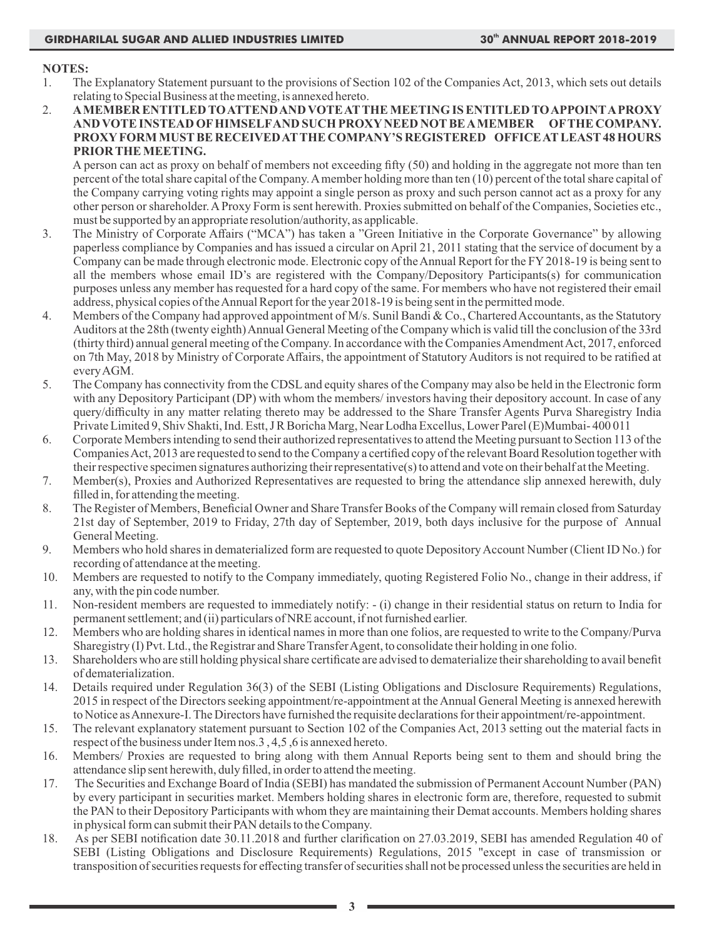# **NOTES:**

- 1. The Explanatory Statement pursuant to the provisions of Section 102 of the Companies Act, 2013, which sets out details relating to Special Business at the meeting, is annexed hereto.
- 2. **AMEMBER ENTITLED TO ATTEND AND VOTE ATTHE MEETING IS ENTITLED TO APPOINTAPROXY AND VOTE INSTEAD OFHIMSELFAND SUCH PROXYNEED NOTBE AMEMBER OFTHE COMPANY. PROXYFORM MUSTBE RECEIVED ATTHE COMPANY'S REGISTERED OFFICE ATLEAST48 HOURS PRIOR THE MEETING.**

A person can act as proxy on behalf of members not exceeding fifty (50) and holding in the aggregate not more than ten percent of the total share capital of the Company. Amember holding more than ten (10) percent of the total share capital of the Company carrying voting rights may appoint a single person as proxy and such person cannot act as a proxy for any other person or shareholder. AProxy Form is sent herewith. Proxies submitted on behalf of the Companies, Societies etc., must be supported by an appropriate resolution/authority, as applicable.

- 3. The Ministry of Corporate Affairs ("MCA") has taken a "Green Initiative in the Corporate Governance" by allowing paperless compliance by Companies and has issued a circular on April 21, 2011 stating that the service of document by a Company can be made through electronic mode. Electronic copy of the Annual Report for the FY2018-19 is being sent to all the members whose email ID's are registered with the Company/Depository Participants(s) for communication purposes unless any member has requested for a hard copy of the same. For members who have not registered their email address, physical copies of the Annual Report for the year 2018-19 is being sent in the permitted mode.
- 4. Members of the Company had approved appointment of M/s. Sunil Bandi & Co., Chartered Accountants, as the Statutory Auditors at the 28th (twenty eighth) Annual General Meeting of the Company which is valid till the conclusion of the 33rd (thirty third) annual general meeting of the Company. In accordance with the Companies Amendment Act, 2017, enforced on 7th May, 2018 by Ministry of Corporate Affairs, the appointment of Statutory Auditors is not required to be ratified at every AGM.
- 5. The Company has connectivity from the CDSLand equity shares of the Company may also be held in the Electronic form with any Depository Participant (DP) with whom the members/ investors having their depository account. In case of any query/difficulty in any matter relating thereto may be addressed to the Share Transfer Agents Purva Sharegistry India Private Limited 9, Shiv Shakti, Ind. Estt, J R Boricha Marg, Near Lodha Excellus, Lower Parel (E)Mumbai- 400 011
- 6. Corporate Members intending to send their authorized representatives to attend the Meeting pursuant to Section 113 of the Companies Act, 2013 are requested to send to the Company a certified copy of the relevant Board Resolution together with their respective specimen signatures authorizing their representative(s) to attend and vote on their behalf at the Meeting.
- 7. Member(s), Proxies and Authorized Representatives are requested to bring the attendance slip annexed herewith, duly filled in, for attending the meeting.
- 8. The Register of Members, Beneficial Owner and Share Transfer Books of the Company will remain closed from Saturday 21st day of September, 2019 to Friday, 27th day of September, 2019, both days inclusive for the purpose of Annual General Meeting.
- 9. Members who hold shares in dematerialized form are requested to quote Depository Account Number (Client ID No.) for recording of attendance at the meeting.
- 10. Members are requested to notify to the Company immediately, quoting Registered Folio No., change in their address, if any, with the pin code number.
- 11. Non-resident members are requested to immediately notify: (i) change in their residential status on return to India for permanent settlement; and (ii) particulars of NRE account, if not furnished earlier.
- 12. Members who are holding shares in identical names in more than one folios, are requested to write to the Company/Purva Sharegistry (I) Pvt. Ltd., the Registrar and Share Transfer Agent, to consolidate their holding in one folio.
- 13. Shareholders who are still holding physical share certificate are advised to dematerialize their shareholding to avail benefit of dematerialization.
- 14. Details required under Regulation 36(3) of the SEBI (Listing Obligations and Disclosure Requirements) Regulations, 2015 in respect of the Directors seeking appointment/re-appointment at the Annual General Meeting is annexed herewith to Notice as Annexure-I. The Directors have furnished the requisite declarations for their appointment/re-appointment.
- 15. The relevant explanatory statement pursuant to Section 102 of the Companies Act, 2013 setting out the material facts in respect of the business under Item nos.3 , 4,5 ,6 is annexed hereto.
- 16. Members/ Proxies are requested to bring along with them Annual Reports being sent to them and should bring the attendance slip sent herewith, duly filled, in order to attend the meeting.
- 17. The Securities and Exchange Board of India (SEBI) has mandated the submission of Permanent Account Number (PAN) by every participant in securities market. Members holding shares in electronic form are, therefore, requested to submit the PAN to their Depository Participants with whom they are maintaining their Demat accounts. Members holding shares in physical form can submit their PAN details to the Company.
- 18. As per SEBI notification date 30.11.2018 and further clarification on 27.03.2019, SEBI has amended Regulation 40 of SEBI (Listing Obligations and Disclosure Requirements) Regulations, 2015 "except in case of transmission or transposition of securities requests for effecting transfer of securities shall not be processed unless the securities are held in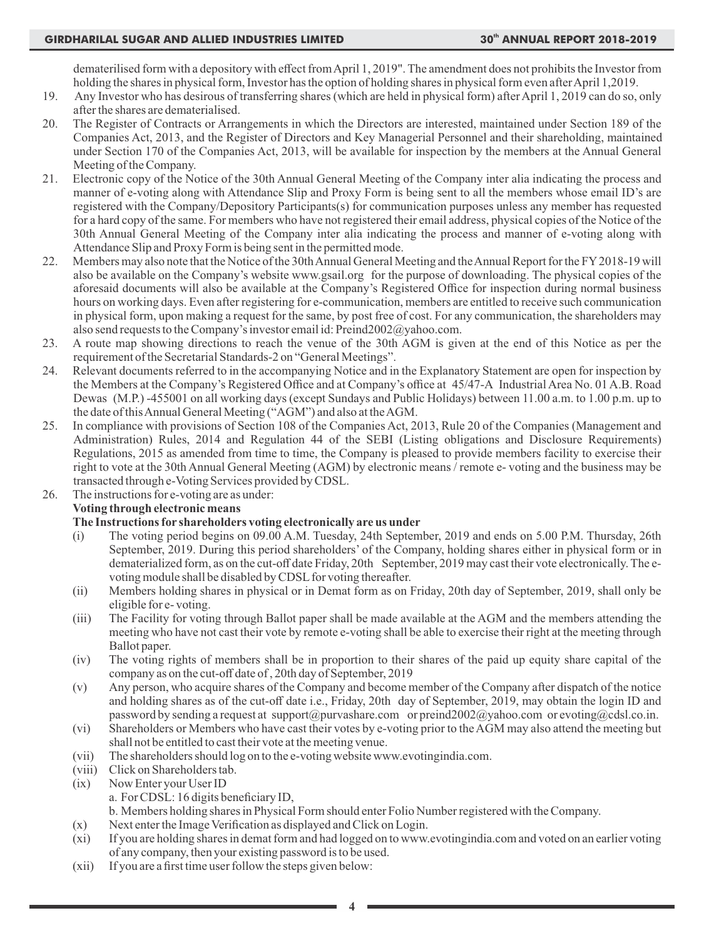dematerilised form with a depository with effect from April 1, 2019". The amendment does not prohibits the Investor from holding the shares in physical form, Investor has the option of holding shares in physical form even after April 1,2019.

- 19. Any Investor who has desirous of transferring shares (which are held in physical form) after April 1, 2019 can do so, only after the shares are dematerialised.
- 20. The Register of Contracts or Arrangements in which the Directors are interested, maintained under Section 189 of the Companies Act, 2013, and the Register of Directors and Key Managerial Personnel and their shareholding, maintained under Section 170 of the Companies Act, 2013, will be available for inspection by the members at the Annual General Meeting of the Company.
- 21. Electronic copy of the Notice of the 30th Annual General Meeting of the Company inter alia indicating the process and manner of e-voting along with Attendance Slip and Proxy Form is being sent to all the members whose email ID's are registered with the Company/Depository Participants(s) for communication purposes unless any member has requested for a hard copy of the same. For members who have not registered their email address, physical copies of the Notice of the 30th Annual General Meeting of the Company inter alia indicating the process and manner of e-voting along with Attendance Slip and Proxy Form is being sent in the permitted mode.
- 22. Members may also note that the Notice of the 30th Annual General Meeting and the Annual Report for the FY2018-19 will also be available on the Company's website www.gsail.org for the purpose of downloading. The physical copies of the aforesaid documents will also be available at the Company's Registered Office for inspection during normal business hours on working days. Even after registering for e-communication, members are entitled to receive such communication in physical form, upon making a request for the same, by post free of cost. For any communication, the shareholders may also send requests to the Company's investor email id: Preind2002@yahoo.com.
- 23. A route map showing directions to reach the venue of the 30th AGM is given at the end of this Notice as per the requirement of the Secretarial Standards-2 on "General Meetings".
- 24. Relevant documents referred to in the accompanying Notice and in the Explanatory Statement are open for inspection by the Members at the Company's Registered Office and at Company's office at 45/47-A Industrial Area No. 01 A.B. Road Dewas (M.P.) -455001 on all working days (except Sundays and Public Holidays) between 11.00 a.m. to 1.00 p.m. up to the date of this Annual General Meeting ("AGM") and also at the AGM.
- 25. In compliance with provisions of Section 108 of the Companies Act, 2013, Rule 20 of the Companies (Management and Administration) Rules, 2014 and Regulation 44 of the SEBI (Listing obligations and Disclosure Requirements) Regulations, 2015 as amended from time to time, the Company is pleased to provide members facility to exercise their right to vote at the 30th Annual General Meeting (AGM) by electronic means / remote e- voting and the business may be transacted through e-Voting Services provided by CDSL.
- 26. The instructions for e-voting are as under:

# **Voting through electronic means**

# **The Instructions for shareholders voting electronically are us under**

- (i) The voting period begins on 09.00 A.M. Tuesday, 24th September, 2019 and ends on 5.00 P.M. Thursday, 26th September, 2019. During this period shareholders' of the Company, holding shares either in physical form or in dematerialized form, as on the cut-off date Friday, 20th September, 2019 may cast their vote electronically. The evoting module shall be disabled by CDSL for voting thereafter.
- (ii) Members holding shares in physical or in Demat form as on Friday, 20th day of September, 2019, shall only be eligible for e- voting.
- (iii) The Facility for voting through Ballot paper shall be made available at the AGM and the members attending the meeting who have not cast their vote by remote e-voting shall be able to exercise their right at the meeting through Ballot paper.
- (iv) The voting rights of members shall be in proportion to their shares of the paid up equity share capital of the company as on the cut-off date of , 20th day of September, 2019
- (v) Any person, who acquire shares of the Company and become member of the Company after dispatch of the notice and holding shares as of the cut-off date i.e., Friday, 20th day of September, 2019, may obtain the login ID and password by sending a request at support@purvashare.com or preind2002@yahoo.com or evoting@cdsl.co.in.
- (vi) Shareholders or Members who have cast their votes by e-voting prior to the AGM may also attend the meeting but shall not be entitled to cast their vote at the meeting venue.
- (vii) The shareholders should log on to the e-voting website www.evotingindia.com.
- (viii) Click on Shareholders tab.
- (ix) Now Enter your User ID
	- a. For CDSL: 16 digits beneficiary ID,
	- b. Members holding shares in Physical Form should enter Folio Number registered with the Company.
- (x) Next enter the Image Verification as displayed and Click on Login.
- (xi) If you are holding shares in demat form and had logged on to www.evotingindia.com and voted on an earlier voting of any company, then your existing password is to be used.
- (xii) If you are a first time user follow the steps given below: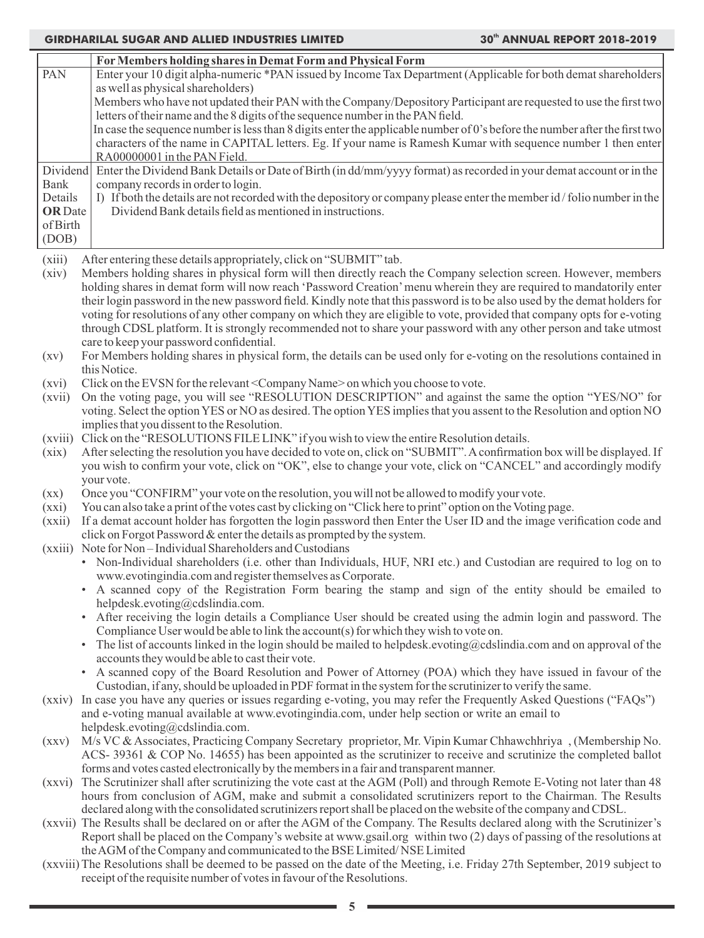|                | For Members holding shares in Demat Form and Physical Form                                                                 |
|----------------|----------------------------------------------------------------------------------------------------------------------------|
| PAN            | Enter your 10 digit alpha-numeric *PAN issued by Income Tax Department (Applicable for both demat shareholders             |
|                | as well as physical shareholders)                                                                                          |
|                | Members who have not updated their PAN with the Company/Depository Participant are requested to use the first two          |
|                | letters of their name and the 8 digits of the sequence number in the PAN field.                                            |
|                | In case the sequence number is less than 8 digits enter the applicable number of 0's before the number after the first two |
|                | characters of the name in CAPITAL letters. Eg. If your name is Ramesh Kumar with sequence number 1 then enter              |
|                | RA00000001 in the PAN Field.                                                                                               |
| Dividend       | Enter the Dividend Bank Details or Date of Birth (in dd/mm/yyyy format) as recorded in your demat account or in the        |
| Bank           | company records in order to login.                                                                                         |
| Details        | I) If both the details are not recorded with the depository or company please enter the member id/folio number in the      |
| <b>OR</b> Date | Dividend Bank details field as mentioned in instructions.                                                                  |
| of Birth       |                                                                                                                            |
| (DOB)          |                                                                                                                            |

(xiii) After entering these details appropriately, click on "SUBMIT" tab.

- (xiv) Members holding shares in physical form will then directly reach the Company selection screen. However, members holding shares in demat form will now reach 'Password Creation'menu wherein they are required to mandatorily enter their login password in the new password field. Kindly note that this password is to be also used by the demat holders for voting for resolutions of any other company on which they are eligible to vote, provided that company opts for e-voting through CDSL platform. It is strongly recommended not to share your password with any other person and take utmost care to keep your password confidential.
- (xv) For Members holding shares in physical form, the details can be used only for e-voting on the resolutions contained in this Notice.
- (xvi) Click on the EVSN for the relevant <Company Name> on which you choose to vote.
- (xvii) On the voting page, you will see "RESOLUTION DESCRIPTION" and against the same the option "YES/NO" for voting. Select the option YES or NO as desired. The option YES implies that you assent to the Resolution and option NO implies that you dissent to the Resolution.
- (xviii) Click on the "RESOLUTIONS FILE LINK" if you wish to view the entire Resolution details.
- (xix) After selecting the resolution you have decided to vote on, click on "SUBMIT". Aconfirmation box will be displayed. If you wish to confirm your vote, click on "OK", else to change your vote, click on "CANCEL" and accordingly modify your vote.
- (xx) Once you "CONFIRM" your vote on the resolution, you will not be allowed to modify your vote.
- (xxi) You can also take a print of the votes cast by clicking on "Click here to print" option on the Voting page.
- (xxii) If a demat account holder has forgotten the login password then Enter the User ID and the image verification code and click on Forgot Password & enter the details as prompted by the system.
- (xxiii) Note for Non Individual Shareholders and Custodians
	- Non-Individual shareholders (i.e. other than Individuals, HUF, NRI etc.) and Custodian are required to log on to www.evotingindia.com and register themselves as Corporate.
	- A scanned copy of the Registration Form bearing the stamp and sign of the entity should be emailed to helpdesk.evoting@cdslindia.com.
	- After receiving the login details a Compliance User should be created using the admin login and password. The Compliance User would be able to link the account(s) for which they wish to vote on.
	- The list of accounts linked in the login should be mailed to helpdesk.evoting@cdslindia.com and on approval of the accounts they would be able to cast their vote.
	- A scanned copy of the Board Resolution and Power of Attorney (POA) which they have issued in favour of the Custodian, if any, should be uploaded in PDF format in the system for the scrutinizer to verify the same.
- (xxiv) In case you have any queries or issues regarding e-voting, you may refer the Frequently Asked Questions ("FAQs") and e-voting manual available at www.evotingindia.com, under help section or write an email to helpdesk.evoting@cdslindia.com.
- (xxv) M/s VC & Associates, Practicing Company Secretary proprietor, Mr. Vipin Kumar Chhawchhriya , (Membership No. ACS- 39361 & COP No. 14655) has been appointed as the scrutinizer to receive and scrutinize the completed ballot forms and votes casted electronically by the members in a fair and transparent manner.
- (xxvi) The Scrutinizer shall after scrutinizing the vote cast at the AGM (Poll) and through Remote E-Voting not later than 48 hours from conclusion of AGM, make and submit a consolidated scrutinizers report to the Chairman. The Results declared along with the consolidated scrutinizers report shall be placed on the website of the company and CDSL.
- (xxvii) The Results shall be declared on or after the AGM of the Company. The Results declared along with the Scrutinizer's Report shall be placed on the Company's website at www.gsail.org within two (2) days of passing of the resolutions at the AGM of the Company and communicated to the BSE Limited/ NSE Limited
- (xxviii) The Resolutions shall be deemed to be passed on the date of the Meeting, i.e. Friday 27th September, 2019 subject to receipt of the requisite number of votes in favour of the Resolutions.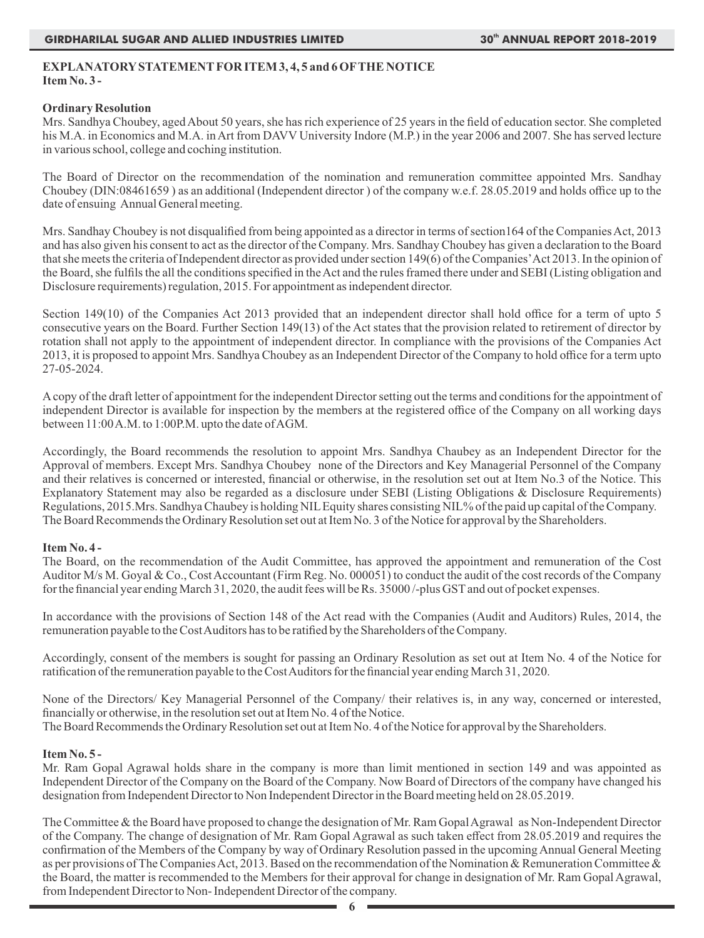# **EXPLANATORYSTATEMENTFOR ITEM 3, 4, 5 and 6 OFTHE NOTICE Item No. 3 -**

# **Ordinary Resolution**

Mrs. Sandhya Choubey, aged About 50 years, she has rich experience of 25 years in the field of education sector. She completed his M.A. in Economics and M.A. in Art from DAVV University Indore (M.P.) in the year 2006 and 2007. She has served lecture in various school, college and coching institution.

The Board of Director on the recommendation of the nomination and remuneration committee appointed Mrs. Sandhay Choubey (DIN:08461659 ) as an additional (Independent director ) of the company w.e.f. 28.05.2019 and holds office up to the date of ensuing Annual General meeting.

Mrs. Sandhay Choubey is not disqualified from being appointed as a director in terms of section164 of the Companies Act, 2013 and has also given his consent to act as the director of the Company. Mrs. Sandhay Choubey has given a declaration to the Board that she meets the criteria of Independent director as provided under section 149(6) of the Companies'Act 2013. In the opinion of the Board, she fulfils the all the conditions specified in the Act and the rules framed there under and SEBI (Listing obligation and Disclosure requirements) regulation, 2015. For appointment as independent director.

Section 149(10) of the Companies Act 2013 provided that an independent director shall hold office for a term of upto 5 consecutive years on the Board. Further Section 149(13) of the Act states that the provision related to retirement of director by rotation shall not apply to the appointment of independent director. In compliance with the provisions of the Companies Act 2013, it is proposed to appoint Mrs. Sandhya Choubey as an Independent Director of the Company to hold office for a term upto 27-05-2024.

Acopy of the draft letter of appointment for the independent Director setting out the terms and conditions for the appointment of independent Director is available for inspection by the members at the registered office of the Company on all working days between 11:00 A.M. to 1:00P.M. upto the date of AGM.

Accordingly, the Board recommends the resolution to appoint Mrs. Sandhya Chaubey as an Independent Director for the Approval of members. Except Mrs. Sandhya Choubey none of the Directors and Key Managerial Personnel of the Company and their relatives is concerned or interested, financial or otherwise, in the resolution set out at Item No.3 of the Notice. This Explanatory Statement may also be regarded as a disclosure under SEBI (Listing Obligations & Disclosure Requirements) Regulations, 2015.Mrs. Sandhya Chaubey is holding NILEquity shares consisting NIL% of the paid up capital of the Company. The Board Recommends the Ordinary Resolution set out at Item No. 3 of the Notice for approval by the Shareholders.

# **Item No. 4 -**

The Board, on the recommendation of the Audit Committee, has approved the appointment and remuneration of the Cost Auditor M/s M. Goyal & Co., Cost Accountant (Firm Reg. No. 000051) to conduct the audit of the cost records of the Company for the financial year ending March 31, 2020, the audit fees will be Rs. 35000/-plus GST and out of pocket expenses.

In accordance with the provisions of Section 148 of the Act read with the Companies (Audit and Auditors) Rules, 2014, the remuneration payable to the Cost Auditors has to be ratified by the Shareholders of the Company.

Accordingly, consent of the members is sought for passing an Ordinary Resolution as set out at Item No. 4 of the Notice for ratification of the remuneration payable to the Cost Auditors for the financial year ending March 31, 2020.

None of the Directors/ Key Managerial Personnel of the Company/ their relatives is, in any way, concerned or interested, financially or otherwise, in the resolution set out at Item No. 4 of the Notice. The Board Recommends the Ordinary Resolution set out at Item No. 4 of the Notice for approval by the Shareholders.

# **Item No. 5 -**

Mr. Ram Gopal Agrawal holds share in the company is more than limit mentioned in section 149 and was appointed as Independent Director of the Company on the Board of the Company. Now Board of Directors of the company have changed his designation from Independent Director to Non Independent Director in the Board meeting held on 28.05.2019.

The Committee & the Board have proposed to change the designation of Mr. Ram Gopal Agrawal as Non-Independent Director of the Company. The change of designation of Mr. Ram Gopal Agrawal as such taken effect from 28.05.2019 and requires the confirmation of the Members of the Company by way of Ordinary Resolution passed in the upcoming Annual General Meeting as per provisions of The Companies Act, 2013. Based on the recommendation of the Nomination & Remuneration Committee & the Board, the matter is recommended to the Members for their approval for change in designation of Mr. Ram Gopal Agrawal, from Independent Director to Non- Independent Director of the company.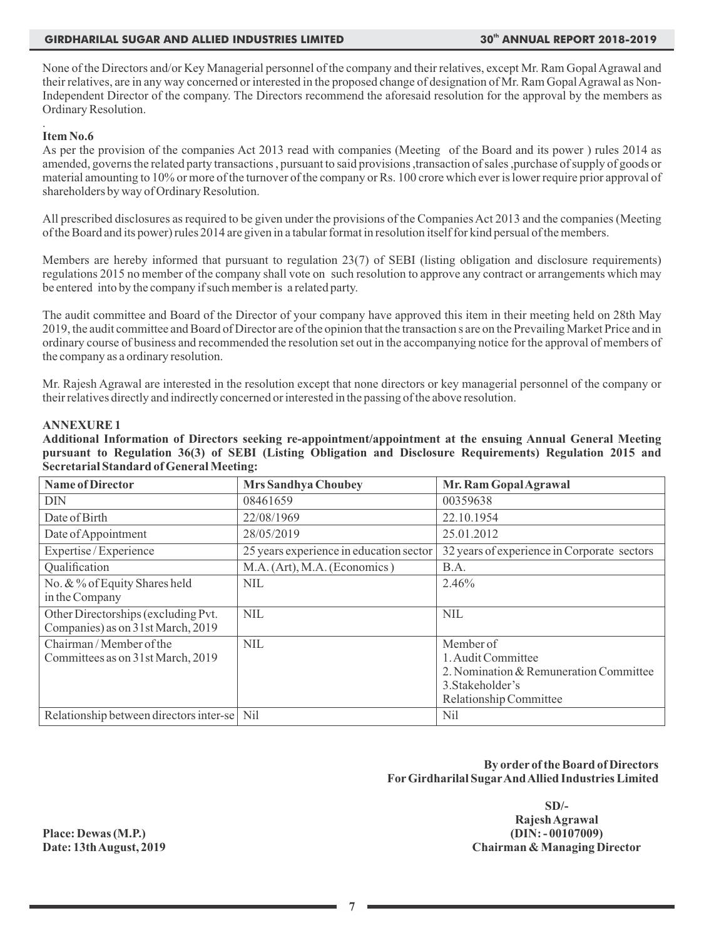# **GIRDHARILAL SUGAR AND ALLIED INDUSTRIES LIMITED th 30 ANNUAL REPORT 2018-2019**

None of the Directors and/or Key Managerial personnel of the company and their relatives, except Mr. Ram Gopal Agrawal and their relatives, are in any way concerned or interested in the proposed change of designation of Mr. Ram Gopal Agrawal as Non-Independent Director of the company. The Directors recommend the aforesaid resolution for the approval by the members as Ordinary Resolution.

#### . **Item No.6**

As per the provision of the companies Act 2013 read with companies (Meeting of the Board and its power ) rules 2014 as amended, governs the related party transactions , pursuant to said provisions ,transaction of sales ,purchase of supply of goods or material amounting to 10% or more of the turnover of the company or Rs. 100 crore which ever is lower require prior approval of shareholders by way of Ordinary Resolution.

All prescribed disclosures as required to be given under the provisions of the Companies Act 2013 and the companies (Meeting of the Board and its power) rules 2014 are given in a tabular format in resolution itself for kind persual of the members.

Members are hereby informed that pursuant to regulation 23(7) of SEBI (listing obligation and disclosure requirements) regulations 2015 no member of the company shall vote on such resolution to approve any contract or arrangements which may be entered into by the company if such member is a related party.

The audit committee and Board of the Director of your company have approved this item in their meeting held on 28th May 2019, the audit committee and Board of Director are of the opinion that the transaction s are on the Prevailing Market Price and in ordinary course of business and recommended the resolution set out in the accompanying notice for the approval of members of the company as a ordinary resolution.

Mr. Rajesh Agrawal are interested in the resolution except that none directors or key managerial personnel of the company or their relatives directly and indirectly concerned or interested in the passing of the above resolution.

# **ANNEXURE 1**

**Additional Information of Directors seeking re-appointment/appointment at the ensuing Annual General Meeting pursuant to Regulation 36(3) of SEBI (Listing Obligation and Disclosure Requirements) Regulation 2015 and Secretarial Standard of General Meeting:**

| <b>Name of Director</b>                     | <b>Mrs Sandhya Choubey</b>              | Mr. Ram Gopal Agrawal                       |
|---------------------------------------------|-----------------------------------------|---------------------------------------------|
| DIN                                         | 08461659                                | 00359638                                    |
| Date of Birth                               | 22/08/1969                              | 22.10.1954                                  |
| Date of Appointment                         | 28/05/2019                              | 25.01.2012                                  |
| Expertise / Experience                      | 25 years experience in education sector | 32 years of experience in Corporate sectors |
| <b>Qualification</b>                        | M.A. (Art), M.A. (Economics)            | B.A.                                        |
| No. & % of Equity Shares held               | <b>NIL</b>                              | 2.46%                                       |
| in the Company                              |                                         |                                             |
| Other Directorships (excluding Pvt.         | <b>NIL</b>                              | <b>NIL</b>                                  |
| Companies) as on 31st March, 2019           |                                         |                                             |
| Chairman / Member of the                    | <b>NIL</b>                              | Member of                                   |
| Committees as on 31st March, 2019           |                                         | 1. Audit Committee                          |
|                                             |                                         | 2. Nomination & Remuneration Committee      |
|                                             |                                         | 3. Stakeholder's                            |
|                                             |                                         | Relationship Committee                      |
| Relationship between directors inter-se Nil |                                         | N <sub>i</sub>                              |

# **By order of the Board of Directors ForGirdharilal SugarAnd Allied Industries Limited**

**SD/- Rajesh Agrawal Date: 13th August, 2019 Chairman & Managing Director**

**Place: Dewas (M.P.)**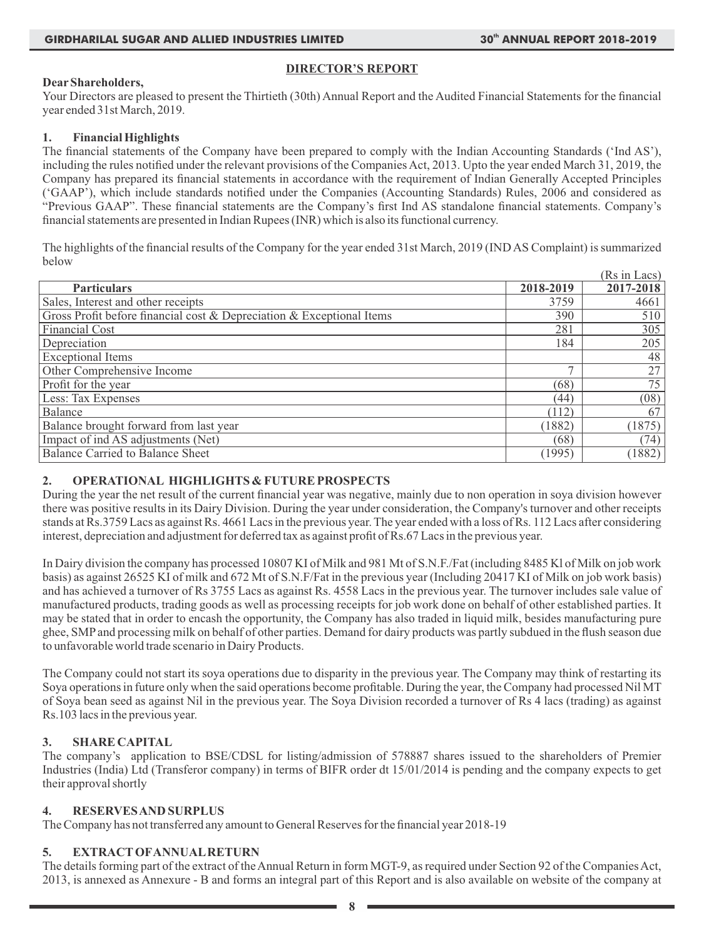# **DIRECTOR'S REPORT**

# **DearShareholders,**

Your Directors are pleased to present the Thirtieth (30th) Annual Report and the Audited Financial Statements for the financial year ended 31st March, 2019.

# **1. Financial Highlights**

The financial statements of the Company have been prepared to comply with the Indian Accounting Standards ('Ind AS'), including the rules notified under the relevant provisions of the Companies Act, 2013. Upto the year ended March 31, 2019, the Company has prepared its financial statements in accordance with the requirement of Indian Generally Accepted Principles ('GAAP'), which include standards notified under the Companies (Accounting Standards) Rules, 2006 and considered as "Previous GAAP". These financial statements are the Company's first Ind AS standalone financial statements. Company's financial statements are presented in Indian Rupees (INR) which is also its functional currency.

The highlights of the financial results of the Company for the year ended 31st March, 2019 (IND AS Complaint) is summarized below

|                                                                       |           | (Rs in Lacs) |
|-----------------------------------------------------------------------|-----------|--------------|
| <b>Particulars</b>                                                    | 2018-2019 | 2017-2018    |
| Sales, Interest and other receipts                                    | 3759      | 4661         |
| Gross Profit before financial cost & Depreciation & Exceptional Items | 390       | 510          |
| <b>Financial Cost</b>                                                 | 281       | 305          |
| Depreciation                                                          | 184       | 205          |
| <b>Exceptional Items</b>                                              |           | 48           |
| Other Comprehensive Income                                            |           | 27           |
| Profit for the year                                                   | (68)      | 75           |
| Less: Tax Expenses                                                    | (44)      | (08)         |
| Balance                                                               | (112)     | 67           |
| Balance brought forward from last year                                | (1882)    | (1875)       |
| Impact of ind AS adjustments (Net)                                    | (68)      | (74)         |
| Balance Carried to Balance Sheet                                      | (1995)    | (1882)       |

# **2. OPERATIONAL HIGHLIGHTS & FUTURE PROSPECTS**

During the year the net result of the current financial year was negative, mainly due to non operation in soya division however there was positive results in its Dairy Division. During the year under consideration, the Company's turnover and other receipts stands at Rs.3759 Lacs as against Rs. 4661 Lacs in the previous year. The year ended with a loss of Rs. 112 Lacs after considering interest, depreciation and adjustment for deferred tax as against profit of Rs.67 Lacs in the previous year.

In Dairy division the company has processed 10807 KI of Milk and 981 Mt of S.N.F./Fat (including 8485 Kl of Milk on job work basis) as against 26525 KI of milk and 672 Mt of S.N.F/Fat in the previous year (Including 20417 KI of Milk on job work basis) and has achieved a turnover of Rs 3755 Lacs as against Rs. 4558 Lacs in the previous year. The turnover includes sale value of manufactured products, trading goods as well as processing receipts for job work done on behalf of other established parties. It may be stated that in order to encash the opportunity, the Company has also traded in liquid milk, besides manufacturing pure ghee, SMPand processing milk on behalf of other parties. Demand for dairy products was partly subdued in the flush season due to unfavorable world trade scenario in Dairy Products.

The Company could not start its soya operations due to disparity in the previous year. The Company may think of restarting its Soya operations in future only when the said operations become profitable. During the year, the Company had processed Nil MT of Soya bean seed as against Nil in the previous year. The Soya Division recorded a turnover of Rs 4 lacs (trading) as against Rs.103 lacs in the previous year.

# **3. SHARE CAPITAL**

The company's application to BSE/CDSL for listing/admission of 578887 shares issued to the shareholders of Premier Industries (India) Ltd (Transferor company) in terms of BIFR order dt 15/01/2014 is pending and the company expects to get their approval shortly

# **4. RESERVES AND SURPLUS**

The Company has not transferred any amount to General Reserves for the financial year 2018-19

# **5. EXTRACTOFANNUALRETURN**

The details forming part of the extract of the Annual Return in form MGT-9, as required under Section 92 of the Companies Act, 2013, is annexed as Annexure - B and forms an integral part of this Report and is also available on website of the company at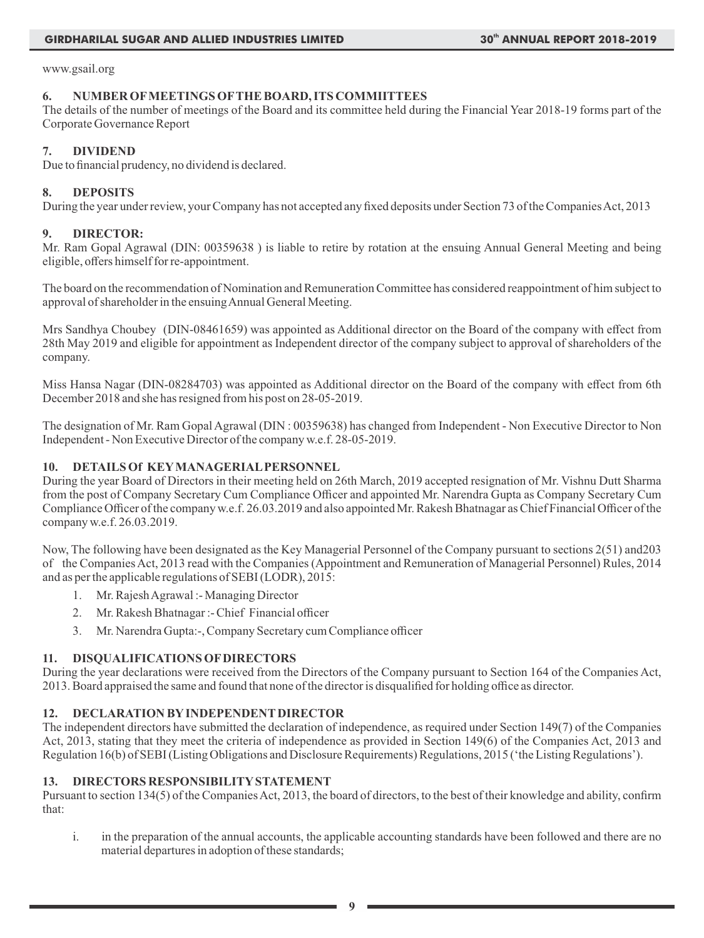www.gsail.org

# **6. NUMBER OFMEETINGS OFTHE BOARD, ITS COMMIITTEES**

The details of the number of meetings of the Board and its committee held during the Financial Year 2018-19 forms part of the Corporate Governance Report

# **7. DIVIDEND**

Due to financial prudency, no dividend is declared.

# **8. DEPOSITS**

During the year under review, your Company has not accepted any fixed deposits under Section 73 of the Companies Act, 2013

# **9. DIRECTOR:**

Mr. Ram Gopal Agrawal (DIN: 00359638 ) is liable to retire by rotation at the ensuing Annual General Meeting and being eligible, offers himself for re-appointment.

The board on the recommendation of Nomination and Remuneration Committee has considered reappointment of him subject to approval of shareholder in the ensuing Annual General Meeting.

Mrs Sandhya Choubey (DIN-08461659) was appointed as Additional director on the Board of the company with effect from 28th May 2019 and eligible for appointment as Independent director of the company subject to approval of shareholders of the company.

Miss Hansa Nagar (DIN-08284703) was appointed as Additional director on the Board of the company with effect from 6th December 2018 and she has resigned from his post on 28-05-2019.

The designation of Mr. Ram Gopal Agrawal (DIN : 00359638) has changed from Independent - Non Executive Director to Non Independent - Non Executive Director of the company w.e.f. 28-05-2019.

# **10. DETAILS Of KEYMANAGERIALPERSONNEL**

During the year Board of Directors in their meeting held on 26th March, 2019 accepted resignation of Mr. Vishnu Dutt Sharma from the post of Company Secretary Cum Compliance Officer and appointed Mr. Narendra Gupta as Company Secretary Cum Compliance Officer of the company w.e.f. 26.03.2019 and also appointed Mr. Rakesh Bhatnagar as Chief Financial Officer of the company w.e.f. 26.03.2019.

Now, The following have been designated as the Key Managerial Personnel of the Company pursuant to sections 2(51) and203 of the Companies Act, 2013 read with the Companies (Appointment and Remuneration of Managerial Personnel) Rules, 2014 and as per the applicable regulations of SEBI (LODR), 2015:

- 1. Mr. Rajesh Agrawal :- Managing Director
- 2. Mr. Rakesh Bhatnagar :- Chief Financial officer
- 3. Mr. Narendra Gupta:-, Company Secretary cum Compliance officer

# **11. DISQUALIFICATIONS OFDIRECTORS**

During the year declarations were received from the Directors of the Company pursuant to Section 164 of the Companies Act, 2013. Board appraised the same and found that none of the director is disqualified for holding office as director.

# **12. DECLARATION BYINDEPENDENTDIRECTOR**

The independent directors have submitted the declaration of independence, as required under Section 149(7) of the Companies Act, 2013, stating that they meet the criteria of independence as provided in Section 149(6) of the Companies Act, 2013 and Regulation 16(b) of SEBI (Listing Obligations and Disclosure Requirements) Regulations, 2015 ('the Listing Regulations').

# **13. DIRECTORS RESPONSIBILITYSTATEMENT**

Pursuant to section 134(5) of the Companies Act, 2013, the board of directors, to the best of their knowledge and ability, confirm that:

i. in the preparation of the annual accounts, the applicable accounting standards have been followed and there are no material departures in adoption of these standards;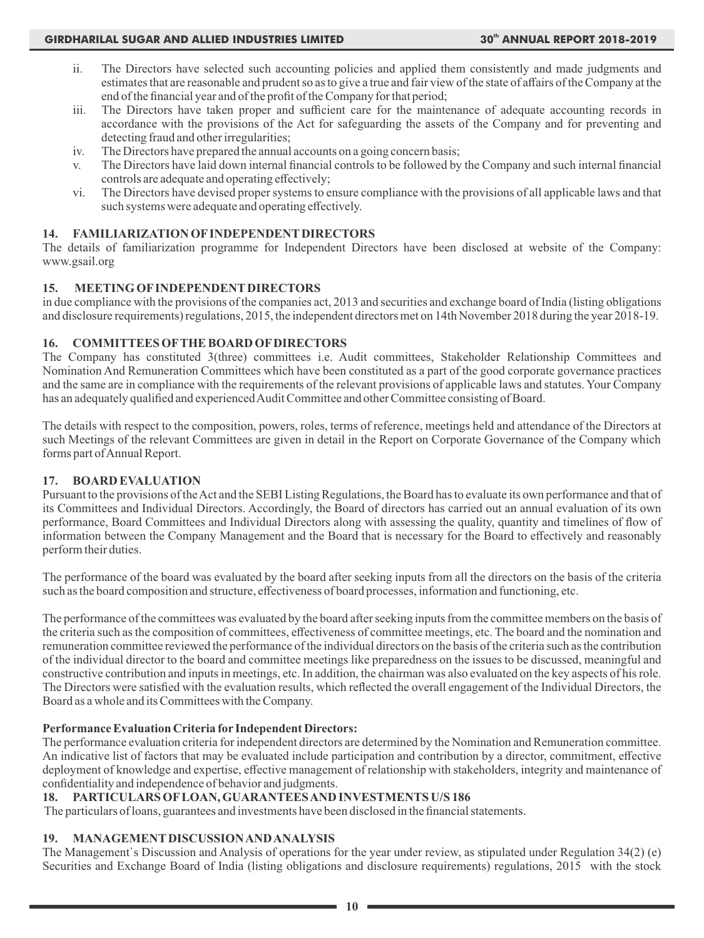- ii. The Directors have selected such accounting policies and applied them consistently and made judgments and estimates that are reasonable and prudent so as to give a true and fair view of the state of affairs of the Company at the end of the financial year and of the profit of the Company for that period;
- iii. The Directors have taken proper and sufficient care for the maintenance of adequate accounting records in accordance with the provisions of the Act for safeguarding the assets of the Company and for preventing and detecting fraud and other irregularities;
- iv. The Directors have prepared the annual accounts on a going concern basis;
- v. The Directors have laid down internal financial controls to be followed by the Company and such internal financial controls are adequate and operating effectively;
- vi. The Directors have devised proper systems to ensure compliance with the provisions of all applicable laws and that such systems were adequate and operating effectively.

# **14. FAMILIARIZATION OFINDEPENDENTDIRECTORS**

The details of familiarization programme for Independent Directors have been disclosed at website of the Company: www.gsail.org

# **15. MEETING OFINDEPENDENTDIRECTORS**

in due compliance with the provisions of the companies act, 2013 and securities and exchange board of India (listing obligations and disclosure requirements) regulations, 2015, the independent directors met on 14th November 2018 during the year 2018-19.

# **16. COMMITTEES OFTHE BOARD OFDIRECTORS**

The Company has constituted 3(three) committees i.e. Audit committees, Stakeholder Relationship Committees and Nomination And Remuneration Committees which have been constituted as a part of the good corporate governance practices and the same are in compliance with the requirements of the relevant provisions of applicable laws and statutes. Your Company has an adequately qualified and experienced Audit Committee and other Committee consisting of Board.

The details with respect to the composition, powers, roles, terms of reference, meetings held and attendance of the Directors at such Meetings of the relevant Committees are given in detail in the Report on Corporate Governance of the Company which forms part of Annual Report.

# **17. BOARD EVALUATION**

Pursuant to the provisions of the Act and the SEBI Listing Regulations, the Board has to evaluate its own performance and that of its Committees and Individual Directors. Accordingly, the Board of directors has carried out an annual evaluation of its own performance, Board Committees and Individual Directors along with assessing the quality, quantity and timelines of flow of information between the Company Management and the Board that is necessary for the Board to effectively and reasonably perform their duties.

The performance of the board was evaluated by the board after seeking inputs from all the directors on the basis of the criteria such as the board composition and structure, effectiveness of board processes, information and functioning, etc.

The performance of the committees was evaluated by the board after seeking inputs from the committee members on the basis of the criteria such as the composition of committees, effectiveness of committee meetings, etc. The board and the nomination and remuneration committee reviewed the performance of the individual directors on the basis of the criteria such as the contribution of the individual director to the board and committee meetings like preparedness on the issues to be discussed, meaningful and constructive contribution and inputs in meetings, etc. In addition, the chairman was also evaluated on the key aspects of his role. The Directors were satisfied with the evaluation results, which reflected the overall engagement of the Individual Directors, the Board as a whole and its Committees with the Company.

# **Performance Evaluation Criteria for Independent Directors:**

The performance evaluation criteria for independent directors are determined by the Nomination and Remuneration committee. An indicative list of factors that may be evaluated include participation and contribution by a director, commitment, effective deployment of knowledge and expertise, effective management of relationship with stakeholders, integrity and maintenance of confidentiality and independence of behavior and judgments.

# **18. PARTICULARS OFLOAN, GUARANTEES AND INVESTMENTS U/S 186**

The particulars of loans, guarantees and investments have been disclosed in the financial statements.

# **19. MANAGEMENTDISCUSSION AND ANALYSIS**

The Management`s Discussion and Analysis of operations for the year under review, as stipulated under Regulation 34(2) (e) Securities and Exchange Board of India (listing obligations and disclosure requirements) regulations, 2015 with the stock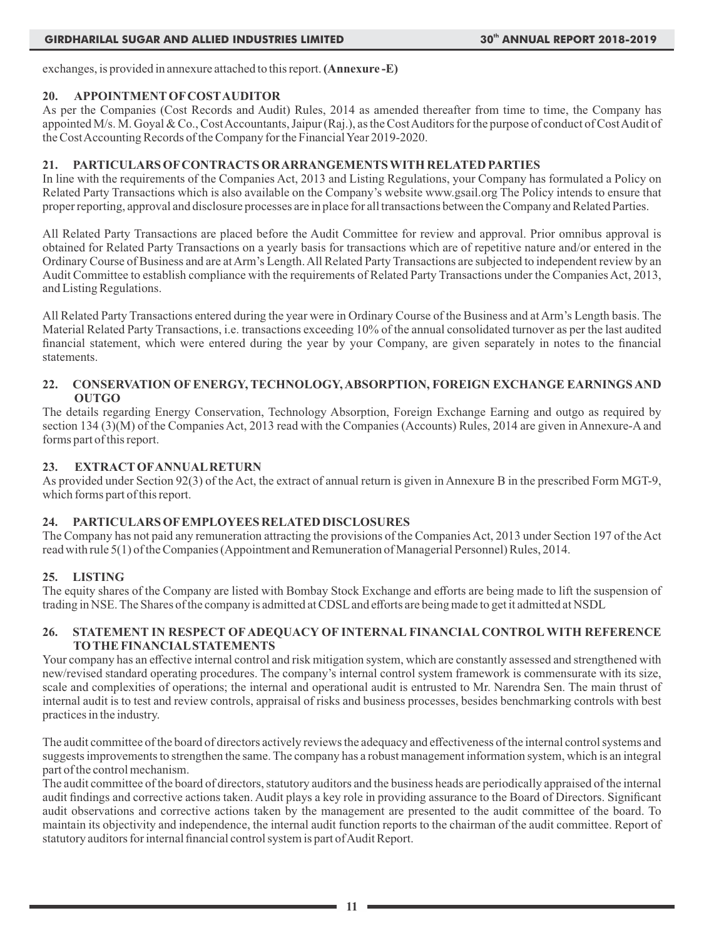# **GIRDHARILAL SUGAR AND ALLIED INDUSTRIES LIMITED th 30 ANNUAL REPORT 2018-2019**

exchanges, is provided in annexure attached to this report. **(Annexure -E)**

# **20. APPOINTMENTOFCOSTAUDITOR**

As per the Companies (Cost Records and Audit) Rules, 2014 as amended thereafter from time to time, the Company has appointed M/s. M. Goyal & Co., Cost Accountants, Jaipur (Raj.), as the Cost Auditors for the purpose of conduct of Cost Audit of the Cost Accounting Records of the Company for the Financial Year 2019-2020.

# **21. PARTICULARS OFCONTRACTS OR ARRANGEMENTS WITH RELATED PARTIES**

In line with the requirements of the Companies Act, 2013 and Listing Regulations, your Company has formulated a Policy on Related Party Transactions which is also available on the Company's website www.gsail.org The Policy intends to ensure that proper reporting, approval and disclosure processes are in place for all transactions between the Company and Related Parties.

All Related Party Transactions are placed before the Audit Committee for review and approval. Prior omnibus approval is obtained for Related Party Transactions on a yearly basis for transactions which are of repetitive nature and/or entered in the Ordinary Course of Business and are at Arm's Length. All Related Party Transactions are subjected to independent review by an Audit Committee to establish compliance with the requirements of Related Party Transactions under the Companies Act, 2013, and Listing Regulations.

All Related Party Transactions entered during the year were in Ordinary Course of the Business and at Arm's Length basis. The Material Related Party Transactions, i.e. transactions exceeding 10% of the annual consolidated turnover as per the last audited financial statement, which were entered during the year by your Company, are given separately in notes to the financial statements.

# **22. CONSERVATION OFENERGY, TECHNOLOGY, ABSORPTION, FOREIGN EXCHANGE EARNINGS AND OUTGO**

The details regarding Energy Conservation, Technology Absorption, Foreign Exchange Earning and outgo as required by section 134 (3)(M) of the Companies Act, 2013 read with the Companies (Accounts) Rules, 2014 are given in Annexure-A and forms part of this report.

# **23. EXTRACTOFANNUALRETURN**

As provided under Section 92(3) of the Act, the extract of annual return is given in Annexure B in the prescribed Form MGT-9, which forms part of this report.

# **24. PARTICULARS OFEMPLOYEES RELATED DISCLOSURES**

The Company has not paid any remuneration attracting the provisions of the Companies Act, 2013 under Section 197 of the Act read with rule 5(1) of the Companies (Appointment and Remuneration of Managerial Personnel) Rules, 2014.

# **25. LISTING**

The equity shares of the Company are listed with Bombay Stock Exchange and efforts are being made to lift the suspension of trading in NSE. The Shares of the company is admitted at CDSLand efforts are being made to get it admitted at NSDL

# **26. STATEMENT IN RESPECT OF ADEQUACY OF INTERNAL FINANCIAL CONTROLWITH REFERENCE TO THE FINANCIALSTATEMENTS**

Your company has an effective internal control and risk mitigation system, which are constantly assessed and strengthened with new/revised standard operating procedures. The company's internal control system framework is commensurate with its size, scale and complexities of operations; the internal and operational audit is entrusted to Mr. Narendra Sen. The main thrust of internal audit is to test and review controls, appraisal of risks and business processes, besides benchmarking controls with best practices in the industry.

The audit committee of the board of directors actively reviews the adequacy and effectiveness of the internal control systems and suggests improvements to strengthen the same. The company has a robust management information system, which is an integral part of the control mechanism.

The audit committee of the board of directors, statutory auditors and the business heads are periodically appraised of the internal audit findings and corrective actions taken. Audit plays a key role in providing assurance to the Board of Directors. Significant audit observations and corrective actions taken by the management are presented to the audit committee of the board. To maintain its objectivity and independence, the internal audit function reports to the chairman of the audit committee. Report of statutory auditors for internal financial control system is part of Audit Report.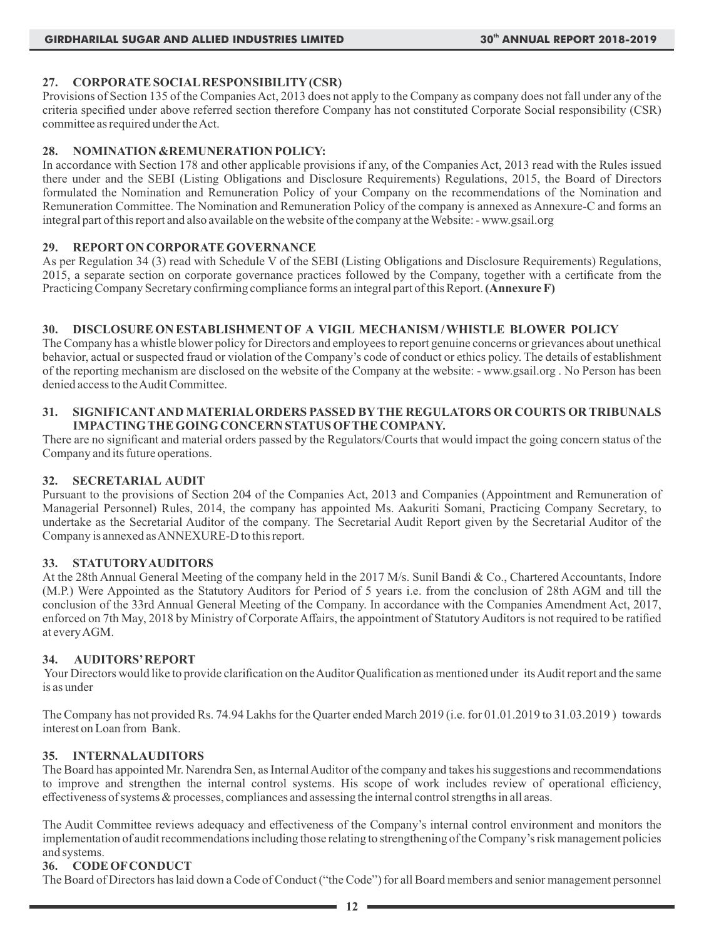# **27. CORPORATE SOCIALRESPONSIBILITY(CSR)**

Provisions of Section 135 of the Companies Act, 2013 does not apply to the Company as company does not fall under any of the criteria specified under above referred section therefore Company has not constituted Corporate Social responsibility (CSR) committee as required under the Act.

# **28. NOMINATION &REMUNERATION POLICY:**

In accordance with Section 178 and other applicable provisions if any, of the Companies Act, 2013 read with the Rules issued there under and the SEBI (Listing Obligations and Disclosure Requirements) Regulations, 2015, the Board of Directors formulated the Nomination and Remuneration Policy of your Company on the recommendations of the Nomination and Remuneration Committee. The Nomination and Remuneration Policy of the company is annexed as Annexure-C and forms an integral part of this report and also available on the website of the company at the Website: - www.gsail.org

#### **29. REPORTON CORPORATE GOVERNANCE**

As per Regulation 34 (3) read with Schedule V of the SEBI (Listing Obligations and Disclosure Requirements) Regulations, 2015, a separate section on corporate governance practices followed by the Company, together with a certificate from the Practicing Company Secretary confirming compliance forms an integral part of this Report. **(Annexure F)**

# **30. DISCLOSURE ON ESTABLISHMENTOF A VIGIL MECHANISM / WHISTLE BLOWER POLICY**

The Company has a whistle blower policy for Directors and employees to report genuine concerns or grievances about unethical behavior, actual or suspected fraud or violation of the Company's code of conduct or ethics policy. The details of establishment of the reporting mechanism are disclosed on the website of the Company at the website: - www.gsail.org . No Person has been denied access to the Audit Committee.

# **31. SIGNIFICANTAND MATERIALORDERS PASSED BYTHE REGULATORS OR COURTS OR TRIBUNALS IMPACTING THE GOING CONCERN STATUS OFTHE COMPANY.**

There are no significant and material orders passed by the Regulators/Courts that would impact the going concern status of the Company and its future operations.

# **32. SECRETARIAL AUDIT**

Pursuant to the provisions of Section 204 of the Companies Act, 2013 and Companies (Appointment and Remuneration of Managerial Personnel) Rules, 2014, the company has appointed Ms. Aakuriti Somani, Practicing Company Secretary, to undertake as the Secretarial Auditor of the company. The Secretarial Audit Report given by the Secretarial Auditor of the Company is annexed as ANNEXURE-D to this report.

#### **33. STATUTORYAUDITORS**

At the 28th Annual General Meeting of the company held in the 2017 M/s. Sunil Bandi & Co., Chartered Accountants, Indore (M.P.) Were Appointed as the Statutory Auditors for Period of 5 years i.e. from the conclusion of 28th AGM and till the conclusion of the 33rd Annual General Meeting of the Company. In accordance with the Companies Amendment Act, 2017, enforced on 7th May, 2018 by Ministry of Corporate Affairs, the appointment of Statutory Auditors is not required to be ratified at every AGM.

# **34. AUDITORS'REPORT**

Your Directors would like to provide clarification on the Auditor Qualification as mentioned under its Audit report and the same is as under

The Company has not provided Rs. 74.94 Lakhs for the Quarter ended March 2019 (i.e. for 01.01.2019 to 31.03.2019 ) towards interest on Loan from Bank.

#### **35. INTERNALAUDITORS**

The Board has appointed Mr. Narendra Sen, as Internal Auditor of the company and takes his suggestions and recommendations to improve and strengthen the internal control systems. His scope of work includes review of operational efficiency, effectiveness of systems & processes, compliances and assessing the internal control strengths in all areas.

The Audit Committee reviews adequacy and effectiveness of the Company's internal control environment and monitors the implementation of audit recommendations including those relating to strengthening of the Company's risk management policies and systems.

# **36. CODE OFCONDUCT**

The Board of Directors has laid down a Code of Conduct ("the Code") for all Board members and senior management personnel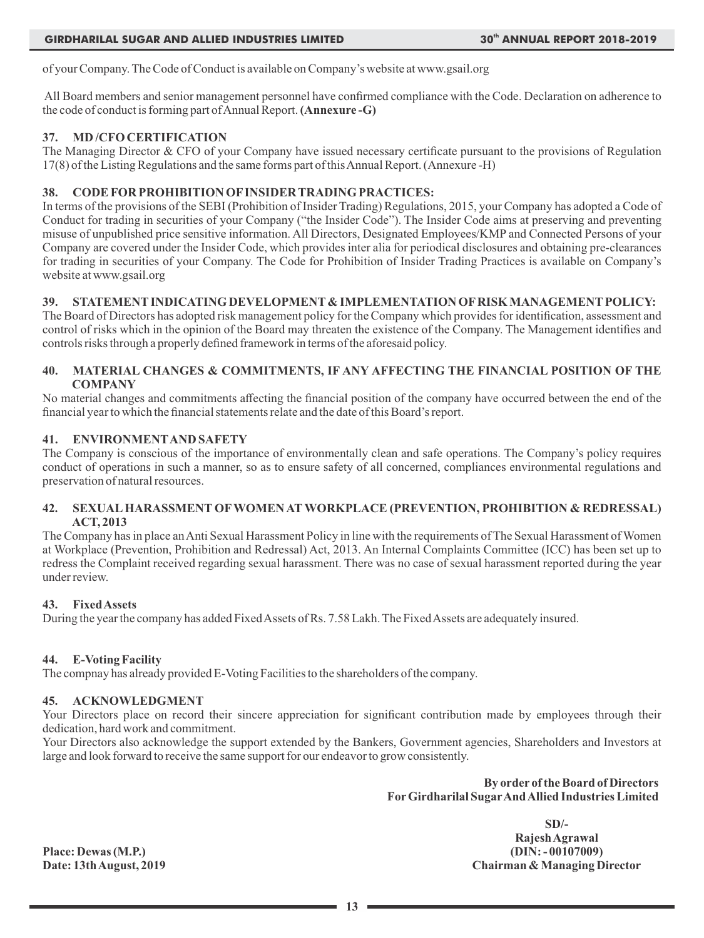of your Company. The Code of Conduct is available on Company's website at www.gsail.org

All Board members and senior management personnel have confirmed compliance with the Code. Declaration on adherence to the code of conduct is forming part of Annual Report. **(Annexure -G)**

# **37. MD /CFO CERTIFICATION**

The Managing Director & CFO of your Company have issued necessary certificate pursuant to the provisions of Regulation 17(8) of the Listing Regulations and the same forms part of this Annual Report. (Annexure -H)

# **38. CODE FOR PROHIBITION OFINSIDER TRADING PRACTICES:**

In terms of the provisions of the SEBI (Prohibition of Insider Trading) Regulations, 2015, your Company has adopted a Code of Conduct for trading in securities of your Company ("the Insider Code"). The Insider Code aims at preserving and preventing misuse of unpublished price sensitive information. All Directors, Designated Employees/KMP and Connected Persons of your Company are covered under the Insider Code, which provides inter alia for periodical disclosures and obtaining pre-clearances for trading in securities of your Company. The Code for Prohibition of Insider Trading Practices is available on Company's website at www.gsail.org

# **39. STATEMENTINDICATING DEVELOPMENT& IMPLEMENTATION OFRISK MANAGEMENTPOLICY:**

The Board of Directors has adopted risk management policy for the Company which provides for identification, assessment and control of risks which in the opinion of the Board may threaten the existence of the Company. The Management identifies and controls risks through a properly defined framework in terms of the aforesaid policy.

#### **40. MATERIAL CHANGES & COMMITMENTS, IF ANY AFFECTING THE FINANCIAL POSITION OF THE COMPANY**

No material changes and commitments affecting the financial position of the company have occurred between the end of the financial year to which the financial statements relate and the date of this Board's report.

# **41. ENVIRONMENTAND SAFETY**

The Company is conscious of the importance of environmentally clean and safe operations. The Company's policy requires conduct of operations in such a manner, so as to ensure safety of all concerned, compliances environmental regulations and preservation of natural resources.

#### **42. SEXUALHARASSMENT OFWOMEN ATWORKPLACE (PREVENTION, PROHIBITION & REDRESSAL) ACT, 2013**

The Company has in place an Anti Sexual Harassment Policy in line with the requirements of The Sexual Harassment of Women at Workplace (Prevention, Prohibition and Redressal) Act, 2013. An Internal Complaints Committee (ICC) has been set up to redress the Complaint received regarding sexual harassment. There was no case of sexual harassment reported during the year under review.

# **43. Fixed Assets**

During the year the company has added Fixed Assets of Rs. 7.58 Lakh. The Fixed Assets are adequately insured.

# **44. E-Voting Facility**

The compnay has already provided E-Voting Facilities to the shareholders of the company.

# **45. ACKNOWLEDGMENT**

Your Directors place on record their sincere appreciation for significant contribution made by employees through their dedication, hard work and commitment.

Your Directors also acknowledge the support extended by the Bankers, Government agencies, Shareholders and Investors at large and look forward to receive the same support for our endeavor to grow consistently.

> **By order of the Board of Directors ForGirdharilal SugarAnd Allied Industries Limited**

**SD/- Rajesh Agrawal Date: 13th August, 2019 Chairman & Managing Director**

 $Place: Dewas (M.P.)$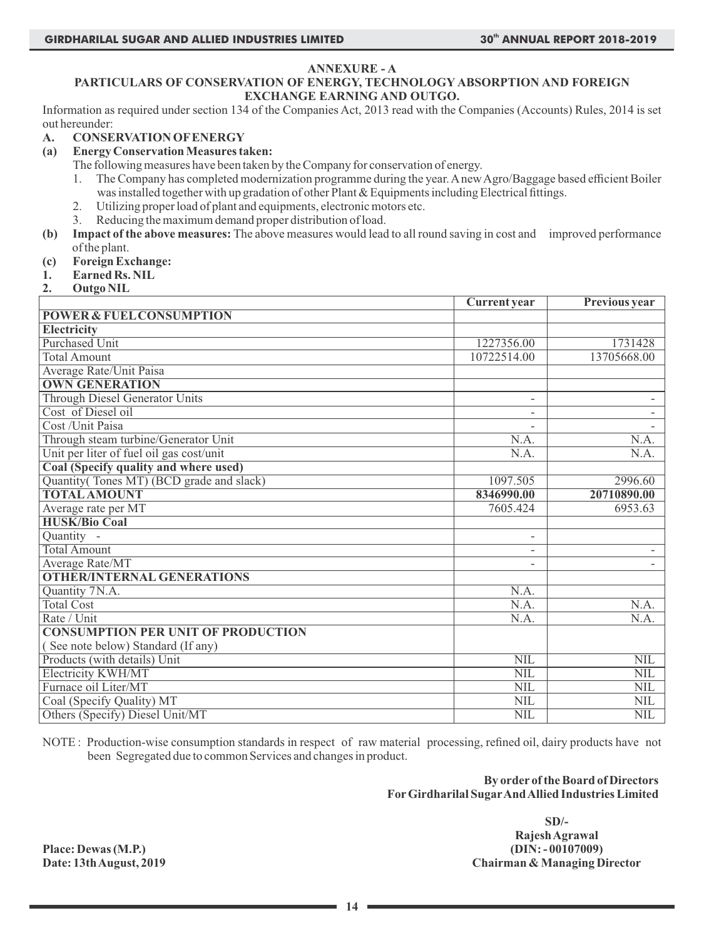# **ANNEXURE - A**

# **PARTICULARS OF CONSERVATION OF ENERGY, TECHNOLOGY ABSORPTION AND FOREIGN EXCHANGE EARNING AND OUTGO.**

Information as required under section 134 of the Companies Act, 2013 read with the Companies (Accounts) Rules, 2014 is set out hereunder:

# **A. CONSERVATION OFENERGY**

**(a) Energy Conservation Measures taken:**

The following measures have been taken by the Company for conservation of energy.<br>1. The Company has completed modernization programme during the year. A new

- 1. The Company has completed modernization programme during the year. Anew Agro/Baggage based efficient Boiler was installed together with up gradation of other Plant & Equipments including Electrical fittings.
- 2. Utilizing proper load of plant and equipments, electronic motors etc.<br>3. Reducing the maximum demand proper distribution of load.
- Reducing the maximum demand proper distribution of load.
- **(b) Impact of the above measures:** The above measures would lead to all round saving in cost and improved performance of the plant.
- **(c) Foreign Exchange:**
- **1. Earned Rs. NIL**
- **2. Outgo NIL**

|                                           | <b>Current</b> year | Previous year            |
|-------------------------------------------|---------------------|--------------------------|
| <b>POWER &amp; FUEL CONSUMPTION</b>       |                     |                          |
| Electricity                               |                     |                          |
| <b>Purchased Unit</b>                     | 1227356.00          | 1731428                  |
| <b>Total Amount</b>                       | 10722514.00         | 13705668.00              |
| Average Rate/Unit Paisa                   |                     |                          |
| <b>OWN GENERATION</b>                     |                     |                          |
| Through Diesel Generator Units            | $\overline{a}$      |                          |
| Cost of Diesel oil                        | $\qquad \qquad =$   | $\overline{\phantom{0}}$ |
| Cost /Unit Paisa                          |                     |                          |
| Through steam turbine/Generator Unit      | N.A.                | N.A.                     |
| Unit per liter of fuel oil gas cost/unit  | N.A.                | N.A.                     |
| Coal (Specify quality and where used)     |                     |                          |
| Quantity(Tones MT) (BCD grade and slack)  | 1097.505            | 2996.60                  |
| <b>TOTAL AMOUNT</b>                       | 8346990.00          | 20710890.00              |
| Average rate per MT                       | 7605.424            | 6953.63                  |
| <b>HUSK/Bio Coal</b>                      |                     |                          |
| Quantity -                                | $\overline{a}$      |                          |
| <b>Total Amount</b>                       | $\qquad \qquad =$   | $\overline{\phantom{0}}$ |
| Average Rate/MT                           |                     |                          |
| <b>OTHER/INTERNAL GENERATIONS</b>         |                     |                          |
| Quantity 7N.A.                            | N.A.                |                          |
| <b>Total Cost</b>                         | N.A.                | N.A.                     |
| Rate / Unit                               | N.A.                | N.A.                     |
| <b>CONSUMPTION PER UNIT OF PRODUCTION</b> |                     |                          |
| (See note below) Standard (If any)        |                     |                          |
| Products (with details) Unit              | NIL                 | <b>NIL</b>               |
| <b>Electricity KWH/MT</b>                 | <b>NIL</b>          | <b>NIL</b>               |
| Furnace oil Liter/MT                      | <b>NIL</b>          | <b>NIL</b>               |
| Coal (Specify Quality) MT                 | <b>NIL</b>          | <b>NIL</b>               |
| Others (Specify) Diesel Unit/MT           | NIL                 | NIL                      |

NOTE : Production-wise consumption standards in respect of raw material processing, refined oil, dairy products have not been Segregated due to common Services and changes in product.

# **By order of the Board of Directors ForGirdharilal SugarAnd Allied Industries Limited**

**SD/-**

**Rajesh Agrawal Place: Dewas (M.P.) (DIN: - 00107009) Date: 13th August, 2019 Chairman & Managing Director**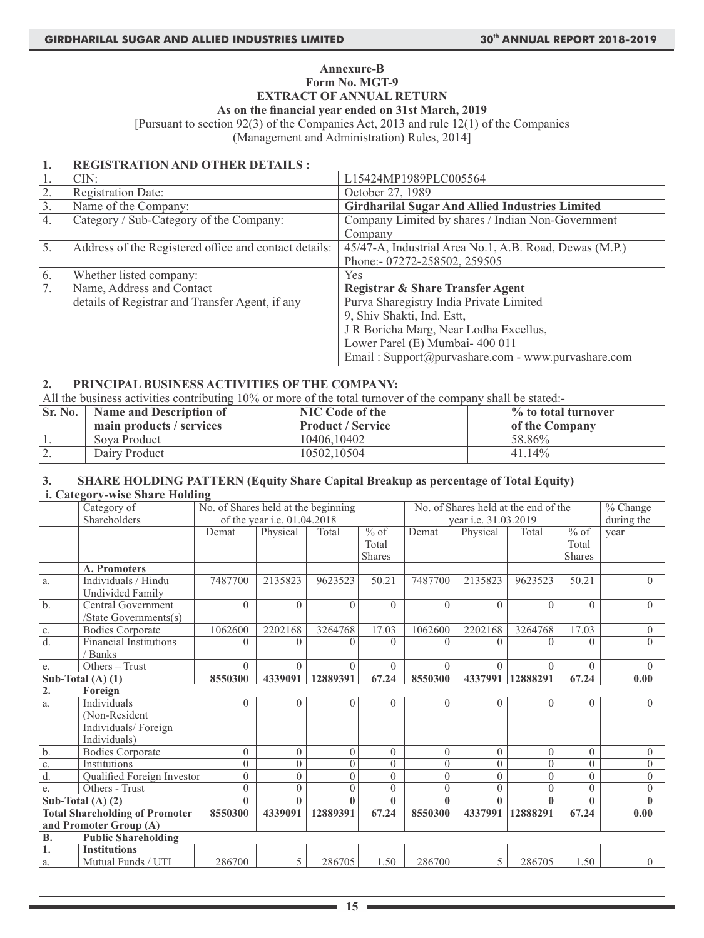#### **Annexure-B Form No. MGT-9 EXTRACT OF ANNUAL RETURN As on the financial year ended on 31st March, 2019**

[Pursuant to section 92(3) of the Companies Act, 2013 and rule 12(1) of the Companies (Management and Administration) Rules, 2014]

|                  | <b>REGISTRATION AND OTHER DETAILS:</b>                |                                                        |
|------------------|-------------------------------------------------------|--------------------------------------------------------|
|                  | CIN:                                                  | L15424MP1989PLC005564                                  |
| $\overline{2}$ . | <b>Registration Date:</b>                             | October 27, 1989                                       |
| $\overline{3}$ . | Name of the Company:                                  | <b>Girdharilal Sugar And Allied Industries Limited</b> |
| 4.               | Category / Sub-Category of the Company:               | Company Limited by shares / Indian Non-Government      |
|                  |                                                       | Company                                                |
| 5.               | Address of the Registered office and contact details: | 45/47-A, Industrial Area No.1, A.B. Road, Dewas (M.P.) |
|                  |                                                       | Phone:- 07272-258502, 259505                           |
| 6.               | Whether listed company:                               | <b>Yes</b>                                             |
| $\overline{7}$ . | Name, Address and Contact                             | <b>Registrar &amp; Share Transfer Agent</b>            |
|                  | details of Registrar and Transfer Agent, if any       | Purva Sharegistry India Private Limited                |
|                  |                                                       | 9, Shiv Shakti, Ind. Estt,                             |
|                  |                                                       | J R Boricha Marg, Near Lodha Excellus,                 |
|                  |                                                       | Lower Parel (E) Mumbai- 400 011                        |
|                  |                                                       | Email: Support@purvashare.com - www.purvashare.com     |

# **2. PRINCIPAL BUSINESS ACTIVITIES OF THE COMPANY:**

All the business activities contributing 10% or more of the total turnover of the company shall be stated:-

| Sr. No. | <b>Name and Description of</b><br>main products / services | NIC Code of the<br><b>Product / Service</b> | % to total turnover<br>of the Company |
|---------|------------------------------------------------------------|---------------------------------------------|---------------------------------------|
|         | Sova Product                                               | 10406.10402                                 | 58.86%                                |
|         | Dairy Product                                              | 10502.10504                                 | $41.14\%$                             |

#### **3. SHARE HOLDING PATTERN (Equity Share Capital Breakup as percentage of Total Equity) i. Category-wise Share Holding**

| $\ldots$ called $\ldots$ which contains the contains | No. of Shares held at the beginning<br>Category of |              |                             | No. of Shares held at the end of the |                |          |            | % Change         |                |          |
|------------------------------------------------------|----------------------------------------------------|--------------|-----------------------------|--------------------------------------|----------------|----------|------------|------------------|----------------|----------|
|                                                      | Shareholders<br>of the year i.e. 01.04.2018        |              | vear <i>i.e.</i> 31.03.2019 |                                      |                |          | during the |                  |                |          |
|                                                      |                                                    | Demat        | Physical                    | Total                                | $%$ of         | Demat    | Physical   | Total            | $%$ of         | year     |
|                                                      |                                                    |              |                             |                                      | Total          |          |            |                  | Total          |          |
|                                                      |                                                    |              |                             |                                      | Shares         |          |            |                  | Shares         |          |
|                                                      | <b>A. Promoters</b>                                |              |                             |                                      |                |          |            |                  |                |          |
| a.                                                   | Individuals / Hindu                                | 7487700      | 2135823                     | 9623523                              | 50.21          | 7487700  | 2135823    | 9623523          | 50.21          | $\Omega$ |
|                                                      | <b>Undivided Family</b>                            |              |                             |                                      |                |          |            |                  |                |          |
| $\mathbf b$ .                                        | Central Government                                 | $\Omega$     | $\Omega$                    | $\Omega$                             | $\theta$       | $\Omega$ | $\Omega$   | $\Omega$         | $\Omega$       | $\Omega$ |
|                                                      | /State Governments(s)                              |              |                             |                                      |                |          |            |                  |                |          |
| $\mathbb{C}.$                                        | <b>Bodies Corporate</b>                            | 1062600      | 2202168                     | 3264768                              | 17.03          | 1062600  | 2202168    | 3264768          | 17.03          | $\theta$ |
| $\overline{d}$ .                                     | <b>Financial Institutions</b>                      | $\Omega$     | $\Omega$                    | $\Omega$                             | $\Omega$       | $\Omega$ | $\Omega$   | $\Omega$         | $\Omega$       | $\Omega$ |
|                                                      | Banks                                              |              |                             |                                      |                |          |            |                  |                |          |
| e.                                                   | $Others - Trust$                                   | $\Omega$     | $\Omega$                    | $\Omega$                             | $\theta$       | $\Omega$ | $\Omega$   | 0                | $\Omega$       | $\Omega$ |
| Sub-Total (A) (1)                                    |                                                    | 8550300      | 4339091                     | 12889391                             | 67.24          | 8550300  |            | 4337991 12888291 | 67.24          | 0.00     |
| $\overline{2}$ .                                     | Foreign                                            |              |                             |                                      |                |          |            |                  |                |          |
| a.                                                   | Individuals                                        | $\Omega$     | 0                           | $\Omega$                             | $\Omega$       | $\Omega$ | 0          |                  | $\Omega$       | $\Omega$ |
|                                                      | (Non-Resident                                      |              |                             |                                      |                |          |            |                  |                |          |
|                                                      | Individuals/Foreign                                |              |                             |                                      |                |          |            |                  |                |          |
|                                                      | Individuals)                                       |              |                             |                                      |                |          |            |                  |                |          |
| b.                                                   | <b>Bodies Corporate</b>                            | $\Omega$     | $\overline{0}$              | $\Omega$                             | $\Omega$       | $\Omega$ | $\Omega$   | $\Omega$         | $\Omega$       | $\Omega$ |
| c.                                                   | Institutions                                       | $\Omega$     | $\Omega$                    | $\Omega$                             | $\overline{0}$ | $\Omega$ | $\Omega$   | $\Omega$         | $\overline{0}$ | $\Omega$ |
| d.                                                   | Qualified Foreign Investor                         | $\Omega$     | $\overline{0}$              | $\theta$                             | $\theta$       | $\theta$ | $\theta$   | $\Omega$         | $\Omega$       | $\theta$ |
| e.                                                   | Others - Trust                                     | $\Omega$     | $\overline{0}$              | $\theta$                             | $\theta$       | $\theta$ | $\theta$   | $\Omega$         | $\Omega$       | $\Omega$ |
|                                                      | Sub-Total $(A)$ $(2)$                              | $\mathbf{0}$ | $\bf{0}$                    | $\mathbf{0}$                         | $\mathbf{0}$   | $\bf{0}$ | $\bf{0}$   | 0                | $\bf{0}$       | $\bf{0}$ |
|                                                      | <b>Total Shareholding of Promoter</b>              | 8550300      | 4339091                     | 12889391                             | 67.24          | 8550300  | 4337991    | 12888291         | 67.24          | 0.00     |
|                                                      | and Promoter Group (A)                             |              |                             |                                      |                |          |            |                  |                |          |
| <b>B.</b>                                            | <b>Public Shareholding</b>                         |              |                             |                                      |                |          |            |                  |                |          |
| 1.                                                   | <b>Institutions</b>                                |              |                             |                                      |                |          |            |                  |                |          |
| a.                                                   | Mutual Funds / UTI                                 | 286700       | 5                           | 286705                               | 1.50           | 286700   | 5          | 286705           | 1.50           | $\theta$ |
|                                                      |                                                    |              |                             |                                      |                |          |            |                  |                |          |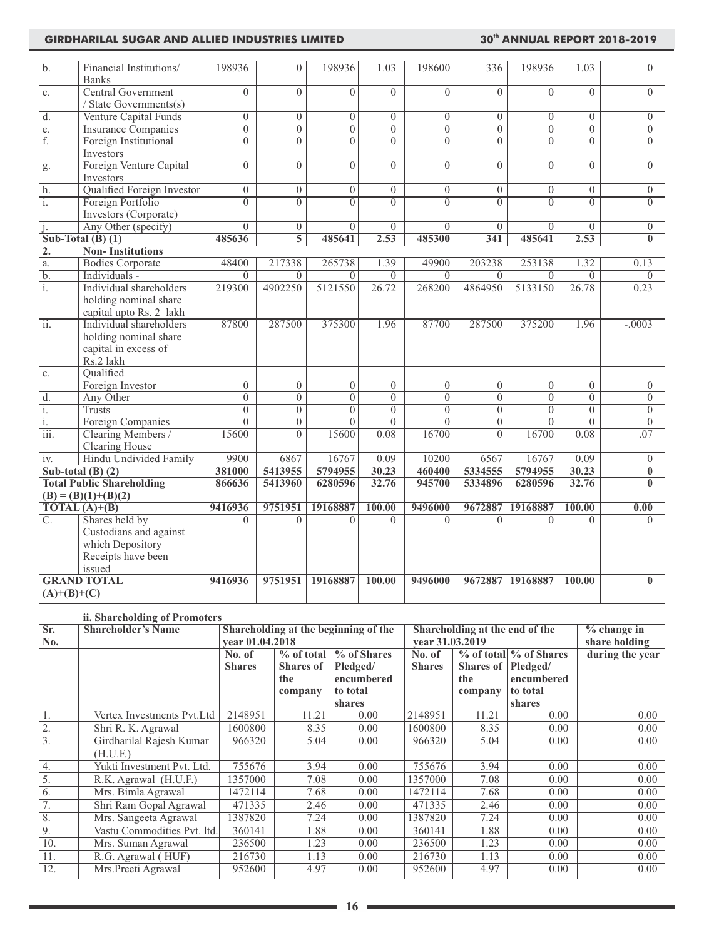# **GIRDHARILAL SUGAR AND ALLIED INDUSTRIES LIMITED**  $30<sup>th</sup>$  **ANNUAL REPORT 2018-2019**

| $b$ .             | Financial Institutions/<br><b>Banks</b>             | 198936                           | $\theta$                         | 198936                           | 1.03                           | 198600                           | 336                              | 198936                     | 1.03                             | $\Omega$                       |
|-------------------|-----------------------------------------------------|----------------------------------|----------------------------------|----------------------------------|--------------------------------|----------------------------------|----------------------------------|----------------------------|----------------------------------|--------------------------------|
| $\mathbf{c}$ .    | <b>Central Government</b><br>/ State Governments(s) | $\theta$                         | $\theta$                         | $\Omega$                         | $\Omega$                       | $\theta$                         | $\Omega$                         | $\Omega$                   | $\Omega$                         | $\Omega$                       |
| $\overline{d}$ .  | Venture Capital Funds                               | $\overline{0}$                   | $\overline{0}$                   | $\overline{0}$                   | $\overline{0}$                 | $\overline{0}$                   | $\overline{0}$                   | $\overline{0}$             | $\overline{0}$                   | $\mathbf{0}$                   |
| e.                | <b>Insurance Companies</b>                          | $\overline{0}$                   | $\overline{0}$                   | $\overline{0}$                   | $\overline{0}$                 | $\overline{0}$                   | $\overline{0}$                   | $\overline{0}$             | $\overline{0}$                   | $\overline{0}$                 |
| f.                | Foreign Institutional                               | $\overline{0}$                   | $\overline{0}$                   | $\overline{0}$                   | $\overline{0}$                 | $\overline{0}$                   | $\overline{0}$                   | $\overline{0}$             | $\overline{0}$                   | $\overline{0}$                 |
|                   | Investors                                           |                                  |                                  |                                  |                                |                                  |                                  |                            |                                  |                                |
| g.                | Foreign Venture Capital                             | $\theta$                         | $\theta$                         | $\theta$                         | $\theta$                       | $\theta$                         | $\theta$                         | $\Omega$                   | $\theta$                         | $\Omega$                       |
|                   | Investors                                           |                                  |                                  |                                  |                                |                                  |                                  |                            |                                  |                                |
| h.                | <b>Oualified Foreign Investor</b>                   | $\overline{0}$                   | $\overline{0}$                   | $\theta$                         | $\overline{0}$                 | $\overline{0}$                   | $\overline{0}$                   | $\theta$                   | $\overline{0}$                   | $\mathbf{0}$                   |
| ī.                | Foreign Portfolio                                   | $\overline{0}$                   | $\overline{0}$                   | $\overline{0}$                   | $\overline{0}$                 | $\overline{0}$                   | $\overline{0}$                   | $\overline{0}$             | $\overline{0}$                   | $\overline{0}$                 |
|                   | Investors (Corporate)                               |                                  |                                  |                                  |                                |                                  |                                  |                            |                                  |                                |
| i.                | Any Other (specify)                                 | $\Omega$                         | $\overline{0}$                   | $\Omega$                         | $\mathbf{0}$                   | $\theta$                         | $\overline{0}$                   | $\Omega$                   | $\overline{0}$                   | $\mathbf{0}$                   |
|                   | Sub-Total $(B)$ $(1)$                               | 485636                           | $\overline{5}$                   | 485641                           | 2.53                           | 485300                           | 341                              | 485641                     | 2.53                             | $\overline{0}$                 |
| $\overline{2}$ .  | <b>Non-Institutions</b>                             |                                  |                                  |                                  |                                |                                  |                                  |                            |                                  |                                |
| a.                | <b>Bodies Corporate</b>                             | 48400                            | 217338                           | 265738                           | 1.39                           | 49900                            | 203238                           | 253138                     | 1.32                             | 0.13                           |
| $\overline{b}$ .  | Individuals -                                       | $\overline{0}$                   | $\overline{0}$                   | $\overline{0}$                   | $\overline{0}$                 | $\overline{0}$                   | $\overline{0}$                   | $\overline{0}$             | $\overline{0}$                   | $\Omega$                       |
| $\overline{i}$ .  | Individual shareholders                             | 219300                           | 4902250                          | 5121550                          | 26.72                          | 268200                           | 4864950                          | 5133150                    | 26.78                            | 0.23                           |
|                   | holding nominal share                               |                                  |                                  |                                  |                                |                                  |                                  |                            |                                  |                                |
|                   | capital upto Rs. 2 lakh                             |                                  |                                  |                                  |                                |                                  |                                  |                            |                                  |                                |
| $\overline{ii}$ . | Individual shareholders                             | 87800                            | 287500                           | 375300                           | 1.96                           | 87700                            | 287500                           | 375200                     | 1.96                             | $-.0003$                       |
|                   | holding nominal share                               |                                  |                                  |                                  |                                |                                  |                                  |                            |                                  |                                |
|                   | capital in excess of                                |                                  |                                  |                                  |                                |                                  |                                  |                            |                                  |                                |
|                   | Rs.2 lakh                                           |                                  |                                  |                                  |                                |                                  |                                  |                            |                                  |                                |
| $\mathrm{c}.$     | Oualified                                           |                                  |                                  |                                  |                                |                                  |                                  |                            |                                  |                                |
|                   | Foreign Investor                                    | $\overline{0}$                   | $\overline{0}$                   | $\mathbf{0}$                     | $\overline{0}$                 | $\mathbf{0}$                     | $\overline{0}$                   | $\overline{0}$             | $\mathbf{0}$                     | $\boldsymbol{0}$               |
| d.<br>i.          | Any Other<br><b>Trusts</b>                          | $\overline{0}$<br>$\overline{0}$ | $\overline{0}$<br>$\overline{0}$ | $\overline{0}$<br>$\overline{0}$ | $\mathbf{0}$<br>$\overline{0}$ | $\overline{0}$<br>$\overline{0}$ | $\overline{0}$<br>$\overline{0}$ | $\theta$<br>$\overline{0}$ | $\overline{0}$<br>$\overline{0}$ | $\mathbf{0}$<br>$\overline{0}$ |
| $\mathbf{i}$ .    |                                                     | $\overline{0}$                   | $\theta$                         | $\theta$                         | $\overline{0}$                 | $\theta$                         | $\overline{0}$                   | $\theta$                   | $\overline{0}$                   | $\mathbf{0}$                   |
| iii.              | Foreign Companies                                   | 15600                            | $\Omega$                         | 15600                            | 0.08                           | 16700                            | $\theta$                         | 16700                      | 0.08                             | .07                            |
|                   | Clearing Members /<br>Clearing House                |                                  |                                  |                                  |                                |                                  |                                  |                            |                                  |                                |
| iv.               | Hindu Undivided Family                              | 9900                             | 6867                             | 16767                            | 0.09                           | 10200                            | 6567                             | 16767                      | 0.09                             | $\mathbf{0}$                   |
|                   | Sub-total $(B)$ $(2)$                               | 381000                           | 5413955                          | 5794955                          | 30.23                          | 460400                           | 5334555                          | 5794955                    | 30.23                            | $\bf{0}$                       |
|                   | <b>Total Public Shareholding</b>                    | 866636                           | 5413960                          | 6280596                          | 32.76                          | 945700                           | 5334896                          | 6280596                    | 32.76                            | $\mathbf{0}$                   |
|                   | $(B) = (B)(1)+(B)(2)$                               |                                  |                                  |                                  |                                |                                  |                                  |                            |                                  |                                |
|                   | TOTAL $(A)+(B)$                                     | 9416936                          | 9751951                          | 19168887                         | 100.00                         | 9496000                          | 9672887                          | 19168887                   | 100.00                           | 0.00                           |
| $\overline{C}$ .  | Shares held by                                      | $\Omega$                         | $\Omega$                         | $\theta$                         | $\Omega$                       | $\theta$                         | $\theta$                         | $\Omega$                   | $\Omega$                         | $\Omega$                       |
|                   | Custodians and against                              |                                  |                                  |                                  |                                |                                  |                                  |                            |                                  |                                |
|                   | which Depository                                    |                                  |                                  |                                  |                                |                                  |                                  |                            |                                  |                                |
|                   | Receipts have been                                  |                                  |                                  |                                  |                                |                                  |                                  |                            |                                  |                                |
|                   | issued                                              |                                  |                                  |                                  |                                |                                  |                                  |                            |                                  |                                |
|                   | <b>GRAND TOTAL</b>                                  | 9416936                          | 9751951                          | 19168887                         | 100.00                         | 9496000                          | 9672887                          | 19168887                   | 100.00                           | $\mathbf{0}$                   |
| $(A)+(B)+(C)$     |                                                     |                                  |                                  |                                  |                                |                                  |                                  |                            |                                  |                                |

# **ii. Shareholding of Promoters**

| Sr. | <b>Shareholder's Name</b>   | Shareholding at the beginning of the |                        |             |                 | Shareholding at the end of the | $%$ change in          |                 |
|-----|-----------------------------|--------------------------------------|------------------------|-------------|-----------------|--------------------------------|------------------------|-----------------|
| No. |                             | vear 01.04.2018                      |                        |             | vear 31.03.2019 |                                |                        | share holding   |
|     |                             | No. of                               | $\frac{6}{6}$ of total | % of Shares | No. of          |                                | % of total % of Shares | during the year |
|     |                             | <b>Shares</b>                        | <b>Shares of</b>       | Pledged/    | <b>Shares</b>   | Shares of Pledged/             |                        |                 |
|     |                             |                                      | the                    | encumbered  |                 | the                            | encumbered             |                 |
|     |                             |                                      | company                | to total    |                 | company                        | to total               |                 |
|     |                             |                                      |                        | shares      |                 |                                | shares                 |                 |
|     | Vertex Investments Pvt.Ltd  | 2148951                              | 11.21                  | 0.00        | 2148951         | 11.21                          | 0.00                   | 0.00            |
| 2.  | Shri R. K. Agrawal          | 1600800                              | 8.35                   | 0.00        | 1600800         | 8.35                           | 0.00                   | 0.00            |
| 3.  | Girdharilal Rajesh Kumar    | 966320                               | 5.04                   | 0.00        | 966320          | 5.04                           | 0.00                   | 0.00            |
|     | (H.U.F.)                    |                                      |                        |             |                 |                                |                        |                 |
| 4.  | Yukti Investment Pvt. Ltd.  | 755676                               | 3.94                   | 0.00        | 755676          | 3.94                           | 0.00                   | 0.00            |
| 5.  | R.K. Agrawal (H.U.F.)       | 1357000                              | 7.08                   | 0.00        | 1357000         | 7.08                           | 0.00                   | 0.00            |
| 6.  | Mrs. Bimla Agrawal          | 1472114                              | 7.68                   | 0.00        | 1472114         | 7.68                           | 0.00                   | 0.00            |
| 7.  | Shri Ram Gopal Agrawal      | 471335                               | 2.46                   | 0.00        | 471335          | 2.46                           | 0.00                   | 0.00            |
| 8.  | Mrs. Sangeeta Agrawal       | 1387820                              | 7.24                   | 0.00        | 1387820         | 7.24                           | 0.00                   | 0.00            |
| 9.  | Vastu Commodities Pvt. ltd. | 360141                               | 1.88                   | 0.00        | 360141          | 1.88                           | 0.00                   | 0.00            |
| 10. | Mrs. Suman Agrawal          | 236500                               | 1.23                   | 0.00        | 236500          | 1.23                           | 0.00                   | 0.00            |
| 11. | R.G. Agrawal (HUF)          | 216730                               | 1.13                   | 0.00        | 216730          | 1.13                           | 0.00                   | 0.00            |
| 12. | Mrs.Preeti Agrawal          | 952600                               | 4.97                   | 0.00        | 952600          | 4.97                           | 0.00                   | 0.00            |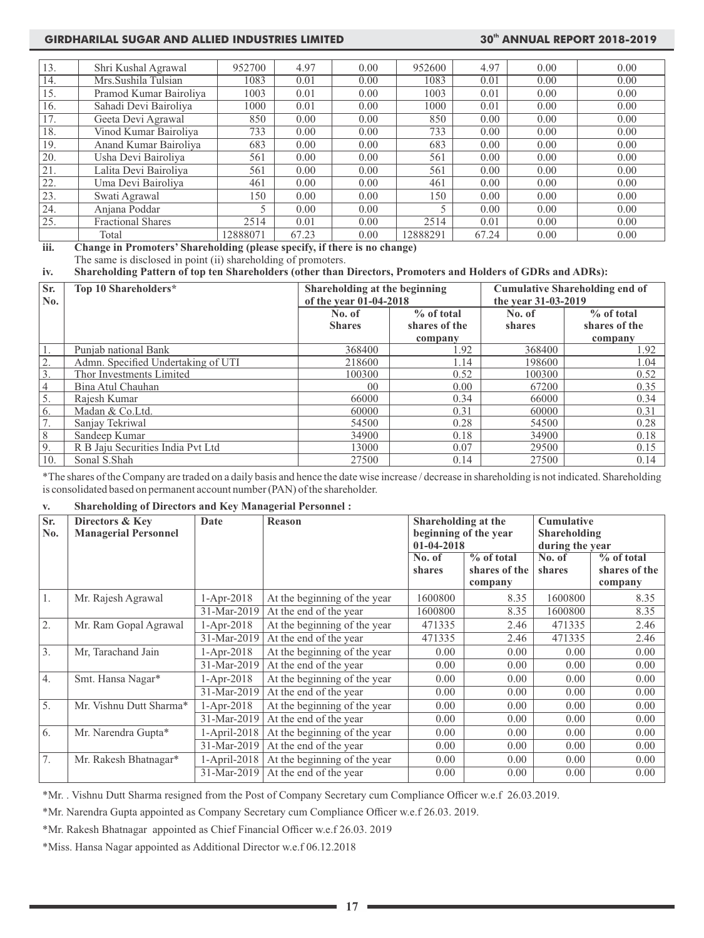# **GIRDHARILAL SUGAR AND ALLIED INDUSTRIES LIMITED <b>1999 30** ANNUAL REPORT 2018-2019

| 13. | Shri Kushal Agrawal      | 952700   | 4.97  | 0.00 | 952600   | 4.97  | 0.00 | 0.00 |
|-----|--------------------------|----------|-------|------|----------|-------|------|------|
|     |                          |          |       |      |          |       |      |      |
| 14. | Mrs. Sushila Tulsian     | 1083     | 0.01  | 0.00 | 1083     | 0.01  | 0.00 | 0.00 |
| 15. | Pramod Kumar Bairoliya   | 1003     | 0.01  | 0.00 | 1003     | 0.01  | 0.00 | 0.00 |
| 16. | Sahadi Devi Bairoliya    | 1000     | 0.01  | 0.00 | 1000     | 0.01  | 0.00 | 0.00 |
| 17. | Geeta Devi Agrawal       | 850      | 0.00  | 0.00 | 850      | 0.00  | 0.00 | 0.00 |
| 18. | Vinod Kumar Bairoliya    | 733      | 0.00  | 0.00 | 733      | 0.00  | 0.00 | 0.00 |
| 19. | Anand Kumar Bairoliya    | 683      | 0.00  | 0.00 | 683      | 0.00  | 0.00 | 0.00 |
| 20. | Usha Devi Bairoliya      | 561      | 0.00  | 0.00 | 561      | 0.00  | 0.00 | 0.00 |
| 21. | Lalita Devi Bairoliya    | 561      | 0.00  | 0.00 | 561      | 0.00  | 0.00 | 0.00 |
| 22. | Uma Devi Bairoliva       | 461      | 0.00  | 0.00 | 461      | 0.00  | 0.00 | 0.00 |
| 23. | Swati Agrawal            | 150      | 0.00  | 0.00 | 150      | 0.00  | 0.00 | 0.00 |
| 24. | Anjana Poddar            |          | 0.00  | 0.00 | 5        | 0.00  | 0.00 | 0.00 |
| 25. | <b>Fractional Shares</b> | 2514     | 0.01  | 0.00 | 2514     | 0.01  | 0.00 | 0.00 |
|     | Total                    | 12888071 | 67.23 | 0.00 | 12888291 | 67.24 | 0.00 | 0.00 |

**iii. Change in Promoters' Shareholding (please specify, if there is no change)** The same is disclosed in point (ii) shareholding of promoters.

**iv. Shareholding Pattern of top ten Shareholders (other than Directors, Promoters and Holders of GDRs and ADRs):**

| Sr.<br>No. | Top 10 Shareholders*               | Shareholding at the beginning<br>of the year 01-04-2018 |                                | <b>Cumulative Shareholding end of</b><br>the year 31-03-2019 |                                |  |
|------------|------------------------------------|---------------------------------------------------------|--------------------------------|--------------------------------------------------------------|--------------------------------|--|
|            |                                    | No. of<br><b>Shares</b>                                 | $\%$ of total<br>shares of the | No. of<br>shares                                             | $\%$ of total<br>shares of the |  |
|            |                                    |                                                         | company                        |                                                              | company                        |  |
|            | Puniab national Bank               | 368400                                                  | 1.92                           | 368400                                                       | 1.92                           |  |
| 2.         | Admn. Specified Undertaking of UTI | 218600                                                  | 1.14                           | 198600                                                       | 1.04                           |  |
| 3.         | Thor Investments Limited           | 100300                                                  | 0.52                           | 100300                                                       | 0.52                           |  |
| 4          | Bina Atul Chauhan                  | 0 <sup>0</sup>                                          | 0.00                           | 67200                                                        | 0.35                           |  |
| 5.         | Rajesh Kumar                       | 66000                                                   | 0.34                           | 66000                                                        | 0.34                           |  |
| 6.         | Madan & Co.Ltd.                    | 60000                                                   | 0.31                           | 60000                                                        | 0.31                           |  |
| 7.         | Sanjay Tekriwal                    | 54500                                                   | 0.28                           | 54500                                                        | 0.28                           |  |
| 8          | Sandeep Kumar                      | 34900                                                   | 0.18                           | 34900                                                        | 0.18                           |  |
| 9.         | R B Jaju Securities India Pvt Ltd  | 13000                                                   | 0.07                           | 29500                                                        | 0.15                           |  |
| 10.        | Sonal S.Shah                       | 27500                                                   | 0.14                           | 27500                                                        | 0.14                           |  |

\*The shares of the Company are traded on a daily basis and hence the date wise increase / decrease in shareholding is not indicated. Shareholding is consolidated based on permanent account number (PAN) of the shareholder.

# **v. Shareholding of Directors and Key Managerial Personnel :**

| Sr. | Directors & Key             | Date             | <b>Reason</b>                | Shareholding at the |                       | Cumulative      |               |  |
|-----|-----------------------------|------------------|------------------------------|---------------------|-----------------------|-----------------|---------------|--|
| No. | <b>Managerial Personnel</b> |                  |                              |                     | beginning of the year | Shareholding    |               |  |
|     |                             |                  |                              | $01 - 04 - 2018$    |                       | during the year |               |  |
|     |                             |                  |                              | No. of              | $%$ of total          | No. of          | % of total    |  |
|     |                             |                  |                              | shares              | shares of the         | shares          | shares of the |  |
|     |                             |                  |                              |                     | company               |                 | company       |  |
| 1.  | Mr. Rajesh Agrawal          | $1-Apr-2018$     | At the beginning of the year | 1600800             | 8.35                  | 1600800         | 8.35          |  |
|     |                             | 31-Mar-2019      | At the end of the year       | 1600800             | 8.35                  | 1600800         | 8.35          |  |
| 2.  | Mr. Ram Gopal Agrawal       | $1 - Apr - 2018$ | At the beginning of the year | 471335              | 2.46                  | 471335          | 2.46          |  |
|     |                             | 31-Mar-2019      | At the end of the year       | 471335              | 2.46                  | 471335          | 2.46          |  |
| 3.  | Mr, Tarachand Jain          | $1-Apr-2018$     | At the beginning of the year | 0.00                | 0.00                  | 0.00            | 0.00          |  |
|     |                             | 31-Mar-2019      | At the end of the year       | 0.00                | 0.00                  | 0.00            | 0.00          |  |
| 4.  | Smt. Hansa Nagar*           | $1-Apr-2018$     | At the beginning of the year | 0.00                | 0.00                  | 0.00            | 0.00          |  |
|     |                             | 31-Mar-2019      | At the end of the year       | 0.00                | 0.00                  | 0.00            | 0.00          |  |
| 5.  | Mr. Vishnu Dutt Sharma*     | $1 - Apr - 2018$ | At the beginning of the year | 0.00                | 0.00                  | 0.00            | 0.00          |  |
|     |                             | 31-Mar-2019      | At the end of the year       | 0.00                | 0.00                  | 0.00            | 0.00          |  |
| 6.  | Mr. Narendra Gupta*         | 1-April-2018     | At the beginning of the year | 0.00                | 0.00                  | 0.00            | 0.00          |  |
|     |                             | 31-Mar-2019      | At the end of the year       | 0.00                | 0.00                  | 0.00            | 0.00          |  |
| 7.  | Mr. Rakesh Bhatnagar*       | 1-April-2018     | At the beginning of the year | 0.00                | 0.00                  | 0.00            | 0.00          |  |
|     |                             | 31-Mar-2019      | At the end of the year       | 0.00                | 0.00                  | 0.00            | 0.00          |  |

\*Mr. . Vishnu Dutt Sharma resigned from the Post of Company Secretary cum Compliance Officer w.e.f 26.03.2019.

\*Mr. Narendra Gupta appointed as Company Secretary cum Compliance Officer w.e.f 26.03. 2019.

\*Mr. Rakesh Bhatnagar appointed as Chief Financial Officer w.e.f 26.03. 2019

\*Miss. Hansa Nagar appointed as Additional Director w.e.f 06.12.2018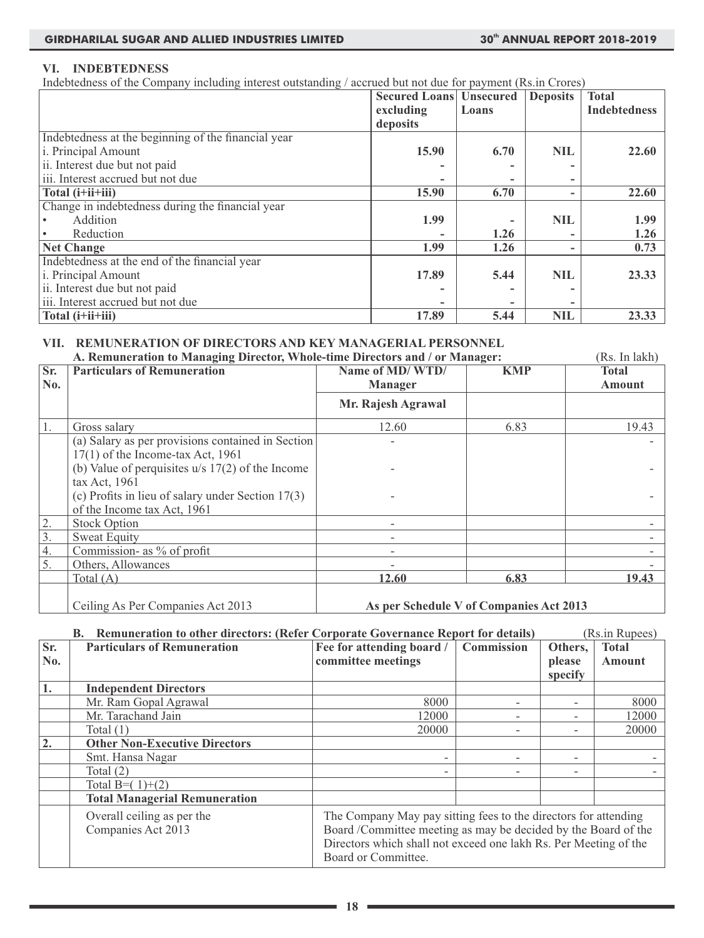# **VI. INDEBTEDNESS**

Indebtedness of the Company including interest outstanding / accrued but not due for payment (Rs.in Crores)

|                                                     | <b>Secured Loans Unsecured</b> |                          | <b>Deposits</b> | <b>Total</b>        |
|-----------------------------------------------------|--------------------------------|--------------------------|-----------------|---------------------|
|                                                     | excluding                      | Loans                    |                 | <b>Indebtedness</b> |
|                                                     | deposits                       |                          |                 |                     |
| Indebtedness at the beginning of the financial year |                                |                          |                 |                     |
| <i>i.</i> Principal Amount                          | 15.90                          | 6.70                     | <b>NIL</b>      | 22.60               |
| ii. Interest due but not paid                       |                                |                          |                 |                     |
| iii. Interest accrued but not due                   | -                              |                          | -               |                     |
| Total (i+ii+iii)                                    | 15.90                          | 6.70                     | -               | 22.60               |
| Change in indebtedness during the financial year    |                                |                          |                 |                     |
| Addition                                            | 1.99                           |                          | <b>NIL</b>      | 1.99                |
| Reduction                                           |                                | 1.26                     |                 | 1.26                |
| <b>Net Change</b>                                   | 1.99                           | 1.26                     | -               | 0.73                |
| Indebtedness at the end of the financial year       |                                |                          |                 |                     |
| i. Principal Amount                                 | 17.89                          | 5.44                     | <b>NIL</b>      | 23.33               |
| ii. Interest due but not paid                       |                                |                          |                 |                     |
| iii. Interest accrued but not due                   | ۰                              | $\overline{\phantom{a}}$ |                 |                     |
| Total (i+ii+iii)                                    | 17.89                          | 5.44                     | <b>NIL</b>      | 23.33               |

# **VII. REMUNERATION OF DIRECTORS AND KEY MANAGERIAL PERSONNEL**

|            | A. Remuneration to Managing Director, Whole-time Directors and / or Manager:<br>(Rs. In lakh) |                                         |                        |       |  |  |
|------------|-----------------------------------------------------------------------------------------------|-----------------------------------------|------------------------|-------|--|--|
| Sr.<br>No. | <b>Particulars of Remuneration</b>                                                            | Name of MD/WTD/<br>Manager              | <b>Total</b><br>Amount |       |  |  |
|            |                                                                                               | Mr. Rajesh Agrawal                      |                        |       |  |  |
| 1.         | Gross salary                                                                                  | 12.60                                   | 6.83                   | 19.43 |  |  |
|            | (a) Salary as per provisions contained in Section<br>$17(1)$ of the Income-tax Act, 1961      |                                         |                        |       |  |  |
|            | (b) Value of perquisites $u/s$ 17(2) of the Income<br>tax Act, 1961                           |                                         |                        |       |  |  |
|            | (c) Profits in lieu of salary under Section $17(3)$<br>of the Income tax Act, 1961            |                                         |                        |       |  |  |
| 2.         | <b>Stock Option</b>                                                                           |                                         |                        |       |  |  |
| 3.         | Sweat Equity                                                                                  |                                         |                        |       |  |  |
| 4.         | Commission- as % of profit                                                                    |                                         |                        |       |  |  |
| 5.         | Others, Allowances                                                                            |                                         |                        |       |  |  |
|            | Total $(A)$                                                                                   | 12.60                                   | 6.83                   | 19.43 |  |  |
|            | Ceiling As Per Companies Act 2013                                                             | As per Schedule V of Companies Act 2013 |                        |       |  |  |

# **B. Remuneration to other directors: (Refer Corporate Governance Report for details)** (Rs.in Rupees)

| Sr. | <b>Particulars of Remuneration</b>               | Fee for attending board /                                                                                                                                                                                                    | Commission | Others.                  | <b>Total</b>  |  |
|-----|--------------------------------------------------|------------------------------------------------------------------------------------------------------------------------------------------------------------------------------------------------------------------------------|------------|--------------------------|---------------|--|
| No. |                                                  | committee meetings                                                                                                                                                                                                           |            | please<br>specify        | <b>Amount</b> |  |
| 1.  | <b>Independent Directors</b>                     |                                                                                                                                                                                                                              |            |                          |               |  |
|     | Mr. Ram Gopal Agrawal                            | 8000                                                                                                                                                                                                                         |            | $\overline{\phantom{0}}$ | 8000          |  |
|     | Mr. Tarachand Jain                               | 12000                                                                                                                                                                                                                        |            |                          | 12000         |  |
|     | Total $(1)$                                      | 20000                                                                                                                                                                                                                        |            |                          | 20000         |  |
| 2.  | <b>Other Non-Executive Directors</b>             |                                                                                                                                                                                                                              |            |                          |               |  |
|     | Smt. Hansa Nagar                                 | $\overline{\phantom{0}}$                                                                                                                                                                                                     |            | $\overline{\phantom{0}}$ |               |  |
|     | Total $(2)$                                      |                                                                                                                                                                                                                              |            |                          |               |  |
|     | Total B= $(1)+(2)$                               |                                                                                                                                                                                                                              |            |                          |               |  |
|     | <b>Total Managerial Remuneration</b>             |                                                                                                                                                                                                                              |            |                          |               |  |
|     | Overall ceiling as per the<br>Companies Act 2013 | The Company May pay sitting fees to the directors for attending<br>Board /Committee meeting as may be decided by the Board of the<br>Directors which shall not exceed one lakh Rs. Per Meeting of the<br>Board or Committee. |            |                          |               |  |

۰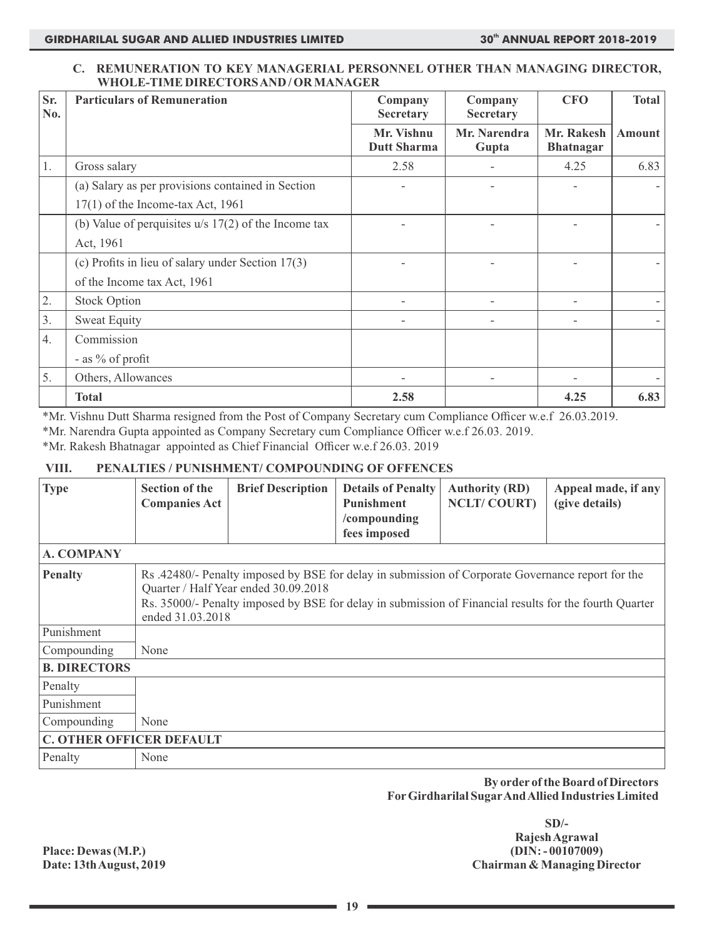# **C. REMUNERATION TO KEY MANAGERIAL PERSONNEL OTHER THAN MANAGING DIRECTOR, WHOLE-TIME DIRECTORS AND / OR MANAGER**

| Sr.<br>No. | <b>Particulars of Remuneration</b>                     | Company<br>Secretary             | Company<br>Secretary  | <b>CFO</b>                     | <b>Total</b> |
|------------|--------------------------------------------------------|----------------------------------|-----------------------|--------------------------------|--------------|
|            |                                                        | Mr. Vishnu<br><b>Dutt Sharma</b> | Mr. Narendra<br>Gupta | Mr. Rakesh<br><b>Bhatnagar</b> | Amount       |
| 1.         | Gross salary                                           | 2.58                             |                       | 4.25                           | 6.83         |
|            | (a) Salary as per provisions contained in Section      |                                  |                       |                                |              |
|            | $17(1)$ of the Income-tax Act, 1961                    |                                  |                       |                                |              |
|            | (b) Value of perquisites $u/s$ 17(2) of the Income tax |                                  |                       |                                |              |
|            | Act, 1961                                              |                                  |                       |                                |              |
|            | (c) Profits in lieu of salary under Section 17(3)      |                                  |                       |                                |              |
|            | of the Income tax Act, 1961                            |                                  |                       |                                |              |
| 2.         | <b>Stock Option</b>                                    |                                  |                       |                                |              |
| 3.         | Sweat Equity                                           |                                  |                       |                                |              |
| 4.         | Commission                                             |                                  |                       |                                |              |
|            | - as $\%$ of profit                                    |                                  |                       |                                |              |
| 5.         | Others, Allowances                                     |                                  |                       |                                |              |
|            | <b>Total</b>                                           | 2.58                             |                       | 4.25                           | 6.83         |

\*Mr. Vishnu Dutt Sharma resigned from the Post of Company Secretary cum Compliance Officer w.e.f 26.03.2019.

\*Mr. Narendra Gupta appointed as Company Secretary cum Compliance Officer w.e.f 26.03. 2019.

\*Mr. Rakesh Bhatnagar appointed as Chief Financial Officer w.e.f 26.03. 2019

# **VIII. PENALTIES / PUNISHMENT/ COMPOUNDING OF OFFENCES**

| <b>Type</b>                     | Section of the<br><b>Companies Act</b>                                                                                                                                                                                                                                  | <b>Brief Description</b> | <b>Details of Penalty</b><br><b>Punishment</b><br>$\alpha$ /compounding<br>fees imposed | <b>Authority (RD)</b><br><b>NCLT/COURT)</b> | Appeal made, if any<br>(give details) |  |
|---------------------------------|-------------------------------------------------------------------------------------------------------------------------------------------------------------------------------------------------------------------------------------------------------------------------|--------------------------|-----------------------------------------------------------------------------------------|---------------------------------------------|---------------------------------------|--|
| <b>A. COMPANY</b>               |                                                                                                                                                                                                                                                                         |                          |                                                                                         |                                             |                                       |  |
| <b>Penalty</b>                  | Rs .42480/- Penalty imposed by BSE for delay in submission of Corporate Governance report for the<br>Quarter / Half Year ended 30.09.2018<br>Rs. 35000/- Penalty imposed by BSE for delay in submission of Financial results for the fourth Quarter<br>ended 31.03.2018 |                          |                                                                                         |                                             |                                       |  |
| Punishment                      |                                                                                                                                                                                                                                                                         |                          |                                                                                         |                                             |                                       |  |
| Compounding                     | None                                                                                                                                                                                                                                                                    |                          |                                                                                         |                                             |                                       |  |
| <b>B. DIRECTORS</b>             |                                                                                                                                                                                                                                                                         |                          |                                                                                         |                                             |                                       |  |
| Penalty                         |                                                                                                                                                                                                                                                                         |                          |                                                                                         |                                             |                                       |  |
| Punishment                      |                                                                                                                                                                                                                                                                         |                          |                                                                                         |                                             |                                       |  |
| Compounding                     | None                                                                                                                                                                                                                                                                    |                          |                                                                                         |                                             |                                       |  |
| <b>C. OTHER OFFICER DEFAULT</b> |                                                                                                                                                                                                                                                                         |                          |                                                                                         |                                             |                                       |  |
| Penalty                         | None                                                                                                                                                                                                                                                                    |                          |                                                                                         |                                             |                                       |  |

**By order of the Board of Directors ForGirdharilal SugarAnd Allied Industries Limited**

> **SD/- Rajesh Agrawal Chairman & Managing Director**

**Place: Dewas (M.P.)**<br>Date: 13th August, 2019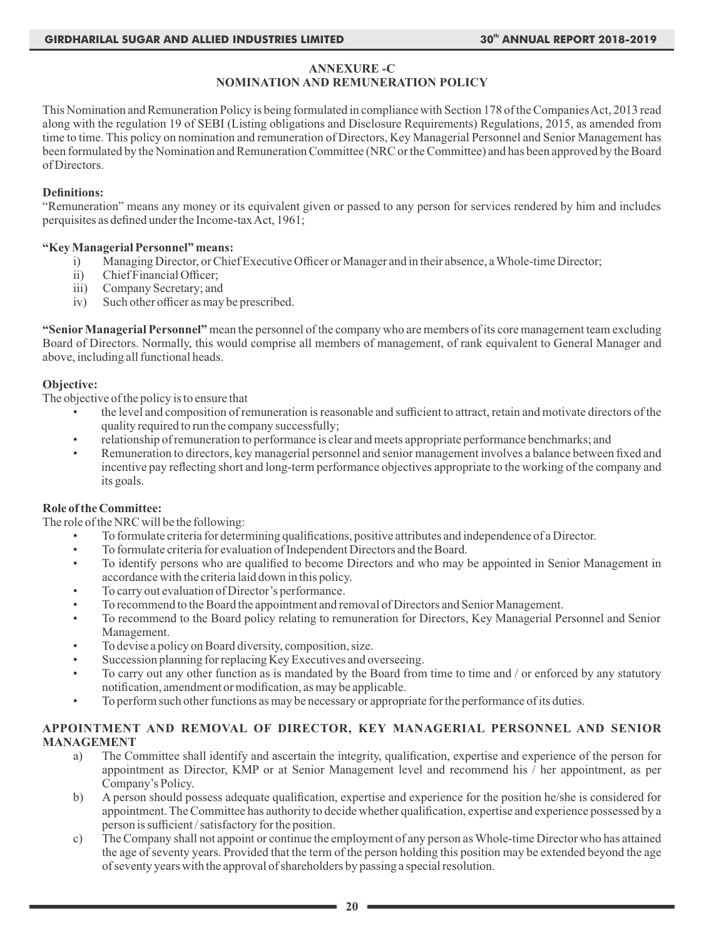# **ANNEXURE -C NOMINATION AND REMUNERATION POLICY**

This Nomination and Remuneration Policy is being formulated in compliance with Section 178 of the Companies Act, 2013 read along with the regulation 19 of SEBI (Listing obligations and Disclosure Requirements) Regulations, 2015, as amended from time to time. This policy on nomination and remuneration of Directors, Key Managerial Personnel and Senior Management has been formulated by the Nomination and Remuneration Committee (NRC or the Committee) and has been approved by the Board of Directors.

# **Definitions:**

"Remuneration" means any money or its equivalent given or passed to any person for services rendered by him and includes perquisites as defined under the Income-tax Act, 1961;

#### **"Key Managerial Personnel" means:**

- i) Managing Director, or Chief Executive Officer or Manager and in their absence, a Whole-time Director;<br>
(i) Chief Financial Officer:
- ii) Chief Financial Officer;<br>iii) Company Secretary: and
- Company Secretary; and
- iv) Such other officer as may be prescribed.

**"SeniorManagerial Personnel"** mean the personnel of the company who are members of its core management team excluding Board of Directors. Normally, this would comprise all members of management, of rank equivalent to General Manager and above, including all functional heads.

#### **Objective:**

The objective of the policy is to ensure that

- the level and composition of remuneration is reasonable and sufficient to attract, retain and motivate directors of the quality required to run the company successfully;
- relationship of remuneration to performance is clear and meets appropriate performance benchmarks; and
- Remuneration to directors, key managerial personnel and senior management involves a balance between fixed and incentive pay reflecting short and long-term performance objectives appropriate to the working of the company and its goals.

# **Role of the Committee:**

The role of the NRC will be the following:

- To formulate criteria for determining qualifications, positive attributes and independence of a Director.
- To formulate criteria for evaluation of Independent Directors and the Board.
- To identify persons who are qualified to become Directors and who may be appointed in Senior Management in accordance with the criteria laid down in this policy.
- To carry out evaluation of Director's performance.
- To recommend to the Board the appointment and removal of Directors and Senior Management.
- To recommend to the Board policy relating to remuneration for Directors, Key Managerial Personnel and Senior Management.
- To devise a policy on Board diversity, composition, size.
- Succession planning for replacing Key Executives and overseeing.
- To carry out any other function as is mandated by the Board from time to time and / or enforced by any statutory notification, amendment or modification, as may be applicable.
- To perform such other functions as may be necessary or appropriate for the performance of its duties.

# **APPOINTMENT AND REMOVAL OF DIRECTOR, KEY MANAGERIAL PERSONNEL AND SENIOR MANAGEMENT**

- a) The Committee shall identify and ascertain the integrity, qualification, expertise and experience of the person for appointment as Director, KMP or at Senior Management level and recommend his / her appointment, as per Company's Policy.
- b) A person should possess adequate qualification, expertise and experience for the position he/she is considered for appointment. The Committee has authority to decide whether qualification, expertise and experience possessed by a person is sufficient / satisfactory for the position.
- c) The Company shall not appoint or continue the employment of any person as Whole-time Director who has attained the age of seventy years. Provided that the term of the person holding this position may be extended beyond the age of seventy years with the approval of shareholders by passing a special resolution.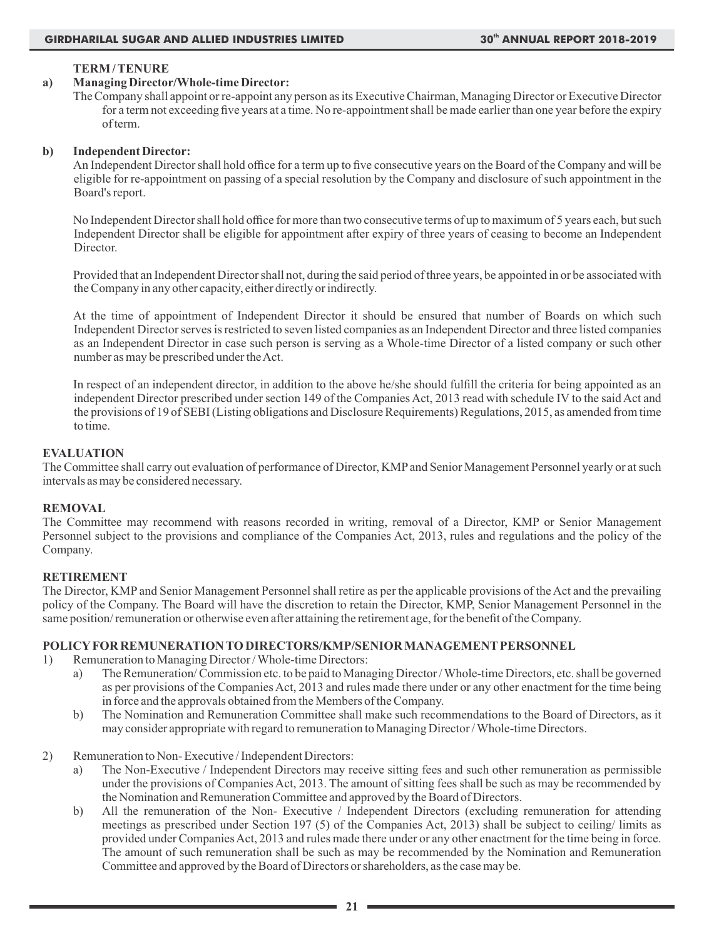#### **TERM / TENURE**

#### **a) Managing Director/Whole-time Director:**

The Company shall appoint or re-appoint any person as its Executive Chairman, Managing Director or Executive Director for a term not exceeding five years at a time. No re-appointment shall be made earlier than one year before the expiry of term.

#### **b) Independent Director:**

An Independent Director shall hold office for a term up to five consecutive years on the Board of the Company and will be eligible for re-appointment on passing of a special resolution by the Company and disclosure of such appointment in the Board's report.

No Independent Director shall hold office for more than two consecutive terms of up to maximum of 5 years each, but such Independent Director shall be eligible for appointment after expiry of three years of ceasing to become an Independent **Director** 

Provided that an Independent Director shall not, during the said period of three years, be appointed in or be associated with the Company in any other capacity, either directly or indirectly.

At the time of appointment of Independent Director it should be ensured that number of Boards on which such Independent Director serves is restricted to seven listed companies as an Independent Director and three listed companies as an Independent Director in case such person is serving as a Whole-time Director of a listed company or such other number as may be prescribed under the Act.

In respect of an independent director, in addition to the above he/she should fulfill the criteria for being appointed as an independent Director prescribed under section 149 of the Companies Act, 2013 read with schedule IV to the said Act and the provisions of 19 of SEBI (Listing obligations and Disclosure Requirements) Regulations, 2015, as amended from time to time.

#### **EVALUATION**

The Committee shall carry out evaluation of performance of Director, KMPand Senior Management Personnel yearly or at such intervals as may be considered necessary.

# **REMOVAL**

The Committee may recommend with reasons recorded in writing, removal of a Director, KMP or Senior Management Personnel subject to the provisions and compliance of the Companies Act, 2013, rules and regulations and the policy of the Company.

# **RETIREMENT**

The Director, KMP and Senior Management Personnel shall retire as per the applicable provisions of the Act and the prevailing policy of the Company. The Board will have the discretion to retain the Director, KMP, Senior Management Personnel in the same position/ remuneration or otherwise even after attaining the retirement age, for the benefit of the Company.

# **POLICYFOR REMUNERATION TO DIRECTORS/KMP/SENIOR MANAGEMENTPERSONNEL**

1) Remuneration to Managing Director / Whole-time Directors:

- a) The Remuneration/ Commission etc. to be paid to Managing Director / Whole-time Directors, etc. shall be governed as per provisions of the Companies Act, 2013 and rules made there under or any other enactment for the time being in force and the approvals obtained from the Members of the Company.
- b) The Nomination and Remuneration Committee shall make such recommendations to the Board of Directors, as it may consider appropriate with regard to remuneration to Managing Director / Whole-time Directors.
- 2) Remuneration to Non- Executive / Independent Directors:
	- a) The Non-Executive / Independent Directors may receive sitting fees and such other remuneration as permissible under the provisions of Companies Act, 2013. The amount of sitting fees shall be such as may be recommended by the Nomination and Remuneration Committee and approved by the Board of Directors.
	- b) All the remuneration of the Non- Executive / Independent Directors (excluding remuneration for attending meetings as prescribed under Section 197 (5) of the Companies Act, 2013) shall be subject to ceiling/ limits as provided under Companies Act, 2013 and rules made there under or any other enactment for the time being in force. The amount of such remuneration shall be such as may be recommended by the Nomination and Remuneration Committee and approved by the Board of Directors or shareholders, as the case may be.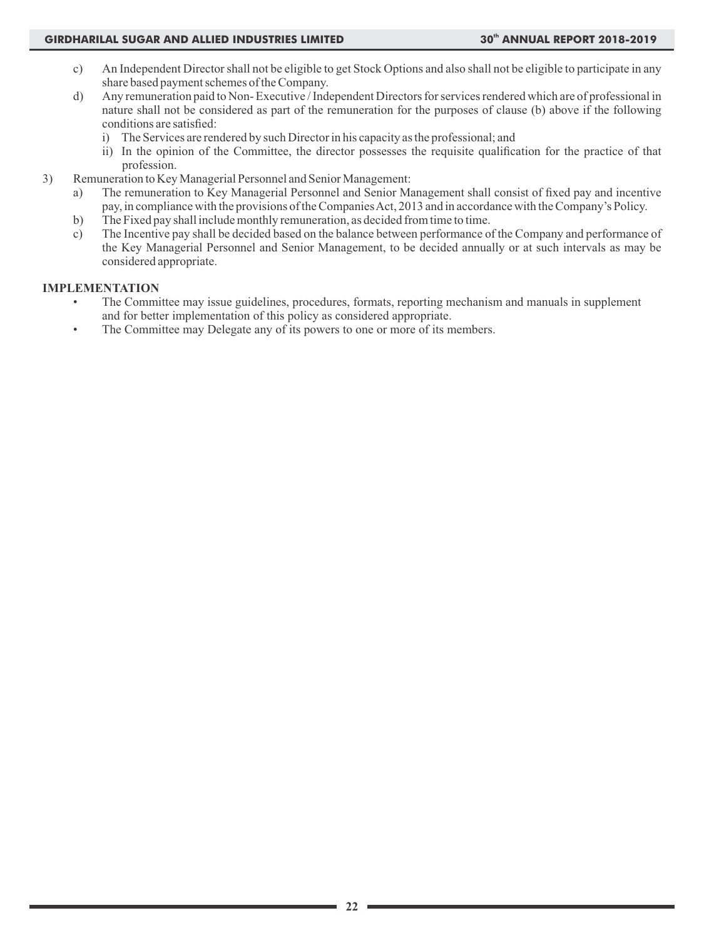- c) An Independent Director shall not be eligible to get Stock Options and also shall not be eligible to participate in any share based payment schemes of the Company.
- d) Any remuneration paid to Non- Executive / Independent Directors for services rendered which are of professional in nature shall not be considered as part of the remuneration for the purposes of clause (b) above if the following conditions are satisfied:
	- i) The Services are rendered by such Director in his capacity as the professional; and
	- ii) In the opinion of the Committee, the director possesses the requisite qualification for the practice of that profession.
- 3) Remuneration to Key Managerial Personnel and Senior Management:
	- a) The remuneration to Key Managerial Personnel and Senior Management shall consist of fixed pay and incentive pay, in compliance with the provisions of the Companies Act, 2013 and in accordance with the Company's Policy.
	- b) The Fixed pay shall include monthly remuneration, as decided from time to time.
	- c) The Incentive pay shall be decided based on the balance between performance of the Company and performance of the Key Managerial Personnel and Senior Management, to be decided annually or at such intervals as may be considered appropriate.

# **IMPLEMENTATION**

- The Committee may issue guidelines, procedures, formats, reporting mechanism and manuals in supplement and for better implementation of this policy as considered appropriate.
- The Committee may Delegate any of its powers to one or more of its members.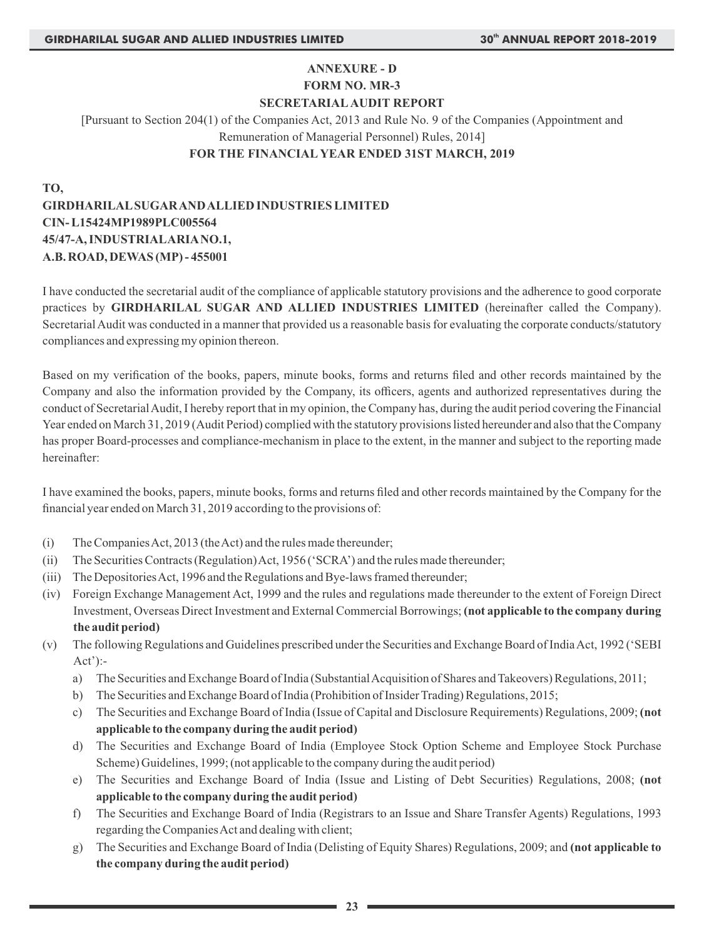# **ANNEXURE - D FORM NO. MR-3**

# **SECRETARIALAUDIT REPORT**

[Pursuant to Section 204(1) of the Companies Act, 2013 and Rule No. 9 of the Companies (Appointment and Remuneration of Managerial Personnel) Rules, 2014]

# **FOR THE FINANCIAL YEAR ENDED 31ST MARCH, 2019**

# **TO, GIRDHARILALSUGAR AND ALLIED INDUSTRIES LIMITED CIN- L15424MP1989PLC005564 45/47-A, INDUSTRIALARIANO.1, A.B. ROAD, DEWAS (MP) - 455001**

I have conducted the secretarial audit of the compliance of applicable statutory provisions and the adherence to good corporate practices by **GIRDHARILAL SUGAR AND ALLIED INDUSTRIES LIMITED** (hereinafter called the Company). Secretarial Audit was conducted in a manner that provided us a reasonable basis for evaluating the corporate conducts/statutory compliances and expressing my opinion thereon.

Based on my verification of the books, papers, minute books, forms and returns filed and other records maintained by the Company and also the information provided by the Company, its officers, agents and authorized representatives during the conduct of Secretarial Audit, I hereby report that in my opinion, the Company has, during the audit period covering the Financial Year ended on March 31, 2019 (Audit Period) complied with the statutory provisions listed hereunder and also that the Company has proper Board-processes and compliance-mechanism in place to the extent, in the manner and subject to the reporting made hereinafter:

I have examined the books, papers, minute books, forms and returns filed and other records maintained by the Company for the financial year ended on March 31, 2019 according to the provisions of:

- (i) The Companies Act, 2013 (the Act) and the rules made thereunder;
- (ii) The Securities Contracts (Regulation) Act, 1956 ('SCRA') and the rules made thereunder;
- (iii) The Depositories Act, 1996 and the Regulations and Bye-laws framed thereunder;
- (iv) Foreign Exchange Management Act, 1999 and the rules and regulations made thereunder to the extent of Foreign Direct Investment, Overseas Direct Investment and External Commercial Borrowings; **(not applicable to the company during the audit period)**
- (v) The following Regulations and Guidelines prescribed under the Securities and Exchange Board of India Act, 1992 ('SEBI  $Act$ <sup> $\cdot$ </sup>:
	- a) The Securities and Exchange Board of India (Substantial Acquisition of Shares and Takeovers) Regulations, 2011;
	- b) The Securities and Exchange Board of India (Prohibition of Insider Trading) Regulations, 2015;
	- c) The Securities and Exchange Board of India (Issue of Capital and Disclosure Requirements) Regulations, 2009; **(not applicable to the company during the audit period)**
	- d) The Securities and Exchange Board of India (Employee Stock Option Scheme and Employee Stock Purchase Scheme) Guidelines, 1999; (not applicable to the company during the audit period)
	- e) The Securities and Exchange Board of India (Issue and Listing of Debt Securities) Regulations, 2008; **(not applicable to the company during the audit period)**
	- f) The Securities and Exchange Board of India (Registrars to an Issue and Share Transfer Agents) Regulations, 1993 regarding the Companies Act and dealing with client;
	- g) The Securities and Exchange Board of India (Delisting of Equity Shares) Regulations, 2009; and **(not applicable to the company during the audit period)**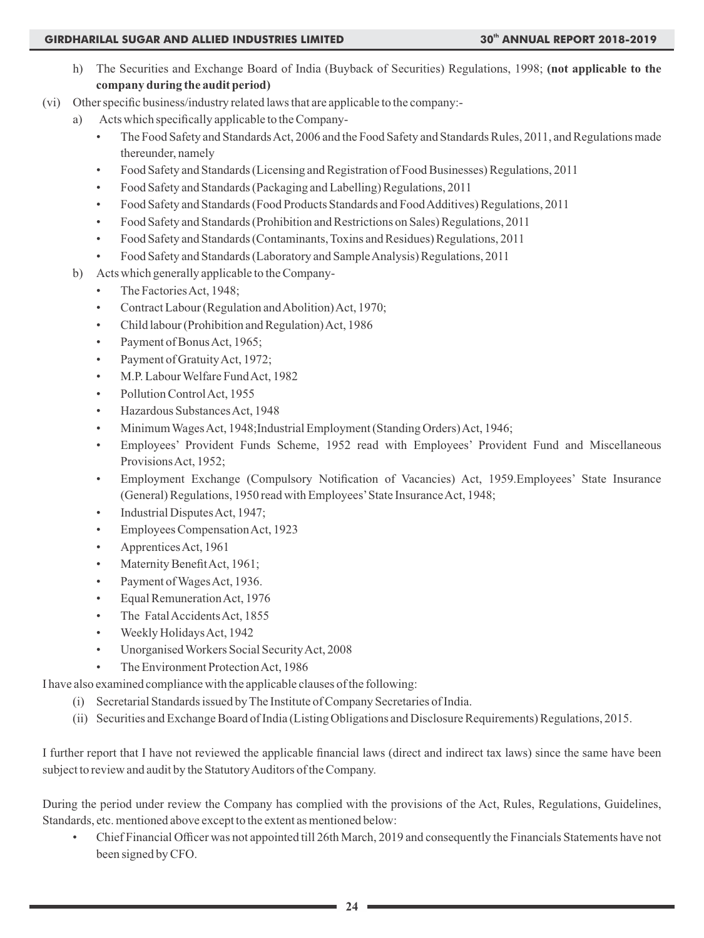# **GIRDHARILAL SUGAR AND ALLIED INDUSTRIES LIMITED th 30 ANNUAL REPORT 2018-2019**

- h) The Securities and Exchange Board of India (Buyback of Securities) Regulations, 1998; **(not applicable to the company during the audit period)**
- (vi) Other specific business/industry related laws that are applicable to the company:
	- a) Acts which specifically applicable to the Company-
		- The Food Safety and Standards Act, 2006 and the Food Safety and Standards Rules, 2011, and Regulations made thereunder, namely
		- Food Safety and Standards (Licensing and Registration of Food Businesses) Regulations, 2011
		- Food Safety and Standards (Packaging and Labelling) Regulations, 2011
		- Food Safety and Standards (Food Products Standards and Food Additives) Regulations, 2011
		- Food Safety and Standards (Prohibition and Restrictions on Sales) Regulations, 2011
		- Food Safety and Standards (Contaminants, Toxins and Residues) Regulations, 2011
		- Food Safety and Standards (Laboratory and Sample Analysis) Regulations, 2011
	- b) Acts which generally applicable to the Company-
		- The Factories Act, 1948;
		- Contract Labour (Regulation and Abolition) Act, 1970;
		- Child labour (Prohibition and Regulation) Act, 1986
		- Payment of Bonus Act, 1965;
		- Payment of Gratuity Act, 1972;
		- M.P. Labour Welfare Fund Act, 1982
		- Pollution Control Act, 1955
		- Hazardous Substances Act, 1948
		- Minimum Wages Act, 1948;Industrial Employment (Standing Orders) Act, 1946;
		- Employees' Provident Funds Scheme, 1952 read with Employees' Provident Fund and Miscellaneous Provisions Act, 1952;
		- Employment Exchange (Compulsory Notification of Vacancies) Act, 1959.Employees' State Insurance (General) Regulations, 1950 read with Employees'State Insurance Act, 1948;
		- Industrial Disputes Act, 1947;
		- Employees Compensation Act, 1923
		- Apprentices Act, 1961
		- Maternity Benefit Act, 1961;
		- Payment of Wages Act, 1936.
		- Equal Remuneration Act, 1976
		- The Fatal Accidents Act, 1855
		- Weekly Holidays Act, 1942
		- Unorganised Workers Social Security Act, 2008
		- The Environment Protection Act, 1986

I have also examined compliance with the applicable clauses of the following:

- (i) Secretarial Standards issued by The Institute of Company Secretaries of India.
- (ii) Securities and Exchange Board of India (Listing Obligations and Disclosure Requirements) Regulations, 2015.

I further report that I have not reviewed the applicable financial laws (direct and indirect tax laws) since the same have been subject to review and audit by the Statutory Auditors of the Company.

During the period under review the Company has complied with the provisions of the Act, Rules, Regulations, Guidelines, Standards, etc. mentioned above except to the extent as mentioned below:

• Chief Financial Officer was not appointed till 26th March, 2019 and consequently the Financials Statements have not been signed by CFO.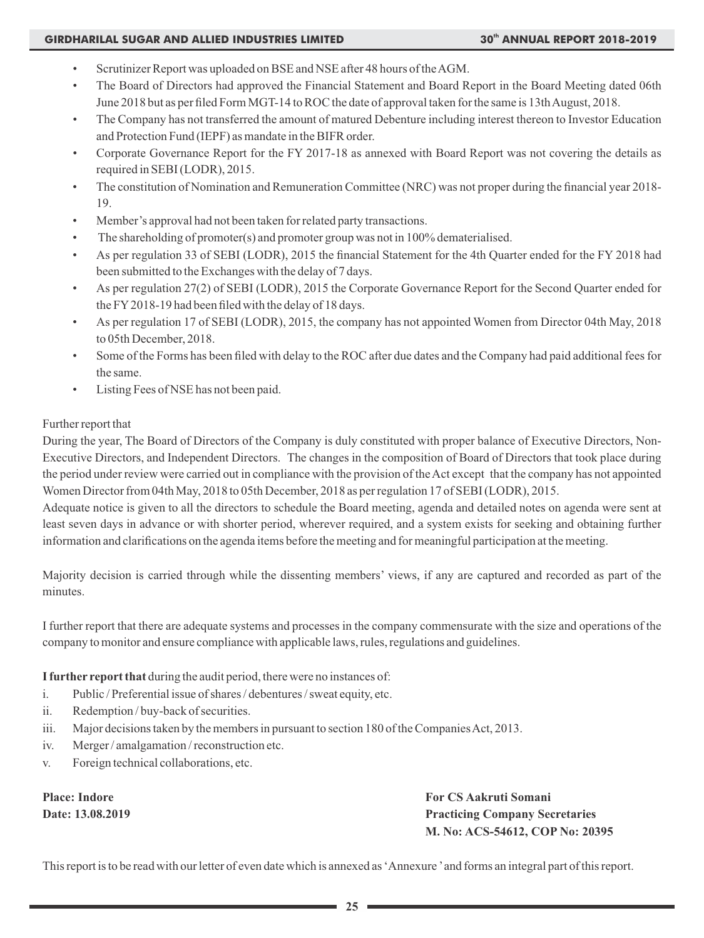# **GIRDHARILAL SUGAR AND ALLIED INDUSTRIES LIMITED th 30 ANNUAL REPORT 2018-2019**

- Scrutinizer Report was uploaded on BSE and NSE after 48 hours of the AGM.
- The Board of Directors had approved the Financial Statement and Board Report in the Board Meeting dated 06th June 2018 but as per filed Form MGT-14 to ROC the date of approval taken for the same is 13th August, 2018.
- The Company has not transferred the amount of matured Debenture including interest thereon to Investor Education and Protection Fund (IEPF) as mandate in the BIFR order.
- Corporate Governance Report for the FY 2017-18 as annexed with Board Report was not covering the details as required in SEBI (LODR), 2015.
- The constitution of Nomination and Remuneration Committee (NRC) was not proper during the financial year 2018- 19.
- Member's approval had not been taken for related party transactions.
- The shareholding of promoter(s) and promoter group was not in 100% dematerialised.
- As per regulation 33 of SEBI (LODR), 2015 the financial Statement for the 4th Quarter ended for the FY 2018 had been submitted to the Exchanges with the delay of 7 days.
- As per regulation 27(2) of SEBI (LODR), 2015 the Corporate Governance Report for the Second Quarter ended for the FY2018-19 had been filed with the delay of 18 days.
- As per regulation 17 of SEBI (LODR), 2015, the company has not appointed Women from Director 04th May, 2018 to 05th December, 2018.
- Some of the Forms has been filed with delay to the ROC after due dates and the Company had paid additional fees for the same.
- Listing Fees of NSE has not been paid.

# Further report that

During the year, The Board of Directors of the Company is duly constituted with proper balance of Executive Directors, Non-Executive Directors, and Independent Directors. The changes in the composition of Board of Directors that took place during the period under review were carried out in compliance with the provision of the Act except that the company has not appointed Women Director from 04th May, 2018 to 05th December, 2018 as per regulation 17 of SEBI (LODR), 2015.

Adequate notice is given to all the directors to schedule the Board meeting, agenda and detailed notes on agenda were sent at least seven days in advance or with shorter period, wherever required, and a system exists for seeking and obtaining further information and clarifications on the agenda items before the meeting and for meaningful participation at the meeting.

Majority decision is carried through while the dissenting members' views, if any are captured and recorded as part of the minutes.

I further report that there are adequate systems and processes in the company commensurate with the size and operations of the company to monitor and ensure compliance with applicable laws, rules, regulations and guidelines.

**I further report that** during the audit period, there were no instances of:

- i. Public / Preferential issue of shares / debentures / sweat equity, etc.
- ii. Redemption / buy-back of securities.
- iii. Major decisions taken by the members in pursuant to section 180 of the Companies Act, 2013.
- iv. Merger / amalgamation / reconstruction etc.
- v. Foreign technical collaborations, etc.

| <b>Place: Indore</b> |
|----------------------|
| Date: 13.08.2019     |

**For CS Aakruti Somani Practicing Company Secretaries M. No: ACS-54612, COP No: 20395**

This report is to be read with our letter of even date which is annexed as 'Annexure 'and forms an integral part of this report.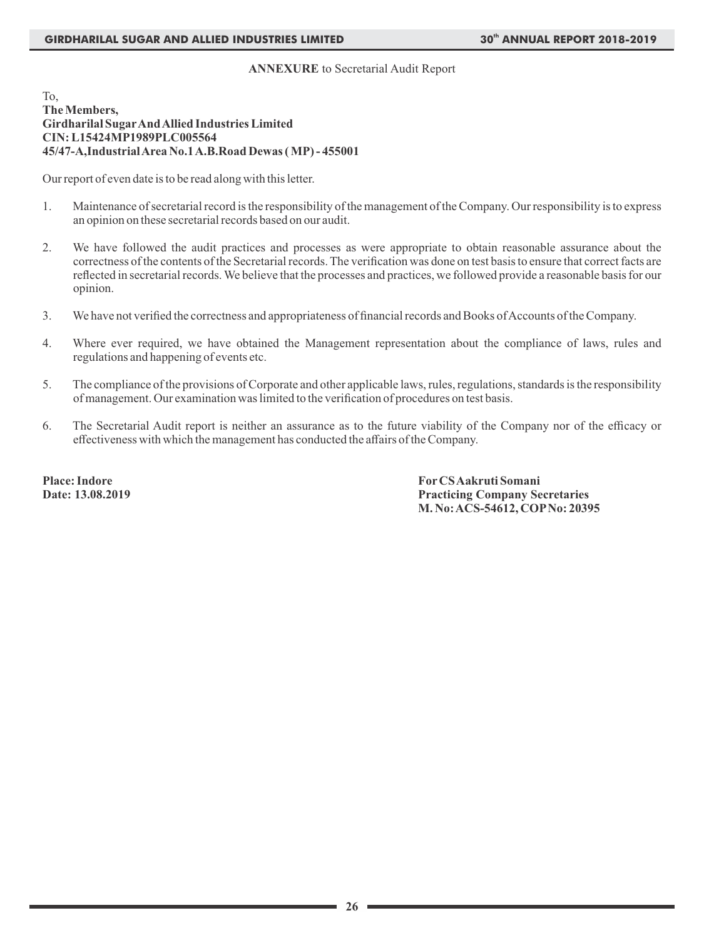#### **ANNEXURE** to Secretarial Audit Report

To, **The Members, Girdharilal SugarAnd Allied Industries Limited CIN: L15424MP1989PLC005564 45/47-A,Industrial Area No.1 A.B.Road Dewas ( MP) - 455001**

Our report of even date is to be read along with this letter.

- 1. Maintenance of secretarial record is the responsibility of the management of the Company. Our responsibility is to express an opinion on these secretarial records based on our audit.
- 2. We have followed the audit practices and processes as were appropriate to obtain reasonable assurance about the correctness of the contents of the Secretarial records. The verification was done on test basis to ensure that correct facts are reflected in secretarial records. We believe that the processes and practices, we followed provide a reasonable basis for our opinion.
- 3. We have not verified the correctness and appropriateness of financial records and Books of Accounts of the Company.
- 4. Where ever required, we have obtained the Management representation about the compliance of laws, rules and regulations and happening of events etc.
- 5. The compliance of the provisions of Corporate and other applicable laws, rules, regulations, standards is the responsibility of management. Our examination was limited to the verification of procedures on test basis.
- 6. The Secretarial Audit report is neither an assurance as to the future viability of the Company nor of the efficacy or effectiveness with which the management has conducted the affairs of the Company.

Place: Indore **Place: Indore For CS Aakruti Somani**<br> **Place: 13.08.2019** Practicing Company Se **Practicing Company Secretaries M. No: ACS-54612, COPNo: 20395**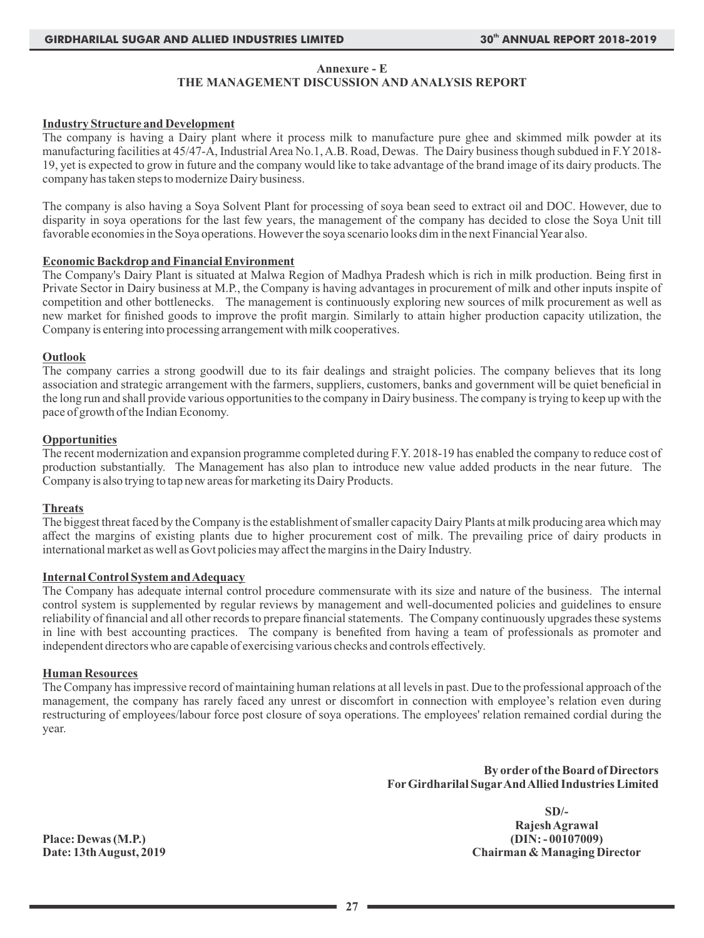# **GIRDHARILAL SUGAR AND ALLIED INDUSTRIES LIMITED th 30 ANNUAL REPORT 2018-2019**

# **Annexure - E THE MANAGEMENT DISCUSSION AND ANALYSIS REPORT**

# **Industry Structure and Development**

The company is having a Dairy plant where it process milk to manufacture pure ghee and skimmed milk powder at its manufacturing facilities at 45/47-A, Industrial Area No.1, A.B. Road, Dewas. The Dairy business though subdued in F.Y2018- 19, yet is expected to grow in future and the company would like to take advantage of the brand image of its dairy products. The company has taken steps to modernize Dairy business.

The company is also having a Soya Solvent Plant for processing of soya bean seed to extract oil and DOC. However, due to disparity in soya operations for the last few years, the management of the company has decided to close the Soya Unit till favorable economies in the Soya operations. However the soya scenario looks dim in the next Financial Year also.

#### **Economic Backdrop and Financial Environment**

The Company's Dairy Plant is situated at Malwa Region of Madhya Pradesh which is rich in milk production. Being first in Private Sector in Dairy business at M.P., the Company is having advantages in procurement of milk and other inputs inspite of competition and other bottlenecks. The management is continuously exploring new sources of milk procurement as well as new market for finished goods to improve the profit margin. Similarly to attain higher production capacity utilization, the Company is entering into processing arrangement with milk cooperatives.

# **Outlook**

The company carries a strong goodwill due to its fair dealings and straight policies. The company believes that its long association and strategic arrangement with the farmers, suppliers, customers, banks and government will be quiet beneficial in the long run and shall provide various opportunities to the company in Dairy business. The company is trying to keep up with the pace of growth of the Indian Economy.

# **Opportunities**

The recent modernization and expansion programme completed during F.Y. 2018-19 has enabled the company to reduce cost of production substantially. The Management has also plan to introduce new value added products in the near future. The Company is also trying to tap new areas for marketing its Dairy Products.

# **Threats**

The biggest threat faced by the Company is the establishment of smaller capacity Dairy Plants at milk producing area which may affect the margins of existing plants due to higher procurement cost of milk. The prevailing price of dairy products in international market as well as Govt policies may affect the margins in the Dairy Industry.

#### **Internal Control System and Adequacy**

The Company has adequate internal control procedure commensurate with its size and nature of the business. The internal control system is supplemented by regular reviews by management and well-documented policies and guidelines to ensure reliability of financial and all other records to prepare financial statements. The Company continuously upgrades these systems in line with best accounting practices. The company is benefited from having a team of professionals as promoter and independent directors who are capable of exercising various checks and controls effectively.

# **Human Resources**

The Company has impressive record of maintaining human relations at all levels in past. Due to the professional approach of the management, the company has rarely faced any unrest or discomfort in connection with employee's relation even during restructuring of employees/labour force post closure of soya operations. The employees' relation remained cordial during the year.

> **By order of the Board of Directors ForGirdharilal SugarAnd Allied Industries Limited**

**SD/- Rajesh Agrawal Date: 13th August, 2019 Chairman & Managing Director**

**Place: Dewas (M.P.)**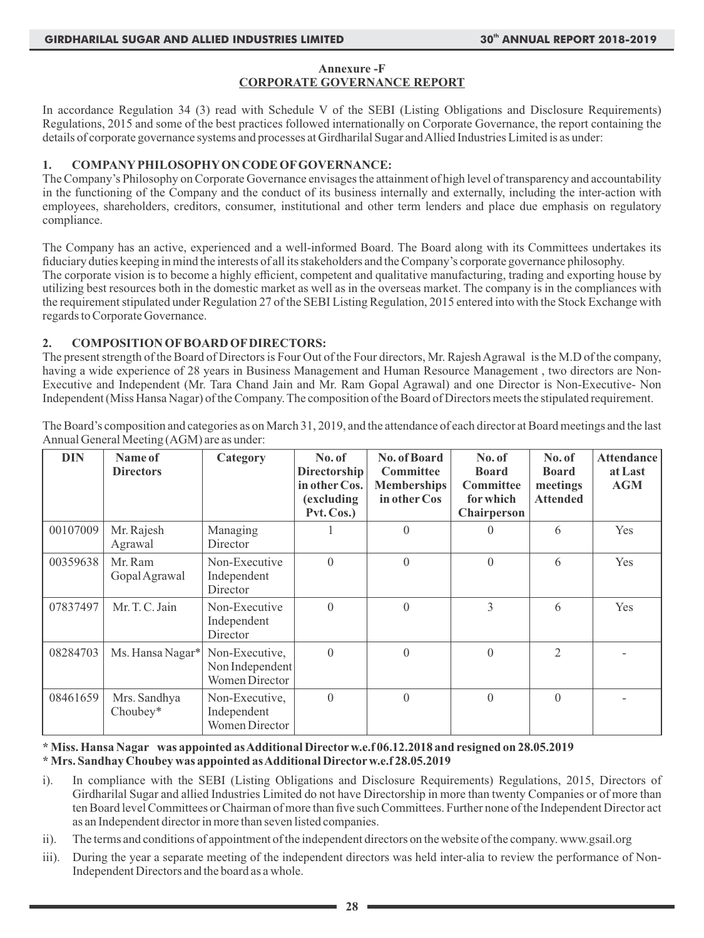# **Annexure -F CORPORATE GOVERNANCE REPORT**

In accordance Regulation 34 (3) read with Schedule V of the SEBI (Listing Obligations and Disclosure Requirements) Regulations, 2015 and some of the best practices followed internationally on Corporate Governance, the report containing the details of corporate governance systems and processes at Girdharilal Sugar and Allied Industries Limited is as under:

# **1. COMPANYPHILOSOPHYON CODE OFGOVERNANCE:**

The Company's Philosophy on Corporate Governance envisages the attainment of high level of transparency and accountability in the functioning of the Company and the conduct of its business internally and externally, including the inter-action with employees, shareholders, creditors, consumer, institutional and other term lenders and place due emphasis on regulatory compliance.

The Company has an active, experienced and a well-informed Board. The Board along with its Committees undertakes its fiduciary duties keeping in mind the interests of all its stakeholders and the Company's corporate governance philosophy. The corporate vision is to become a highly efficient, competent and qualitative manufacturing, trading and exporting house by utilizing best resources both in the domestic market as well as in the overseas market. The company is in the compliances with the requirement stipulated under Regulation 27 of the SEBI Listing Regulation, 2015 entered into with the Stock Exchange with regards to Corporate Governance.

# **2. COMPOSITION OFBOARD OFDIRECTORS:**

The present strength of the Board of Directors is Four Out of the Four directors, Mr. Rajesh Agrawal is the M.D of the company, having a wide experience of 28 years in Business Management and Human Resource Management , two directors are Non-Executive and Independent (Mr. Tara Chand Jain and Mr. Ram Gopal Agrawal) and one Director is Non-Executive- Non Independent (Miss Hansa Nagar) of the Company. The composition of the Board of Directors meets the stipulated requirement.

The Board's composition and categories as on March 31, 2019, and the attendance of each director at Board meetings and the last Annual General Meeting (AGM) are as under:

| DIN      | Name of<br><b>Directors</b> | Category                                            | No. of<br>Directorship<br>in other Cos.<br>(excluding)<br>Pvt. Cos. | No. of Board<br><b>Committee</b><br><b>Memberships</b><br>in other Cos | No. of<br><b>Board</b><br><b>Committee</b><br>for which<br>Chairperson | No. of<br><b>Board</b><br>meetings<br><b>Attended</b> | <b>Attendance</b><br>at Last<br><b>AGM</b> |
|----------|-----------------------------|-----------------------------------------------------|---------------------------------------------------------------------|------------------------------------------------------------------------|------------------------------------------------------------------------|-------------------------------------------------------|--------------------------------------------|
| 00107009 | Mr. Rajesh<br>Agrawal       | Managing<br>Director                                |                                                                     | $\theta$                                                               | $\theta$                                                               | 6                                                     | Yes                                        |
| 00359638 | Mr. Ram<br>Gopal Agrawal    | Non-Executive<br>Independent<br>Director            | $\Omega$                                                            | $\theta$                                                               | $\mathbf{0}$                                                           | 6                                                     | Yes                                        |
| 07837497 | Mr. T. C. Jain              | Non-Executive<br>Independent<br>Director            | $\Omega$                                                            | $\theta$                                                               | 3                                                                      | 6                                                     | <b>Yes</b>                                 |
| 08284703 | Ms. Hansa Nagar*            | Non-Executive,<br>Non Independent<br>Women Director | $\Omega$                                                            | $\theta$                                                               | $\mathbf{0}$                                                           | $\overline{2}$                                        |                                            |
| 08461659 | Mrs. Sandhya<br>Choubey*    | Non-Executive,<br>Independent<br>Women Director     | $\Omega$                                                            | $\theta$                                                               | $\theta$                                                               | $\theta$                                              |                                            |

# **\* Miss. Hansa Nagar was appointed as Additional Directorw.e.f 06.12.2018 and resigned on 28.05.2019 \* Mrs. Sandhay Choubey was appointed as Additional Directorw.e.f 28.05.2019**

- i). In compliance with the SEBI (Listing Obligations and Disclosure Requirements) Regulations, 2015, Directors of Girdharilal Sugar and allied Industries Limited do not have Directorship in more than twenty Companies or of more than ten Board level Committees or Chairman of more than five such Committees. Further none of the Independent Director act as an Independent director in more than seven listed companies.
- ii). The terms and conditions of appointment of the independent directors on the website of the company. www.gsail.org
- iii). During the year a separate meeting of the independent directors was held inter-alia to review the performance of Non-Independent Directors and the board as a whole.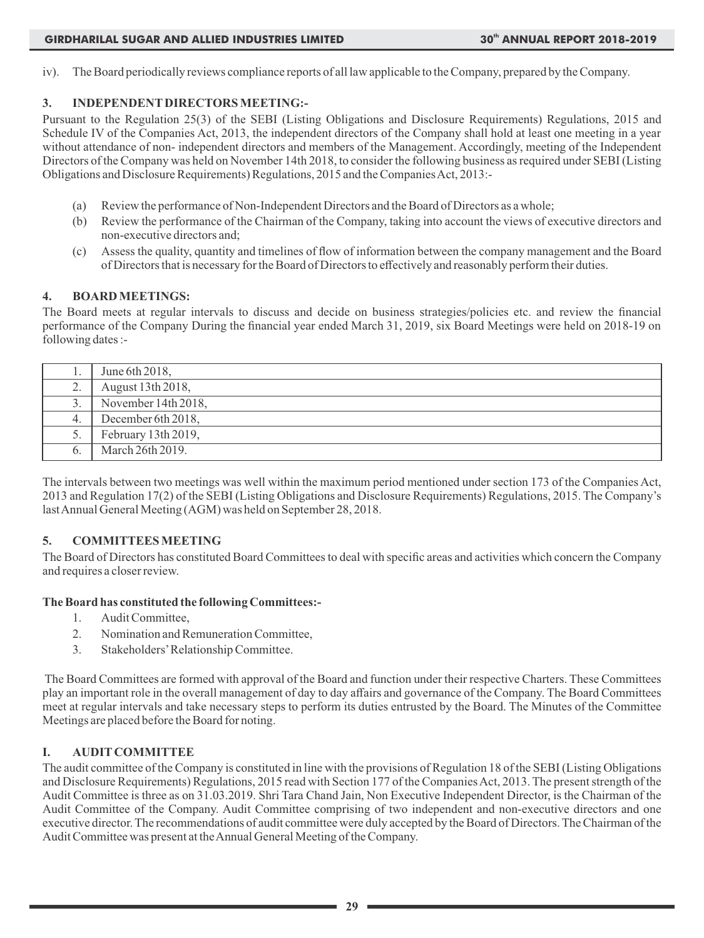# **GIRDHARILAL SUGAR AND ALLIED INDUSTRIES LIMITED <b>1999 30** ANNUAL REPORT 2018-2019

iv). The Board periodically reviews compliance reports of all law applicable to the Company, prepared by the Company.

# **3. INDEPENDENTDIRECTORS MEETING:-**

Pursuant to the Regulation 25(3) of the SEBI (Listing Obligations and Disclosure Requirements) Regulations, 2015 and Schedule IV of the Companies Act, 2013, the independent directors of the Company shall hold at least one meeting in a year without attendance of non- independent directors and members of the Management. Accordingly, meeting of the Independent Directors of the Company was held on November 14th 2018, to consider the following business as required under SEBI (Listing Obligations and Disclosure Requirements) Regulations, 2015 and the Companies Act, 2013:-

- (a) Review the performance of Non-Independent Directors and the Board of Directors as a whole;
- (b) Review the performance of the Chairman of the Company, taking into account the views of executive directors and non-executive directors and;
- (c) Assess the quality, quantity and timelines of flow of information between the company management and the Board of Directors that is necessary for the Board of Directors to effectively and reasonably perform their duties.

# **4. BOARD MEETINGS:**

The Board meets at regular intervals to discuss and decide on business strategies/policies etc. and review the financial performance of the Company During the financial year ended March 31, 2019, six Board Meetings were held on 2018-19 on following dates :-

| ., | June 6th 2018,      |
|----|---------------------|
| 2. | August 13th 2018,   |
|    | November 14th 2018, |
| 4. | December 6th 2018,  |
| 5. | February 13th 2019, |
| 6. | March 26th 2019.    |

The intervals between two meetings was well within the maximum period mentioned under section 173 of the Companies Act, 2013 and Regulation 17(2) of the SEBI (Listing Obligations and Disclosure Requirements) Regulations, 2015. The Company's last Annual General Meeting (AGM) was held on September 28, 2018.

# **5. COMMITTEES MEETING**

The Board of Directors has constituted Board Committees to deal with specific areas and activities which concern the Company and requires a closer review.

# **The Board has constituted the following Committees:-**

- 1. Audit Committee,
- 2. Nomination and Remuneration Committee,
- 3. Stakeholders'Relationship Committee.

The Board Committees are formed with approval of the Board and function under their respective Charters. These Committees play an important role in the overall management of day to day affairs and governance of the Company. The Board Committees meet at regular intervals and take necessary steps to perform its duties entrusted by the Board. The Minutes of the Committee Meetings are placed before the Board for noting.

# **I. AUDITCOMMITTEE**

The audit committee of the Company is constituted in line with the provisions of Regulation 18 of the SEBI (Listing Obligations and Disclosure Requirements) Regulations, 2015 read with Section 177 of the Companies Act, 2013. The present strength of the Audit Committee is three as on 31.03.2019. Shri Tara Chand Jain, Non Executive Independent Director, is the Chairman of the Audit Committee of the Company. Audit Committee comprising of two independent and non-executive directors and one executive director. The recommendations of audit committee were duly accepted by the Board of Directors. The Chairman of the Audit Committee was present at the Annual General Meeting of the Company.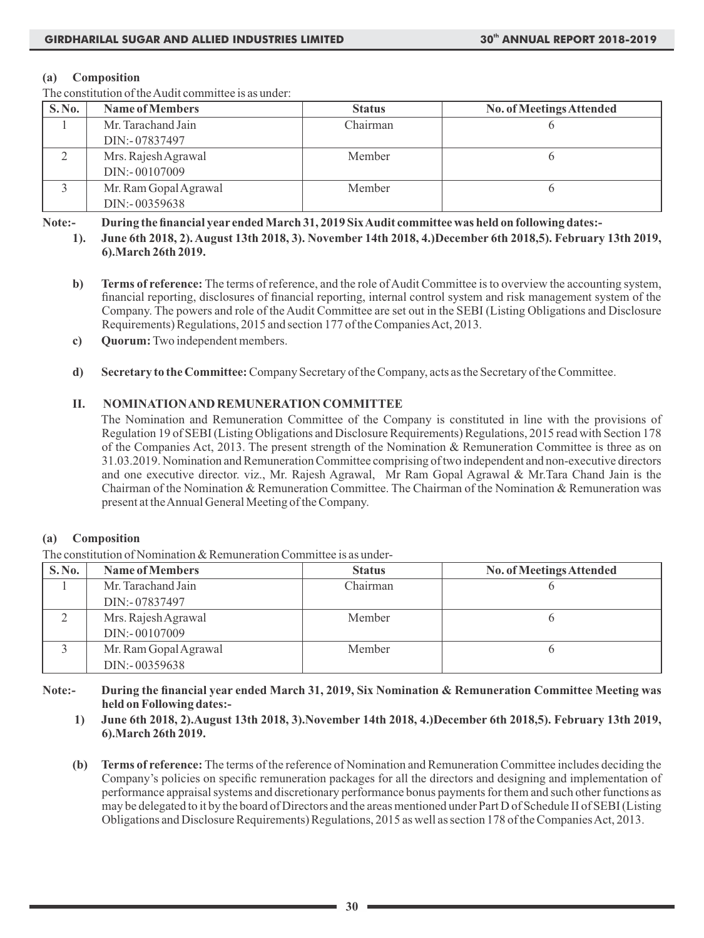# **(a) Composition**

The constitution of the Audit committee is as under:

| S. No. | <b>Name of Members</b> | <b>Status</b> | No. of Meetings Attended |
|--------|------------------------|---------------|--------------------------|
|        | Mr. Tarachand Jain     | Chairman      |                          |
|        | DIN: - 07837497        |               |                          |
|        | Mrs. Rajesh Agrawal    | Member        |                          |
|        | DIN:-00107009          |               |                          |
|        | Mr. Ram Gopal Agrawal  | Member        |                          |
|        | $DIN: -00359638$       |               |                          |

# **Note:- During the financial year ended March 31, 2019 Six Audit committee was held on following dates:-**

**1). June 6th 2018, 2). August 13th 2018, 3). November 14th 2018, 4.)December 6th 2018,5). February 13th 2019, 6).March 26th 2019.**

- **b) Terms of reference:** The terms of reference, and the role of Audit Committee is to overview the accounting system, financial reporting, disclosures of financial reporting, internal control system and risk management system of the Company. The powers and role of the Audit Committee are set out in the SEBI (Listing Obligations and Disclosure Requirements) Regulations, 2015 and section 177 of the Companies Act, 2013.
- **c) Quorum:** Two independent members.
- **d) Secretary to the Committee:** Company Secretary of the Company, acts as the Secretary of the Committee.

# **II. NOMINATION AND REMUNERATION COMMITTEE**

The Nomination and Remuneration Committee of the Company is constituted in line with the provisions of Regulation 19 of SEBI (Listing Obligations and Disclosure Requirements) Regulations, 2015 read with Section 178 of the Companies Act, 2013. The present strength of the Nomination & Remuneration Committee is three as on 31.03.2019. Nomination and Remuneration Committee comprising of two independent and non-executive directors and one executive director. viz., Mr. Rajesh Agrawal, Mr Ram Gopal Agrawal & Mr.Tara Chand Jain is the Chairman of the Nomination & Remuneration Committee. The Chairman of the Nomination & Remuneration was present at the Annual General Meeting of the Company.

# **(a) Composition**

The constitution of Nomination & Remuneration Committee is as under-

| S. No. | <b>Name of Members</b> | <b>Status</b> | No. of Meetings Attended |
|--------|------------------------|---------------|--------------------------|
|        | Mr. Tarachand Jain     | Chairman      |                          |
|        | DIN: - 07837497        |               |                          |
|        | Mrs. Rajesh Agrawal    | Member        |                          |
|        | DIN:-00107009          |               |                          |
|        | Mr. Ram Gopal Agrawal  | Member        |                          |
|        | $DIN: -00359638$       |               |                          |

**Note:- During the financial year ended March 31, 2019, Six Nomination & Remuneration Committee Meeting was held on Following dates:-** 

- **1) June 6th 2018, 2).August 13th 2018, 3).November 14th 2018, 4.)December 6th 2018,5). February 13th 2019, 6).March 26th 2019.**
- **(b) Terms of reference:** The terms of the reference of Nomination and Remuneration Committee includes deciding the Company's policies on specific remuneration packages for all the directors and designing and implementation of performance appraisal systems and discretionary performance bonus payments for them and such other functions as may be delegated to it by the board of Directors and the areas mentioned under Part D of Schedule II of SEBI (Listing Obligations and Disclosure Requirements) Regulations, 2015 as well as section 178 of the Companies Act, 2013.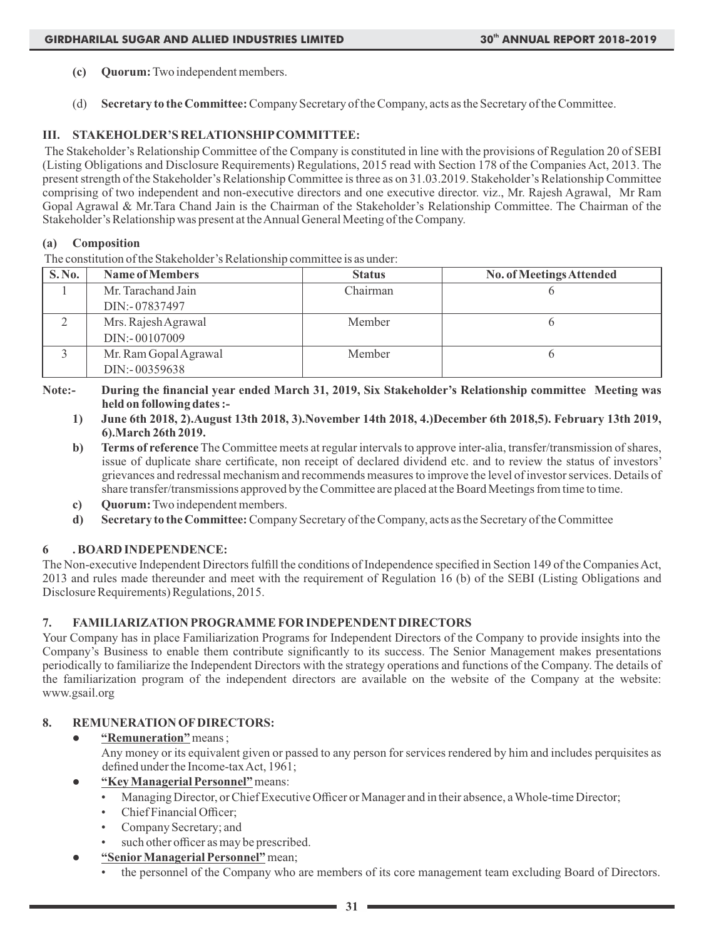- **(c) Quorum:**Two independent members.
- (d) **Secretary to the Committee:**Company Secretary of the Company, acts as the Secretary of the Committee.

# **III. STAKEHOLDER'S RELATIONSHIPCOMMITTEE:**

The Stakeholder's Relationship Committee of the Company is constituted in line with the provisions of Regulation 20 of SEBI (Listing Obligations and Disclosure Requirements) Regulations, 2015 read with Section 178 of the Companies Act, 2013. The present strength of the Stakeholder's Relationship Committee is three as on 31.03.2019. Stakeholder's Relationship Committee comprising of two independent and non-executive directors and one executive director. viz., Mr. Rajesh Agrawal, Mr Ram Gopal Agrawal & Mr.Tara Chand Jain is the Chairman of the Stakeholder's Relationship Committee. The Chairman of the Stakeholder's Relationship was present at the Annual General Meeting of the Company.

# **(a) Composition**

The constitution of the Stakeholder's Relationship committee is as under:

| S. No. | Name of Members       | <b>Status</b> | No. of Meetings Attended |
|--------|-----------------------|---------------|--------------------------|
|        | Mr. Tarachand Jain    | Chairman      |                          |
|        | DIN: - 07837497       |               |                          |
|        | Mrs. Rajesh Agrawal   | Member        |                          |
|        | $DIN: -00107009$      |               |                          |
|        | Mr. Ram Gopal Agrawal | Member        |                          |
|        | $DIN: -00359638$      |               |                          |

**Note:- During the financial year ended March 31, 2019, Six Stakeholder's Relationship committee Meeting was held on following dates :-** 

- **1) June 6th 2018, 2).August 13th 2018, 3).November 14th 2018, 4.)December 6th 2018,5). February 13th 2019, 6).March 26th 2019.**
- **b) Terms of reference** The Committee meets at regular intervals to approve inter-alia, transfer/transmission of shares, issue of duplicate share certificate, non receipt of declared dividend etc. and to review the status of investors' grievances and redressal mechanism and recommends measures to improve the level of investor services. Details of share transfer/transmissions approved by the Committee are placed at the Board Meetings from time to time.
- **c) Quorum:**Two independent members.
- **d) Secretary to the Committee:**Company Secretary of the Company, acts as the Secretary of the Committee

# **6 . BOARD INDEPENDENCE:**

The Non-executive Independent Directors fulfill the conditions of Independence specified in Section 149 of the Companies Act, 2013 and rules made thereunder and meet with the requirement of Regulation 16 (b) of the SEBI (Listing Obligations and Disclosure Requirements) Regulations, 2015.

# **7. FAMILIARIZATION PROGRAMME FOR INDEPENDENTDIRECTORS**

Your Company has in place Familiarization Programs for Independent Directors of the Company to provide insights into the Company's Business to enable them contribute significantly to its success. The Senior Management makes presentations periodically to familiarize the Independent Directors with the strategy operations and functions of the Company. The details of the familiarization program of the independent directors are available on the website of the Company at the website: www.gsail.org

# **8. REMUNERATION OFDIRECTORS:**

# l **"Remuneration"**means ;

Any money or its equivalent given or passed to any person for services rendered by him and includes perquisites as defined under the Income-tax Act, 1961;

- l **"Key Managerial Personnel"**means:
	- Managing Director, or Chief Executive Officer or Manager and in their absence, a Whole-time Director;
	- Chief Financial Officer;
	- Company Secretary; and
	- such other officer as may be prescribed.

# l **"SeniorManagerial Personnel"**mean;

• the personnel of the Company who are members of its core management team excluding Board of Directors.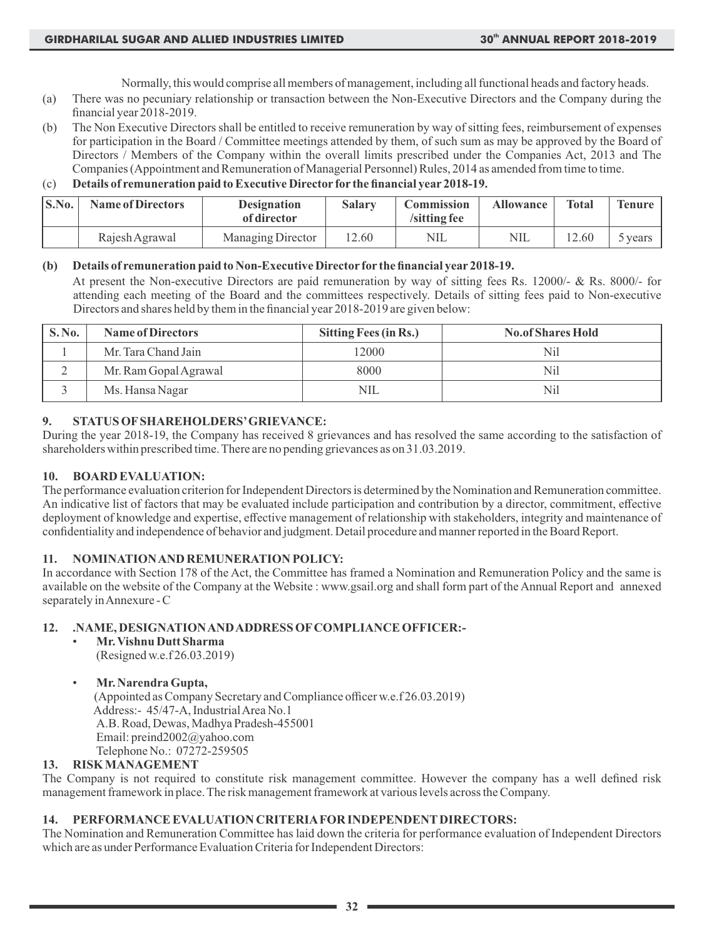Normally, this would comprise all members of management, including all functional heads and factory heads.

- (a) There was no pecuniary relationship or transaction between the Non-Executive Directors and the Company during the financial year 2018-2019.
- (b) The Non Executive Directors shall be entitled to receive remuneration by way of sitting fees, reimbursement of expenses for participation in the Board / Committee meetings attended by them, of such sum as may be approved by the Board of Directors / Members of the Company within the overall limits prescribed under the Companies Act, 2013 and The Companies (Appointment and Remuneration of Managerial Personnel) Rules, 2014 as amended from time to time.

#### (c) **Details of remuneration paid to Executive Director for the financial year 2018-19.**

| $\mathbf{S}.\mathbf{No}$ . | <b>Name of Directors</b> | <b>Designation</b><br>of director | Salarv | <b>Commission</b><br>/sitting fee | <b>Allowance</b> | <b>Total</b> | Tenure  |
|----------------------------|--------------------------|-----------------------------------|--------|-----------------------------------|------------------|--------------|---------|
|                            | Rajesh Agrawal           | Managing Director                 | 12.60  | NIL                               | NIL              | 12.60        | S vears |

#### **(b) Details of remuneration paid to Non-Executive Director for the financial year 2018-19.**

At present the Non-executive Directors are paid remuneration by way of sitting fees Rs. 12000/- & Rs. 8000/- for attending each meeting of the Board and the committees respectively. Details of sitting fees paid to Non-executive Directors and shares held by them in the financial year 2018-2019 are given below:

| S. No. | <b>Name of Directors</b> | Sitting Fees (in Rs.) | <b>No.of Shares Hold</b> |
|--------|--------------------------|-----------------------|--------------------------|
|        | Mr. Tara Chand Jain      | 12000                 | Nil                      |
|        | Mr. Ram Gopal Agrawal    | 8000                  | Nil                      |
|        | Ms. Hansa Nagar          | NIL                   | Nil                      |

# **9. STATUS OFSHAREHOLDERS'GRIEVANCE:**

During the year 2018-19, the Company has received 8 grievances and has resolved the same according to the satisfaction of shareholders within prescribed time. There are no pending grievances as on 31.03.2019.

# **10. BOARD EVALUATION:**

The performance evaluation criterion for Independent Directors is determined by the Nomination and Remuneration committee. An indicative list of factors that may be evaluated include participation and contribution by a director, commitment, effective deployment of knowledge and expertise, effective management of relationship with stakeholders, integrity and maintenance of confidentiality and independence of behavior and judgment. Detail procedure and manner reported in the Board Report.

# **11. NOMINATION AND REMUNERATION POLICY:**

In accordance with Section 178 of the Act, the Committee has framed a Nomination and Remuneration Policy and the same is available on the website of the Company at the Website : www.gsail.org and shall form part of the Annual Report and annexed separately in Annexure - C

# **12. .NAME, DESIGNATION AND ADDRESS OFCOMPLIANCE OFFICER:-**

- **Mr. Vishnu Dutt Sharma**
	- (Resigned w.e.f 26.03.2019)

# • **Mr. Narendra Gupta,**

 (Appointed as Company Secretary and Compliance officer w.e.f 26.03.2019) Address:- 45/47-A, Industrial Area No.1 A.B. Road, Dewas, Madhya Pradesh-455001 Email: preind2002@yahoo.com Telephone No.: 07272-259505

# **13. RISK MANAGEMENT**

The Company is not required to constitute risk management committee. However the company has a well defined risk management framework in place. The risk management framework at various levels across the Company.

# **14. PERFORMANCE EVALUATION CRITERIAFOR INDEPENDENTDIRECTORS:**

The Nomination and Remuneration Committee has laid down the criteria for performance evaluation of Independent Directors which are as under Performance Evaluation Criteria for Independent Directors: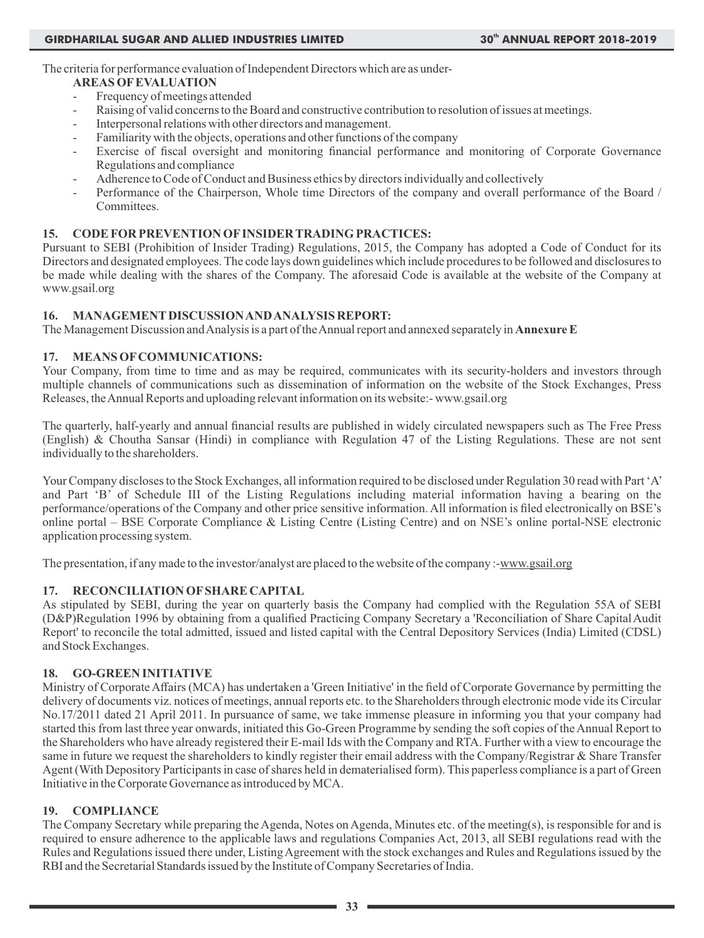# **GIRDHARILAL SUGAR AND ALLIED INDUSTRIES LIMITED th 30 ANNUAL REPORT 2018-2019**

The criteria for performance evaluation of Independent Directors which are as under-

# **AREAS OFEVALUATION**

- Frequency of meetings attended
- Raising of valid concerns to the Board and constructive contribution to resolution of issues at meetings.
- Interpersonal relations with other directors and management.
- Familiarity with the objects, operations and other functions of the company
- Exercise of fiscal oversight and monitoring financial performance and monitoring of Corporate Governance Regulations and compliance
- Adherence to Code of Conduct and Business ethics by directors individually and collectively
- Performance of the Chairperson, Whole time Directors of the company and overall performance of the Board / Committees.

# **15. CODE FOR PREVENTION OFINSIDER TRADING PRACTICES:**

Pursuant to SEBI (Prohibition of Insider Trading) Regulations, 2015, the Company has adopted a Code of Conduct for its Directors and designated employees. The code lays down guidelines which include procedures to be followed and disclosures to be made while dealing with the shares of the Company. The aforesaid Code is available at the website of the Company at www.gsail.org

# **16. MANAGEMENTDISCUSSION AND ANALYSIS REPORT:**

The Management Discussion and Analysis is a part of the Annual report and annexed separately in **Annexure E**

# **17. MEANS OFCOMMUNICATIONS:**

Your Company, from time to time and as may be required, communicates with its security-holders and investors through multiple channels of communications such as dissemination of information on the website of the Stock Exchanges, Press Releases, the Annual Reports and uploading relevant information on its website:- www.gsail.org

The quarterly, half-yearly and annual financial results are published in widely circulated newspapers such as The Free Press (English) & Choutha Sansar (Hindi) in compliance with Regulation 47 of the Listing Regulations. These are not sent individually to the shareholders.

Your Company discloses to the Stock Exchanges, all information required to be disclosed under Regulation 30 read with Part 'A' and Part 'B' of Schedule III of the Listing Regulations including material information having a bearing on the performance/operations of the Company and other price sensitive information. All information is filed electronically on BSE's online portal – BSE Corporate Compliance & Listing Centre (Listing Centre) and on NSE's online portal-NSE electronic application processing system.

The presentation, if any made to the investor/analyst are placed to the website of the company :-www.gsail.org

# **17. RECONCILIATION OFSHARE CAPITAL**

As stipulated by SEBI, during the year on quarterly basis the Company had complied with the Regulation 55A of SEBI (D&P)Regulation 1996 by obtaining from a qualified Practicing Company Secretary a 'Reconciliation of Share Capital Audit Report' to reconcile the total admitted, issued and listed capital with the Central Depository Services (India) Limited (CDSL) and Stock Exchanges.

# **18. GO-GREEN INITIATIVE**

Ministry of Corporate Affairs (MCA) has undertaken a 'Green Initiative' in the field of Corporate Governance by permitting the delivery of documents viz. notices of meetings, annual reports etc. to the Shareholders through electronic mode vide its Circular No.17/2011 dated 21 April 2011. In pursuance of same, we take immense pleasure in informing you that your company had started this from last three year onwards, initiated this Go-Green Programme by sending the soft copies of the Annual Report to the Shareholders who have already registered their E-mail Ids with the Company and RTA. Further with a view to encourage the same in future we request the shareholders to kindly register their email address with the Company/Registrar & Share Transfer Agent (With Depository Participants in case of shares held in dematerialised form). This paperless compliance is a part of Green Initiative in the Corporate Governance as introduced by MCA.

# **19. COMPLIANCE**

The Company Secretary while preparing the Agenda, Notes on Agenda, Minutes etc. of the meeting(s), is responsible for and is required to ensure adherence to the applicable laws and regulations Companies Act, 2013, all SEBI regulations read with the Rules and Regulations issued there under, Listing Agreement with the stock exchanges and Rules and Regulations issued by the RBI and the Secretarial Standards issued by the Institute of Company Secretaries of India.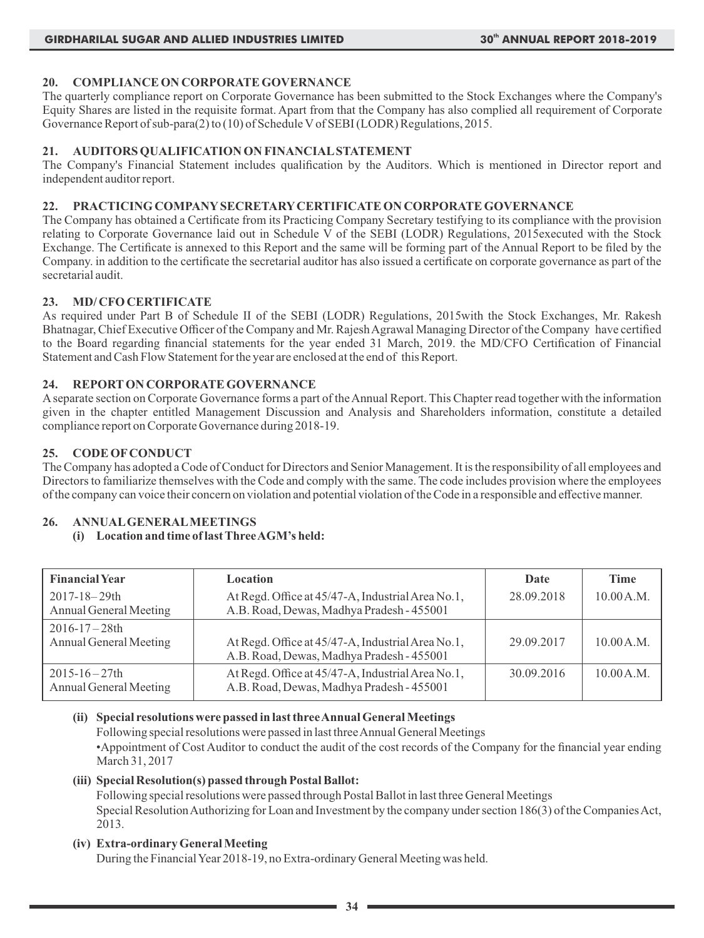#### **20. COMPLIANCE ON CORPORATE GOVERNANCE**

The quarterly compliance report on Corporate Governance has been submitted to the Stock Exchanges where the Company's Equity Shares are listed in the requisite format. Apart from that the Company has also complied all requirement of Corporate Governance Report of sub-para(2) to (10) of Schedule V of SEBI (LODR) Regulations, 2015.

#### **21. AUDITORS QUALIFICATION ON FINANCIALSTATEMENT**

The Company's Financial Statement includes qualification by the Auditors. Which is mentioned in Director report and independent auditor report.

#### **22. PRACTICING COMPANYSECRETARYCERTIFICATE ON CORPORATE GOVERNANCE**

The Company has obtained a Certificate from its Practicing Company Secretary testifying to its compliance with the provision relating to Corporate Governance laid out in Schedule V of the SEBI (LODR) Regulations, 2015executed with the Stock Exchange. The Certificate is annexed to this Report and the same will be forming part of the Annual Report to be filed by the Company. in addition to the certificate the secretarial auditor has also issued a certificate on corporate governance as part of the secretarial audit.

#### **23. MD/ CFO CERTIFICATE**

As required under Part B of Schedule II of the SEBI (LODR) Regulations, 2015with the Stock Exchanges, Mr. Rakesh Bhatnagar, Chief Executive Officer of the Company and Mr. Rajesh Agrawal Managing Director of the Company have certified to the Board regarding financial statements for the year ended 31 March, 2019. the MD/CFO Certification of Financial Statement and Cash Flow Statement for the year are enclosed at the end of this Report.

#### **24. REPORTON CORPORATE GOVERNANCE**

Aseparate section on Corporate Governance forms a part of the Annual Report. This Chapter read together with the information given in the chapter entitled Management Discussion and Analysis and Shareholders information, constitute a detailed compliance report on Corporate Governance during 2018-19.

#### **25. CODE OFCONDUCT**

The Company has adopted a Code of Conduct for Directors and Senior Management. It is the responsibility of all employees and Directors to familiarize themselves with the Code and comply with the same. The code includes provision where the employees of the company can voice their concern on violation and potential violation of the Code in a responsible and effective manner.

#### **26. ANNUALGENERALMEETINGS**

#### **(i) Location and time of last Three AGM's held:**

| <b>Financial Year</b><br><b>Location</b>      |                                                                                                | Date       | <b>Time</b> |
|-----------------------------------------------|------------------------------------------------------------------------------------------------|------------|-------------|
| $2017 - 18 - 29$ th<br>Annual General Meeting | At Regd. Office at 45/47-A, Industrial Area No.1,<br>A.B. Road, Dewas, Madhya Pradesh - 455001 | 28.09.2018 | 10.00 A.M.  |
| $2016 - 17 - 28$ th<br>Annual General Meeting | At Regd. Office at 45/47-A, Industrial Area No.1,<br>A.B. Road, Dewas, Madhya Pradesh - 455001 | 29.09.2017 | 10.00 A.M.  |
| $2015 - 16 - 27$ th<br>Annual General Meeting | At Regd. Office at 45/47-A, Industrial Area No.1,<br>A.B. Road, Dewas, Madhya Pradesh - 455001 | 30.09.2016 | 10.00 A.M.  |

#### **(ii) Special resolutions were passed in last three Annual General Meetings**

Following special resolutions were passed in last three Annual General Meetings

• Appointment of Cost Auditor to conduct the audit of the cost records of the Company for the financial year ending March 31, 2017

#### **(iii) Special Resolution(s) passed through Postal Ballot:**

Following special resolutions were passed through Postal Ballot in last three General Meetings Special Resolution Authorizing for Loan and Investment by the company under section 186(3) of the Companies Act, 2013.

# **(iv) Extra-ordinary General Meeting**

During the Financial Year 2018-19, no Extra-ordinary General Meeting was held.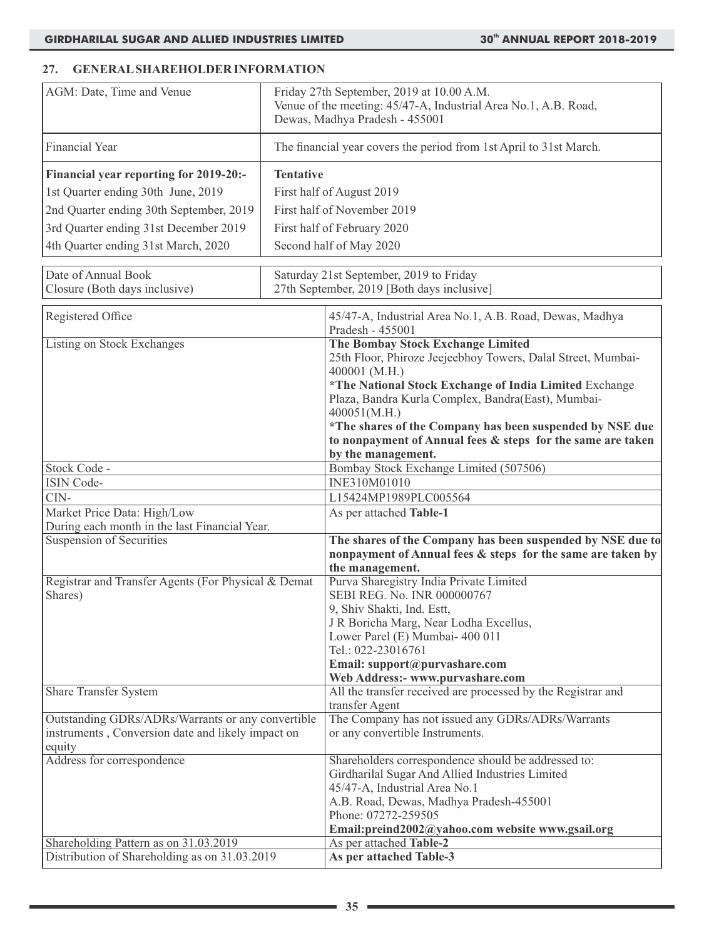### **27. GENERALSHAREHOLDER INFORMATION**

| AGM: Date, Time and Venue                                   | Friday 27th September, 2019 at 10.00 A.M.<br>Venue of the meeting: 45/47-A, Industrial Area No.1, A.B. Road,<br>Dewas, Madhya Pradesh - 455001 |                                                                                                                           |  |  |
|-------------------------------------------------------------|------------------------------------------------------------------------------------------------------------------------------------------------|---------------------------------------------------------------------------------------------------------------------------|--|--|
| Financial Year                                              |                                                                                                                                                | The financial year covers the period from 1st April to 31st March.                                                        |  |  |
| Financial year reporting for 2019-20:-                      | <b>Tentative</b>                                                                                                                               |                                                                                                                           |  |  |
| 1st Quarter ending 30th June, 2019                          |                                                                                                                                                | First half of August 2019                                                                                                 |  |  |
| 2nd Quarter ending 30th September, 2019                     |                                                                                                                                                | First half of November 2019                                                                                               |  |  |
| 3rd Quarter ending 31st December 2019                       |                                                                                                                                                | First half of February 2020                                                                                               |  |  |
|                                                             |                                                                                                                                                |                                                                                                                           |  |  |
| 4th Quarter ending 31st March, 2020                         |                                                                                                                                                | Second half of May 2020                                                                                                   |  |  |
| Date of Annual Book                                         |                                                                                                                                                | Saturday 21st September, 2019 to Friday                                                                                   |  |  |
| Closure (Both days inclusive)                               |                                                                                                                                                | 27th September, 2019 [Both days inclusive]                                                                                |  |  |
| Registered Office                                           |                                                                                                                                                | 45/47-A, Industrial Area No.1, A.B. Road, Dewas, Madhya<br>Pradesh - 455001                                               |  |  |
| Listing on Stock Exchanges                                  |                                                                                                                                                | The Bombay Stock Exchange Limited                                                                                         |  |  |
|                                                             |                                                                                                                                                | 25th Floor, Phiroze Jeejeebhoy Towers, Dalal Street, Mumbai-                                                              |  |  |
|                                                             |                                                                                                                                                | 400001 (M.H.)                                                                                                             |  |  |
|                                                             |                                                                                                                                                | *The National Stock Exchange of India Limited Exchange                                                                    |  |  |
|                                                             |                                                                                                                                                | Plaza, Bandra Kurla Complex, Bandra(East), Mumbai-<br>400051(M.H.)                                                        |  |  |
|                                                             |                                                                                                                                                | *The shares of the Company has been suspended by NSE due                                                                  |  |  |
|                                                             |                                                                                                                                                | to nonpayment of Annual fees & steps for the same are taken                                                               |  |  |
|                                                             |                                                                                                                                                | by the management.                                                                                                        |  |  |
| Stock Code -                                                |                                                                                                                                                | Bombay Stock Exchange Limited (507506)                                                                                    |  |  |
| ISIN Code-                                                  |                                                                                                                                                | INE310M01010                                                                                                              |  |  |
| CIN-                                                        |                                                                                                                                                | L15424MP1989PLC005564                                                                                                     |  |  |
| Market Price Data: High/Low                                 |                                                                                                                                                | As per attached Table-1                                                                                                   |  |  |
| During each month in the last Financial Year.               |                                                                                                                                                |                                                                                                                           |  |  |
| Suspension of Securities                                    |                                                                                                                                                | The shares of the Company has been suspended by NSE due to<br>nonpayment of Annual fees & steps for the same are taken by |  |  |
|                                                             |                                                                                                                                                | the management.                                                                                                           |  |  |
| Registrar and Transfer Agents (For Physical & Demat         |                                                                                                                                                | Purva Sharegistry India Private Limited                                                                                   |  |  |
| Shares)                                                     |                                                                                                                                                | SEBI REG. No. INR 000000767                                                                                               |  |  |
|                                                             |                                                                                                                                                | 9, Shiv Shakti, Ind. Estt,                                                                                                |  |  |
|                                                             |                                                                                                                                                | J R Boricha Marg, Near Lodha Excellus,                                                                                    |  |  |
|                                                             |                                                                                                                                                | Lower Parel (E) Mumbai- 400 011                                                                                           |  |  |
|                                                             |                                                                                                                                                | Tel.: 022-23016761                                                                                                        |  |  |
|                                                             |                                                                                                                                                | Email: support@purvashare.com<br>Web Address:- www.purvashare.com                                                         |  |  |
| Share Transfer System                                       |                                                                                                                                                | All the transfer received are processed by the Registrar and                                                              |  |  |
|                                                             |                                                                                                                                                | transfer Agent                                                                                                            |  |  |
| Outstanding GDRs/ADRs/Warrants or any convertible           |                                                                                                                                                | The Company has not issued any GDRs/ADRs/Warrants                                                                         |  |  |
| instruments, Conversion date and likely impact on<br>equity |                                                                                                                                                | or any convertible Instruments.                                                                                           |  |  |
| Address for correspondence                                  |                                                                                                                                                | Shareholders correspondence should be addressed to:                                                                       |  |  |
|                                                             |                                                                                                                                                | Girdharilal Sugar And Allied Industries Limited                                                                           |  |  |
|                                                             |                                                                                                                                                | 45/47-A, Industrial Area No.1                                                                                             |  |  |
|                                                             |                                                                                                                                                | A.B. Road, Dewas, Madhya Pradesh-455001                                                                                   |  |  |
|                                                             |                                                                                                                                                | Phone: 07272-259505                                                                                                       |  |  |
| Shareholding Pattern as on 31.03.2019                       |                                                                                                                                                | Email:preind2002@yahoo.com website www.gsail.org<br>As per attached Table-2                                               |  |  |
| Distribution of Shareholding as on 31.03.2019               |                                                                                                                                                | As per attached Table-3                                                                                                   |  |  |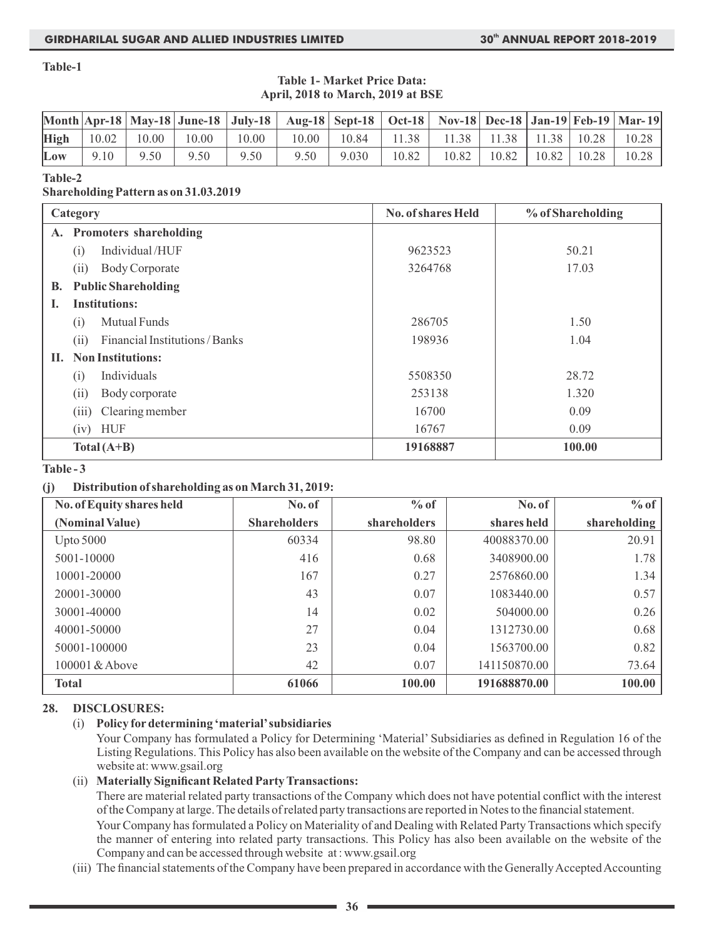# **GIRDHARILAL SUGAR AND ALLIED INDUSTRIES LIMITED th 30 ANNUAL REPORT 2018-2019**

**Table-1**

# **Table 1- Market Price Data: April, 2018 to March, 2019 at BSE**

|     |      |                             | Month Apr-18 May-18 June-18 July-18 Aug-18 Sept-18 Oct-18 Nov-18 Dec-18 Jan-19 Feb-19 Mar-19 |         |      |                                                         |                                       |  |       |
|-----|------|-----------------------------|----------------------------------------------------------------------------------------------|---------|------|---------------------------------------------------------|---------------------------------------|--|-------|
|     |      | <b>High</b>   10.02   10.00 | 10.00                                                                                        | $10.00$ |      | $10.00$   10.84   11.38   11.38   11.38   11.38   10.28 |                                       |  | 10.28 |
| Low | 9.10 | 9.50                        | 9.50                                                                                         | 9.50    | 9.50 | 9.030                                                   | 10.82   10.82   10.82   10.82   10.28 |  | 10.28 |

# **Table-2**

#### **Shareholding Pattern as on 31.03.2019**

| Category                                | <b>No. of shares Held</b> | % of Shareholding |
|-----------------------------------------|---------------------------|-------------------|
| A. Promoters shareholding               |                           |                   |
| Individual/HUF<br>(i)                   | 9623523                   | 50.21             |
| Body Corporate<br>(i)                   | 3264768                   | 17.03             |
| <b>Public Shareholding</b><br><b>B.</b> |                           |                   |
| <b>Institutions:</b><br>L.              |                           |                   |
| <b>Mutual Funds</b><br>(i)              | 286705                    | 1.50              |
| Financial Institutions / Banks<br>(ii)  | 198936                    | 1.04              |
| II. Non Institutions:                   |                           |                   |
| Individuals<br>(i)                      | 5508350                   | 28.72             |
| Body corporate<br>(i)                   | 253138                    | 1.320             |
| (iii)<br>Clearing member                | 16700                     | 0.09              |
| <b>HUF</b><br>(iv)                      | 16767                     | 0.09              |
| Total $(A+B)$                           | 19168887                  | 100.00            |

# **Table - 3**

#### **(j) Distribution of shareholding as on March 31, 2019:**

| No. of Equity shares held | No. of              | $%$ of       | No. of       | $\%$ of $\vert$ |
|---------------------------|---------------------|--------------|--------------|-----------------|
| (Nominal Value)           | <b>Shareholders</b> | shareholders | shares held  | shareholding    |
| Upto $5000$               | 60334               | 98.80        | 40088370.00  | 20.91           |
| 5001-10000                | 416                 | 0.68         | 3408900.00   | 1.78            |
| 10001-20000               | 167                 | 0.27         | 2576860.00   | 1.34            |
| 20001-30000               | 43                  | 0.07         | 1083440.00   | 0.57            |
| 30001-40000               | 14                  | 0.02         | 504000.00    | 0.26            |
| 40001-50000               | 27                  | 0.04         | 1312730.00   | 0.68            |
| 50001-100000              | 23                  | 0.04         | 1563700.00   | 0.82            |
| 100001 & Above            | 42                  | 0.07         | 141150870.00 | 73.64           |
| <b>Total</b>              | 61066               | 100.00       | 191688870.00 | 100.00          |

#### **28. DISCLOSURES:**

# (i) **Policy fordetermining 'material'subsidiaries**

Your Company has formulated a Policy for Determining 'Material' Subsidiaries as defined in Regulation 16 of the Listing Regulations. This Policy has also been available on the website of the Company and can be accessed through website at: www.gsail.org

#### (ii) **Materially Significant Related Party Transactions:**

There are material related party transactions of the Company which does not have potential conflict with the interest of the Company at large. The details of related party transactions are reported in Notes to the financial statement. Your Company has formulated a Policy on Materiality of and Dealing with Related Party Transactions which specify

the manner of entering into related party transactions. This Policy has also been available on the website of the Company and can be accessed through website at : www.gsail.org

(iii) The financial statements of the Company have been prepared in accordance with the Generally Accepted Accounting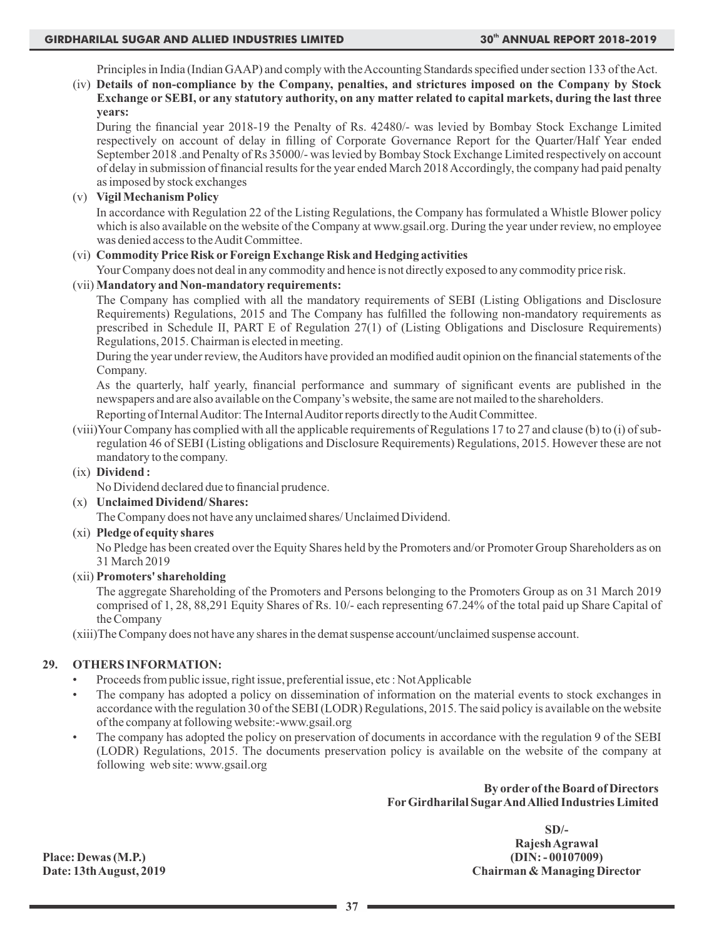Principles in India (Indian GAAP) and comply with the Accounting Standards specified under section 133 of the Act.

(iv) **Details of non-compliance by the Company, penalties, and strictures imposed on the Company by Stock Exchange or SEBI, or any statutory authority, on any matter related to capital markets, during the last three years:**

During the financial year 2018-19 the Penalty of Rs. 42480/- was levied by Bombay Stock Exchange Limited respectively on account of delay in filling of Corporate Governance Report for the Quarter/Half Year ended September 2018 .and Penalty of Rs 35000/- was levied by Bombay Stock Exchange Limited respectively on account of delay in submission of financial results for the year ended March 2018 Accordingly, the company had paid penalty as imposed by stock exchanges

(v) **Vigil Mechanism Policy**

In accordance with Regulation 22 of the Listing Regulations, the Company has formulated a Whistle Blower policy which is also available on the website of the Company at www.gsail.org. During the year under review, no employee was denied access to the Audit Committee.

# (vi) **Commodity Price Risk orForeign Exchange Risk and Hedging activities**

Your Company does not deal in any commodity and hence is not directly exposed to any commodity price risk.

# (vii) **Mandatory and Non-mandatory requirements:**

The Company has complied with all the mandatory requirements of SEBI (Listing Obligations and Disclosure Requirements) Regulations, 2015 and The Company has fulfilled the following non-mandatory requirements as prescribed in Schedule II, PART E of Regulation 27(1) of (Listing Obligations and Disclosure Requirements) Regulations, 2015. Chairman is elected in meeting.

During the year under review, the Auditors have provided an modified audit opinion on the financial statements of the Company.

As the quarterly, half yearly, financial performance and summary of significant events are published in the newspapers and are also available on the Company's website, the same are not mailed to the shareholders.

Reporting of Internal Auditor: The Internal Auditor reports directly to the Audit Committee.

- (viii) Your Company has complied with all the applicable requirements of Regulations 17 to 27 and clause (b) to (i) of subregulation 46 of SEBI (Listing obligations and Disclosure Requirements) Regulations, 2015. However these are not mandatory to the company.
- (ix) **Dividend :**

No Dividend declared due to financial prudence.

# (x) **Unclaimed Dividend/ Shares:**

The Company does not have any unclaimed shares/ Unclaimed Dividend.

(xi) **Pledge of equity shares**

No Pledge has been created over the Equity Shares held by the Promoters and/or Promoter Group Shareholders as on 31 March 2019

#### (xii) **Promoters' shareholding**

The aggregate Shareholding of the Promoters and Persons belonging to the Promoters Group as on 31 March 2019 comprised of 1, 28, 88,291 Equity Shares of Rs. 10/- each representing 67.24% of the total paid up Share Capital of the Company

(xiii)The Company does not have any shares in the demat suspense account/unclaimed suspense account.

# **29. OTHERS INFORMATION:**

- Proceeds from public issue, right issue, preferential issue, etc : Not Applicable
- The company has adopted a policy on dissemination of information on the material events to stock exchanges in accordance with the regulation 30 of the SEBI (LODR) Regulations, 2015. The said policy is available on the website of the company at following website:-www.gsail.org
- The company has adopted the policy on preservation of documents in accordance with the regulation 9 of the SEBI (LODR) Regulations, 2015. The documents preservation policy is available on the website of the company at following web site: www.gsail.org

**By order of the Board of Directors ForGirdharilal SugarAnd Allied Industries Limited**

**SD/- Rajesh Agrawal Date: 13th August, 2019 Chairman & Managing Director**

**Place: Dewas (M.P.)**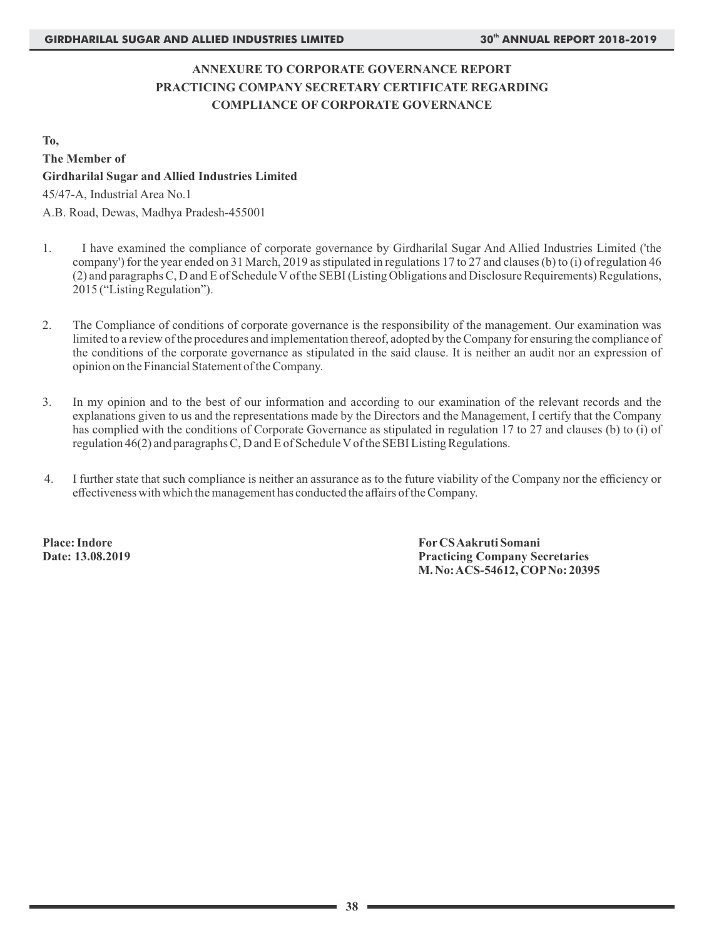# **ANNEXURE TO CORPORATE GOVERNANCE REPORT PRACTICING COMPANY SECRETARY CERTIFICATE REGARDING COMPLIANCE OF CORPORATE GOVERNANCE**

**To,**

# **The Member of Girdharilal Sugar and Allied Industries Limited**

45/47-A, Industrial Area No.1

A.B. Road, Dewas, Madhya Pradesh-455001

- 1. I have examined the compliance of corporate governance by Girdharilal Sugar And Allied Industries Limited ('the company') for the year ended on 31 March, 2019 as stipulated in regulations 17 to 27 and clauses (b) to (i) of regulation 46 (2) and paragraphs C, D and E of Schedule Vof the SEBI (Listing Obligations and Disclosure Requirements) Regulations, 2015 ("Listing Regulation").
- 2. The Compliance of conditions of corporate governance is the responsibility of the management. Our examination was limited to a review of the procedures and implementation thereof, adopted by the Company for ensuring the compliance of the conditions of the corporate governance as stipulated in the said clause. It is neither an audit nor an expression of opinion on the Financial Statement of the Company.
- 3. In my opinion and to the best of our information and according to our examination of the relevant records and the explanations given to us and the representations made by the Directors and the Management, I certify that the Company has complied with the conditions of Corporate Governance as stipulated in regulation 17 to 27 and clauses (b) to (i) of regulation 46(2) and paragraphs C, D and E of Schedule Vof the SEBI Listing Regulations.
- 4. I further state that such compliance is neither an assurance as to the future viability of the Company nor the efficiency or effectiveness with which the management has conducted the affairs of the Company.

Place: Indore **For CS Aakruti Somani Date: 13.08.2019 Practicing Company Secretaries M. No: ACS-54612, COPNo: 20395**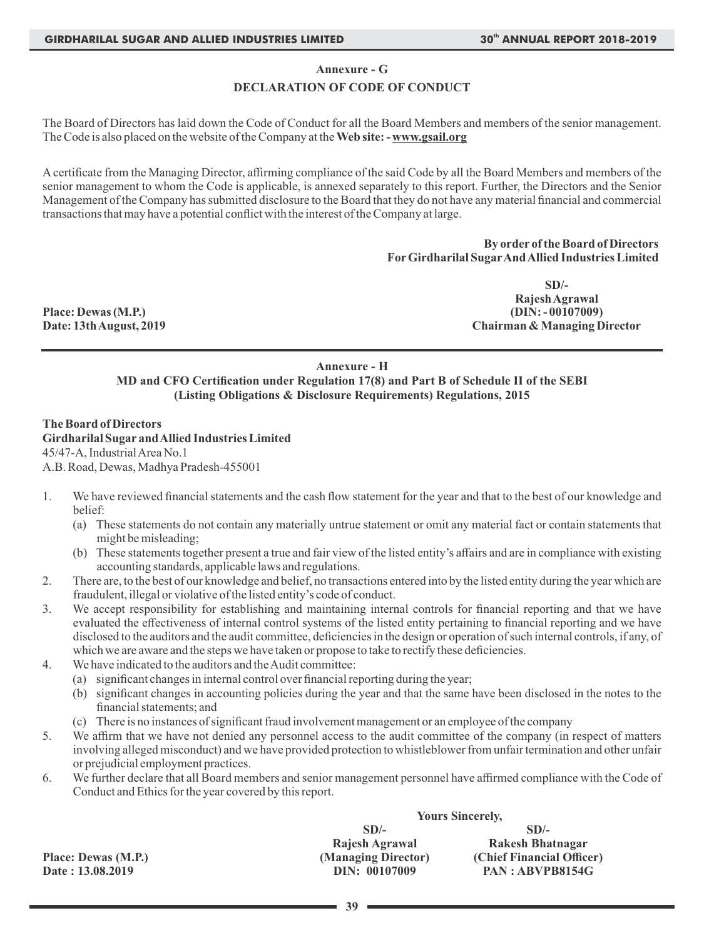#### **Annexure - G**

# **DECLARATION OF CODE OF CONDUCT**

The Board of Directors has laid down the Code of Conduct for all the Board Members and members of the senior management. The Code is also placed on the website of the Company at the **Web site: - www.gsail.org** 

Acertificate from the Managing Director, affirming compliance of the said Code by all the Board Members and members of the senior management to whom the Code is applicable, is annexed separately to this report. Further, the Directors and the Senior Management of the Company has submitted disclosure to the Board that they do not have any material financial and commercial transactions that may have a potential conflict with the interest of the Company at large.

> **By order of the Board of Directors ForGirdharilal SugarAnd Allied Industries Limited**

**Place: Dewas (M.P.)**<br>Date: 13th August, 2019

**SD/- Rajesh Agrawal Chairman & Managing Director** 

# **Annexure - H**

**MD and CFO Certification under Regulation 17(8) and Part B of Schedule II of the SEBI (Listing Obligations & Disclosure Requirements) Regulations, 2015** 

**The Board of Directors Girdharilal Sugar and Allied Industries Limited** 45/47-A, Industrial Area No.1 A.B. Road, Dewas, Madhya Pradesh-455001

- 1. We have reviewed financial statements and the cash flow statement for the year and that to the best of our knowledge and belief:
	- (a) These statements do not contain any materially untrue statement or omit any material fact or contain statements that might be misleading;
	- (b) These statements together present a true and fair view of the listed entity's affairs and are in compliance with existing accounting standards, applicable laws and regulations.
- 2. There are, to the best of our knowledge and belief, no transactions entered into by the listed entity during the year which are fraudulent, illegal or violative of the listed entity's code of conduct.
- 3. We accept responsibility for establishing and maintaining internal controls for financial reporting and that we have evaluated the effectiveness of internal control systems of the listed entity pertaining to financial reporting and we have disclosed to the auditors and the audit committee, deficiencies in the design or operation of such internal controls, if any, of which we are aware and the steps we have taken or propose to take to rectify these deficiencies.
- 4. We have indicated to the auditors and the Audit committee:
	- (a) significant changes in internal control over financial reporting during the year;
	- (b) significant changes in accounting policies during the year and that the same have been disclosed in the notes to the financial statements; and
	- (c) There is no instances of significant fraud involvement management or an employee of the company
- 5. We affirm that we have not denied any personnel access to the audit committee of the company (in respect of matters involving alleged misconduct) and we have provided protection to whistleblower from unfair termination and other unfair or prejudicial employment practices.
- 6. We further declare that all Board members and senior management personnel have affirmed compliance with the Code of Conduct and Ethics for the year covered by this report.

**Yours Sincerely, SD/- SD/- Rajesh Agrawal Rakesh Bhatnagar<br>
(Managing Director) (Chief Financial Office)** Place: Dewas (M.P.) (Managing Director) (Chief Financial Officer)<br>Date : 13.08.2019 **DIN: 00107009** PAN : ABVPB8154G **PAN: ABVPB8154G**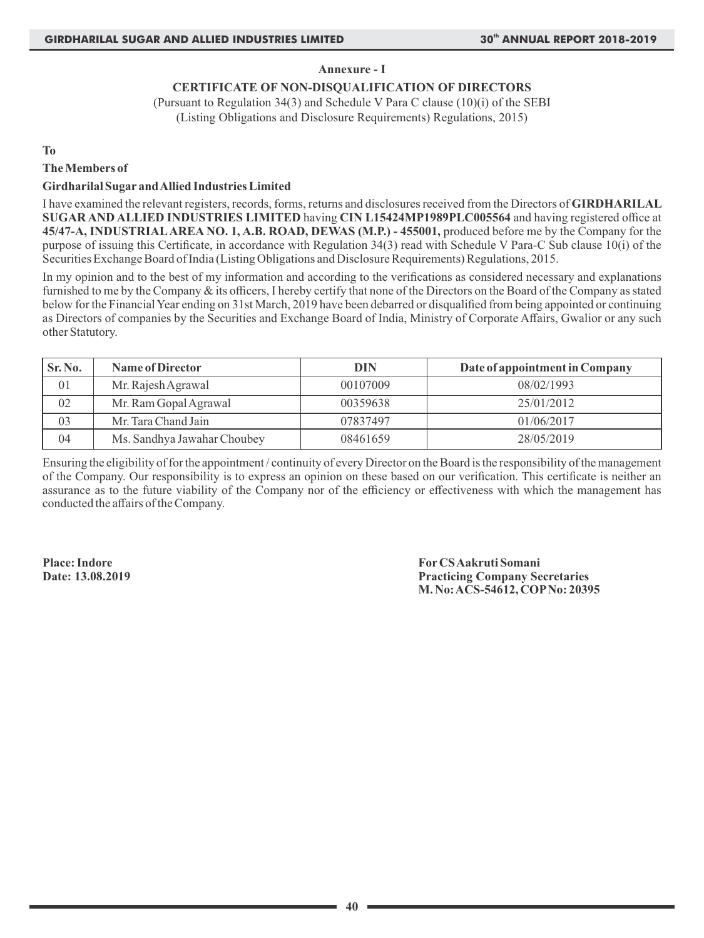#### **Annexure - I**

# **CERTIFICATE OF NON-DISQUALIFICATION OF DIRECTORS**

(Pursuant to Regulation 34(3) and Schedule V Para C clause (10)(i) of the SEBI (Listing Obligations and Disclosure Requirements) Regulations, 2015)

**To**

#### **The Members of**

#### **Girdharilal Sugar and Allied Industries Limited**

I have examined the relevant registers, records, forms, returns and disclosures received from the Directors of **GIRDHARILAL SUGAR AND ALLIED INDUSTRIES LIMITED** having **CIN L15424MP1989PLC005564** and having registered office at **45/47-A, INDUSTRIALAREA NO. 1, A.B. ROAD, DEWAS (M.P.) - 455001,** produced before me by the Company for the purpose of issuing this Certificate, in accordance with Regulation 34(3) read with Schedule V Para-C Sub clause 10(i) of the Securities Exchange Board of India (Listing Obligations and Disclosure Requirements) Regulations, 2015.

In my opinion and to the best of my information and according to the verifications as considered necessary and explanations furnished to me by the Company  $\&$  its officers, I hereby certify that none of the Directors on the Board of the Company as stated below for the Financial Year ending on 31st March, 2019 have been debarred or disqualified from being appointed or continuing as Directors of companies by the Securities and Exchange Board of India, Ministry of Corporate Affairs, Gwalior or any such other Statutory.

| Sr. No. | <b>Name of Director</b>     | DIN      | Date of appointment in Company |
|---------|-----------------------------|----------|--------------------------------|
| 01      | Mr. Rajesh Agrawal          | 00107009 | 08/02/1993                     |
| 02      | Mr. Ram Gopal Agrawal       | 00359638 | 25/01/2012                     |
| 03      | Mr. Tara Chand Jain         | 07837497 | 01/06/2017                     |
| 04      | Ms. Sandhya Jawahar Choubey | 08461659 | 28/05/2019                     |

Ensuring the eligibility of for the appointment / continuity of every Director on the Board is the responsibility of the management of the Company. Our responsibility is to express an opinion on these based on our verification. This certificate is neither an assurance as to the future viability of the Company nor of the efficiency or effectiveness with which the management has conducted the affairs of the Company.

Place: Indore **For CS Aakruti Somani Date: 13.08.2019 Practicing Company Secretaries M. No: ACS-54612, COPNo: 20395**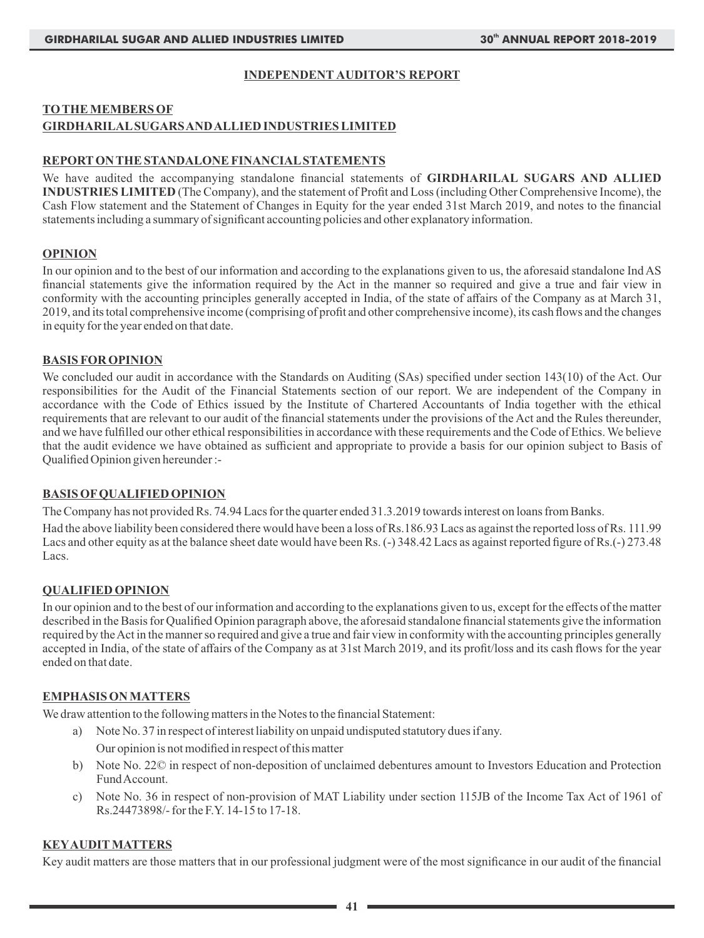#### **INDEPENDENT AUDITOR'S REPORT**

# **TO THE MEMBERS OF GIRDHARILALSUGARS AND ALLIED INDUSTRIES LIMITED**

#### **REPORTON THE STANDALONE FINANCIALSTATEMENTS**

We have audited the accompanying standalone financial statements of **GIRDHARILAL SUGARS AND ALLIED INDUSTRIES LIMITED** (The Company), and the statement of Profit and Loss (including Other Comprehensive Income), the Cash Flow statement and the Statement of Changes in Equity for the year ended 31st March 2019, and notes to the financial statements including a summary of significant accounting policies and other explanatory information.

#### **OPINION**

In our opinion and to the best of our information and according to the explanations given to us, the aforesaid standalone Ind AS financial statements give the information required by the Act in the manner so required and give a true and fair view in conformity with the accounting principles generally accepted in India, of the state of affairs of the Company as at March 31, 2019, and its total comprehensive income (comprising of profit and other comprehensive income), its cash flows and the changes in equity for the year ended on that date.

#### **BASIS FOR OPINION**

We concluded our audit in accordance with the Standards on Auditing (SAs) specified under section 143(10) of the Act. Our responsibilities for the Audit of the Financial Statements section of our report. We are independent of the Company in accordance with the Code of Ethics issued by the Institute of Chartered Accountants of India together with the ethical requirements that are relevant to our audit of the financial statements under the provisions of the Act and the Rules thereunder, and we have fulfilled our other ethical responsibilities in accordance with these requirements and the Code of Ethics. We believe that the audit evidence we have obtained as sufficient and appropriate to provide a basis for our opinion subject to Basis of Qualified Opinion given hereunder :-

#### **BASIS OFQUALIFIED OPINION**

The Company has not provided Rs. 74.94 Lacs for the quarter ended 31.3.2019 towards interest on loans from Banks.

Had the above liability been considered there would have been a loss of Rs.186.93 Lacs as against the reported loss of Rs. 111.99 Lacs and other equity as at the balance sheet date would have been Rs. (-) 348.42 Lacs as against reported figure of Rs.(-) 273.48 Lacs.

#### **QUALIFIED OPINION**

In our opinion and to the best of our information and according to the explanations given to us, except for the effects of the matter described in the Basis for Qualified Opinion paragraph above, the aforesaid standalone financial statements give the information required by the Act in the manner so required and give a true and fair view in conformity with the accounting principles generally accepted in India, of the state of affairs of the Company as at 31st March 2019, and its profit/loss and its cash flows for the year ended on that date.

#### **EMPHASIS ON MATTERS**

We draw attention to the following matters in the Notes to the financial Statement:

- a) Note No. 37 in respect of interest liability on unpaid undisputed statutory dues if any. Our opinion is not modified in respect of this matter
- b) Note No. 22© in respect of non-deposition of unclaimed debentures amount to Investors Education and Protection Fund Account.
- c) Note No. 36 in respect of non-provision of MAT Liability under section 115JB of the Income Tax Act of 1961 of Rs.24473898/- for the F.Y. 14-15 to 17-18.

# **KEYAUDITMATTERS**

Key audit matters are those matters that in our professional judgment were of the most significance in our audit of the financial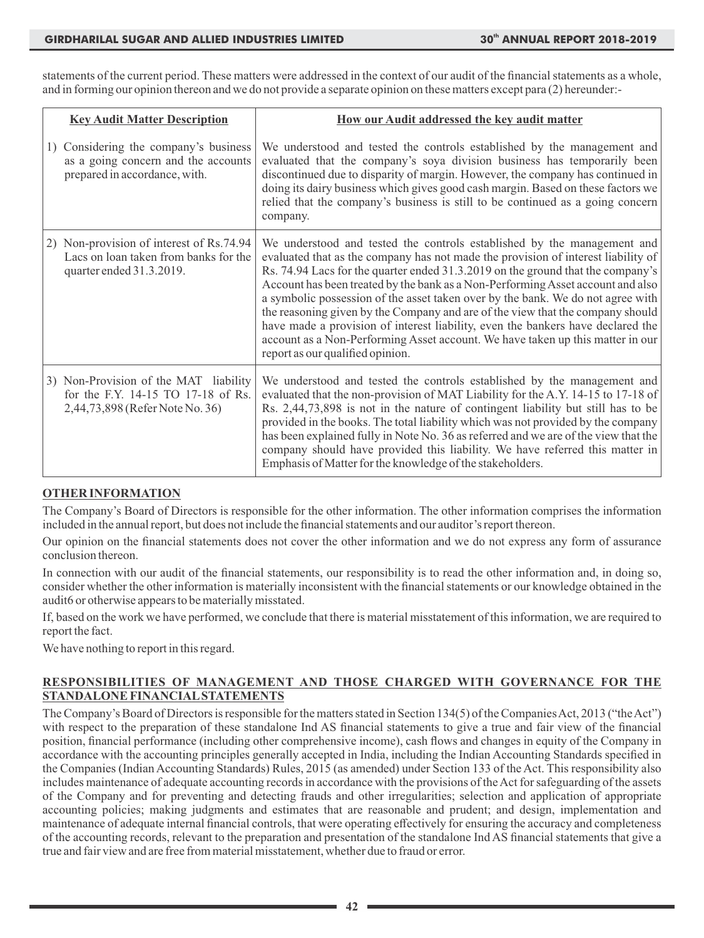statements of the current period. These matters were addressed in the context of our audit of the financial statements as a whole, and in forming our opinion thereon and we do not provide a separate opinion on these matters except para (2) hereunder:-

|              | <b>Key Audit Matter Description</b>                                                                            | How our Audit addressed the key audit matter                                                                                                                                                                                                                                                                                                                                                                                                                                                                                                                                                                                                                                                                     |
|--------------|----------------------------------------------------------------------------------------------------------------|------------------------------------------------------------------------------------------------------------------------------------------------------------------------------------------------------------------------------------------------------------------------------------------------------------------------------------------------------------------------------------------------------------------------------------------------------------------------------------------------------------------------------------------------------------------------------------------------------------------------------------------------------------------------------------------------------------------|
| $\mathbf{I}$ | Considering the company's business<br>as a going concern and the accounts<br>prepared in accordance, with.     | We understood and tested the controls established by the management and<br>evaluated that the company's soya division business has temporarily been<br>discontinued due to disparity of margin. However, the company has continued in<br>doing its dairy business which gives good cash margin. Based on these factors we<br>relied that the company's business is still to be continued as a going concern<br>company.                                                                                                                                                                                                                                                                                          |
|              | 2) Non-provision of interest of Rs.74.94<br>Lacs on loan taken from banks for the<br>quarter ended 31.3.2019.  | We understood and tested the controls established by the management and<br>evaluated that as the company has not made the provision of interest liability of<br>Rs. 74.94 Lacs for the quarter ended 31.3.2019 on the ground that the company's<br>Account has been treated by the bank as a Non-Performing Asset account and also<br>a symbolic possession of the asset taken over by the bank. We do not agree with<br>the reasoning given by the Company and are of the view that the company should<br>have made a provision of interest liability, even the bankers have declared the<br>account as a Non-Performing Asset account. We have taken up this matter in our<br>report as our qualified opinion. |
|              | 3) Non-Provision of the MAT liability<br>for the F.Y. 14-15 TO 17-18 of Rs.<br>2,44,73,898 (Refer Note No. 36) | We understood and tested the controls established by the management and<br>evaluated that the non-provision of MAT Liability for the A.Y. 14-15 to 17-18 of<br>Rs. 2,44,73,898 is not in the nature of contingent liability but still has to be<br>provided in the books. The total liability which was not provided by the company<br>has been explained fully in Note No. 36 as referred and we are of the view that the<br>company should have provided this liability. We have referred this matter in<br>Emphasis of Matter for the knowledge of the stakeholders.                                                                                                                                          |

#### **OTHER INFORMATION**

The Company's Board of Directors is responsible for the other information. The other information comprises the information included in the annual report, but does not include the financial statements and our auditor's report thereon.

Our opinion on the financial statements does not cover the other information and we do not express any form of assurance conclusion thereon.

In connection with our audit of the financial statements, our responsibility is to read the other information and, in doing so, consider whether the other information is materially inconsistent with the financial statements or our knowledge obtained in the audit6 or otherwise appears to be materially misstated.

If, based on the work we have performed, we conclude that there is material misstatement of this information, we are required to report the fact.

We have nothing to report in this regard.

#### **RESPONSIBILITIES OF MANAGEMENT AND THOSE CHARGED WITH GOVERNANCE FOR THE STANDALONE FINANCIALSTATEMENTS**

The Company's Board of Directors is responsible for the matters stated in Section 134(5) of the Companies Act, 2013 ("the Act") with respect to the preparation of these standalone Ind AS financial statements to give a true and fair view of the financial position, financial performance (including other comprehensive income), cash flows and changes in equity of the Company in accordance with the accounting principles generally accepted in India, including the Indian Accounting Standards specified in the Companies (Indian Accounting Standards) Rules, 2015 (as amended) under Section 133 of the Act. This responsibility also includes maintenance of adequate accounting records in accordance with the provisions of the Act for safeguarding of the assets of the Company and for preventing and detecting frauds and other irregularities; selection and application of appropriate accounting policies; making judgments and estimates that are reasonable and prudent; and design, implementation and maintenance of adequate internal financial controls, that were operating effectively for ensuring the accuracy and completeness of the accounting records, relevant to the preparation and presentation of the standalone Ind AS financial statements that give a true and fair view and are free from material misstatement, whether due to fraud or error.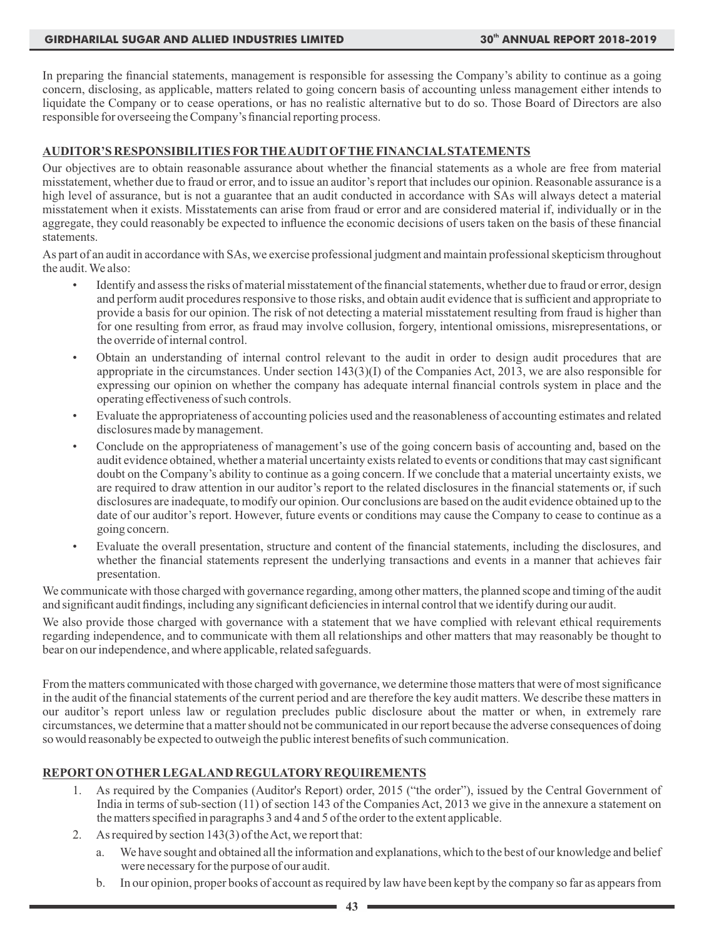# **GIRDHARILAL SUGAR AND ALLIED INDUSTRIES LIMITED th 30 ANNUAL REPORT 2018-2019**

In preparing the financial statements, management is responsible for assessing the Company's ability to continue as a going concern, disclosing, as applicable, matters related to going concern basis of accounting unless management either intends to liquidate the Company or to cease operations, or has no realistic alternative but to do so. Those Board of Directors are also responsible for overseeing the Company's financial reporting process.

# **AUDITOR'S RESPONSIBILITIES FOR THE AUDITOFTHE FINANCIALSTATEMENTS**

Our objectives are to obtain reasonable assurance about whether the financial statements as a whole are free from material misstatement, whether due to fraud or error, and to issue an auditor's report that includes our opinion. Reasonable assurance is a high level of assurance, but is not a guarantee that an audit conducted in accordance with SAs will always detect a material misstatement when it exists. Misstatements can arise from fraud or error and are considered material if, individually or in the aggregate, they could reasonably be expected to influence the economic decisions of users taken on the basis of these financial statements.

As part of an audit in accordance with SAs, we exercise professional judgment and maintain professional skepticism throughout the audit. We also:

- Identify and assess the risks of material misstatement of the financial statements, whether due to fraud or error, design and perform audit procedures responsive to those risks, and obtain audit evidence that is sufficient and appropriate to provide a basis for our opinion. The risk of not detecting a material misstatement resulting from fraud is higher than for one resulting from error, as fraud may involve collusion, forgery, intentional omissions, misrepresentations, or the override of internal control.
- Obtain an understanding of internal control relevant to the audit in order to design audit procedures that are appropriate in the circumstances. Under section 143(3)(I) of the Companies Act, 2013, we are also responsible for expressing our opinion on whether the company has adequate internal financial controls system in place and the operating effectiveness of such controls.
- Evaluate the appropriateness of accounting policies used and the reasonableness of accounting estimates and related disclosures made by management.
- Conclude on the appropriateness of management's use of the going concern basis of accounting and, based on the audit evidence obtained, whether a material uncertainty exists related to events or conditions that may cast significant doubt on the Company's ability to continue as a going concern. If we conclude that a material uncertainty exists, we are required to draw attention in our auditor's report to the related disclosures in the financial statements or, if such disclosures are inadequate, to modify our opinion. Our conclusions are based on the audit evidence obtained up to the date of our auditor's report. However, future events or conditions may cause the Company to cease to continue as a going concern.
- Evaluate the overall presentation, structure and content of the financial statements, including the disclosures, and whether the financial statements represent the underlying transactions and events in a manner that achieves fair presentation.

We communicate with those charged with governance regarding, among other matters, the planned scope and timing of the audit and significant audit findings, including any significant deficiencies in internal control that we identify during our audit.

We also provide those charged with governance with a statement that we have complied with relevant ethical requirements regarding independence, and to communicate with them all relationships and other matters that may reasonably be thought to bear on our independence, and where applicable, related safeguards.

From the matters communicated with those charged with governance, we determine those matters that were of most significance in the audit of the financial statements of the current period and are therefore the key audit matters. We describe these matters in our auditor's report unless law or regulation precludes public disclosure about the matter or when, in extremely rare circumstances, we determine that a matter should not be communicated in our report because the adverse consequences of doing so would reasonably be expected to outweigh the public interest benefits of such communication.

#### **REPORTON OTHER LEGALAND REGULATORYREQUIREMENTS**

- 1. As required by the Companies (Auditor's Report) order, 2015 ("the order"), issued by the Central Government of India in terms of sub-section (11) of section 143 of the Companies Act, 2013 we give in the annexure a statement on the matters specified in paragraphs 3 and 4 and 5 of the order to the extent applicable.
- 2. As required by section 143(3) of the Act, we report that:
	- a. We have sought and obtained all the information and explanations, which to the best of our knowledge and belief were necessary for the purpose of our audit.
	- b. In our opinion, proper books of account as required by law have been kept by the company so far as appears from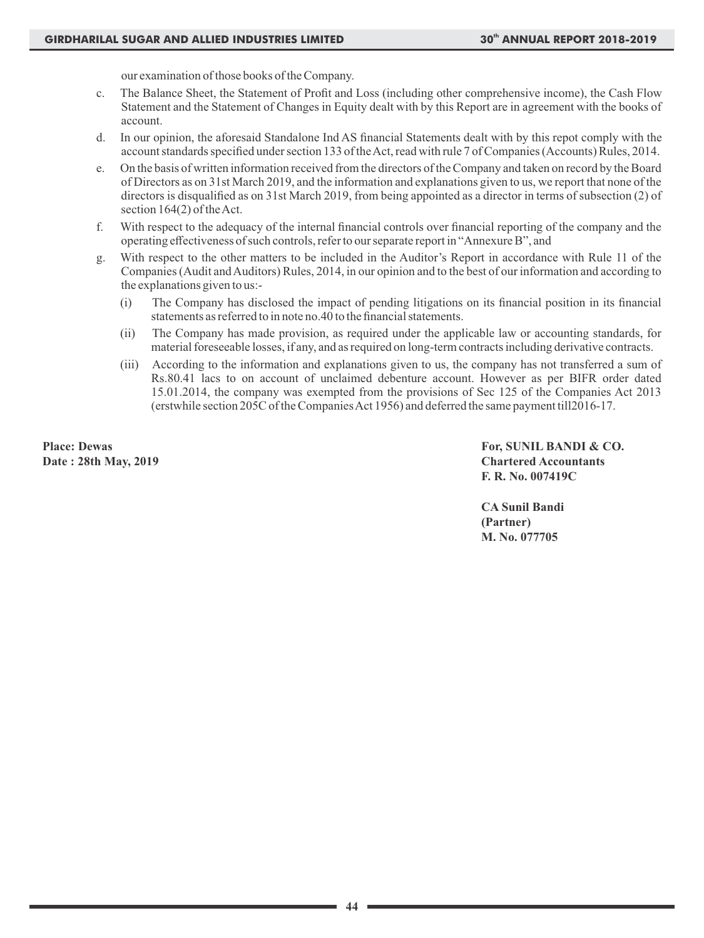our examination of those books of the Company.

- c. The Balance Sheet, the Statement of Profit and Loss (including other comprehensive income), the Cash Flow Statement and the Statement of Changes in Equity dealt with by this Report are in agreement with the books of account.
- d. In our opinion, the aforesaid Standalone Ind AS financial Statements dealt with by this repot comply with the account standards specified under section 133 of the Act, read with rule 7 of Companies (Accounts) Rules, 2014.
- e. On the basis of written information received from the directors of the Company and taken on record by the Board of Directors as on 31st March 2019, and the information and explanations given to us, we report that none of the directors is disqualified as on 31st March 2019, from being appointed as a director in terms of subsection (2) of section 164(2) of the Act.
- f. With respect to the adequacy of the internal financial controls over financial reporting of the company and the operating effectiveness of such controls, refer to our separate report in "Annexure B", and
- g. With respect to the other matters to be included in the Auditor's Report in accordance with Rule 11 of the Companies (Audit and Auditors) Rules, 2014, in our opinion and to the best of our information and according to the explanations given to us:-
	- (i) The Company has disclosed the impact of pending litigations on its financial position in its financial statements as referred to in note no.40 to the financial statements.
	- (ii) The Company has made provision, as required under the applicable law or accounting standards, for material foreseeable losses, if any, and as required on long-term contracts including derivative contracts.
	- (iii) According to the information and explanations given to us, the company has not transferred a sum of Rs.80.41 lacs to on account of unclaimed debenture account. However as per BIFR order dated 15.01.2014, the company was exempted from the provisions of Sec 125 of the Companies Act 2013 (erstwhile section 205C of the Companies Act 1956) and deferred the same payment till2016-17.

**Place: Dewas Formulated Except Contract Contract Contract Contract Contract Contract Contract Contract Contract Contract Contract Contract Contract Contract Contract Contract Contract Contract Contract Contract Contract C Date : 28th May, 2019 Chartered Accountants F. R. No. 007419C**

> **CA Sunil Bandi (Partner) M. No. 077705**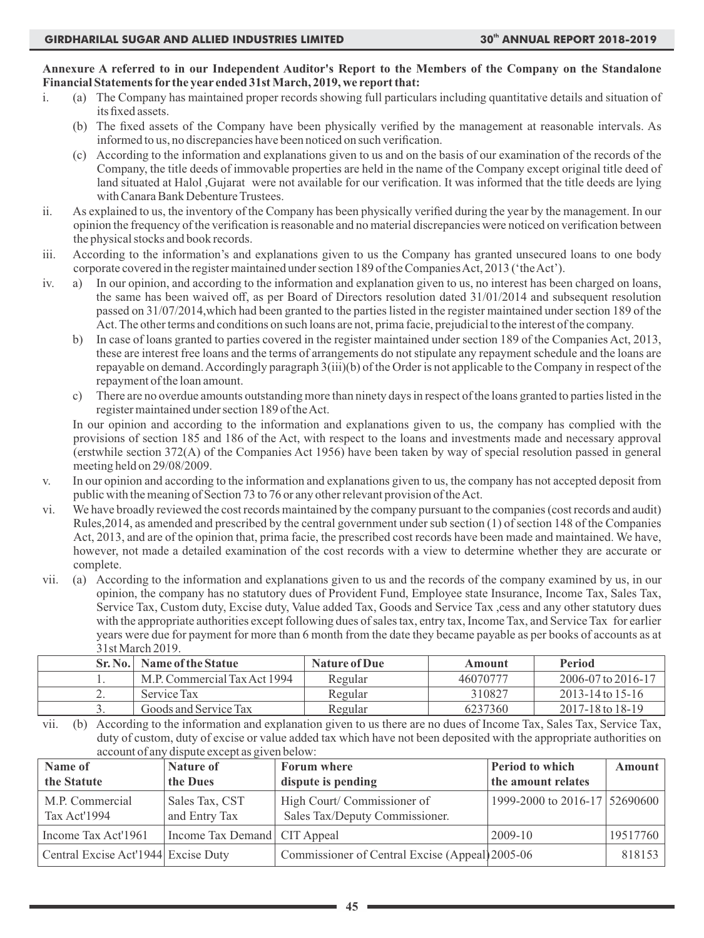#### **Annexure A referred to in our Independent Auditor's Report to the Members of the Company on the Standalone Financial Statements for the year ended 31st March, 2019, we report that:**

- i. (a) The Company has maintained proper records showing full particulars including quantitative details and situation of its fixed assets.
	- (b) The fixed assets of the Company have been physically verified by the management at reasonable intervals. As informed to us, no discrepancies have been noticed on such verification.
	- (c) According to the information and explanations given to us and on the basis of our examination of the records of the Company, the title deeds of immovable properties are held in the name of the Company except original title deed of land situated at Halol ,Gujarat were not available for our verification. It was informed that the title deeds are lying with Canara Bank Debenture Trustees.
- ii. As explained to us, the inventory of the Company has been physically verified during the year by the management. In our opinion the frequency of the verification is reasonable and no material discrepancies were noticed on verification between the physical stocks and book records.
- iii. According to the information's and explanations given to us the Company has granted unsecured loans to one body corporate covered in the register maintained under section 189 of the Companies Act, 2013 ('the Act').
- iv. a) In our opinion, and according to the information and explanation given to us, no interest has been charged on loans, the same has been waived off, as per Board of Directors resolution dated 31/01/2014 and subsequent resolution passed on 31/07/2014,which had been granted to the parties listed in the register maintained under section 189 of the Act. The other terms and conditions on such loans are not, prima facie, prejudicial to the interest of the company.
	- b) In case of loans granted to parties covered in the register maintained under section 189 of the Companies Act, 2013, these are interest free loans and the terms of arrangements do not stipulate any repayment schedule and the loans are repayable on demand. Accordingly paragraph 3(iii)(b) of the Order is not applicable to the Company in respect of the repayment of the loan amount.
	- c) There are no overdue amounts outstanding more than ninety days in respect of the loans granted to parties listed in the register maintained under section 189 of the Act.

In our opinion and according to the information and explanations given to us, the company has complied with the provisions of section 185 and 186 of the Act, with respect to the loans and investments made and necessary approval (erstwhile section 372(A) of the Companies Act 1956) have been taken by way of special resolution passed in general meeting held on 29/08/2009.

- v. In our opinion and according to the information and explanations given to us, the company has not accepted deposit from public with the meaning of Section 73 to 76 or any other relevant provision of the Act.
- vi. We have broadly reviewed the cost records maintained by the company pursuant to the companies (cost records and audit) Rules,2014, as amended and prescribed by the central government under sub section (1) of section 148 of the Companies Act, 2013, and are of the opinion that, prima facie, the prescribed cost records have been made and maintained. We have, however, not made a detailed examination of the cost records with a view to determine whether they are accurate or complete.
- vii. (a) According to the information and explanations given to us and the records of the company examined by us, in our opinion, the company has no statutory dues of Provident Fund, Employee state Insurance, Income Tax, Sales Tax, Service Tax, Custom duty, Excise duty, Value added Tax, Goods and Service Tax ,cess and any other statutory dues with the appropriate authorities except following dues of sales tax, entry tax, Income Tax, and Service Tax for earlier years were due for payment for more than 6 month from the date they became payable as per books of accounts as at 31st March 2019.

|          | <b>Sr. No.   Name of the Statue</b> | Nature of Due | Amount   | Period                     |
|----------|-------------------------------------|---------------|----------|----------------------------|
|          | M.P. Commercial Tax Act 1994        | Regular       | 46070777 | $2006 - 07$ to $2016 - 17$ |
| <u>.</u> | Service Tax                         | Regular       | 310827   | $2013 - 14$ to 15-16       |
|          | Goods and Service Tax               | Regular       | 6237360  | 2017-18 to 18-19           |

vii. (b) According to the information and explanation given to us there are no dues of Income Tax, Sales Tax, Service Tax, duty of custom, duty of excise or value added tax which have not been deposited with the appropriate authorities on account of any dispute except as given below:

| Name of                             | Nature of                       | <b>Forum where</b>                                            | Period to which               | Amount   |
|-------------------------------------|---------------------------------|---------------------------------------------------------------|-------------------------------|----------|
| the Statute                         | the Dues                        | dispute is pending                                            | the amount relates            |          |
| M.P. Commercial<br>Tax Act'1994     | Sales Tax, CST<br>and Entry Tax | High Court/ Commissioner of<br>Sales Tax/Deputy Commissioner. | 1999-2000 to 2016-17 52690600 |          |
| Income Tax Act'1961                 | Income Tax Demand   CIT Appeal  |                                                               | $2009-10$                     | 19517760 |
| Central Excise Act'1944 Excise Duty |                                 | Commissioner of Central Excise (Appeal) 2005-06               |                               | 818153   |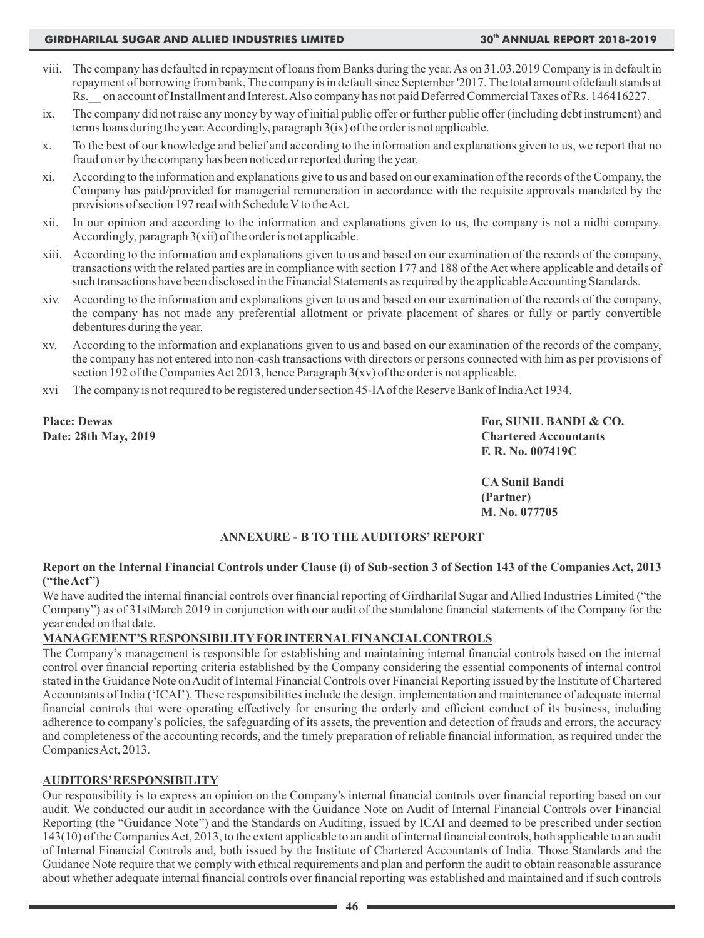# **GIRDHARILAL SUGAR AND ALLIED INDUSTRIES LIMITED th 30 ANNUAL REPORT 2018-2019**

- viii. The company has defaulted in repayment of loans from Banks during the year. As on 31.03.2019 Company is in default in repayment of borrowing from bank, The company is in default since September '2017. The total amount ofdefault stands at Rs.\_\_ on account of Installment and Interest. Also company has not paid Deferred Commercial Taxes of Rs. 146416227.
- ix. The company did not raise any money by way of initial public offer or further public offer (including debt instrument) and terms loans during the year. Accordingly, paragraph  $3(ix)$  of the order is not applicable.
- x. To the best of our knowledge and belief and according to the information and explanations given to us, we report that no fraud on or by the company has been noticed or reported during the year.
- xi. According to the information and explanations give to us and based on our examination of the records of the Company, the Company has paid/provided for managerial remuneration in accordance with the requisite approvals mandated by the provisions of section 197 read with Schedule V to the Act.
- xii. In our opinion and according to the information and explanations given to us, the company is not a nidhi company. Accordingly, paragraph 3(xii) of the order is not applicable.
- xiii. According to the information and explanations given to us and based on our examination of the records of the company, transactions with the related parties are in compliance with section 177 and 188 of the Act where applicable and details of such transactions have been disclosed in the Financial Statements as required by the applicable Accounting Standards.
- xiv. According to the information and explanations given to us and based on our examination of the records of the company, the company has not made any preferential allotment or private placement of shares or fully or partly convertible debentures during the year.
- xv. According to the information and explanations given to us and based on our examination of the records of the company, the company has not entered into non-cash transactions with directors or persons connected with him as per provisions of section 192 of the Companies Act 2013, hence Paragraph  $3(xy)$  of the order is not applicable.
- xvi The company is not required to be registered under section 45-IAof the Reserve Bank of India Act 1934.

**Date: 28th May, 2019** 

Place: Dewas **Formulate Example 28** CO. **Place: Dewas Formulate CO. Place: 28th May. 2019 F. R. No. 007419C**

> **CA Sunil Bandi (Partner) M. No. 077705**

#### **ANNEXURE - B TO THE AUDITORS' REPORT**

#### **Report on the Internal Financial Controls under Clause (i) of Sub-section 3 of Section 143 of the Companies Act, 2013 ("the Act")**

We have audited the internal financial controls over financial reporting of Girdharilal Sugar and Allied Industries Limited ("the Company") as of 31stMarch 2019 in conjunction with our audit of the standalone financial statements of the Company for the year ended on that date.

# **MANAGEMENT'S RESPONSIBILITYFOR INTERNALFINANCIALCONTROLS**

The Company's management is responsible for establishing and maintaining internal financial controls based on the internal control over financial reporting criteria established by the Company considering the essential components of internal control stated in the Guidance Note on Audit of Internal Financial Controls over Financial Reporting issued by the Institute of Chartered Accountants of India ('ICAI'). These responsibilities include the design, implementation and maintenance of adequate internal financial controls that were operating effectively for ensuring the orderly and efficient conduct of its business, including adherence to company's policies, the safeguarding of its assets, the prevention and detection of frauds and errors, the accuracy and completeness of the accounting records, and the timely preparation of reliable financial information, as required under the Companies Act, 2013.

# **AUDITORS'RESPONSIBILITY**

Our responsibility is to express an opinion on the Company's internal financial controls over financial reporting based on our audit. We conducted our audit in accordance with the Guidance Note on Audit of Internal Financial Controls over Financial Reporting (the "Guidance Note") and the Standards on Auditing, issued by ICAI and deemed to be prescribed under section 143(10) of the Companies Act, 2013, to the extent applicable to an audit of internal financial controls, both applicable to an audit of Internal Financial Controls and, both issued by the Institute of Chartered Accountants of India. Those Standards and the Guidance Note require that we comply with ethical requirements and plan and perform the audit to obtain reasonable assurance about whether adequate internal financial controls over financial reporting was established and maintained and if such controls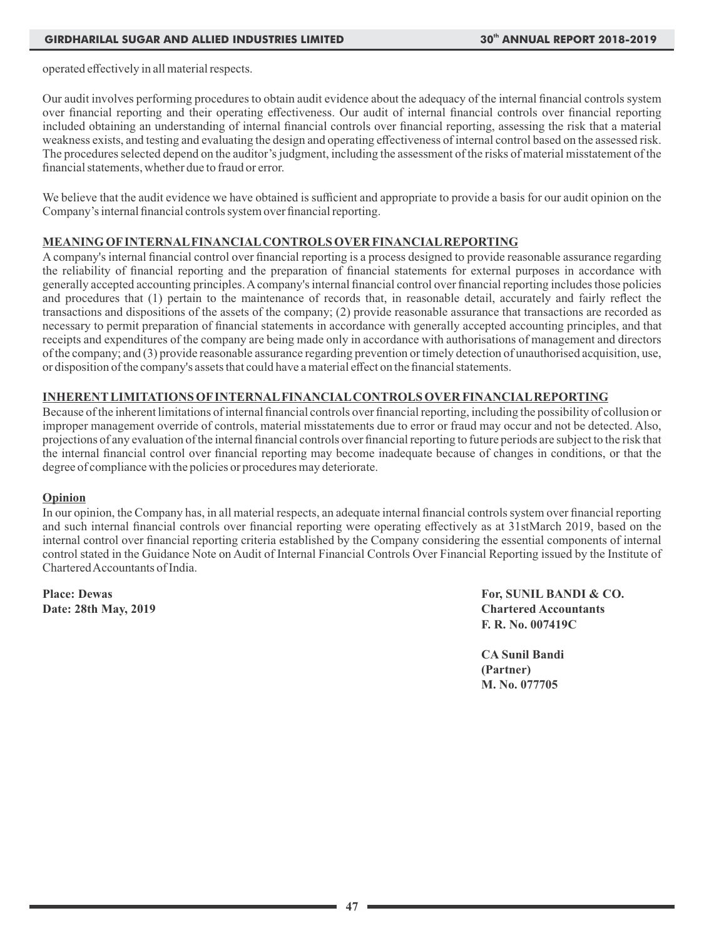operated effectively in all material respects.

Our audit involves performing procedures to obtain audit evidence about the adequacy of the internal financial controls system over financial reporting and their operating effectiveness. Our audit of internal financial controls over financial reporting included obtaining an understanding of internal financial controls over financial reporting, assessing the risk that a material weakness exists, and testing and evaluating the design and operating effectiveness of internal control based on the assessed risk. The procedures selected depend on the auditor's judgment, including the assessment of the risks of material misstatement of the financial statements, whether due to fraud or error.

We believe that the audit evidence we have obtained is sufficient and appropriate to provide a basis for our audit opinion on the Company's internal financial controls system over financial reporting.

#### **MEANING OFINTERNALFINANCIALCONTROLS OVER FINANCIALREPORTING**

A company's internal financial control over financial reporting is a process designed to provide reasonable assurance regarding the reliability of financial reporting and the preparation of financial statements for external purposes in accordance with generally accepted accounting principles. Acompany's internal financial control over financial reporting includes those policies and procedures that (1) pertain to the maintenance of records that, in reasonable detail, accurately and fairly reflect the transactions and dispositions of the assets of the company; (2) provide reasonable assurance that transactions are recorded as necessary to permit preparation of financial statements in accordance with generally accepted accounting principles, and that receipts and expenditures of the company are being made only in accordance with authorisations of management and directors of the company; and (3) provide reasonable assurance regarding prevention or timely detection of unauthorised acquisition, use, or disposition of the company's assets that could have a material effect on the financial statements.

#### **INHERENTLIMITATIONS OFINTERNALFINANCIALCONTROLS OVER FINANCIALREPORTING**

Because of the inherent limitations of internal financial controls over financial reporting, including the possibility of collusion or improper management override of controls, material misstatements due to error or fraud may occur and not be detected. Also, projections of any evaluation of the internal financial controls over financial reporting to future periods are subject to the risk that the internal financial control over financial reporting may become inadequate because of changes in conditions, or that the degree of compliance with the policies or procedures may deteriorate.

#### **Opinion**

In our opinion, the Company has, in all material respects, an adequate internal financial controls system over financial reporting and such internal financial controls over financial reporting were operating effectively as at 31stMarch 2019, based on the internal control over financial reporting criteria established by the Company considering the essential components of internal control stated in the Guidance Note on Audit of Internal Financial Controls Over Financial Reporting issued by the Institute of Chartered Accountants of India.

**Place: Dewas For, SUNIL BANDI & CO. Date: 28th May, 2019 Chartered Accountants F. R. No. 007419C**

> **CA Sunil Bandi (Partner) M. No. 077705**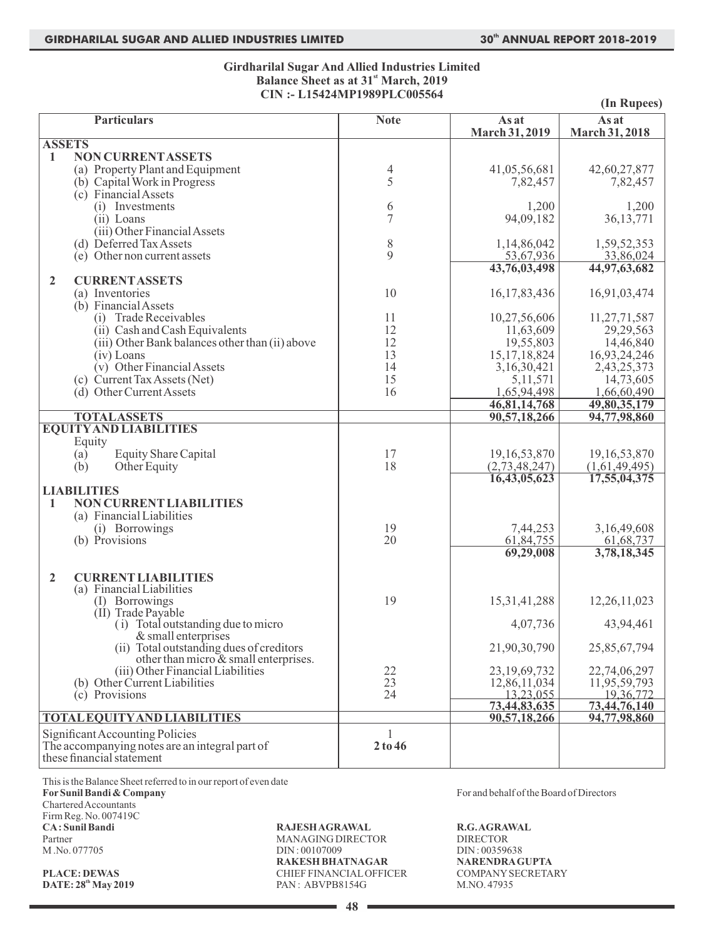**(In Rupees)**

# **Girdharilal Sugar And Allied Industries Limited st Balance Sheet as at 31 March, 2019 CIN :- L15424MP1989PLC005564**

|               | <b>Particulars</b>                                              | <b>Note</b>    | As at                            | As at                         |
|---------------|-----------------------------------------------------------------|----------------|----------------------------------|-------------------------------|
|               |                                                                 |                | <b>March 31, 2019</b>            | <b>March 31, 2018</b>         |
| <b>ASSETS</b> |                                                                 |                |                                  |                               |
| $\mathbf{1}$  | <b>NON CURRENT ASSETS</b><br>(a) Property Plant and Equipment   | $\overline{4}$ | 41,05,56,681                     | 42,60,27,877                  |
|               | (b) Capital Work in Progress                                    | 5              | 7,82,457                         | 7,82,457                      |
|               | (c) Financial Assets                                            |                |                                  |                               |
|               | (i) Investments                                                 | 6              | 1,200                            | 1,200                         |
|               | (ii) Loans                                                      | 7              | 94,09,182                        | 36, 13, 771                   |
|               | (iii) Other Financial Assets                                    |                |                                  |                               |
|               | (d) Deferred Tax Assets                                         | 8              | 1,14,86,042                      | 1,59,52,353                   |
|               | (e) Other non current assets                                    | 9              | 53,67,936                        | 33,86,024                     |
| $\mathbf{2}$  | <b>CURRENTASSETS</b>                                            |                | 43,76,03,498                     | 44,97,63,682                  |
|               | (a) Inventories                                                 | 10             | 16, 17, 83, 436                  | 16,91,03,474                  |
|               | (b) Financial Assets                                            |                |                                  |                               |
|               | (i) Trade Receivables                                           | 11             | 10,27,56,606                     | 11,27,71,587                  |
|               | (ii) Cash and Cash Equivalents                                  | 12             | 11,63,609                        | 29,29,563                     |
|               | (iii) Other Bank balances other than (ii) above                 | 12             | 19,55,803                        | 14,46,840                     |
|               | (iv) Loans                                                      | 13             | 15, 17, 18, 824                  | 16,93,24,246                  |
|               | (v) Other Financial Assets                                      | 14             | 3,16,30,421                      | 2,43,25,373                   |
|               | (c) Current Tax Assets (Net)<br>(d) Other Current Assets        | 15<br>16       | 5.11.571<br>1,65,94,498          | 14,73,605<br>1,66,60,490      |
|               |                                                                 |                | 46,81,14,768                     | 49,80,35,179                  |
|               | <b>TOTALASSETS</b>                                              |                | 90,57,18,266                     | 94,77,98,860                  |
|               | <b>EQUITYAND LIABILITIES</b>                                    |                |                                  |                               |
|               | Equity                                                          |                |                                  |                               |
|               | (a)<br><b>Equity Share Capital</b>                              | 17             | 19, 16, 53, 870                  | 19, 16, 53, 870               |
|               | (b)<br>Other Equity                                             | 18             | (2,73,48,247)<br>16,43,05,623    | (1,61,49,495)<br>17,55,04,375 |
|               | <b>LIABILITIES</b>                                              |                |                                  |                               |
| $\mathbf{1}$  | <b>NON CURRENT LIABILITIES</b>                                  |                |                                  |                               |
|               | (a) Financial Liabilities                                       |                |                                  |                               |
|               | (i) Borrowings                                                  | 19             | 7,44,253                         | 3,16,49,608                   |
|               | (b) Provisions                                                  | 20             | 61,84,755                        | 61, 68, 737                   |
|               |                                                                 |                | 69,29,008                        | 3,78,18,345                   |
| $\mathbf{2}$  | <b>CURRENT LIABILITIES</b>                                      |                |                                  |                               |
|               | (a) Financial Liabilities                                       |                |                                  |                               |
|               | (I) Borrowings                                                  | 19             | 15, 31, 41, 288                  | 12, 26, 11, 023               |
|               | (II) Trade Payable                                              |                |                                  |                               |
|               | (i) Total outstanding due to micro                              |                | 4,07,736                         | 43,94,461                     |
|               | & small enterprises<br>(ii) Total outstanding dues of creditors |                | 21,90,30,790                     | 25,85,67,794                  |
|               | other than micro $\&$ small enterprises.                        |                |                                  |                               |
|               | (iii) Other Financial Liabilities                               | 22             | 23, 19, 69, 732                  | 22,74,06,297                  |
|               | (b) Other Current Liabilities                                   | 23             | 12,86,11,034                     | 11,95,59,793                  |
|               | (c) Provisions                                                  | 24             | 13.23.055<br><u>73,44,83,635</u> | 19,36,772<br>73,44,76,140     |
|               | <b>TOTAL EQUITY AND LIABILITIES</b>                             |                | 90,57,18,266                     | 94,77,98,860                  |
|               | Significant Accounting Policies                                 | $\mathbf{1}$   |                                  |                               |
|               | The accompanying notes are an integral part of                  | 2 to 46        |                                  |                               |
|               | these financial statement                                       |                |                                  |                               |

This is the Balance Sheet referred to in our report of even date<br>For Sunil Bandi & Company

Chartered Accountants Firm Reg. No. 007419C **CA: Sunil Bandi RAJESH AGRAWAL RAJESH AGRAWAL RAJESH AGRAWAL RAJESH AGRAWAL RAJESH AGRAWAL RAJESH AGRAWAL** 

Partner MANAGING DIRECTOR DIRECTOR M.No. 077705 DIRECTOR DIN : 00107009 DIN : 00359638 DIN : 00107009 **RAKESH BHATNAGAR NARENDRAGUPTA PLACE: DEWAS** CHIEF FINANCIAL OFFICER COMPANYS<br>
DATE: 28<sup>th</sup> May 2019 PAN: ABVPB8154G M.NO. 47935 **th DATE: 28 May 2019** PAN : ABVPB8154G M.NO. 47935

For and behalf of the Board of Directors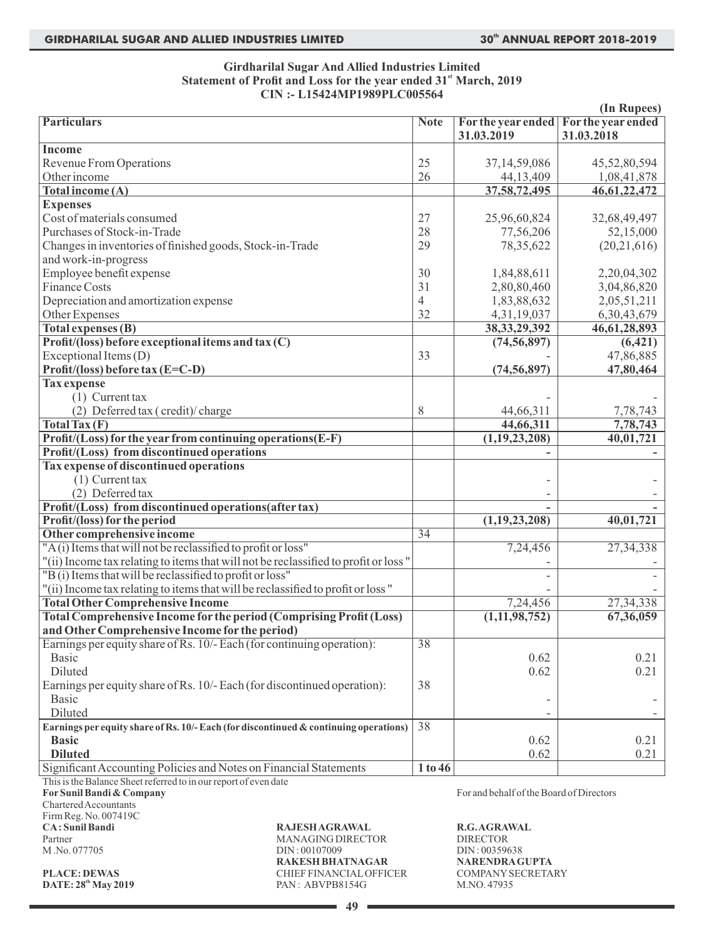#### **Girdharilal Sugar And Allied Industries Limited**  Statement of Profit and Loss for the year ended 31<sup>st</sup> March, 2019 **CIN :- L15424MP1989PLC005564**

|                                                                                       |                          |                |                                          | (In Rupees)                           |
|---------------------------------------------------------------------------------------|--------------------------|----------------|------------------------------------------|---------------------------------------|
| <b>Particulars</b>                                                                    |                          | <b>Note</b>    |                                          | For the year ended For the year ended |
|                                                                                       |                          |                | 31.03.2019                               | 31.03.2018                            |
| <b>Income</b>                                                                         |                          |                |                                          |                                       |
| Revenue From Operations                                                               |                          | 25             | 37, 14, 59, 086                          | 45,52,80,594                          |
| Other income                                                                          |                          | 26             | 44,13,409                                | 1,08,41,878                           |
| Total income (A)                                                                      |                          |                | 37, 58, 72, 495                          | 46, 61, 22, 472                       |
| <b>Expenses</b>                                                                       |                          |                |                                          |                                       |
| Cost of materials consumed                                                            |                          | 27             | 25,96,60,824                             | 32,68,49,497                          |
| Purchases of Stock-in-Trade                                                           |                          | 28             | 77,56,206                                | 52,15,000                             |
| Changes in inventories of finished goods, Stock-in-Trade                              |                          | 29             | 78, 35, 622                              | (20,21,616)                           |
| and work-in-progress                                                                  |                          |                |                                          |                                       |
|                                                                                       |                          |                |                                          |                                       |
| Employee benefit expense                                                              |                          | 30             | 1,84,88,611                              | 2,20,04,302                           |
| <b>Finance Costs</b>                                                                  |                          | 31             | 2,80,80,460                              | 3,04,86,820                           |
| Depreciation and amortization expense                                                 |                          | $\overline{4}$ | 1,83,88,632                              | 2,05,51,211                           |
| Other Expenses                                                                        |                          | 32             | 4,31,19,037                              | 6,30,43,679                           |
| Total expenses (B)                                                                    |                          |                | 38, 33, 29, 392                          | 46, 61, 28, 893                       |
| $Profit/(loss) before exceptional items and tax (C)$                                  |                          |                | (74, 56, 897)                            | (6, 421)                              |
| Exceptional Items (D)                                                                 |                          | 33             |                                          | 47,86,885                             |
| Profit/(loss) before tax (E=C-D)                                                      |                          |                | (74, 56, 897)                            | 47,80,464                             |
| <b>Tax</b> expense                                                                    |                          |                |                                          |                                       |
| $(1)$ Current tax                                                                     |                          |                |                                          |                                       |
| (2) Deferred tax (credit)/charge                                                      |                          | 8              | 44,66,311                                | 7,78,743                              |
| $\overline{\text{Total Tax}(F)}$                                                      |                          |                | 44,66,311                                | 7,78,743                              |
| Profit/(Loss) for the year from continuing operations(E-F)                            |                          |                | (1,19,23,208)                            | 40,01,721                             |
| <b>Profit/(Loss)</b> from discontinued operations                                     |                          |                |                                          |                                       |
| Tax expense of discontinued operations                                                |                          |                |                                          |                                       |
| $(1)$ Current tax                                                                     |                          |                |                                          |                                       |
| (2) Deferred tax                                                                      |                          |                |                                          |                                       |
|                                                                                       |                          |                |                                          |                                       |
| Profit/(Loss) from discontinued operations(after tax)                                 |                          |                |                                          |                                       |
| Profit/(loss) for the period                                                          |                          |                | (1,19,23,208)                            | 40,01,721                             |
| Other comprehensive income                                                            |                          | 34             |                                          |                                       |
| "A(i) Items that will not be reclassified to profit or loss"                          |                          |                | 7,24,456                                 | 27, 34, 338                           |
| "(ii) Income tax relating to items that will not be reclassified to profit or loss "  |                          |                |                                          |                                       |
| "B(i) Items that will be reclassified to profit or loss"                              |                          |                |                                          |                                       |
| "(ii) Income tax relating to items that will be reclassified to profit or loss "      |                          |                |                                          |                                       |
| <b>Total Other Comprehensive Income</b>                                               |                          |                | 7,24,456                                 | 27, 34, 338                           |
| <b>Total Comprehensive Income for the period (Comprising Profit (Loss)</b>            |                          |                | $\overline{(1,11,98,752)}$               | 67,36,059                             |
| and Other Comprehensive Income for the period)                                        |                          |                |                                          |                                       |
| Earnings per equity share of Rs. 10/- Each (for continuing operation):                |                          | 38             |                                          |                                       |
| <b>Basic</b>                                                                          |                          |                | 0.62                                     | 0.21                                  |
| Diluted                                                                               |                          |                | 0.62                                     | 0.21                                  |
| Earnings per equity share of Rs. 10/- Each (for discontinued operation):              |                          | 38             |                                          |                                       |
| <b>Basic</b>                                                                          |                          |                |                                          |                                       |
| Diluted                                                                               |                          |                |                                          |                                       |
|                                                                                       |                          |                |                                          |                                       |
| Earnings per equity share of Rs. 10/- Each (for discontinued & continuing operations) |                          | 38             |                                          |                                       |
| <b>Basic</b>                                                                          |                          |                | 0.62                                     | 0.21                                  |
| <b>Diluted</b>                                                                        |                          |                | 0.62                                     | 0.21                                  |
| Significant Accounting Policies and Notes on Financial Statements                     |                          | 1 to 46        |                                          |                                       |
| This is the Balance Sheet referred to in our report of even date                      |                          |                |                                          |                                       |
| For Sunil Bandi & Company                                                             |                          |                | For and behalf of the Board of Directors |                                       |
| Chartered Accountants<br>Firm Reg. No. 007419C                                        |                          |                |                                          |                                       |
| CA: Sunil Bandi                                                                       | <b>RAJESHAGRAWAL</b>     |                | <b>R.G. AGRAWAL</b>                      |                                       |
| Partner                                                                               | <b>MANAGING DIRECTOR</b> |                | <b>DIRECTOR</b>                          |                                       |
| M.No.077705                                                                           | DIN: 00107009            |                | DIN: 00359638                            |                                       |
|                                                                                       | <b>RAKESH BHATNAGAR</b>  |                | <b>NARENDRA GUPTA</b>                    |                                       |

**PLACE: DEWAS** CHIEF FINANCIAL OFFICER COMPANY SECRETARY **the PAN:** ABVPB8154G M.NO. 47935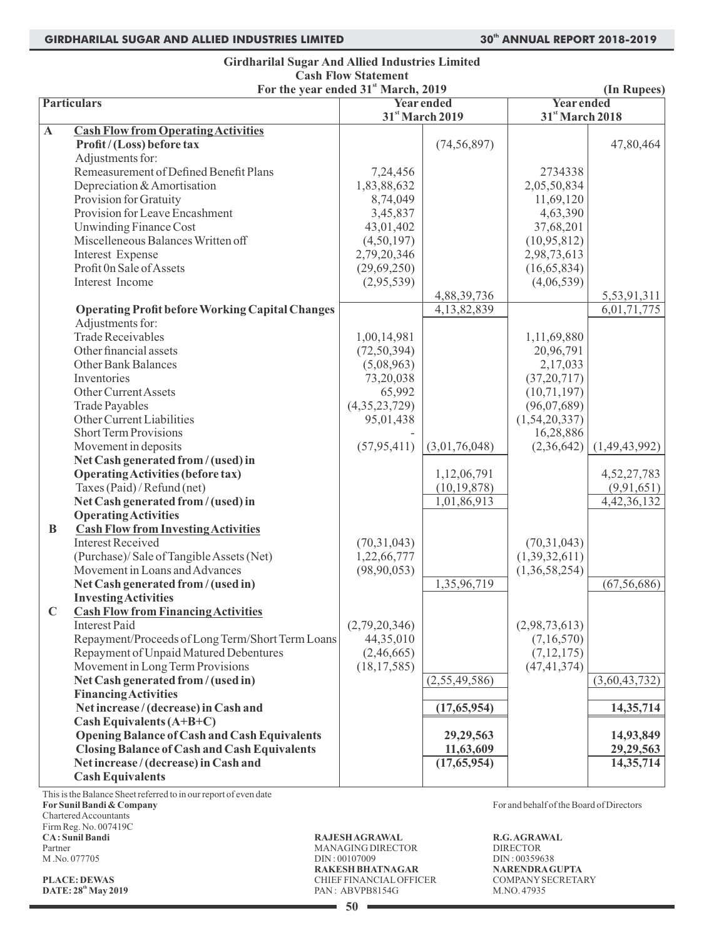#### **GIRDHARILAL SUGAR AND ALLIED INDUSTRIES LIMITED th 30 ANNUAL REPORT 2018-2019**

#### **Cash Flow Statement For the year ended 31<sup>st</sup> March, 2019**<br>**For ended Particulars Year ended Year ended st st 31 March 2019 31 March 2018 A Cash Flow from Operating Activities Profit / (Loss) before tax**  $(74,56,897)$  47,80,464 Adjustments for: Remeasurement of Defined Benefit Plans 7,24,456 <br>  $1.83.88.632$  2.05.50.834 2.05.50.834 Depreciation & Amortisation 1,83,88,632 2,05,50,834<br>Provision for Gratuity 1,69,120 Provision for Gratuity 8,74,049 11,69,120<br>Provision for Leave Encashment 3.45.837 4.63.390 Provision for Leave Encashment 3,45,837 4,63,390<br>Unwinding Finance Cost 43.01.402 37,68.201 Unwinding Finance Cost 43,01,402 43,01,402 37,68,201<br>Miscelleneous Balances Written off (4.50.197) (10.95.812) Miscelleneous Balances Written off (4,50,197) (10,95,812)<br>Interest Expense 2.79.20.346 2.98.73.613 Interest Expense 2,79,20,346 2,98,73,613<br>Profit 0n Sale of Assets 29.69.250 2,98,73,613 2 Profit 0n Sale of Assets (29,69,250) (16,65,834)<br>Interest Income (2.95,539) (4.06,539) Interest Income (2,95,539) (4,88,39,736) 4,88,39,736 5,53,91,311<br>4,13,82,839 6,01,71,775 **Operating Profit before Working Capital Changes** Adjustments for: Trade Receivables 1,00,14,981 1,11,69,880<br>Other financial assets 20.96,791 20.96,791 Other financial assets Other Bank Balances (5,08,963) 2,17,033<br>Inventories 73.20.038 (37.20.717) Inventories 1993 (37,20,717) (37,20,038 (37,20,717) Other Current Assets 65,992 (10,71,197) Trade Payables (4,35,23,729) (96,07,689) Other Current Liabilities 95,01,438 (1,54,20,337)<br>Short Term Provisions 16.28.886 Short Term Provisions 16,28,886<br>Movement in deposits (57,95,411) (3,01,76,048) (2,36,642) Movement in deposits (57,95,411) (3,01,76,048) (2,36,642) (1,49,43,992) **Net Cash generated from / (used) in Operating Activities (before tax)** 1,12,06,791 4,52,27,783<br>Taxes (Paid) / Refund (net) (10.19.878) 4,52,27,783 Taxes (Paid) / Refund (net)<br> **Net Cash generated from / (used) in**<br>  $1,01,86,913$ (9,91,651)<br>
(9,91,651)<br>
(9,91,651) Net Cash generated from / (used) in **Operating Activities B Cash Flow from Investing Activities** Interest Received (70,31,043) (70,31,043) (Purchase)/Sale of Tangible Assets (Net)<br>
Movement in Loans and Advances<br>
(98.90.053) (1.36.58.254) Movement in Loans and Advances (98,90,053)  $\frac{1}{35.96.719}$ **Net Cash generated from / (used in)** 1,35,96,719 (67,56,686) **Investing Activities C Cash Flow from Financing Activities**  Interest Paid (2,79,20,346) (2,98,73,613) Repayment/Proceeds of Long Term/Short Term Loans 44,35,010 (7,16,570) Repayment of Unpaid Matured Debentures (2,46,665) (7,12,175)<br>Movement in Long Term Provisions (18.17.585) (47.41.374) Movement in Long Term Provisions (18,17,585) ( $\frac{18,17,585}{2,55,49,586}$ **Net Cash generated from / (used in)**  $(2,55,49,586)$  (3,60,43,732) **Financing Activities Net increase / (decrease) in Cash and (17,65,954) 14,35,714 Cash Equivalents (A+B+C) Opening Balance of Cash and Cash Equivalents 29,29,563 14,93,849**<br> **Closing Balance of Cash and Cash Equivalents** 11,63,609 11,63,609 29,29,563 Closing Balance of Cash and Cash Equivalents 11,63,609 29,29,563<br>Net increase / (decrease) in Cash and 2012 14,35,714 Net increase / (decrease) in Cash and **Cash Equivalents (In Rupees)**

**Girdharilal Sugar And Allied Industries Limited**

This is the Balance Sheet referred to in our report of even date **For Sunil Bandi & Company** For and behalf of the Board of Directors

Chartered Accountants Firm Reg. No. 007419C **CA: Sunil Bandi RAJESH AGRAWAL R.G. AGRAWAL**

Partner MANAGING DIRECTOR DIRECTOR DIRECTOR DIRECTOR DIRECTOR DIRECTOR DIRECTOR DIRECTOR DIN : 00359638 M .No. 077705 DIN : 00107009 DIN : 00107009 DIN : 00359638 **RAKESH BHATNAGAR NARENDRAGUPTA PLACE: DEWAS** CHIEF FINANCIAL OFFICER COMPANYS<br>
DATE: 28<sup>th</sup> May 2019 **PAN: ABVPB8154G** M.NO.47935 **PAN: ABVPB8154G**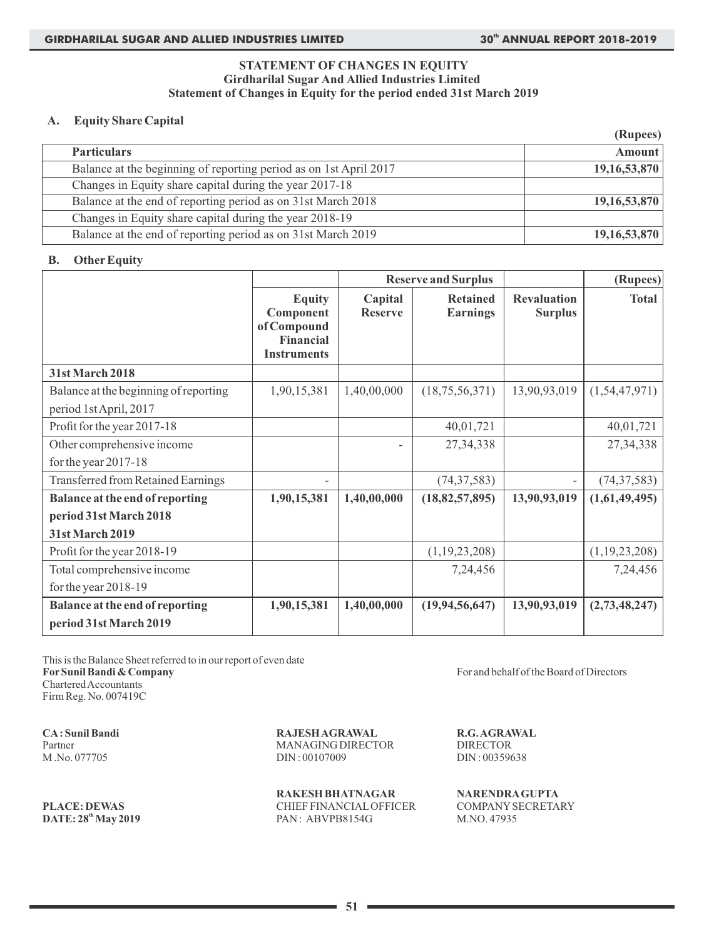#### **STATEMENT OF CHANGES IN EQUITY Girdharilal Sugar And Allied Industries Limited Statement of Changes in Equity for the period ended 31st March 2019**

## **A. Equity Share Capital**

|                                                                   | (Rupees)     |
|-------------------------------------------------------------------|--------------|
| <b>Particulars</b>                                                | Amount       |
| Balance at the beginning of reporting period as on 1st April 2017 | 19,16,53,870 |
| Changes in Equity share capital during the year 2017-18           |              |
| Balance at the end of reporting period as on 31st March 2018      | 19,16,53,870 |
| Changes in Equity share capital during the year 2018-19           |              |
| Balance at the end of reporting period as on 31st March 2019      | 19,16,53,870 |

#### **B. OtherEquity**

|                                       |                                                                              |                           | <b>Reserve and Surplus</b>         |                                      | (Rupees)         |
|---------------------------------------|------------------------------------------------------------------------------|---------------------------|------------------------------------|--------------------------------------|------------------|
|                                       | <b>Equity</b><br>Component<br>of Compound<br>Financial<br><b>Instruments</b> | Capital<br><b>Reserve</b> | <b>Retained</b><br><b>Earnings</b> | <b>Revaluation</b><br><b>Surplus</b> | <b>Total</b>     |
| <b>31st March 2018</b>                |                                                                              |                           |                                    |                                      |                  |
| Balance at the beginning of reporting | 1,90,15,381                                                                  | 1,40,00,000               | (18, 75, 56, 371)                  | 13,90,93,019                         | (1, 54, 47, 971) |
| period 1st April, 2017                |                                                                              |                           |                                    |                                      |                  |
| Profit for the year 2017-18           |                                                                              |                           | 40,01,721                          |                                      | 40,01,721        |
| Other comprehensive income            |                                                                              |                           | 27, 34, 338                        |                                      | 27, 34, 338      |
| for the year $2017-18$                |                                                                              |                           |                                    |                                      |                  |
| Transferred from Retained Earnings    |                                                                              |                           | (74, 37, 583)                      | $\overline{\phantom{0}}$             | (74, 37, 583)    |
| Balance at the end of reporting       | 1,90,15,381                                                                  | 1,40,00,000               | (18, 82, 57, 895)                  | 13,90,93,019                         | (1,61,49,495)    |
| period 31st March 2018                |                                                                              |                           |                                    |                                      |                  |
| <b>31st March 2019</b>                |                                                                              |                           |                                    |                                      |                  |
| Profit for the year 2018-19           |                                                                              |                           | (1,19,23,208)                      |                                      | (1,19,23,208)    |
| Total comprehensive income            |                                                                              |                           | 7,24,456                           |                                      | 7,24,456         |
| for the year $2018-19$                |                                                                              |                           |                                    |                                      |                  |
| Balance at the end of reporting       | 1,90,15,381                                                                  | 1,40,00,000               | (19, 94, 56, 647)                  | 13,90,93,019                         | (2,73,48,247)    |
| period 31st March 2019                |                                                                              |                           |                                    |                                      |                  |

This is the Balance Sheet referred to in our report of even date<br>For Sunil Bandi & Company Chartered Accountants Firm Reg. No. 007419C

**CA: Sunil Bandi RAJESH AGRAWAL R.G. AGRAWAL** Partner MANAGING DIRECTOR DIRECTOR M.No. 077705 M.No. 27705  $DIN : 00107009$ 

**RAKESH BHATNAGAR NARENDRAGUPTA PLACE: DEWAS** CHIEF FINANCIAL OFFICER **DATE: 28<sup>th</sup> May 2019 PAN**: ABVPB8154G M.NO. 47935

For and behalf of the Board of Directors

ī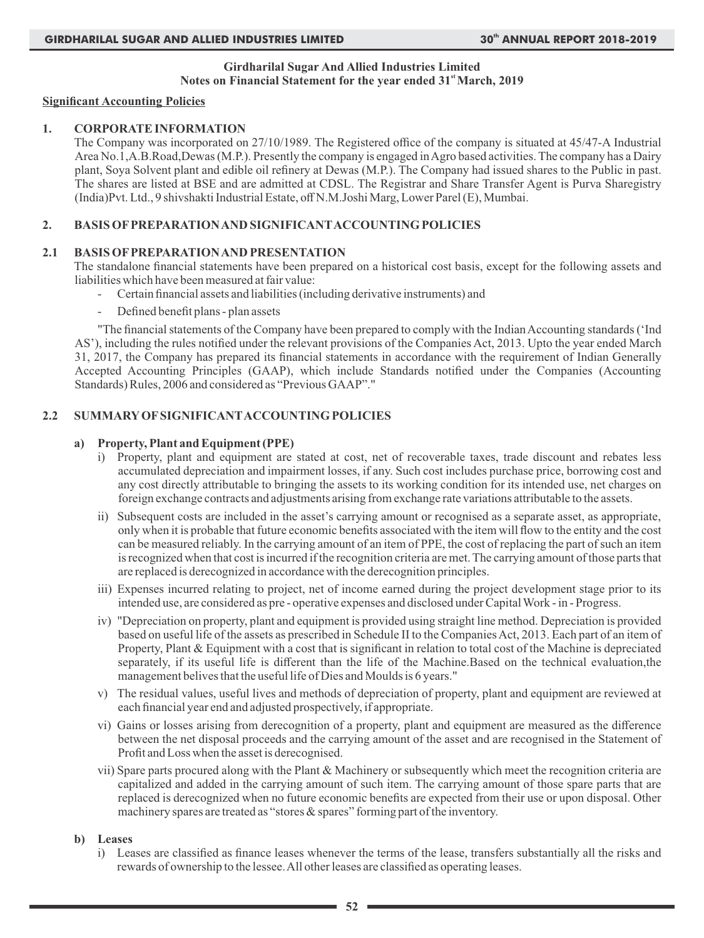# **Girdharilal Sugar And Allied Industries Limited** Notes on Financial Statement for the year ended  $31<sup>st</sup> March, 2019$

#### **Significant Accounting Policies**

#### **1. CORPORATE INFORMATION**

The Company was incorporated on 27/10/1989. The Registered office of the company is situated at 45/47-A Industrial Area No.1,A.B.Road,Dewas (M.P.). Presently the company is engaged in Agro based activities. The company has a Dairy plant, Soya Solvent plant and edible oil refinery at Dewas (M.P.). The Company had issued shares to the Public in past. The shares are listed at BSE and are admitted at CDSL. The Registrar and Share Transfer Agent is Purva Sharegistry (India)Pvt. Ltd., 9 shivshakti Industrial Estate, off N.M.Joshi Marg, Lower Parel (E), Mumbai.

# **2. BASIS OFPREPARATION AND SIGNIFICANTACCOUNTING POLICIES**

# **2.1 BASIS OFPREPARATION AND PRESENTATION**

The standalone financial statements have been prepared on a historical cost basis, except for the following assets and liabilities which have been measured at fair value:

- Certain financial assets and liabilities (including derivative instruments) and
- Defined benefit plans plan assets

"The financial statements of the Company have been prepared to comply with the Indian Accounting standards ('Ind AS'), including the rules notified under the relevant provisions of the Companies Act, 2013. Upto the year ended March 31, 2017, the Company has prepared its financial statements in accordance with the requirement of Indian Generally Accepted Accounting Principles (GAAP), which include Standards notified under the Companies (Accounting Standards) Rules, 2006 and considered as "Previous GAAP"."

#### **2.2 SUMMARYOFSIGNIFICANTACCOUNTING POLICIES**

#### **a) Property, Plant and Equipment (PPE)**

- i) Property, plant and equipment are stated at cost, net of recoverable taxes, trade discount and rebates less accumulated depreciation and impairment losses, if any. Such cost includes purchase price, borrowing cost and any cost directly attributable to bringing the assets to its working condition for its intended use, net charges on foreign exchange contracts and adjustments arising from exchange rate variations attributable to the assets.
- ii) Subsequent costs are included in the asset's carrying amount or recognised as a separate asset, as appropriate, only when it is probable that future economic benefits associated with the item will flow to the entity and the cost can be measured reliably. In the carrying amount of an item of PPE, the cost of replacing the part of such an item is recognized when that cost is incurred if the recognition criteria are met. The carrying amount of those parts that are replaced is derecognized in accordance with the derecognition principles.
- iii) Expenses incurred relating to project, net of income earned during the project development stage prior to its intended use, are considered as pre - operative expenses and disclosed under Capital Work - in - Progress.
- iv) "Depreciation on property, plant and equipment is provided using straight line method. Depreciation is provided based on useful life of the assets as prescribed in Schedule II to the Companies Act, 2013. Each part of an item of Property, Plant & Equipment with a cost that is significant in relation to total cost of the Machine is depreciated separately, if its useful life is different than the life of the Machine.Based on the technical evaluation,the management belives that the useful life of Dies and Moulds is 6 years."
- v) The residual values, useful lives and methods of depreciation of property, plant and equipment are reviewed at each financial year end and adjusted prospectively, if appropriate.
- vi) Gains or losses arising from derecognition of a property, plant and equipment are measured as the difference between the net disposal proceeds and the carrying amount of the asset and are recognised in the Statement of Profit and Loss when the asset is derecognised.
- vii) Spare parts procured along with the Plant & Machinery or subsequently which meet the recognition criteria are capitalized and added in the carrying amount of such item. The carrying amount of those spare parts that are replaced is derecognized when no future economic benefits are expected from their use or upon disposal. Other machinery spares are treated as "stores & spares" forming part of the inventory.

#### **b) Leases**

i) Leases are classified as finance leases whenever the terms of the lease, transfers substantially all the risks and rewards of ownership to the lessee. All other leases are classified as operating leases.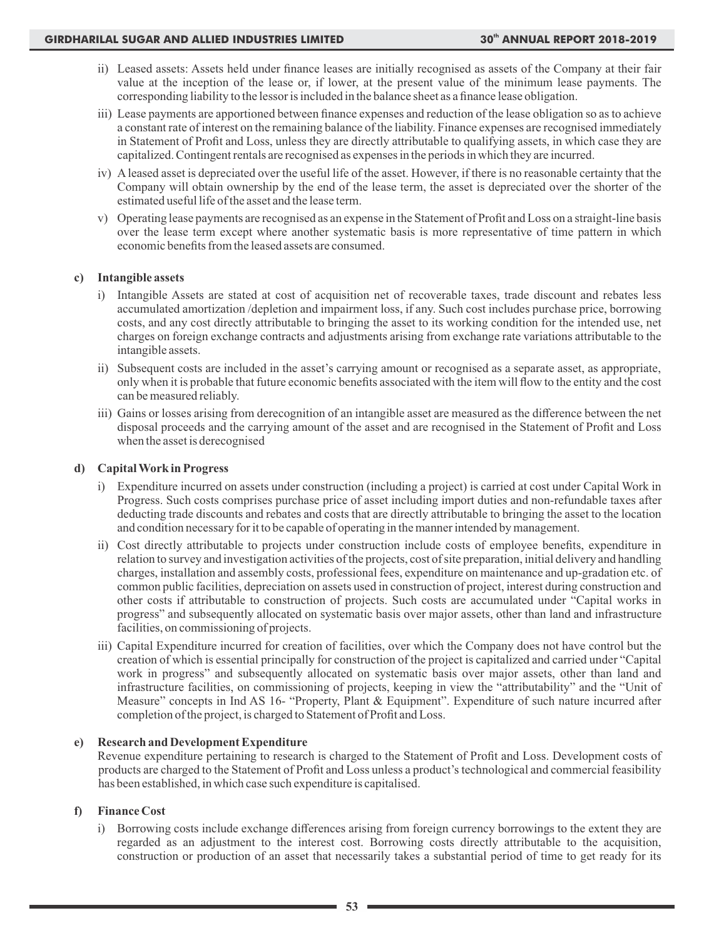- ii) Leased assets: Assets held under finance leases are initially recognised as assets of the Company at their fair value at the inception of the lease or, if lower, at the present value of the minimum lease payments. The corresponding liability to the lessor is included in the balance sheet as a finance lease obligation.
- iii) Lease payments are apportioned between finance expenses and reduction of the lease obligation so as to achieve a constant rate of interest on the remaining balance of the liability. Finance expenses are recognised immediately in Statement of Profit and Loss, unless they are directly attributable to qualifying assets, in which case they are capitalized. Contingent rentals are recognised as expenses in the periods in which they are incurred.
- iv) Aleased asset is depreciated over the useful life of the asset. However, if there is no reasonable certainty that the Company will obtain ownership by the end of the lease term, the asset is depreciated over the shorter of the estimated useful life of the asset and the lease term.
- v) Operating lease payments are recognised as an expense in the Statement of Profit and Loss on a straight-line basis over the lease term except where another systematic basis is more representative of time pattern in which economic benefits from the leased assets are consumed.

#### **c) Intangible assets**

- i) Intangible Assets are stated at cost of acquisition net of recoverable taxes, trade discount and rebates less accumulated amortization /depletion and impairment loss, if any. Such cost includes purchase price, borrowing costs, and any cost directly attributable to bringing the asset to its working condition for the intended use, net charges on foreign exchange contracts and adjustments arising from exchange rate variations attributable to the intangible assets.
- ii) Subsequent costs are included in the asset's carrying amount or recognised as a separate asset, as appropriate, only when it is probable that future economic benefits associated with the item will flow to the entity and the cost can be measured reliably.
- iii) Gains or losses arising from derecognition of an intangible asset are measured as the difference between the net disposal proceeds and the carrying amount of the asset and are recognised in the Statement of Profit and Loss when the asset is derecognised

#### **d) Capital Work in Progress**

- i) Expenditure incurred on assets under construction (including a project) is carried at cost under Capital Work in Progress. Such costs comprises purchase price of asset including import duties and non-refundable taxes after deducting trade discounts and rebates and costs that are directly attributable to bringing the asset to the location and condition necessary for it to be capable of operating in the manner intended by management.
- ii) Cost directly attributable to projects under construction include costs of employee benefits, expenditure in relation to survey and investigation activities of the projects, cost of site preparation, initial delivery and handling charges, installation and assembly costs, professional fees, expenditure on maintenance and up-gradation etc. of common public facilities, depreciation on assets used in construction of project, interest during construction and other costs if attributable to construction of projects. Such costs are accumulated under "Capital works in progress" and subsequently allocated on systematic basis over major assets, other than land and infrastructure facilities, on commissioning of projects.
- iii) Capital Expenditure incurred for creation of facilities, over which the Company does not have control but the creation of which is essential principally for construction of the project is capitalized and carried under "Capital work in progress" and subsequently allocated on systematic basis over major assets, other than land and infrastructure facilities, on commissioning of projects, keeping in view the "attributability" and the "Unit of Measure" concepts in Ind AS 16- "Property, Plant & Equipment". Expenditure of such nature incurred after completion of the project, is charged to Statement of Profit and Loss.

#### **e) Research and Development Expenditure**

Revenue expenditure pertaining to research is charged to the Statement of Profit and Loss. Development costs of products are charged to the Statement of Profit and Loss unless a product's technological and commercial feasibility has been established, in which case such expenditure is capitalised.

# **f) Finance Cost**

i) Borrowing costs include exchange differences arising from foreign currency borrowings to the extent they are regarded as an adjustment to the interest cost. Borrowing costs directly attributable to the acquisition, construction or production of an asset that necessarily takes a substantial period of time to get ready for its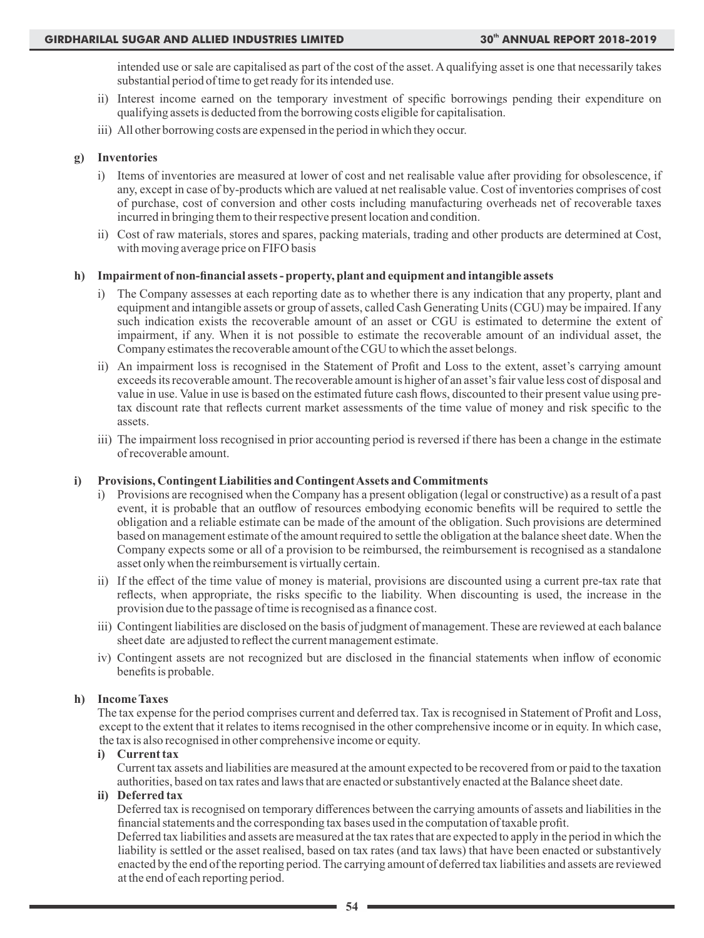intended use or sale are capitalised as part of the cost of the asset. A qualifying asset is one that necessarily takes substantial period of time to get ready for its intended use.

- ii) Interest income earned on the temporary investment of specific borrowings pending their expenditure on qualifying assets is deducted from the borrowing costs eligible for capitalisation.
- iii) All other borrowing costs are expensed in the period in which they occur.

#### **g) Inventories**

- i) Items of inventories are measured at lower of cost and net realisable value after providing for obsolescence, if any, except in case of by-products which are valued at net realisable value. Cost of inventories comprises of cost of purchase, cost of conversion and other costs including manufacturing overheads net of recoverable taxes incurred in bringing them to their respective present location and condition.
- ii) Cost of raw materials, stores and spares, packing materials, trading and other products are determined at Cost, with moving average price on FIFO basis

#### **h) Impairment of non-financial assets - property, plant and equipment and intangible assets**

- i) The Company assesses at each reporting date as to whether there is any indication that any property, plant and equipment and intangible assets or group of assets, called Cash Generating Units (CGU) may be impaired. If any such indication exists the recoverable amount of an asset or CGU is estimated to determine the extent of impairment, if any. When it is not possible to estimate the recoverable amount of an individual asset, the Company estimates the recoverable amount of the CGU to which the asset belongs.
- ii) An impairment loss is recognised in the Statement of Profit and Loss to the extent, asset's carrying amount exceeds its recoverable amount. The recoverable amount is higher of an asset's fair value less cost of disposal and value in use. Value in use is based on the estimated future cash flows, discounted to their present value using pretax discount rate that reflects current market assessments of the time value of money and risk specific to the assets.
- iii) The impairment loss recognised in prior accounting period is reversed if there has been a change in the estimate of recoverable amount.

#### **i) Provisions, Contingent Liabilities and Contingent Assets and Commitments**

- i) Provisions are recognised when the Company has a present obligation (legal or constructive) as a result of a past event, it is probable that an outflow of resources embodying economic benefits will be required to settle the obligation and a reliable estimate can be made of the amount of the obligation. Such provisions are determined based on management estimate of the amount required to settle the obligation at the balance sheet date. When the Company expects some or all of a provision to be reimbursed, the reimbursement is recognised as a standalone asset only when the reimbursement is virtually certain.
- ii) If the effect of the time value of money is material, provisions are discounted using a current pre-tax rate that reflects, when appropriate, the risks specific to the liability. When discounting is used, the increase in the provision due to the passage of time is recognised as a finance cost.
- iii) Contingent liabilities are disclosed on the basis of judgment of management. These are reviewed at each balance sheet date are adjusted to reflect the current management estimate.
- iv) Contingent assets are not recognized but are disclosed in the financial statements when inflow of economic benefits is probable.

#### **h) Income Taxes**

The tax expense for the period comprises current and deferred tax. Tax is recognised in Statement of Profit and Loss, except to the extent that it relates to items recognised in the other comprehensive income or in equity. In which case, the tax is also recognised in other comprehensive income or equity.

#### **i) Current tax**

Current tax assets and liabilities are measured at the amount expected to be recovered from or paid to the taxation authorities, based on tax rates and laws that are enacted or substantively enacted at the Balance sheet date.

#### **ii) Deferred tax**

Deferred tax is recognised on temporary differences between the carrying amounts of assets and liabilities in the financial statements and the corresponding tax bases used in the computation of taxable profit.

Deferred tax liabilities and assets are measured at the tax rates that are expected to apply in the period in which the liability is settled or the asset realised, based on tax rates (and tax laws) that have been enacted or substantively enacted by the end of the reporting period. The carrying amount of deferred tax liabilities and assets are reviewed at the end of each reporting period.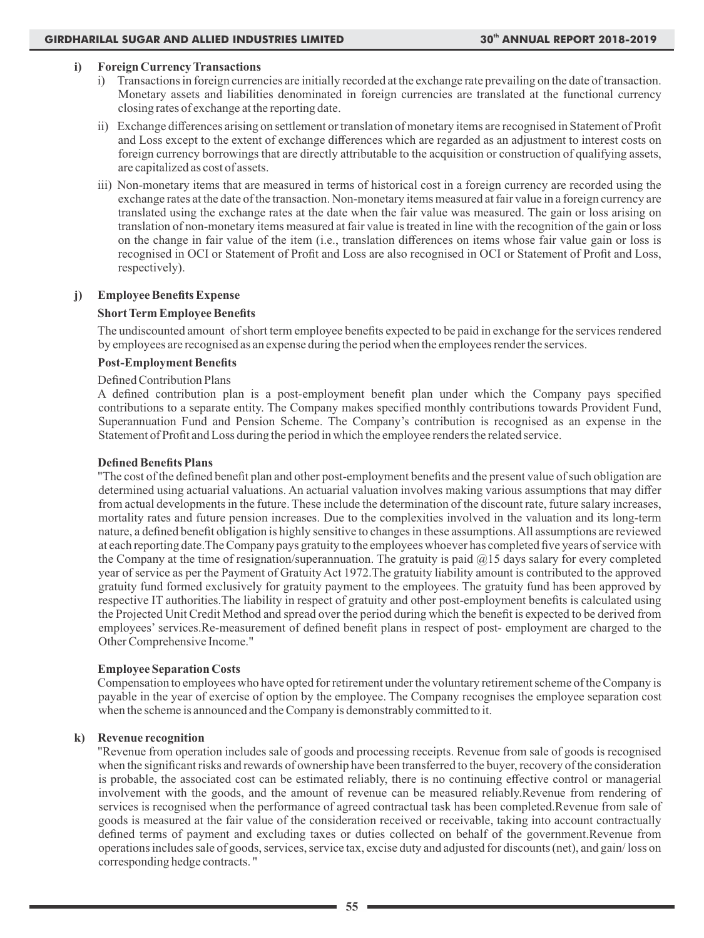#### **i) Foreign Currency Transactions**

- i) Transactions in foreign currencies are initially recorded at the exchange rate prevailing on the date of transaction. Monetary assets and liabilities denominated in foreign currencies are translated at the functional currency closing rates of exchange at the reporting date.
- ii) Exchange differences arising on settlement or translation of monetary items are recognised in Statement of Profit and Loss except to the extent of exchange differences which are regarded as an adjustment to interest costs on foreign currency borrowings that are directly attributable to the acquisition or construction of qualifying assets, are capitalized as cost of assets.
- iii) Non-monetary items that are measured in terms of historical cost in a foreign currency are recorded using the exchange rates at the date of the transaction. Non-monetary items measured at fair value in a foreign currency are translated using the exchange rates at the date when the fair value was measured. The gain or loss arising on translation of non-monetary items measured at fair value is treated in line with the recognition of the gain or loss on the change in fair value of the item (i.e., translation differences on items whose fair value gain or loss is recognised in OCI or Statement of Profit and Loss are also recognised in OCI or Statement of Profit and Loss, respectively).

#### **j) Employee Benefits Expense**

#### **Short Term Employee Benefits**

The undiscounted amount of short term employee benefits expected to be paid in exchange for the services rendered by employees are recognised as an expense during the period when the employees render the services.

#### **Post-Employment Benefits**

#### Defined Contribution Plans

A defined contribution plan is a post-employment benefit plan under which the Company pays specified contributions to a separate entity. The Company makes specified monthly contributions towards Provident Fund, Superannuation Fund and Pension Scheme. The Company's contribution is recognised as an expense in the Statement of Profit and Loss during the period in which the employee renders the related service.

#### **Defined Benefits Plans**

"The cost of the defined benefit plan and other post-employment benefits and the present value of such obligation are determined using actuarial valuations. An actuarial valuation involves making various assumptions that may differ from actual developments in the future. These include the determination of the discount rate, future salary increases, mortality rates and future pension increases. Due to the complexities involved in the valuation and its long-term nature, a defined benefit obligation is highly sensitive to changes in these assumptions. All assumptions are reviewed at each reporting date.The Company pays gratuity to the employees whoever has completed five years of service with the Company at the time of resignation/superannuation. The gratuity is paid  $(215$  days salary for every completed year of service as per the Payment of Gratuity Act 1972.The gratuity liability amount is contributed to the approved gratuity fund formed exclusively for gratuity payment to the employees. The gratuity fund has been approved by respective IT authorities.The liability in respect of gratuity and other post-employment benefits is calculated using the Projected Unit Credit Method and spread over the period during which the benefit is expected to be derived from employees' services.Re-measurement of defined benefit plans in respect of post- employment are charged to the Other Comprehensive Income."

#### **Employee Separation Costs**

Compensation to employees who have opted for retirement under the voluntary retirement scheme of the Company is payable in the year of exercise of option by the employee. The Company recognises the employee separation cost when the scheme is announced and the Company is demonstrably committed to it.

#### **k) Revenue recognition**

"Revenue from operation includes sale of goods and processing receipts. Revenue from sale of goods is recognised when the significant risks and rewards of ownership have been transferred to the buyer, recovery of the consideration is probable, the associated cost can be estimated reliably, there is no continuing effective control or managerial involvement with the goods, and the amount of revenue can be measured reliably.Revenue from rendering of services is recognised when the performance of agreed contractual task has been completed.Revenue from sale of goods is measured at the fair value of the consideration received or receivable, taking into account contractually defined terms of payment and excluding taxes or duties collected on behalf of the government.Revenue from operations includes sale of goods, services, service tax, excise duty and adjusted for discounts (net), and gain/ loss on corresponding hedge contracts. "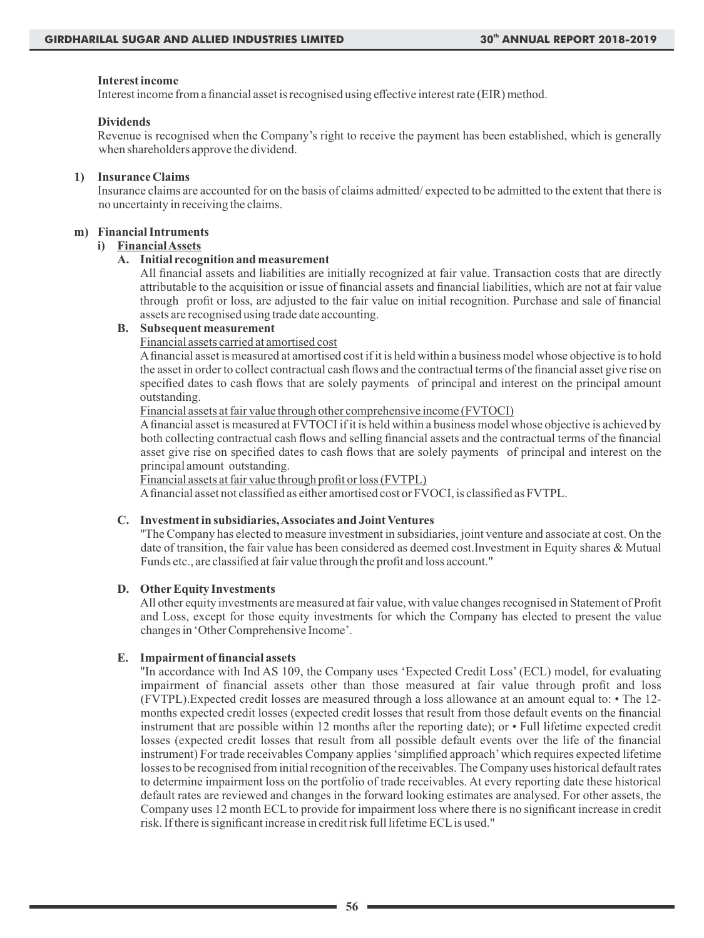#### **Interest income**

Interest income from a financial asset is recognised using effective interest rate (EIR) method.

#### **Dividends**

Revenue is recognised when the Company's right to receive the payment has been established, which is generally when shareholders approve the dividend.

#### **1) Insurance Claims**

Insurance claims are accounted for on the basis of claims admitted/ expected to be admitted to the extent that there is no uncertainty in receiving the claims.

#### **m) Financial Intruments**

# **i) Financial Assets**

#### **A. Initial recognition and measurement**

All financial assets and liabilities are initially recognized at fair value. Transaction costs that are directly attributable to the acquisition or issue of financial assets and financial liabilities, which are not at fair value through profit or loss, are adjusted to the fair value on initial recognition. Purchase and sale of financial assets are recognised using trade date accounting.

#### **B. Subsequent measurement**

Financial assets carried at amortised cost

Afinancial asset is measured at amortised cost if it is held within a business model whose objective is to hold the asset in order to collect contractual cash flows and the contractual terms of the financial asset give rise on specified dates to cash flows that are solely payments of principal and interest on the principal amount outstanding.

Financial assets at fair value through other comprehensive income (FVTOCI)

Afinancial asset is measured at FVTOCI if it is held within a business model whose objective is achieved by both collecting contractual cash flows and selling financial assets and the contractual terms of the financial asset give rise on specified dates to cash flows that are solely payments of principal and interest on the principal amount outstanding.

Financial assets at fair value through profit or loss (FVTPL)

Afinancial asset not classified as either amortised cost or FVOCI, is classified as FVTPL.

#### **C. Investment in subsidiaries, Associates and Joint Ventures**

"The Company has elected to measure investment in subsidiaries, joint venture and associate at cost. On the date of transition, the fair value has been considered as deemed cost. Investment in Equity shares & Mutual Funds etc., are classified at fair value through the profit and loss account."

#### **D. OtherEquity Investments**

All other equity investments are measured at fair value, with value changes recognised in Statement of Profit and Loss, except for those equity investments for which the Company has elected to present the value changes in 'Other Comprehensive Income'.

#### **E. Impairment of financial assets**

"In accordance with Ind AS 109, the Company uses 'Expected Credit Loss' (ECL) model, for evaluating impairment of financial assets other than those measured at fair value through profit and loss (FVTPL).Expected credit losses are measured through a loss allowance at an amount equal to: • The 12 months expected credit losses (expected credit losses that result from those default events on the financial instrument that are possible within 12 months after the reporting date); or • Full lifetime expected credit losses (expected credit losses that result from all possible default events over the life of the financial instrument) For trade receivables Company applies 'simplified approach'which requires expected lifetime losses to be recognised from initial recognition of the receivables. The Company uses historical default rates to determine impairment loss on the portfolio of trade receivables. At every reporting date these historical default rates are reviewed and changes in the forward looking estimates are analysed. For other assets, the Company uses 12 month ECLto provide for impairment loss where there is no significant increase in credit risk. If there is significant increase in credit risk full lifetime ECLis used."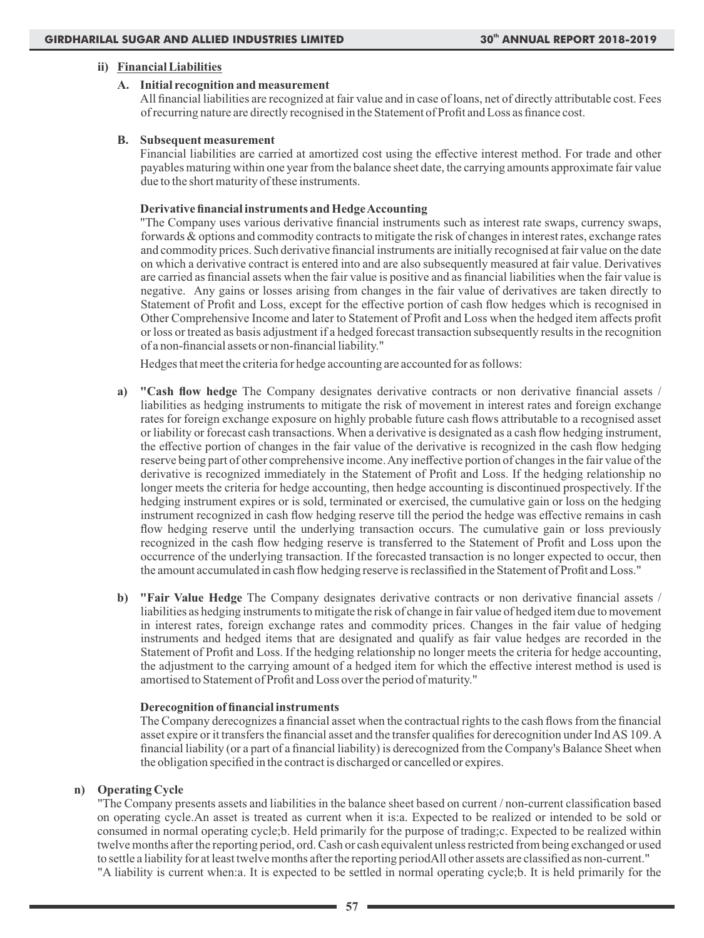#### **ii) Financial Liabilities**

#### **A. Initial recognition and measurement**

All financial liabilities are recognized at fair value and in case of loans, net of directly attributable cost. Fees of recurring nature are directly recognised in the Statement of Profit and Loss as finance cost.

#### **B. Subsequent measurement**

Financial liabilities are carried at amortized cost using the effective interest method. For trade and other payables maturing within one year from the balance sheet date, the carrying amounts approximate fair value due to the short maturity of these instruments.

#### **Derivative financial instruments and Hedge Accounting**

"The Company uses various derivative financial instruments such as interest rate swaps, currency swaps, forwards & options and commodity contracts to mitigate the risk of changes in interest rates, exchange rates and commodity prices. Such derivative financial instruments are initially recognised at fair value on the date on which a derivative contract is entered into and are also subsequently measured at fair value. Derivatives are carried as financial assets when the fair value is positive and as financial liabilities when the fair value is negative. Any gains or losses arising from changes in the fair value of derivatives are taken directly to Statement of Profit and Loss, except for the effective portion of cash flow hedges which is recognised in Other Comprehensive Income and later to Statement of Profit and Loss when the hedged item affects profit or loss or treated as basis adjustment if a hedged forecast transaction subsequently results in the recognition of a non-financial assets or non-financial liability."

Hedges that meet the criteria for hedge accounting are accounted for as follows:

- **a) "Cash flow hedge** The Company designates derivative contracts or non derivative financial assets / liabilities as hedging instruments to mitigate the risk of movement in interest rates and foreign exchange rates for foreign exchange exposure on highly probable future cash flows attributable to a recognised asset or liability or forecast cash transactions. When a derivative is designated as a cash flow hedging instrument, the effective portion of changes in the fair value of the derivative is recognized in the cash flow hedging reserve being part of other comprehensive income. Any ineffective portion of changes in the fair value of the derivative is recognized immediately in the Statement of Profit and Loss. If the hedging relationship no longer meets the criteria for hedge accounting, then hedge accounting is discontinued prospectively. If the hedging instrument expires or is sold, terminated or exercised, the cumulative gain or loss on the hedging instrument recognized in cash flow hedging reserve till the period the hedge was effective remains in cash flow hedging reserve until the underlying transaction occurs. The cumulative gain or loss previously recognized in the cash flow hedging reserve is transferred to the Statement of Profit and Loss upon the occurrence of the underlying transaction. If the forecasted transaction is no longer expected to occur, then the amount accumulated in cash flow hedging reserve is reclassified in the Statement of Profit and Loss."
- **b) "Fair Value Hedge** The Company designates derivative contracts or non derivative financial assets / liabilities as hedging instruments to mitigate the risk of change in fair value of hedged item due to movement in interest rates, foreign exchange rates and commodity prices. Changes in the fair value of hedging instruments and hedged items that are designated and qualify as fair value hedges are recorded in the Statement of Profit and Loss. If the hedging relationship no longer meets the criteria for hedge accounting, the adjustment to the carrying amount of a hedged item for which the effective interest method is used is amortised to Statement of Profit and Loss over the period of maturity."

#### **Derecognition of financial instruments**

The Company derecognizes a financial asset when the contractual rights to the cash flows from the financial asset expire or it transfers the financial asset and the transfer qualifies for derecognition under Ind AS 109. A financial liability (or a part of a financial liability) is derecognized from the Company's Balance Sheet when the obligation specified in the contract is discharged or cancelled or expires.

#### **n) Operating Cycle**

"The Company presents assets and liabilities in the balance sheet based on current / non-current classification based on operating cycle.An asset is treated as current when it is:a. Expected to be realized or intended to be sold or consumed in normal operating cycle;b. Held primarily for the purpose of trading;c. Expected to be realized within twelve months after the reporting period, ord. Cash or cash equivalent unless restricted from being exchanged or used to settle a liability for at least twelve months after the reporting periodAll other assets are classified as non-current." "A liability is current when:a. It is expected to be settled in normal operating cycle;b. It is held primarily for the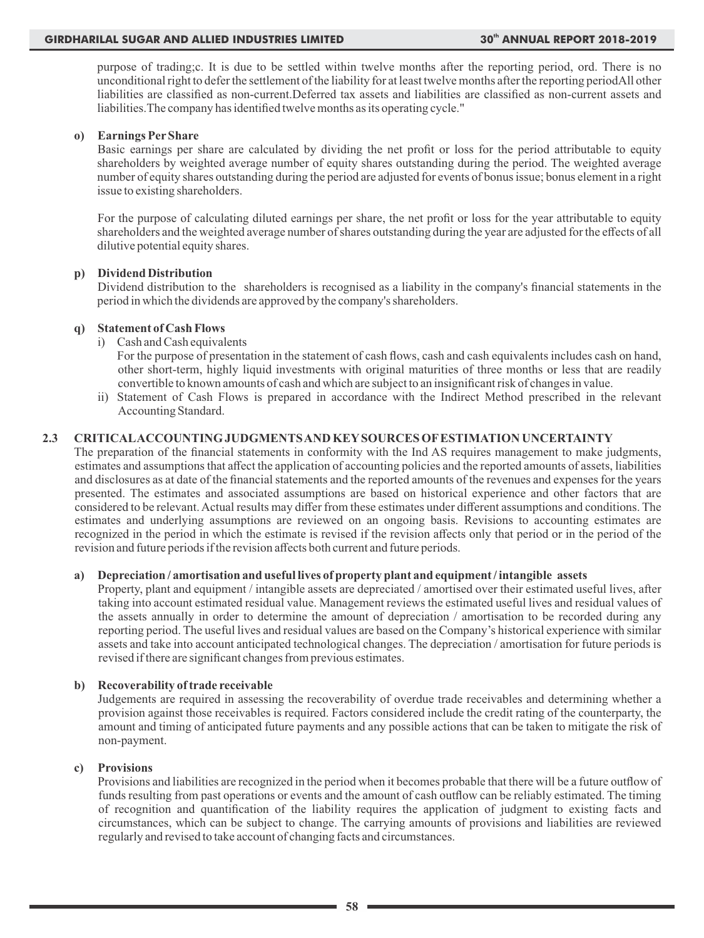purpose of trading;c. It is due to be settled within twelve months after the reporting period, ord. There is no unconditional right to defer the settlement of the liability for at least twelve months after the reporting periodAll other liabilities are classified as non-current.Deferred tax assets and liabilities are classified as non-current assets and liabilities.The company has identified twelve months as its operating cycle."

#### **o) Earnings PerShare**

Basic earnings per share are calculated by dividing the net profit or loss for the period attributable to equity shareholders by weighted average number of equity shares outstanding during the period. The weighted average number of equity shares outstanding during the period are adjusted for events of bonus issue; bonus element in a right issue to existing shareholders.

For the purpose of calculating diluted earnings per share, the net profit or loss for the year attributable to equity shareholders and the weighted average number of shares outstanding during the year are adjusted for the effects of all dilutive potential equity shares.

# **p) Dividend Distribution**

Dividend distribution to the shareholders is recognised as a liability in the company's financial statements in the period in which the dividends are approved by the company's shareholders.

#### **q) Statement of Cash Flows**

i) Cash and Cash equivalents

For the purpose of presentation in the statement of cash flows, cash and cash equivalents includes cash on hand, other short-term, highly liquid investments with original maturities of three months or less that are readily convertible to known amounts of cash and which are subject to an insignificant risk of changes in value.

ii) Statement of Cash Flows is prepared in accordance with the Indirect Method prescribed in the relevant Accounting Standard.

#### **2.3 CRITICALACCOUNTING JUDGMENTS AND KEYSOURCES OFESTIMATION UNCERTAINTY**

The preparation of the financial statements in conformity with the Ind AS requires management to make judgments, estimates and assumptions that affect the application of accounting policies and the reported amounts of assets, liabilities and disclosures as at date of the financial statements and the reported amounts of the revenues and expenses for the years presented. The estimates and associated assumptions are based on historical experience and other factors that are considered to be relevant. Actual results may differ from these estimates under different assumptions and conditions. The estimates and underlying assumptions are reviewed on an ongoing basis. Revisions to accounting estimates are recognized in the period in which the estimate is revised if the revision affects only that period or in the period of the revision and future periods if the revision affects both current and future periods.

#### **a) Depreciation / amortisation and useful lives of property plant and equipment / intangible assets**

Property, plant and equipment / intangible assets are depreciated / amortised over their estimated useful lives, after taking into account estimated residual value. Management reviews the estimated useful lives and residual values of the assets annually in order to determine the amount of depreciation / amortisation to be recorded during any reporting period. The useful lives and residual values are based on the Company's historical experience with similar assets and take into account anticipated technological changes. The depreciation / amortisation for future periods is revised if there are significant changes from previous estimates.

#### **b) Recoverability of trade receivable**

Judgements are required in assessing the recoverability of overdue trade receivables and determining whether a provision against those receivables is required. Factors considered include the credit rating of the counterparty, the amount and timing of anticipated future payments and any possible actions that can be taken to mitigate the risk of non-payment.

#### **c) Provisions**

Provisions and liabilities are recognized in the period when it becomes probable that there will be a future outflow of funds resulting from past operations or events and the amount of cash outflow can be reliably estimated. The timing of recognition and quantification of the liability requires the application of judgment to existing facts and circumstances, which can be subject to change. The carrying amounts of provisions and liabilities are reviewed regularly and revised to take account of changing facts and circumstances.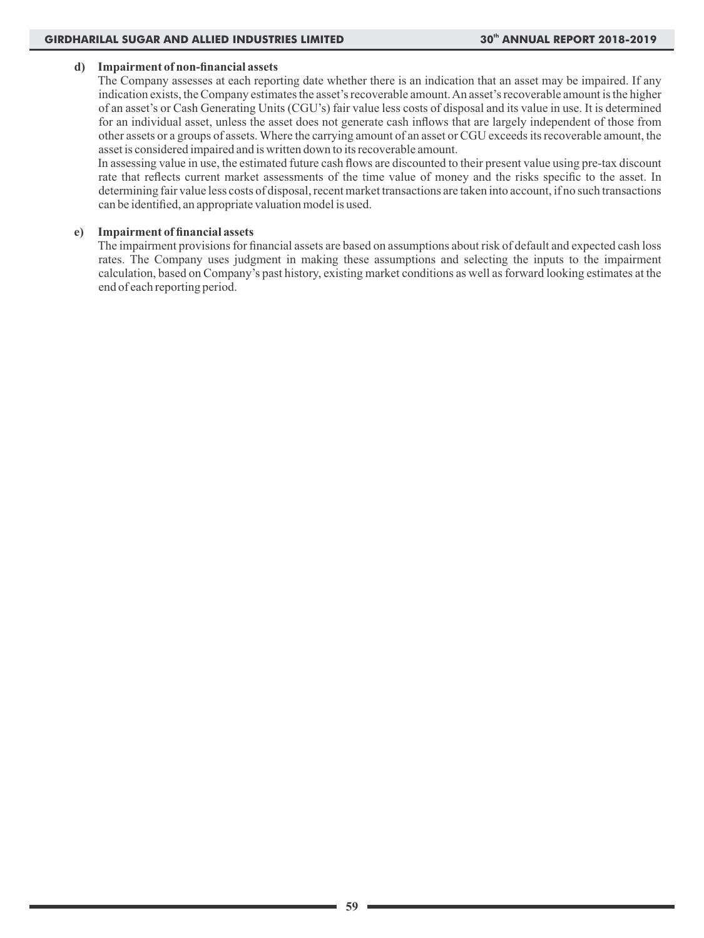#### **d) Impairment of non-financial assets**

The Company assesses at each reporting date whether there is an indication that an asset may be impaired. If any indication exists, the Company estimates the asset's recoverable amount. An asset's recoverable amount is the higher of an asset's or Cash Generating Units (CGU's) fair value less costs of disposal and its value in use. It is determined for an individual asset, unless the asset does not generate cash inflows that are largely independent of those from other assets or a groups of assets. Where the carrying amount of an asset or CGU exceeds its recoverable amount, the asset is considered impaired and is written down to its recoverable amount.

In assessing value in use, the estimated future cash flows are discounted to their present value using pre-tax discount rate that reflects current market assessments of the time value of money and the risks specific to the asset. In determining fair value less costs of disposal, recent market transactions are taken into account, if no such transactions can be identified, an appropriate valuation model is used.

#### **e) Impairment of financial assets**

The impairment provisions for financial assets are based on assumptions about risk of default and expected cash loss rates. The Company uses judgment in making these assumptions and selecting the inputs to the impairment calculation, based on Company's past history, existing market conditions as well as forward looking estimates at the end of each reporting period.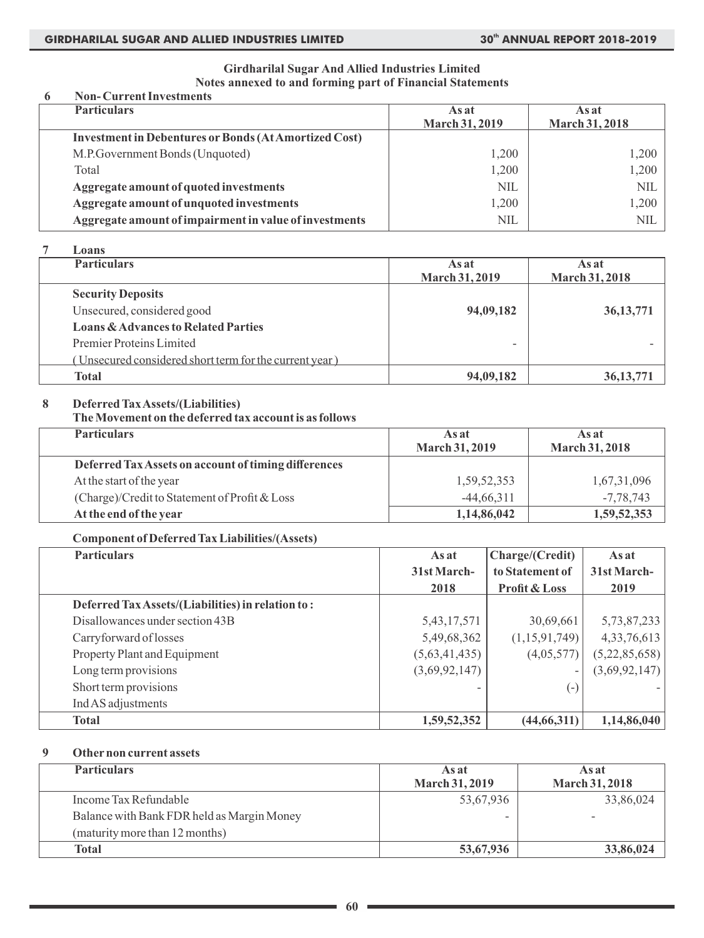# **Girdharilal Sugar And Allied Industries Limited Notes annexed to and forming part of Financial Statements**

| -6 | <b>Non-Current Investments</b>                               |                       |                       |
|----|--------------------------------------------------------------|-----------------------|-----------------------|
|    | <b>Particulars</b>                                           | As at                 | As at                 |
|    |                                                              | <b>March 31, 2019</b> | <b>March 31, 2018</b> |
|    | <b>Investment in Debentures or Bonds (At Amortized Cost)</b> |                       |                       |
|    | M.P.Government Bonds (Unquoted)                              | 1,200                 | 1,200                 |
|    | Total                                                        | 1,200                 | 1,200                 |
|    | Aggregate amount of quoted investments                       | <b>NIL</b>            | <b>NIL</b>            |
|    | Aggregate amount of unquoted investments                     | 1,200                 | 1,200                 |
|    | Aggregate amount of impairment in value of investments       | NIL                   | NIL                   |

#### **7 Loans**

| <b>Particulars</b>                                     | As at                    | As at                 |
|--------------------------------------------------------|--------------------------|-----------------------|
|                                                        | <b>March 31, 2019</b>    | <b>March 31, 2018</b> |
| <b>Security Deposits</b>                               |                          |                       |
| Unsecured, considered good                             | 94,09,182                | 36, 13, 771           |
| <b>Loans &amp; Advances to Related Parties</b>         |                          |                       |
| Premier Proteins Limited                               | $\overline{\phantom{0}}$ |                       |
| (Unsecured considered short term for the current year) |                          |                       |
| Total                                                  | 94,09,182                | 36, 13, 771           |

# **8 Deferred Tax Assets/(Liabilities)**

#### **The Movement on the deferred tax account is as follows**

| <b>Particulars</b>                                   | Asat                  | As at                 |  |
|------------------------------------------------------|-----------------------|-----------------------|--|
|                                                      | <b>March 31, 2019</b> | <b>March 31, 2018</b> |  |
| Deferred Tax Assets on account of timing differences |                       |                       |  |
| At the start of the year                             | 1,59,52,353           | 1,67,31,096           |  |
| (Charge)/Credit to Statement of Profit & Loss        | $-44.66.311$          | $-7.78.743$           |  |
| At the end of the year                               | 1,14,86,042           | 1,59,52,353           |  |

## **Component of Deferred Tax Liabilities/(Assets)**

| <b>Particulars</b>                                | As at          | Charge/(Credit)          | As at          |
|---------------------------------------------------|----------------|--------------------------|----------------|
|                                                   | 31st March-    | to Statement of          | 31st March-    |
|                                                   | 2018           | <b>Profit &amp; Loss</b> | 2019           |
| Deferred Tax Assets/(Liabilities) in relation to: |                |                          |                |
| Disallowances under section 43B                   | 5, 43, 17, 571 | 30,69,661                | 5,73,87,233    |
| Carryforward of losses                            | 5,49,68,362    | (1,15,91,749)            | 4, 33, 76, 613 |
| Property Plant and Equipment                      | (5,63,41,435)  | (4,05,577)               | (5,22,85,658)  |
| Long term provisions                              | (3,69,92,147)  |                          | (3,69,92,147)  |
| Short term provisions                             |                | $(-)$                    |                |
| Ind AS adjustments                                |                |                          |                |
| <b>Total</b>                                      | 1,59,52,352    | (44, 66, 311)            | 1,14,86,040    |

#### **9 Othernon current assets**

| <b>Particulars</b>                         | As at                 | As at                 |
|--------------------------------------------|-----------------------|-----------------------|
|                                            | <b>March 31, 2019</b> | <b>March 31, 2018</b> |
| Income Tax Refundable                      | 53,67,936             | 33,86,024             |
| Balance with Bank FDR held as Margin Money |                       |                       |
| (maturity more than 12 months)             |                       |                       |
| <b>Total</b>                               | 53,67,936             | 33,86,024             |

٠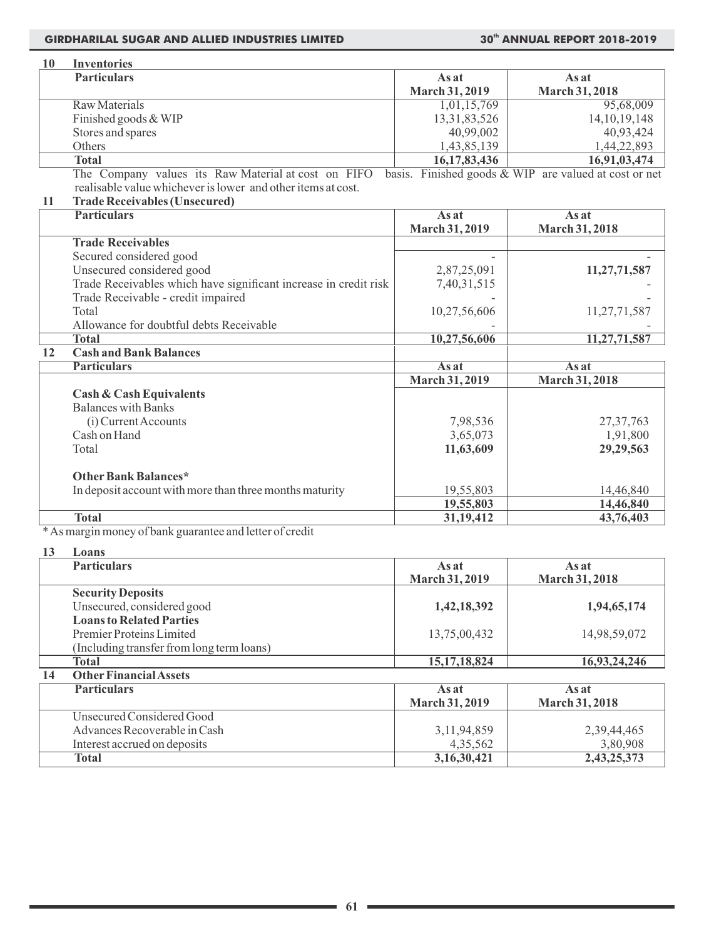# **GIRDHARILAL SUGAR AND ALLIED INDUSTRIES LIMITED**  $30<sup>th</sup>$  **ANNUAL REPORT 2018-2019**

| 10 | <b>Inventories</b>                                                                                        |                                 |                              |
|----|-----------------------------------------------------------------------------------------------------------|---------------------------------|------------------------------|
|    | <b>Particulars</b>                                                                                        | As at                           | As at                        |
|    |                                                                                                           | March 31, 2019                  | March 31, 2018               |
|    | <b>Raw Materials</b>                                                                                      | 1,01,15,769                     | 95,68,009                    |
|    | Finished goods & WIP                                                                                      | 13, 31, 83, 526                 | 14, 10, 19, 148              |
|    | Stores and spares                                                                                         | 40,99,002                       | 40,93,424                    |
|    | Others                                                                                                    | 1,43,85,139                     | 1,44,22,893                  |
|    | <b>Total</b>                                                                                              | 16,17,83,436                    | 16,91,03,474                 |
|    | The Company values its Raw Material at cost on FIFO basis. Finished goods & WIP are valued at cost or net |                                 |                              |
|    | realisable value whichever is lower and other items at cost.                                              |                                 |                              |
| 11 | <b>Trade Receivables (Unsecured)</b>                                                                      |                                 |                              |
|    | <b>Particulars</b>                                                                                        | As at                           | As at                        |
|    |                                                                                                           | March 31, 2019                  | March 31, 2018               |
|    | <b>Trade Receivables</b>                                                                                  |                                 |                              |
|    | Secured considered good                                                                                   |                                 |                              |
|    | Unsecured considered good                                                                                 | 2,87,25,091                     | 11,27,71,587                 |
|    | Trade Receivables which have significant increase in credit risk                                          | 7,40,31,515                     |                              |
|    | Trade Receivable - credit impaired                                                                        |                                 |                              |
|    | Total                                                                                                     | 10,27,56,606                    | 11, 27, 71, 587              |
|    | Allowance for doubtful debts Receivable                                                                   |                                 |                              |
|    | <b>Total</b>                                                                                              | 10,27,56,606                    | 11,27,71,587                 |
| 12 | <b>Cash and Bank Balances</b>                                                                             |                                 |                              |
|    | <b>Particulars</b>                                                                                        | As at                           | As at                        |
|    |                                                                                                           | <b>March 31, 2019</b>           | <b>March 31, 2018</b>        |
|    | <b>Cash &amp; Cash Equivalents</b>                                                                        |                                 |                              |
|    | <b>Balances with Banks</b>                                                                                |                                 |                              |
|    | (i) Current Accounts                                                                                      | 7,98,536                        | 27, 37, 763                  |
|    | Cash on Hand                                                                                              | 3,65,073                        | 1,91,800                     |
|    | Total                                                                                                     | 11,63,609                       | 29, 29, 563                  |
|    |                                                                                                           |                                 |                              |
|    | Other Bank Balances*                                                                                      |                                 |                              |
|    | In deposit account with more than three months maturity                                                   | 19,55,803                       | 14,46,840                    |
|    |                                                                                                           | 19,55,803                       | 14,46,840                    |
|    | <b>Total</b>                                                                                              | 31,19,412                       | 43,76,403                    |
|    | * As margin money of bank guarantee and letter of credit                                                  |                                 |                              |
| 13 | Loans                                                                                                     |                                 |                              |
|    | <b>Particulars</b>                                                                                        | As at                           | As at                        |
|    |                                                                                                           | March 31, 2019                  | March 31, 2018               |
|    | <b>Security Deposits</b>                                                                                  |                                 |                              |
|    | Unsecured, considered good                                                                                | 1,42,18,392                     | 1,94,65,174                  |
|    | <b>Loans to Related Parties</b>                                                                           |                                 |                              |
|    |                                                                                                           |                                 |                              |
|    |                                                                                                           |                                 |                              |
|    |                                                                                                           |                                 |                              |
|    | Premier Proteins Limited<br>(Including transfer from long term loans)<br><b>Total</b>                     | 13,75,00,432<br>15, 17, 18, 824 | 14,98,59,072<br>16,93,24,246 |

**Total 15,17,18,824 16,93,24,246 14 Other Financial Assets**<br>**Particulars Particulars** As at As at As at As at As at As at As at As at As at As at As at As at As at As at As at As at As at As at As at As at As at As at As at As at As at As at As at As at As at As at As at As at As at As at As a **March 31, 2019 March 31, 2018**  Unsecured Considered Good Advances Recoverable in Cash 3,11,94,859 3,30,908 3,80,908 3,80,908 Interest accrued on deposits 4,35,562 3,80,908<br> **Total** 3,16,30,421 2,43,25,373 3 **3,16,30,421** 

**61**

٠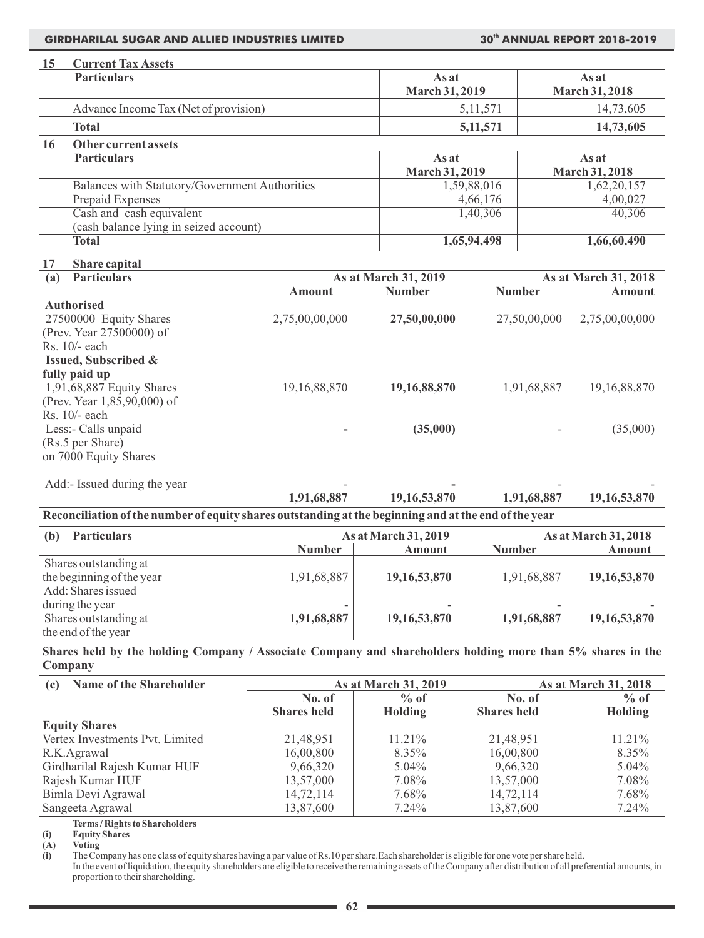# **15 Current Tax Assets**

|    | <b>Particulars</b>                             | As at<br><b>March 31, 2019</b> | As at<br><b>March 31, 2018</b> |
|----|------------------------------------------------|--------------------------------|--------------------------------|
|    | Advance Income Tax (Net of provision)          | 5, 11, 571                     | 14,73,605                      |
|    | <b>Total</b>                                   | 5, 11, 571                     | 14,73,605                      |
| 16 | Other current assets                           |                                |                                |
|    | <b>Particulars</b>                             | As at                          | As at                          |
|    |                                                | <b>March 31, 2019</b>          | <b>March 31, 2018</b>          |
|    | Balances with Statutory/Government Authorities | 1,59,88,016                    | 1,62,20,157                    |
|    | Prepaid Expenses                               | 4.66.176                       | 4,00,027                       |
|    | Cash and cash equivalent                       | 1,40,306                       | 40,306                         |
|    | (cash balance lying in seized account)         |                                |                                |
|    | <b>Total</b>                                   | 1,65,94,498                    | 1,66,60,490                    |

# **17 Share capital**

| <b>Particulars</b><br>(a)           |                 | As at March 31, 2019 |               | As at March 31, 2018 |
|-------------------------------------|-----------------|----------------------|---------------|----------------------|
|                                     | Amount          | <b>Number</b>        | <b>Number</b> | Amount               |
| <b>Authorised</b>                   |                 |                      |               |                      |
| 27500000 Equity Shares              | 2,75,00,00,000  | 27,50,00,000         | 27,50,00,000  | 2,75,00,00,000       |
| (Prev. Year 27500000) of            |                 |                      |               |                      |
| $Rs. 10/- each$                     |                 |                      |               |                      |
| <b>Issued, Subscribed &amp;</b>     |                 |                      |               |                      |
| fully paid up                       |                 |                      |               |                      |
| 1,91,68,887 Equity Shares           | 19, 16, 88, 870 | 19, 16, 88, 870      | 1,91,68,887   | 19, 16, 88, 870      |
| (Prev. Year $1,85,90,000$ ) of      |                 |                      |               |                      |
| $Rs. 10/- each$                     |                 |                      |               |                      |
| Less:- Calls unpaid                 |                 | (35,000)             |               | (35,000)             |
| (Rs.5 <sub>per</sub> <i>Share</i> ) |                 |                      |               |                      |
| on 7000 Equity Shares               |                 |                      |               |                      |
|                                     |                 |                      |               |                      |
| Add:- Issued during the year        |                 |                      |               |                      |
|                                     | 1,91,68,887     | 19, 16, 53, 870      | 1,91,68,887   | 19, 16, 53, 870      |

#### **Reconciliation of the number of equity shares outstanding at the beginning and at the end of the year**

| <b>Particulars</b><br>(b) |                          | <b>As at March 31, 2019</b> |               | As at March 31, 2018 |
|---------------------------|--------------------------|-----------------------------|---------------|----------------------|
|                           | <b>Number</b><br>Amount  |                             | <b>Number</b> | Amount               |
| Shares outstanding at     |                          |                             |               |                      |
| the beginning of the year | 1,91,68,887              | 19, 16, 53, 870             | 1,91,68,887   | 19, 16, 53, 870      |
| Add: Shares issued        |                          |                             |               |                      |
| during the year           | $\overline{\phantom{0}}$ |                             |               |                      |
| Shares outstanding at     | 1,91,68,887              | 19, 16, 53, 870             | 1,91,68,887   | 19, 16, 53, 870      |
| the end of the year       |                          |                             |               |                      |

**Shares held by the holding Company / Associate Company and shareholders holding more than 5% shares in the Company**

| Name of the Shareholder<br>(c)  | As at March 31, 2019 |           | As at March 31, 2018 |          |
|---------------------------------|----------------------|-----------|----------------------|----------|
|                                 | No. of               | $%$ of    | No. of               | $%$ of   |
|                                 | <b>Shares held</b>   | Holding   | <b>Shares held</b>   | Holding  |
| <b>Equity Shares</b>            |                      |           |                      |          |
| Vertex Investments Pvt. Limited | 21,48,951            | $11.21\%$ | 21,48,951            | 11.21%   |
| R.K.Agrawal                     | 16,00,800            | $8.35\%$  | 16,00,800            | 8.35%    |
| Girdharilal Rajesh Kumar HUF    | 9.66.320             | $5.04\%$  | 9.66.320             | $5.04\%$ |
| Rajesh Kumar HUF                | 13,57,000            | 7.08%     | 13,57,000            | 7.08%    |
| Bimla Devi Agrawal              | 14,72,114            | 7.68%     | 14,72,114            | 7.68%    |
| Sangeeta Agrawal                | 13,87,600            | $7.24\%$  | 13,87,600            | $7.24\%$ |

**Terms / Rights to Shareholders**

# **(i) Equity Shares**

**(A) Voting** 

**(i)** The Company has one class of equity shares having a par value of Rs.10 per share.Each shareholder is eligible for one vote per share held. In the event of liquidation, the equity shareholders are eligible to receive the remaining assets of the Company after distribution of all preferential amounts, in

proportion to their shareholding.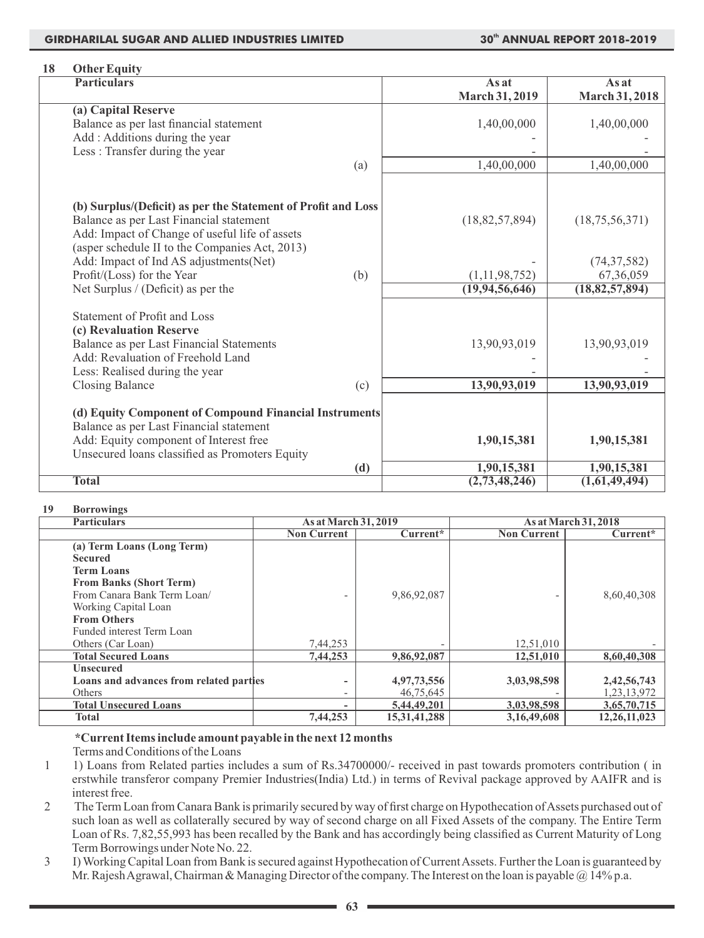| 18 | <b>Other Equity</b>                                           |     |                   |                       |
|----|---------------------------------------------------------------|-----|-------------------|-----------------------|
|    | <b>Particulars</b>                                            |     | <b>As at</b>      | <b>As at</b>          |
|    |                                                               |     | March 31, 2019    | <b>March 31, 2018</b> |
|    | (a) Capital Reserve                                           |     |                   |                       |
|    | Balance as per last financial statement                       |     | 1,40,00,000       | 1,40,00,000           |
|    | Add : Additions during the year                               |     |                   |                       |
|    | Less: Transfer during the year                                |     |                   |                       |
|    |                                                               | (a) | 1,40,00,000       | 1,40,00,000           |
|    |                                                               |     |                   |                       |
|    | (b) Surplus/(Deficit) as per the Statement of Profit and Loss |     |                   |                       |
|    | Balance as per Last Financial statement                       |     | (18, 82, 57, 894) | (18, 75, 56, 371)     |
|    | Add: Impact of Change of useful life of assets                |     |                   |                       |
|    | (asper schedule II to the Companies Act, 2013)                |     |                   |                       |
|    | Add: Impact of Ind AS adjustments(Net)                        |     |                   | (74, 37, 582)         |
|    | Profit/(Loss) for the Year                                    | (b) | (1, 11, 98, 752)  | 67,36,059             |
|    | Net Surplus / (Deficit) as per the                            |     | (19, 94, 56, 646) | (18, 82, 57, 894)     |
|    | Statement of Profit and Loss                                  |     |                   |                       |
|    | (c) Revaluation Reserve                                       |     |                   |                       |
|    | Balance as per Last Financial Statements                      |     | 13,90,93,019      | 13,90,93,019          |
|    | Add: Revaluation of Freehold Land                             |     |                   |                       |
|    | Less: Realised during the year                                |     |                   |                       |
|    | Closing Balance                                               | (c) | 13,90,93,019      | 13,90,93,019          |
|    | (d) Equity Component of Compound Financial Instruments        |     |                   |                       |
|    | Balance as per Last Financial statement                       |     |                   |                       |
|    | Add: Equity component of Interest free                        |     | 1,90,15,381       | 1,90,15,381           |
|    | Unsecured loans classified as Promoters Equity                |     |                   |                       |
|    |                                                               | (d) | 1,90,15,381       | 1,90,15,381           |
|    | <b>Total</b>                                                  |     | (2,73,48,246)     | (1,61,49,494)         |
|    |                                                               |     |                   |                       |

#### **19 Borrowings**

| <b>Particulars</b>                      | As at March 31, 2019 |                 |                    | As at March 31, 2018 |
|-----------------------------------------|----------------------|-----------------|--------------------|----------------------|
|                                         | <b>Non Current</b>   | Current*        | <b>Non Current</b> | Current*             |
| (a) Term Loans (Long Term)              |                      |                 |                    |                      |
| Secured                                 |                      |                 |                    |                      |
| <b>Term Loans</b>                       |                      |                 |                    |                      |
| <b>From Banks (Short Term)</b>          |                      |                 |                    |                      |
| From Canara Bank Term Loan/             |                      | 9,86,92,087     |                    | 8,60,40,308          |
| Working Capital Loan                    |                      |                 |                    |                      |
| <b>From Others</b>                      |                      |                 |                    |                      |
| Funded interest Term Loan               |                      |                 |                    |                      |
| Others (Car Loan)                       | 7,44,253             |                 | 12,51,010          |                      |
| <b>Total Secured Loans</b>              | 7.44.253             | 9,86,92,087     | 12,51,010          | 8,60,40,308          |
| <b>Unsecured</b>                        |                      |                 |                    |                      |
| Loans and advances from related parties | -                    | 4,97,73,556     | 3,03,98,598        | 2,42,56,743          |
| <b>Others</b>                           | ٠                    | 46.75.645       |                    | 1.23.13.972          |
| <b>Total Unsecured Loans</b>            | ۰                    | 5,44,49,201     | 3,03,98,598        | 3,65,70,715          |
| <b>Total</b>                            | 7,44,253             | 15, 31, 41, 288 | 3,16,49,608        | 12,26,11,023         |

# **\*Current Items include amount payable in the next 12 months**

Terms and Conditions of the Loans

- 1 1) Loans from Related parties includes a sum of Rs.34700000/- received in past towards promoters contribution ( in erstwhile transferor company Premier Industries(India) Ltd.) in terms of Revival package approved by AAIFR and is interest free.
- 2 The Term Loan from Canara Bank is primarily secured by way of first charge on Hypothecation of Assets purchased out of such loan as well as collaterally secured by way of second charge on all Fixed Assets of the company. The Entire Term Loan of Rs. 7,82,55,993 has been recalled by the Bank and has accordingly being classified as Current Maturity of Long Term Borrowings under Note No. 22.
- 3 I) Working Capital Loan from Bank is secured against Hypothecation of Current Assets. Further the Loan is guaranteed by Mr. Rajesh Agrawal, Chairman & Managing Director of the company. The Interest on the loan is payable @ 14% p.a.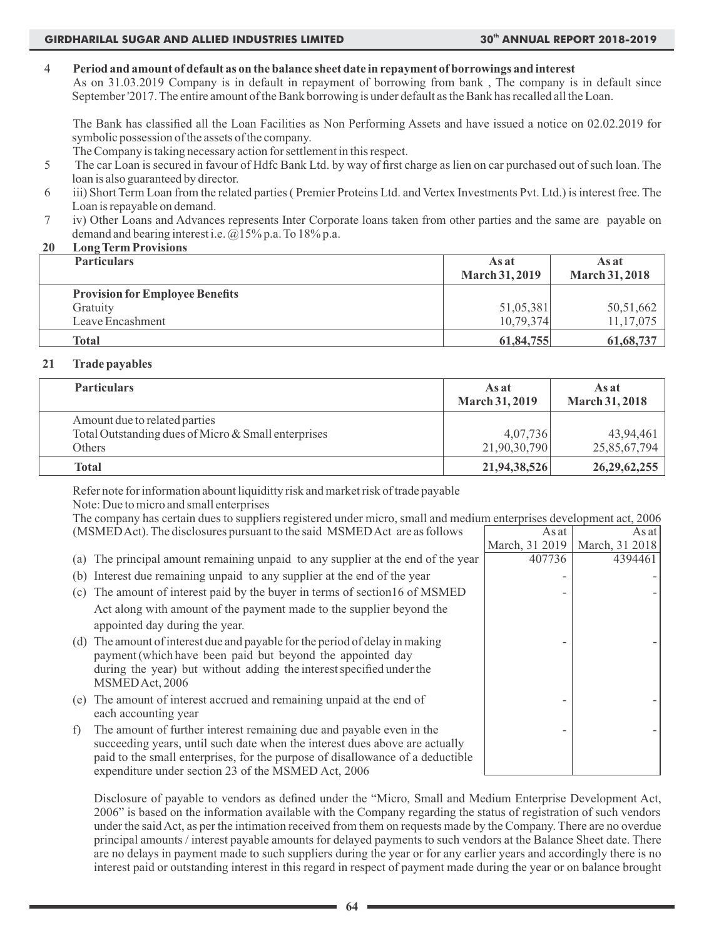#### 4 **Period and amount of default as on the balance sheet date in repayment of borrowings and interest**

As on 31.03.2019 Company is in default in repayment of borrowing from bank , The company is in default since September '2017. The entire amount of the Bank borrowing is under default as the Bank has recalled all the Loan.

The Bank has classified all the Loan Facilities as Non Performing Assets and have issued a notice on 02.02.2019 for symbolic possession of the assets of the company.

The Company is taking necessary action for settlement in this respect.

- 5 The car Loan is secured in favour of Hdfc Bank Ltd. by way of first charge as lien on car purchased out of such loan. The loan is also guaranteed by director.
- 6 iii) Short Term Loan from the related parties ( Premier Proteins Ltd. and Vertex Investments Pvt. Ltd.) is interest free. The Loan is repayable on demand.
- 7 iv) Other Loans and Advances represents Inter Corporate loans taken from other parties and the same are payable on demand and bearing interest i.e. @15% p.a. To 18% p.a.

# **20 Long Term Provisions**

| <b>Particulars</b>                     | As at                 | As at                 |
|----------------------------------------|-----------------------|-----------------------|
|                                        | <b>March 31, 2019</b> | <b>March 31, 2018</b> |
| <b>Provision for Employee Benefits</b> |                       |                       |
| Gratuity                               | 51,05,381             | 50,51,662             |
| Leave Encashment                       | 10.79.374             | 11,17,075             |
| <b>Total</b>                           | 61,84,755             | 61, 68, 737           |

#### **21 Trade payables**

| <b>Particulars</b>                                                                             | As at<br><b>March 31, 2019</b> | As at<br><b>March 31, 2018</b> |
|------------------------------------------------------------------------------------------------|--------------------------------|--------------------------------|
| Amount due to related parties<br>Total Outstanding dues of Micro & Small enterprises<br>Others | 4,07,736<br>21,90,30,790       | 43,94,461<br>25,85,67,794      |
| <b>Total</b>                                                                                   | 21,94,38,526                   | 26, 29, 62, 255                |

Refer note for information abount liquiditty risk and market risk of trade payable Note: Due to micro and small enterprises

The company has certain dues to suppliers registered under micro, small and medium enterprises development act, 2006<br>(MSMED Act) The disclosures pursuant to the soid MSMED Act, are as follows  $(MSMED Act)$ . The disclosures pursuant to the said  $(MSMED Act)$  are as follows

|                      | (Tristville) Ave). The disclosures pursuant to the said-international are as follows                                                                                                                                                                                                         | 1 <b>1</b> 0 U | 110 U          |
|----------------------|----------------------------------------------------------------------------------------------------------------------------------------------------------------------------------------------------------------------------------------------------------------------------------------------|----------------|----------------|
|                      |                                                                                                                                                                                                                                                                                              | March, 31 2019 | March, 31 2018 |
| (a)                  | The principal amount remaining unpaid to any supplier at the end of the year                                                                                                                                                                                                                 | 407736         | 4394461        |
| (b)                  | Interest due remaining unpaid to any supplier at the end of the year                                                                                                                                                                                                                         |                |                |
| (c)                  | The amount of interest paid by the buyer in terms of section16 of MSMED                                                                                                                                                                                                                      |                |                |
|                      | Act along with amount of the payment made to the supplier beyond the                                                                                                                                                                                                                         |                |                |
|                      | appointed day during the year.                                                                                                                                                                                                                                                               |                |                |
|                      | (d) The amount of interest due and payable for the period of delay in making<br>payment (which have been paid but beyond the appointed day<br>during the year) but without adding the interest specified under the<br>MSMED Act, 2006                                                        |                |                |
|                      | (e) The amount of interest accrued and remaining unpaid at the end of<br>each accounting year                                                                                                                                                                                                |                |                |
| $\ddot{\phantom{1}}$ | The amount of further interest remaining due and payable even in the<br>succeeding years, until such date when the interest dues above are actually<br>paid to the small enterprises, for the purpose of disallowance of a deductible<br>expenditure under section 23 of the MSMED Act, 2006 |                |                |

Disclosure of payable to vendors as defined under the "Micro, Small and Medium Enterprise Development Act, 2006" is based on the information available with the Company regarding the status of registration of such vendors under the said Act, as per the intimation received from them on requests made by the Company. There are no overdue principal amounts / interest payable amounts for delayed payments to such vendors at the Balance Sheet date. There are no delays in payment made to such suppliers during the year or for any earlier years and accordingly there is no interest paid or outstanding interest in this regard in respect of payment made during the year or on balance brought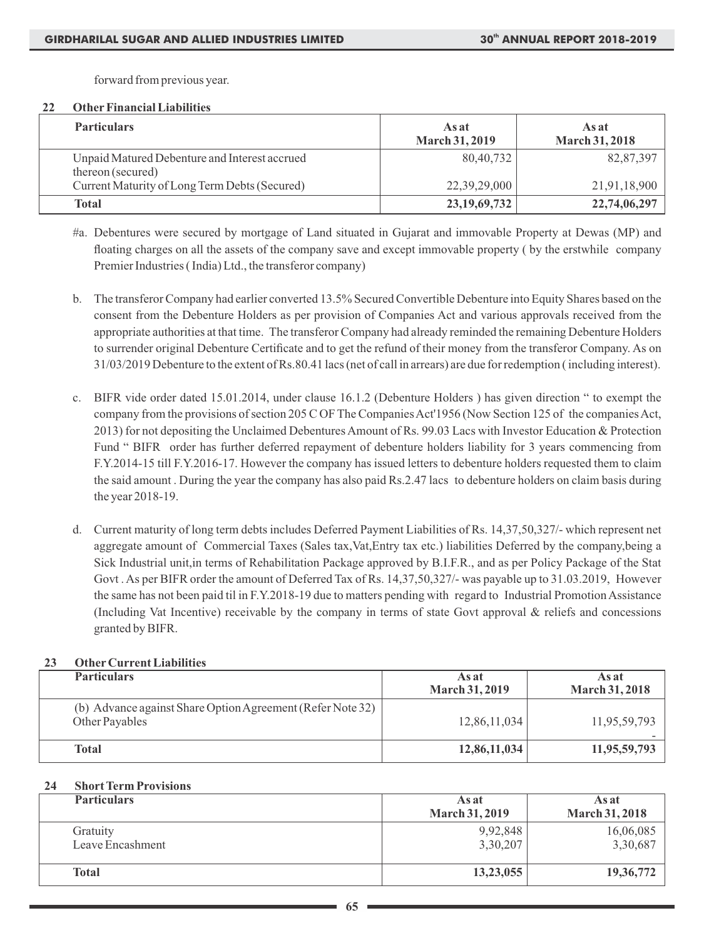forward from previous year.

**22 OtherFinancial Liabilities**

| <b>Particulars</b>                                                 | Asat<br><b>March 31, 2019</b> | As at<br><b>March 31, 2018</b> |
|--------------------------------------------------------------------|-------------------------------|--------------------------------|
| Unpaid Matured Debenture and Interest accrued<br>thereon (secured) | 80,40,732                     | 82,87,397                      |
| Current Maturity of Long Term Debts (Secured)                      | 22,39,29,000                  | 21,91,18,900                   |
| <b>Total</b>                                                       | 23,19,69,732                  | 22,74,06,297                   |

- #a. Debentures were secured by mortgage of Land situated in Gujarat and immovable Property at Dewas (MP) and floating charges on all the assets of the company save and except immovable property ( by the erstwhile company Premier Industries ( India) Ltd., the transferor company)
- b. The transferor Company had earlier converted 13.5% Secured Convertible Debenture into Equity Shares based on the consent from the Debenture Holders as per provision of Companies Act and various approvals received from the appropriate authorities at that time. The transferor Company had already reminded the remaining Debenture Holders to surrender original Debenture Certificate and to get the refund of their money from the transferor Company. As on 31/03/2019 Debenture to the extent of Rs.80.41 lacs (net of call in arrears) are due for redemption ( including interest).
- c. BIFR vide order dated 15.01.2014, under clause 16.1.2 (Debenture Holders ) has given direction " to exempt the company from the provisions of section 205 C OF The Companies Act'1956 (Now Section 125 of the companies Act, 2013) for not depositing the Unclaimed Debentures Amount of Rs. 99.03 Lacs with Investor Education & Protection Fund " BIFR order has further deferred repayment of debenture holders liability for 3 years commencing from F.Y.2014-15 till F.Y.2016-17. However the company has issued letters to debenture holders requested them to claim the said amount . During the year the company has also paid Rs.2.47 lacs to debenture holders on claim basis during the year 2018-19.
- d. Current maturity of long term debts includes Deferred Payment Liabilities of Rs. 14,37,50,327/- which represent net aggregate amount of Commercial Taxes (Sales tax,Vat,Entry tax etc.) liabilities Deferred by the company,being a Sick Industrial unit,in terms of Rehabilitation Package approved by B.I.F.R., and as per Policy Package of the Stat Govt . As per BIFR order the amount of Deferred Tax of Rs. 14,37,50,327/- was payable up to 31.03.2019, However the same has not been paid til in F.Y.2018-19 due to matters pending with regard to Industrial Promotion Assistance (Including Vat Incentive) receivable by the company in terms of state Govt approval & reliefs and concessions granted by BIFR.

#### **23 OtherCurrent Liabilities**

| <b>Particulars</b>                                                           | As at                 | As at                 |
|------------------------------------------------------------------------------|-----------------------|-----------------------|
|                                                                              | <b>March 31, 2019</b> | <b>March 31, 2018</b> |
| (b) Advance against Share Option Agreement (Refer Note 32)<br>Other Payables | 12,86,11,034          | 11,95,59,793          |
| Total                                                                        | 12,86,11,034          | 11,95,59,793          |

#### **24 Short Term Provisions**

| <b>Particulars</b> | As at                 | As at                 |
|--------------------|-----------------------|-----------------------|
|                    | <b>March 31, 2019</b> | <b>March 31, 2018</b> |
| Gratuity           | 9,92,848              | 16,06,085             |
| Leave Encashment   | 3,30,207              | 3,30,687              |
| Total              | 13,23,055             | 19,36,772             |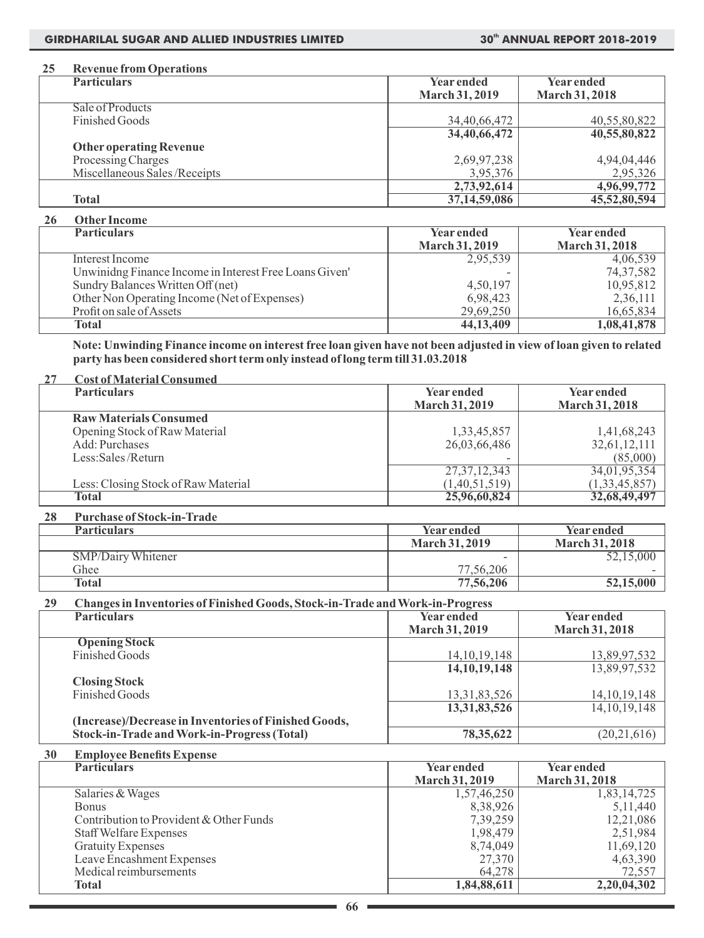# **GIRDHARILAL SUGAR AND ALLIED INDUSTRIES LIMITED**  $30<sup>th</sup>$  **ANNUAL REPORT 2018-2019**

#### **25 Revenue from Operations**

| <b>Particulars</b>             | <b>Year ended</b>     | <b>Year ended</b>     |
|--------------------------------|-----------------------|-----------------------|
|                                | <b>March 31, 2019</b> | <b>March 31, 2018</b> |
| Sale of Products               |                       |                       |
| Finished Goods                 | 34,40,66,472          | 40,55,80,822          |
|                                | 34,40,66,472          | 40,55,80,822          |
| <b>Other operating Revenue</b> |                       |                       |
| Processing Charges             | 2,69,97,238           | 4,94,04,446           |
| Miscellaneous Sales/Receipts   | 3,95,376              | 2,95,326              |
|                                | 2,73,92,614           | 4,96,99,772           |
| Total                          | 37, 14, 59, 086       | 45,52,80,594          |

# **26 Other Income**

| <b>Particulars</b>                                     | <b>Year ended</b>     | <b>Year ended</b>     |
|--------------------------------------------------------|-----------------------|-----------------------|
|                                                        | <b>March 31, 2019</b> | <b>March 31, 2018</b> |
| Interest Income                                        | 2,95,539              | 4,06,539              |
| Unwinidng Finance Income in Interest Free Loans Given' |                       | 74, 37, 582           |
| Sundry Balances Written Off (net)                      | 4,50,197              | 10,95,812             |
| Other Non Operating Income (Net of Expenses)           | 6,98,423              | 2,36,111              |
| Profit on sale of Assets                               | 29,69,250             | 16,65,834             |
| Total                                                  | 44, 13, 409           | 1,08,41,878           |

**Note: Unwinding Finance income on interest free loan given have not been adjusted in view of loan given to related party has been considered short term only instead of long term till 31.03.2018**

# **27 Cost of Material Consumed**

| <b>Particulars</b>                  | <b>Year ended</b>     | <b>Year ended</b>     |
|-------------------------------------|-----------------------|-----------------------|
|                                     | <b>March 31, 2019</b> | <b>March 31, 2018</b> |
| <b>Raw Materials Consumed</b>       |                       |                       |
| Opening Stock of Raw Material       | 1,33,45,857           | 1,41,68,243           |
| Add: Purchases                      | 26,03,66,486          | 32,61,12,111          |
| Less: Sales / Return                |                       | (85,000)              |
|                                     | 27, 37, 12, 343       | 34,01,95,354          |
| Less: Closing Stock of Raw Material | (1,40,51,519)         | (1,33,45,857)         |
| Total                               | 25,96,60,824          | 32,68,49,497          |

#### **28 Purchase of Stock-in-Trade**

| <b>Particulars</b> | <b>Year ended</b>        | <b>Year ended</b>     |
|--------------------|--------------------------|-----------------------|
|                    | <b>March 31, 2019</b>    | <b>March 31, 2018</b> |
| SMP/Dairy Whitener | $\overline{\phantom{a}}$ | 52,15,000             |
| Ghee               | 77,56,206                |                       |
| <b>Total</b>       | 77,56,206                | 52,15,000             |

#### **29 Changes in Inventories of Finished Goods, Stock-in-Trade and Work-in-Progress Particulars Year ended Year ended March 31, 2019 March 31, 2018 Opening Stock**  Finished Goods 14,10,19,148 13,89,97,532 **14,10,19,148** 13,89,97,532 **Closing Stock** Finished Goods 13,31,83,526 14,10,19,148 **13,31,83,526** 14,10,19,148 **(Increase)/Decrease in Inventories of Finished Goods, Stock-in-Trade and Work-in-Progress (Total) 78,35,622** (20,21,616)

# **30 Employee Benefits Expense**

| <b>Particulars</b>                      | <b>Year ended</b>     | <b>Year ended</b>     |
|-----------------------------------------|-----------------------|-----------------------|
|                                         | <b>March 31, 2019</b> | <b>March 31, 2018</b> |
| Salaries & Wages                        | 1,57,46,250           | 1,83,14,725           |
| <b>Bonus</b>                            | 8,38,926              | 5, 11, 440            |
| Contribution to Provident & Other Funds | 7,39,259              | 12,21,086             |
| Staff Welfare Expenses                  | 1,98,479              | 2,51,984              |
| <b>Gratuity Expenses</b>                | 8,74,049              | 11,69,120             |
| Leave Encashment Expenses               | 27,370                | 4,63,390              |
| Medical reimbursements                  | 64,278                | 72,557                |
| <b>Total</b>                            | 1,84,88,611           | 2,20,04,302           |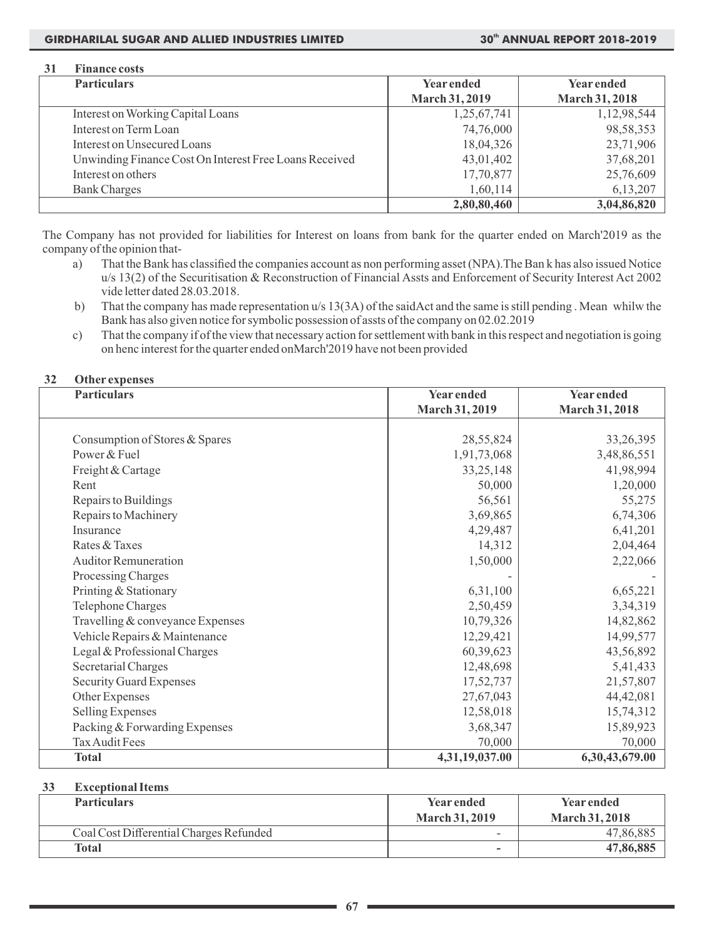#### **GIRDHARILAL SUGAR AND ALLIED INDUSTRIES LIMITED th 30 ANNUAL REPORT 2018-2019**

#### **31 Finance costs**

| <b>Particulars</b>                                     | <b>Year ended</b>     | <b>Year ended</b>     |
|--------------------------------------------------------|-----------------------|-----------------------|
|                                                        | <b>March 31, 2019</b> | <b>March 31, 2018</b> |
| Interest on Working Capital Loans                      | 1,25,67,741           | 1,12,98,544           |
| Interest on Term Loan                                  | 74,76,000             | 98,58,353             |
| Interest on Unsecured Loans                            | 18,04,326             | 23,71,906             |
| Unwinding Finance Cost On Interest Free Loans Received | 43,01,402             | 37,68,201             |
| Interest on others                                     | 17,70,877             | 25,76,609             |
| <b>Bank Charges</b>                                    | 1.60.114              | 6,13,207              |
|                                                        | 2,80,80,460           | 3,04,86,820           |

The Company has not provided for liabilities for Interest on loans from bank for the quarter ended on March'2019 as the company of the opinion that-

- a) That the Bank has classified the companies account as non performing asset (NPA).The Ban k has also issued Notice u/s 13(2) of the Securitisation & Reconstruction of Financial Assts and Enforcement of Security Interest Act 2002 vide letter dated 28.03.2018.
- b) That the company has made representation u/s 13(3A) of the saidAct and the same is still pending . Mean whilw the Bank has also given notice for symbolic possession of assts of the company on 02.02.2019
- c) That the company if of the view that necessary action for settlement with bank in this respect and negotiation is going on henc interest for the quarter ended onMarch'2019 have not been provided

# **32 Other expenses**

| <b>Particulars</b>               | <b>Year ended</b>     | <b>Year ended</b>     |
|----------------------------------|-----------------------|-----------------------|
|                                  | <b>March 31, 2019</b> | <b>March 31, 2018</b> |
|                                  |                       |                       |
| Consumption of Stores & Spares   | 28,55,824             | 33, 26, 395           |
| Power & Fuel                     | 1,91,73,068           | 3,48,86,551           |
| Freight & Cartage                | 33, 25, 148           | 41,98,994             |
| Rent                             | 50,000                | 1,20,000              |
| Repairs to Buildings             | 56,561                | 55,275                |
| Repairs to Machinery             | 3,69,865              | 6,74,306              |
| Insurance                        | 4,29,487              | 6,41,201              |
| Rates & Taxes                    | 14,312                | 2,04,464              |
| <b>Auditor Remuneration</b>      | 1,50,000              | 2,22,066              |
| Processing Charges               |                       |                       |
| Printing & Stationary            | 6,31,100              | 6,65,221              |
| Telephone Charges                | 2,50,459              | 3,34,319              |
| Travelling & conveyance Expenses | 10,79,326             | 14,82,862             |
| Vehicle Repairs & Maintenance    | 12,29,421             | 14,99,577             |
| Legal & Professional Charges     | 60,39,623             | 43,56,892             |
| Secretarial Charges              | 12,48,698             | 5,41,433              |
| Security Guard Expenses          | 17,52,737             | 21,57,807             |
| Other Expenses                   | 27,67,043             | 44, 42, 081           |
| Selling Expenses                 | 12,58,018             | 15,74,312             |
| Packing & Forwarding Expenses    | 3,68,347              | 15,89,923             |
| Tax Audit Fees                   | 70,000                | 70,000                |
| <b>Total</b>                     | 4,31,19,037.00        | 6,30,43,679.00        |

#### **33 Exceptional Items**

| <b>Particulars</b>                      | <b>Year ended</b><br><b>March 31, 2019</b> | <b>Year ended</b><br><b>March 31, 2018</b> |
|-----------------------------------------|--------------------------------------------|--------------------------------------------|
| Coal Cost Differential Charges Refunded | $\overline{\phantom{0}}$                   | 47,86,885                                  |
| Total                                   | $\overline{\phantom{a}}$                   | 47,86,885                                  |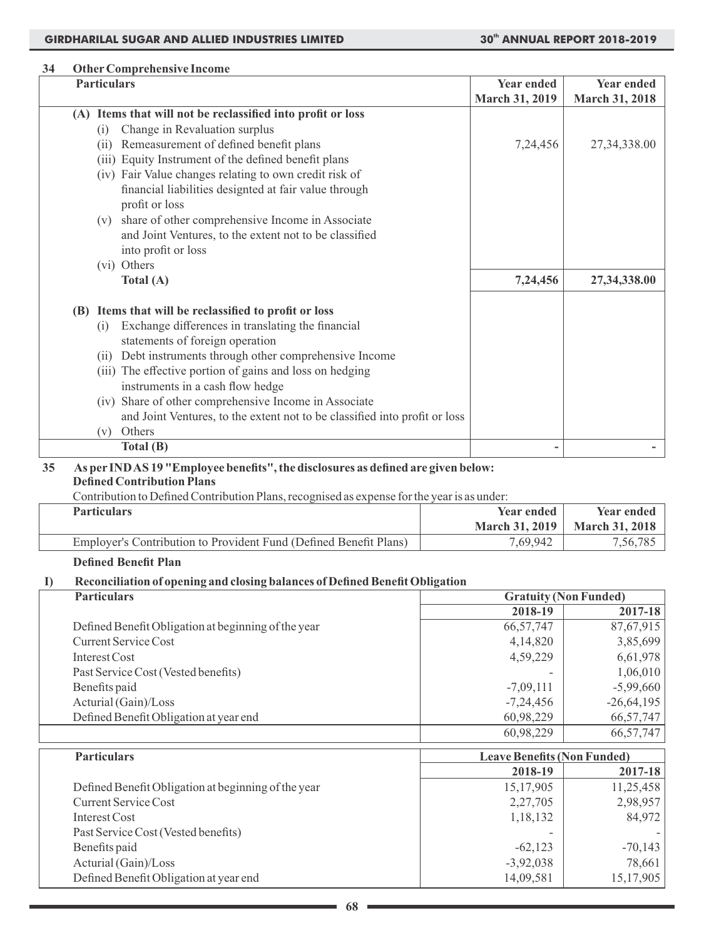| 34 | <b>Other Comprehensive Income</b>                                          |                   |                       |
|----|----------------------------------------------------------------------------|-------------------|-----------------------|
|    | <b>Particulars</b>                                                         | <b>Year ended</b> | <b>Year ended</b>     |
|    |                                                                            | March 31, 2019    | <b>March 31, 2018</b> |
|    | (A) Items that will not be reclassified into profit or loss                |                   |                       |
|    | Change in Revaluation surplus<br>(i)                                       |                   |                       |
|    | Remeasurement of defined benefit plans<br>(ii)                             | 7,24,456          | 27, 34, 338.00        |
|    | (iii) Equity Instrument of the defined benefit plans                       |                   |                       |
|    | (iv) Fair Value changes relating to own credit risk of                     |                   |                       |
|    | financial liabilities designted at fair value through                      |                   |                       |
|    | profit or loss                                                             |                   |                       |
|    | share of other comprehensive Income in Associate<br>(v)                    |                   |                       |
|    | and Joint Ventures, to the extent not to be classified                     |                   |                       |
|    | into profit or loss                                                        |                   |                       |
|    | (vi) Others                                                                |                   |                       |
|    | Total (A)                                                                  | 7,24,456          | 27, 34, 338.00        |
|    | (B) Items that will be reclassified to profit or loss                      |                   |                       |
|    | Exchange differences in translating the financial<br>(i)                   |                   |                       |
|    | statements of foreign operation                                            |                   |                       |
|    | Debt instruments through other comprehensive Income<br>(ii)                |                   |                       |
|    | (iii) The effective portion of gains and loss on hedging                   |                   |                       |
|    | instruments in a cash flow hedge                                           |                   |                       |
|    | (iv) Share of other comprehensive Income in Associate                      |                   |                       |
|    | and Joint Ventures, to the extent not to be classified into profit or loss |                   |                       |
|    | Others<br>(v)                                                              |                   |                       |
|    | Total (B)                                                                  |                   |                       |

# **35 As per IND AS 19 "Employee benefits", the disclosures as defined are given below: Defined Contribution Plans**

Contribution to Defined Contribution Plans, recognised as expense for the year is as under:

| <b>Particulars</b>                                                | Year ended<br>March 31, 2019 | Year ended<br><b>March 31, 2018</b> |
|-------------------------------------------------------------------|------------------------------|-------------------------------------|
| Employer's Contribution to Provident Fund (Defined Benefit Plans) | 7.69.942                     | 7.56.785                            |

# **Defined Benefit Plan**

# **I) Reconciliation of opening and closing balances of Defined Benefit Obligation**

| -11<br>Acconcination of opening and closing balances of Denned Denent Obligation |                                    |              |
|----------------------------------------------------------------------------------|------------------------------------|--------------|
| <b>Particulars</b>                                                               | <b>Gratuity (Non Funded)</b>       |              |
|                                                                                  | 2018-19                            | 2017-18      |
| Defined Benefit Obligation at beginning of the year                              | 66, 57, 747                        | 87,67,915    |
| Current Service Cost                                                             | 4,14,820                           | 3,85,699     |
| Interest Cost                                                                    | 4,59,229                           | 6,61,978     |
| Past Service Cost (Vested benefits)                                              |                                    | 1,06,010     |
| Benefits paid                                                                    | $-7,09,111$                        | $-5,99,660$  |
| Acturial (Gain)/Loss                                                             | $-7,24,456$                        | $-26,64,195$ |
| Defined Benefit Obligation at year end                                           | 60,98,229                          | 66, 57, 747  |
|                                                                                  | 60,98,229                          | 66, 57, 747  |
| <b>Particulars</b>                                                               | <b>Leave Benefits (Non Funded)</b> |              |

| <b>Particulars</b>                                  | Leave Benefits (Non Funded) |             |
|-----------------------------------------------------|-----------------------------|-------------|
|                                                     | 2018-19                     | $2017 - 18$ |
| Defined Benefit Obligation at beginning of the year | 15, 17, 905                 | 11,25,458   |
| Current Service Cost                                | 2,27,705                    | 2,98,957    |
| Interest Cost                                       | 1,18,132                    | 84,972      |
| Past Service Cost (Vested benefits)                 | $\overline{\phantom{0}}$    |             |
| Benefits paid                                       | $-62.123$                   | $-70,143$   |
| Acturial (Gain)/Loss                                | $-3,92,038$                 | 78,661      |
| Defined Benefit Obligation at year end              | 14,09,581                   | 15,17,905   |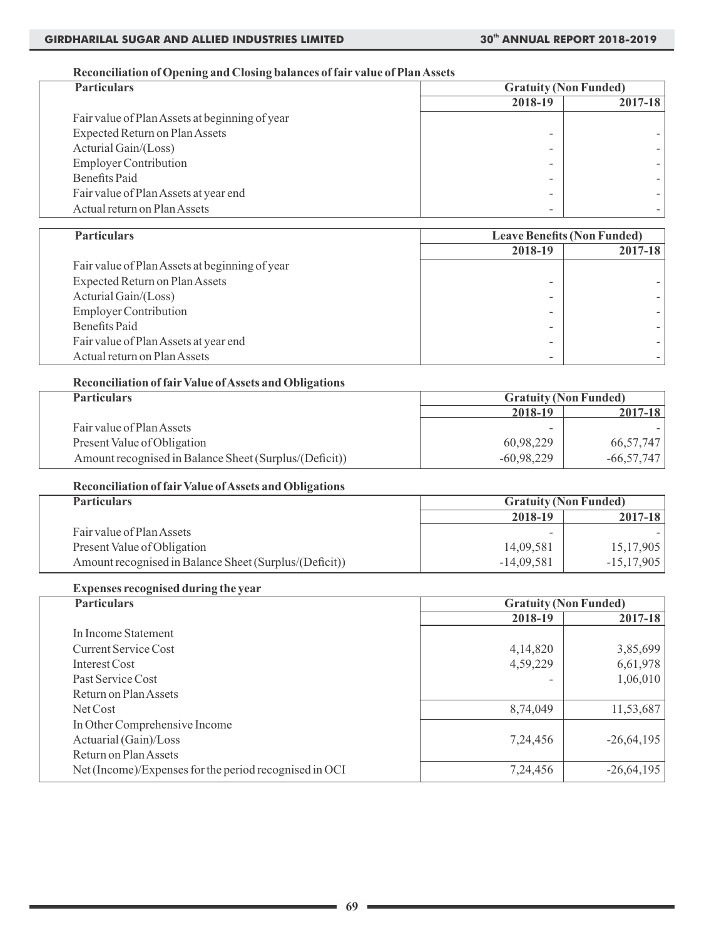# **Reconciliation of Opening and Closing balances of fair value of Plan Assets**

| <b>Particulars</b>                             | <b>Gratuity (Non Funded)</b> |         |
|------------------------------------------------|------------------------------|---------|
|                                                | 2018-19                      | 2017-18 |
| Fair value of Plan Assets at beginning of year |                              |         |
| Expected Return on Plan Assets                 |                              |         |
| Acturial Gain/(Loss)                           | $\overline{\phantom{0}}$     |         |
| <b>Employer Contribution</b>                   | -                            |         |
| <b>Benefits Paid</b>                           | -                            |         |
| Fair value of Plan Assets at year end          |                              |         |
| Actual return on Plan Assets                   |                              |         |

| <b>Particulars</b>                             |         | <b>Leave Benefits (Non Funded)</b> |  |
|------------------------------------------------|---------|------------------------------------|--|
|                                                | 2018-19 | 2017-18                            |  |
| Fair value of Plan Assets at beginning of year |         |                                    |  |
| Expected Return on Plan Assets                 |         |                                    |  |
| Acturial Gain/(Loss)                           |         |                                    |  |
| <b>Employer Contribution</b>                   |         |                                    |  |
| <b>Benefits Paid</b>                           |         |                                    |  |
| Fair value of Plan Assets at year end          |         |                                    |  |
| Actual return on Plan Assets                   |         |                                    |  |

# **Reconciliation of fairValue of Assets and Obligations**

| <b>Particulars</b>                                     | <b>Gratuity (Non Funded)</b> |              |
|--------------------------------------------------------|------------------------------|--------------|
|                                                        | 2018-19                      | 2017-18      |
| Fair value of Plan Assets                              |                              |              |
| Present Value of Obligation                            | 60.98.229                    | 66.57.747    |
| Amount recognised in Balance Sheet (Surplus/(Deficit)) | $-60.98.229$                 | $-66,57,747$ |

# **Reconciliation of fairValue of Assets and Obligations**

| <b>Particulars</b>                                     | <b>Gratuity (Non Funded)</b> |              |
|--------------------------------------------------------|------------------------------|--------------|
|                                                        | 2018-19                      | $2017 - 18$  |
| Fair value of Plan Assets                              | -                            |              |
| Present Value of Obligation                            | 14,09.581                    | 15,17,905    |
| Amount recognised in Balance Sheet (Surplus/(Deficit)) | $-14.09.581$                 | $-15.17.905$ |

# **Expenses recognised during the year**

| <b>Particulars</b>                                     | <b>Gratuity (Non Funded)</b> |              |
|--------------------------------------------------------|------------------------------|--------------|
|                                                        | 2018-19                      | $2017 - 18$  |
| In Income Statement                                    |                              |              |
| Current Service Cost                                   | 4,14,820                     | 3,85,699     |
| Interest Cost                                          | 4,59,229                     | 6,61,978     |
| Past Service Cost                                      |                              | 1,06,010     |
| Return on Plan Assets                                  |                              |              |
| Net Cost                                               | 8,74,049                     | 11,53,687    |
| In Other Comprehensive Income                          |                              |              |
| Actuarial (Gain)/Loss                                  | 7,24,456                     | $-26,64,195$ |
| Return on Plan Assets                                  |                              |              |
| Net (Income)/Expenses for the period recognised in OCI | 7,24,456                     | $-26,64,195$ |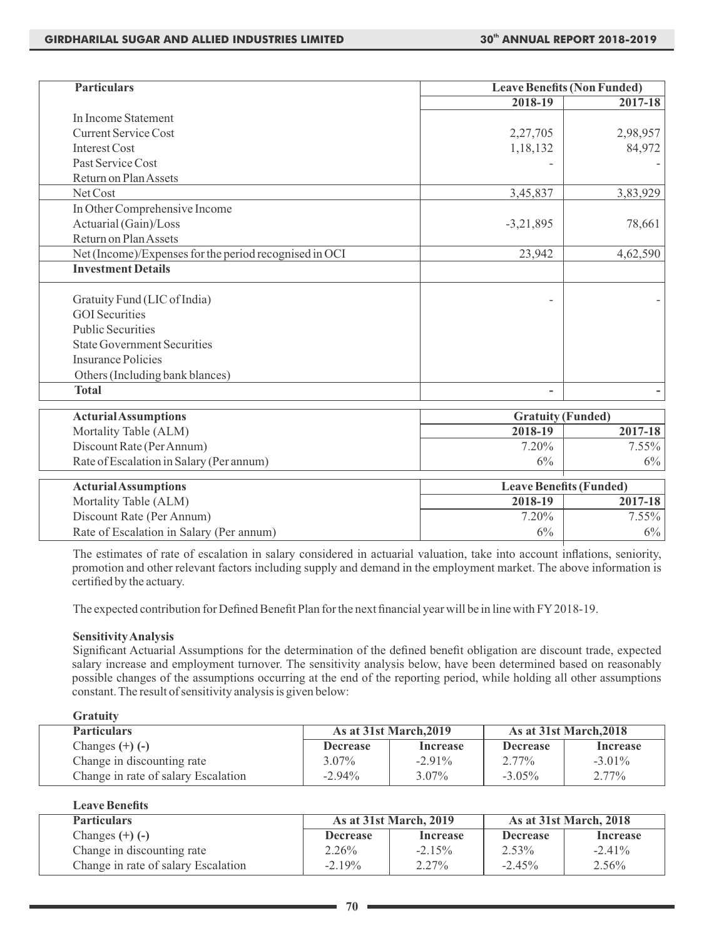| <b>Particulars</b>                                     | <b>Leave Benefits (Non Funded)</b> |          |
|--------------------------------------------------------|------------------------------------|----------|
|                                                        | 2018-19                            | 2017-18  |
| In Income Statement                                    |                                    |          |
| Current Service Cost                                   | 2,27,705                           | 2,98,957 |
| Interest Cost                                          | 1,18,132                           | 84,972   |
| Past Service Cost                                      |                                    |          |
| Return on Plan Assets                                  |                                    |          |
| Net Cost                                               | 3,45,837                           | 3,83,929 |
| In Other Comprehensive Income                          |                                    |          |
| Actuarial (Gain)/Loss                                  | $-3,21,895$                        | 78,661   |
| Return on Plan Assets                                  |                                    |          |
| Net (Income)/Expenses for the period recognised in OCI | 23,942                             | 4,62,590 |
| <b>Investment Details</b>                              |                                    |          |
| Gratuity Fund (LIC of India)                           |                                    |          |
| <b>GOI</b> Securities                                  |                                    |          |
| <b>Public Securities</b>                               |                                    |          |
| <b>State Government Securities</b>                     |                                    |          |
| Insurance Policies                                     |                                    |          |
| Others (Including bank blances)                        |                                    |          |
| <b>Total</b>                                           |                                    |          |

| <b>Acturial Assumptions</b>              | <b>Gratuity (Funded)</b> |             |
|------------------------------------------|--------------------------|-------------|
| Mortality Table (ALM)                    | 2018-19                  | $2017 - 18$ |
| Discount Rate (Per Annum)                | $7.20\%$                 | $7.55\%$    |
| Rate of Escalation in Salary (Per annum) | 6%                       | $6\%$       |

| <b>Acturial Assumptions</b>              | <b>Leave Benefits (Funded)</b> |          |
|------------------------------------------|--------------------------------|----------|
| Mortality Table (ALM)                    | 2018-19                        |          |
| Discount Rate (Per Annum)                | $7.20\%$                       | $7.55\%$ |
| Rate of Escalation in Salary (Per annum) | $6\%$                          | $6\%$    |

The estimates of rate of escalation in salary considered in actuarial valuation, take into account inflations, seniority, promotion and other relevant factors including supply and demand in the employment market. The above information is certified by the actuary.

The expected contribution for Defined Benefit Plan for the next financial year will be in line with FY2018-19.

# **Sensitivity Analysis**

Significant Actuarial Assumptions for the determination of the defined benefit obligation are discount trade, expected salary increase and employment turnover. The sensitivity analysis below, have been determined based on reasonably possible changes of the assumptions occurring at the end of the reporting period, while holding all other assumptions constant. The result of sensitivity analysis is given below:

| <b>Gratuity</b>                     |                       |           |                       |           |
|-------------------------------------|-----------------------|-----------|-----------------------|-----------|
| <b>Particulars</b>                  | As at 31st March.2019 |           | As at 31st March.2018 |           |
| Changes $(+)$ $(-)$                 | <b>Decrease</b>       | Increase  | Decrease              | Increase  |
| Change in discounting rate          | $3.07\%$              | $-2.91\%$ | $2.77\%$              | $-3.01\%$ |
| Change in rate of salary Escalation | $-2.94\%$             | $3.07\%$  | $-3.05\%$             | $2.77\%$  |

**Leave Benefits**

| <b>Particulars</b>                  | As at 31st March, 2019 |           | As at 31st March, 2018 |           |  |
|-------------------------------------|------------------------|-----------|------------------------|-----------|--|
| Changes $(+)$ $(-)$                 | <b>Decrease</b>        | Increase  | <b>Decrease</b>        | Increase  |  |
| Change in discounting rate          | $2.26\%$               | $-2.15\%$ | $2.53\%$               | $-2.41\%$ |  |
| Change in rate of salary Escalation | $-2.19%$               | $2.27\%$  | $-2.45\%$              | 2.56%     |  |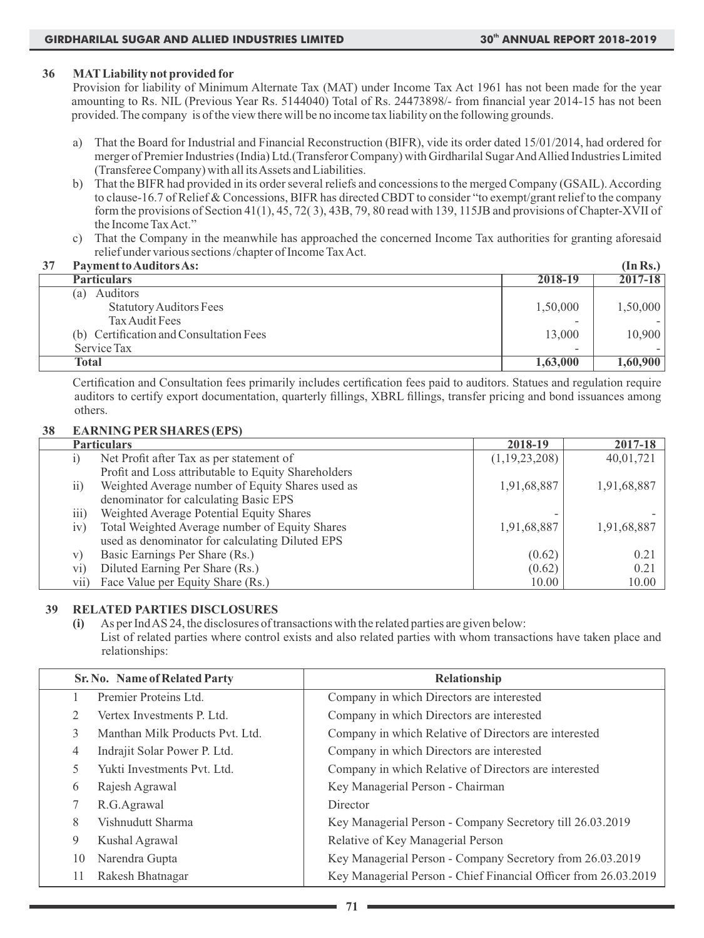# **36 MATLiability not provided for**

Provision for liability of Minimum Alternate Tax (MAT) under Income Tax Act 1961 has not been made for the year amounting to Rs. NIL (Previous Year Rs. 5144040) Total of Rs. 24473898/- from financial year 2014-15 has not been provided. The company is of the view there will be no income tax liability on the following grounds.

- a) That the Board for Industrial and Financial Reconstruction (BIFR), vide its order dated 15/01/2014, had ordered for merger of Premier Industries (India) Ltd.(Transferor Company) with Girdharilal Sugar And Allied Industries Limited (Transferee Company) with all its Assets and Liabilities.
- b) That the BIFR had provided in its order several reliefs and concessions to the merged Company (GSAIL). According to clause-16.7 of Relief & Concessions, BIFR has directed CBDT to consider "to exempt/grant relief to the company form the provisions of Section 41(1), 45, 72( 3), 43B, 79, 80 read with 139, 115JB and provisions of Chapter-XVII of the Income Tax Act."
- c) That the Company in the meanwhile has approached the concerned Income Tax authorities for granting aforesaid relief under various sections /chapter of Income Tax Act.<br> **Reyment to Auditors Act.**

| <b>Payment to Auditors As:</b>          |                          | (In Rs.)    |
|-----------------------------------------|--------------------------|-------------|
| <b>Particulars</b>                      | 2018-19                  | $2017 - 18$ |
| Auditors<br>(a)                         |                          |             |
| <b>Statutory Auditors Fees</b>          | 1,50,000                 | 1,50,000    |
| Tax Audit Fees                          | $\overline{\phantom{a}}$ |             |
| (b) Certification and Consultation Fees | 13,000                   | 10,900      |
| Service Tax                             |                          |             |
| Total                                   | 1,63,000                 | 1,60,900    |

Certification and Consultation fees primarily includes certification fees paid to auditors. Statues and regulation require auditors to certify export documentation, quarterly fillings, XBRL fillings, transfer pricing and bond issuances among others.

### **38 EARNING PER SHARES (EPS)**

|                  | <b>Particulars</b>                                  | 2018-19       | 2017-18     |
|------------------|-----------------------------------------------------|---------------|-------------|
|                  | Net Profit after Tax as per statement of            | (1,19,23,208) | 40,01,721   |
|                  | Profit and Loss attributable to Equity Shareholders |               |             |
| $\overline{11}$  | Weighted Average number of Equity Shares used as    | 1,91,68,887   | 1,91,68,887 |
|                  | denominator for calculating Basic EPS               |               |             |
| $\overline{111}$ | Weighted Average Potential Equity Shares            |               |             |
| iv)              | Total Weighted Average number of Equity Shares      | 1,91,68,887   | 1,91,68,887 |
|                  | used as denominator for calculating Diluted EPS     |               |             |
| V)               | Basic Earnings Per Share (Rs.)                      | (0.62)        | 0.21        |
| V1)              | Diluted Earning Per Share (Rs.)                     | (0.62)        | 0.21        |
| vii)             | Face Value per Equity Share (Rs.)                   | 10.00         | 10.00       |

# **39 RELATED PARTIES DISCLOSURES**

**(i)** As per Ind AS 24, the disclosures of transactions with the related parties are given below: List of related parties where control exists and also related parties with whom transactions have taken place and relationships:

|    | Sr. No. Name of Related Party                                                        | Relationship                                                    |
|----|--------------------------------------------------------------------------------------|-----------------------------------------------------------------|
|    | Premier Proteins Ltd.                                                                | Company in which Directors are interested                       |
| 2  | Vertex Investments P. Ltd.                                                           | Company in which Directors are interested                       |
| 3  | Manthan Milk Products Pyt. Ltd.                                                      | Company in which Relative of Directors are interested           |
| 4  | Company in which Directors are interested<br>Indrajit Solar Power P. Ltd.            |                                                                 |
|    | Company in which Relative of Directors are interested<br>Yukti Investments Pvt. Ltd. |                                                                 |
| 6  | Rajesh Agrawal                                                                       | Key Managerial Person - Chairman                                |
|    | R.G.Agrawal                                                                          | Director                                                        |
| 8  | Vishnudutt Sharma                                                                    | Key Managerial Person - Company Secretory till 26.03.2019       |
| 9  | Kushal Agrawal                                                                       | Relative of Key Managerial Person                               |
| 10 | Narendra Gupta                                                                       | Key Managerial Person - Company Secretory from 26.03.2019       |
| 11 | Rakesh Bhatnagar                                                                     | Key Managerial Person - Chief Financial Officer from 26.03.2019 |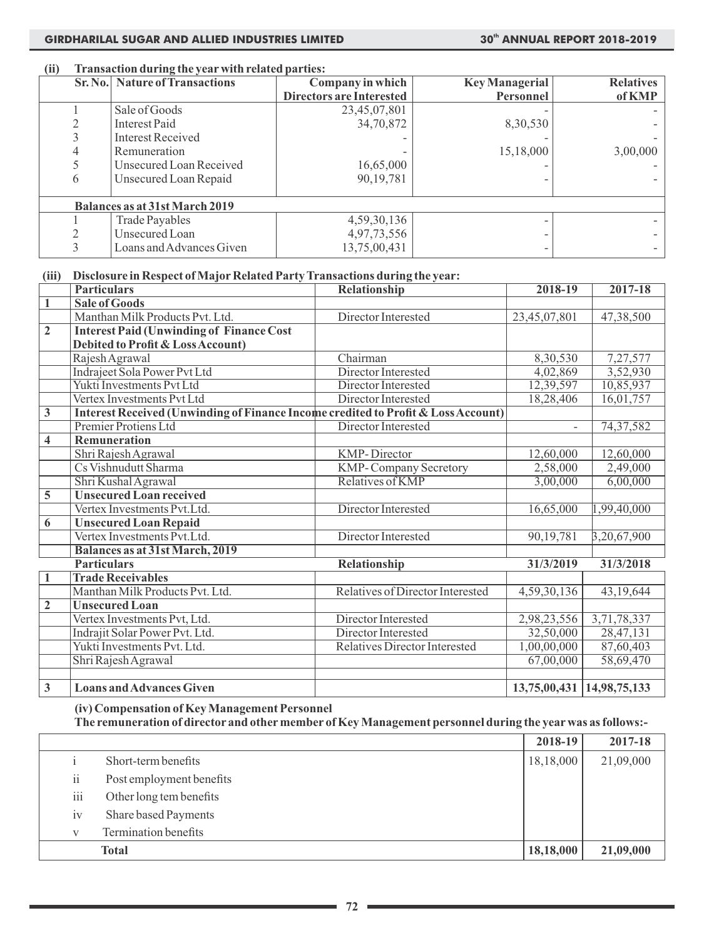# **(ii) Transaction during the yearwith related parties:**

|   | <b>Sr. No. Nature of Transactions</b> | Company in which                | <b>Key Managerial</b> | <b>Relatives</b> |
|---|---------------------------------------|---------------------------------|-----------------------|------------------|
|   |                                       | <b>Directors are Interested</b> | Personnel             | <b>of KMP</b>    |
|   | Sale of Goods                         | 23,45,07,801                    |                       |                  |
|   | Interest Paid                         | 34,70,872                       | 8,30,530              |                  |
|   | Interest Received                     |                                 |                       |                  |
|   | Remuneration                          |                                 | 15,18,000             | 3,00,000         |
|   | Unsecured Loan Received               | 16,65,000                       |                       |                  |
| 6 | Unsecured Loan Repaid                 | 90, 19, 781                     |                       |                  |
|   | <b>Balances as at 31st March 2019</b> |                                 |                       |                  |
|   | Trade Payables                        | 4,59,30,136                     |                       |                  |
|   | Unsecured Loan                        | 4,97,73,556                     |                       |                  |
|   | Loans and Advances Given              | 13,75,00,431                    |                       |                  |

# (iii) Disclosure in Respect of Major Related Party Transactions during the year:

|                | <b>Particulars</b>                                                                | Relationship                     | 2018-19                     | 2017-18     |
|----------------|-----------------------------------------------------------------------------------|----------------------------------|-----------------------------|-------------|
| 1              | <b>Sale of Goods</b>                                                              |                                  |                             |             |
|                | Manthan Milk Products Pvt. Ltd.                                                   | Director Interested              | 23,45,07,801                | 47,38,500   |
| $\overline{2}$ | <b>Interest Paid (Unwinding of Finance Cost</b>                                   |                                  |                             |             |
|                | Debited to Profit & Loss Account)                                                 |                                  |                             |             |
|                | Rajesh Agrawal                                                                    | Chairman                         | 8,30,530                    | 7,27,577    |
|                | Indraject Sola Power Pvt Ltd                                                      | Director Interested              | 4,02,869                    | 3,52,930    |
|                | Yukti Investments Pyt Ltd                                                         | Director Interested              | 12,39,597                   | 10,85,937   |
|                | Vertex Investments Pvt Ltd                                                        | Director Interested              | 18,28,406                   | 16,01,757   |
| 3              | Interest Received (Unwinding of Finance Income credited to Profit & Loss Account) |                                  |                             |             |
|                | Premier Protiens Ltd                                                              | Director Interested              | $\overline{\phantom{0}}$    | 74, 37, 582 |
| 4              | <b>Remuneration</b>                                                               |                                  |                             |             |
|                | Shri Rajesh Agrawal                                                               | <b>KMP-Director</b>              | 12,60,000                   | 12,60,000   |
|                | Cs Vishnudutt Sharma                                                              | KMP-Company Secretory            | 2,58,000                    | 2,49,000    |
|                | Shri Kushal Agrawal                                                               | Relatives of KMP                 | 3,00,000                    | 6,00,000    |
| 5              | <b>Unsecured Loan received</b>                                                    |                                  |                             |             |
|                | Vertex Investments Pvt.Ltd.                                                       | Director Interested              | 16,65,000                   | 1,99,40,000 |
| 6              | <b>Unsecured Loan Repaid</b>                                                      |                                  |                             |             |
|                | Vertex Investments Pvt. Ltd.                                                      | Director Interested              | 90,19,781                   | 3,20,67,900 |
|                | Balances as at 31st March, 2019                                                   |                                  |                             |             |
|                | <b>Particulars</b>                                                                | Relationship                     | 31/3/2019                   | 31/3/2018   |
| $\mathbf{1}$   | <b>Trade Receivables</b>                                                          |                                  |                             |             |
|                | Manthan Milk Products Pvt. Ltd.                                                   | Relatives of Director Interested | 4,59,30,136                 | 43,19,644   |
| $\overline{2}$ | <b>Unsecured Loan</b>                                                             |                                  |                             |             |
|                | Vertex Investments Pvt, Ltd.                                                      | Director Interested              | 2,98,23,556                 | 3,71,78,337 |
|                | Indrajit Solar Power Pvt. Ltd.                                                    | Director Interested              | 32,50,000                   | 28, 47, 131 |
|                | Yukti Investments Pvt. Ltd.                                                       | Relatives Director Interested    | 1,00,00,000                 | 87,60,403   |
|                | Shri Rajesh Agrawal                                                               |                                  | 67,00,000                   | 58,69,470   |
|                |                                                                                   |                                  |                             |             |
| 3              | <b>Loans and Advances Given</b>                                                   |                                  | 13,75,00,431   14,98,75,133 |             |

**(iv) Compensation of Key Management Personnel The remuneration of director and othermember of Key Management personnel during the yearwas as follows:-**

|                         |                          | 2018-19   | 2017-18   |
|-------------------------|--------------------------|-----------|-----------|
|                         | Short-term benefits      | 18,18,000 | 21,09,000 |
| $\overline{\mathbf{1}}$ | Post employment benefits |           |           |
| iii                     | Other long tem benefits  |           |           |
| 1V                      | Share based Payments     |           |           |
| V                       | Termination benefits     |           |           |
|                         | Total                    | 18,18,000 | 21,09,000 |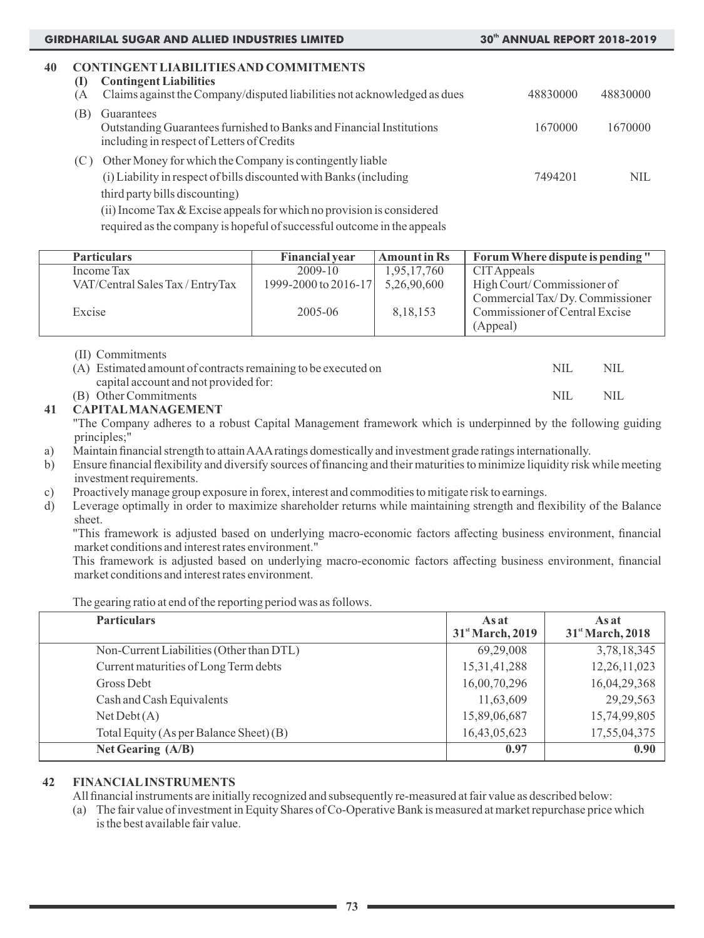|    |                    | GIRDHARILAL SUGAR AND ALLIED INDUSIRIES LIMITED                                                                                                                  | 30 ANNUAL KEPORT 2018-2019 |          |
|----|--------------------|------------------------------------------------------------------------------------------------------------------------------------------------------------------|----------------------------|----------|
| 40 | $\mathbf{I}$<br>(A | <b>CONTINGENT LIABILITIES AND COMMITMENTS</b><br><b>Contingent Liabilities</b><br>Claims against the Company/disputed liabilities not acknowledged as dues       | 48830000                   | 48830000 |
|    | (B)                | Guarantees<br>Outstanding Guarantees furnished to Banks and Financial Institutions<br>including in respect of Letters of Credits                                 | 1670000                    | 1670000  |
|    | (C)                | Other Money for which the Company is contingently liable<br>(i) Liability in respect of bills discounted with Banks (including<br>third party bills discounting) | 7494201                    | NIL.     |

**GIRDHARILAL SUGAR AND ALLIED INDUSTRIES LIMITED th 30 ANNUAL REPORT 2018-2019**

 $(i)$  Income Tax  $\&$  Excise appeals for which no provision is considered required as the company is hopeful of successful outcome in the appeals

| <b>Particulars</b>               | <b>Financial year</b> | <b>Amount in Rs</b> | Forum Where dispute is pending"                                               |
|----------------------------------|-----------------------|---------------------|-------------------------------------------------------------------------------|
| Income Tax                       | 2009-10               | 1,95,17,760         | <b>CITAppeals</b>                                                             |
| VAT/Central Sales Tax / EntryTax | 1999-2000 to 2016-17  | 5.26.90.600         | High Court/Commissioner of                                                    |
| Excise                           | 2005-06               | 8, 18, 153          | Commercial Tax/Dy. Commissioner<br>Commissioner of Central Excise<br>(Appeal) |

- (II) Commitments
- (A) Estimated amount of contracts remaining to be executed on NIL NIL capital account and not provided for: (B) Other Commitments NIL NIL NIL NIL

# **41 CAPITALMANAGEMENT**

"The Company adheres to a robust Capital Management framework which is underpinned by the following guiding principles;"

- a) Maintain financial strength to attain AAAratings domestically and investment grade ratings internationally.
- b) Ensure financial flexibility and diversify sources of financing and their maturities to minimize liquidity risk while meeting investment requirements.
- c) Proactively manage group exposure in forex, interest and commodities to mitigate risk to earnings.
- d) Leverage optimally in order to maximize shareholder returns while maintaining strength and flexibility of the Balance sheet.

"This framework is adjusted based on underlying macro-economic factors affecting business environment, financial market conditions and interest rates environment."

This framework is adjusted based on underlying macro-economic factors affecting business environment, financial market conditions and interest rates environment.

The gearing ratio at end of the reporting period was as follows.

| <b>Particulars</b>                       | As at<br>31 <sup>st</sup> March, 2019 | As at<br>31 <sup>st</sup> March, 2018 |
|------------------------------------------|---------------------------------------|---------------------------------------|
| Non-Current Liabilities (Other than DTL) | 69,29,008                             | 3,78,18,345                           |
| Current maturities of Long Term debts    | 15, 31, 41, 288                       | 12,26,11,023                          |
| Gross Debt                               | 16,00,70,296                          | 16,04,29,368                          |
| Cash and Cash Equivalents                | 11,63,609                             | 29, 29, 563                           |
| NetDet(A)                                | 15,89,06,687                          | 15,74,99,805                          |
| Total Equity (As per Balance Sheet) (B)  | 16,43,05,623                          | 17,55,04,375                          |
| Net Gearing $(A/B)$                      | 0.97                                  | 0.90                                  |

# **42 FINANCIALINSTRUMENTS**

All financial instruments are initially recognized and subsequently re-measured at fair value as described below:

(a) The fair value of investment in Equity Shares of Co-Operative Bank is measured at market repurchase price which is the best available fair value.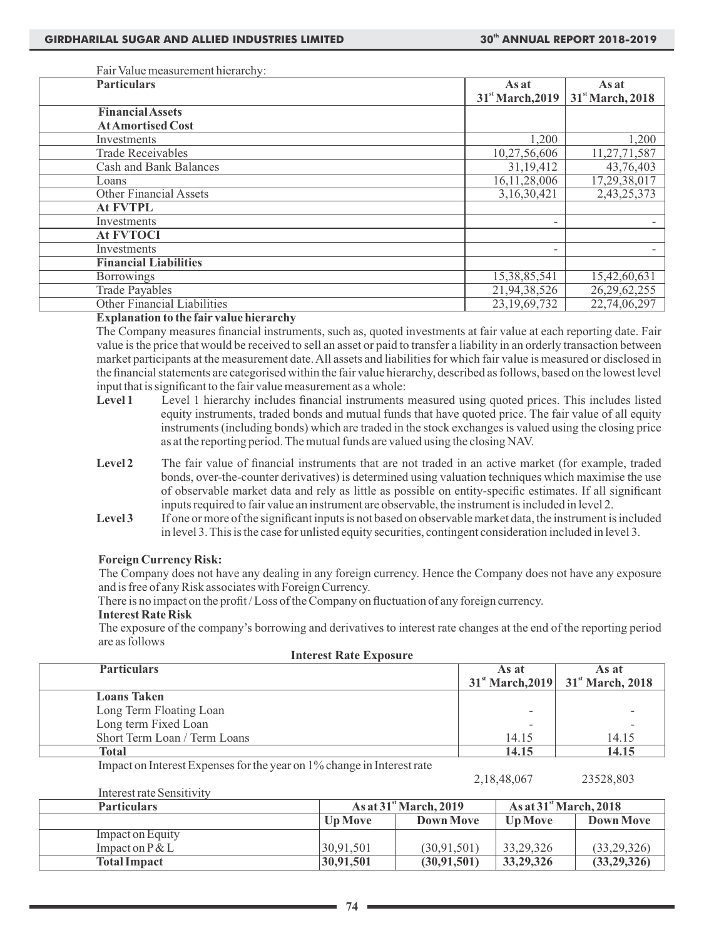| Fair Value measurement hierarchy:  |                              |                              |
|------------------------------------|------------------------------|------------------------------|
| <b>Particulars</b>                 | As at                        | As at                        |
|                                    | $31^{\text{st}}$ March, 2019 | 31 <sup>st</sup> March, 2018 |
| <b>Financial Assets</b>            |                              |                              |
| <b>At Amortised Cost</b>           |                              |                              |
| Investments                        | 1.200                        | 1,200                        |
| <b>Trade Receivables</b>           | 10,27,56,606                 | 11,27,71,587                 |
| Cash and Bank Balances             | 31, 19, 412                  | 43,76,403                    |
| Loans                              | 16, 11, 28, 006              | 17,29,38,017                 |
| <b>Other Financial Assets</b>      | 3,16,30,421                  | 2,43,25,373                  |
| <b>At FVTPL</b>                    |                              |                              |
| Investments                        |                              |                              |
| <b>At FVTOCI</b>                   |                              |                              |
| Investments                        |                              |                              |
| <b>Financial Liabilities</b>       |                              |                              |
| <b>Borrowings</b>                  | 15,38,85,541                 | 15,42,60,631                 |
| <b>Trade Payables</b>              | 21,94,38,526                 | 26, 29, 62, 255              |
| <b>Other Financial Liabilities</b> | 23, 19, 69, 732              | 22,74,06,297                 |

# **Explanation to the fair value hierarchy**

The Company measures financial instruments, such as, quoted investments at fair value at each reporting date. Fair value is the price that would be received to sell an asset or paid to transfer a liability in an orderly transaction between market participants at the measurement date. All assets and liabilities for which fair value is measured or disclosed in the financial statements are categorised within the fair value hierarchy, described as follows, based on the lowest level input that is significant to the fair value measurement as a whole:<br>Level 1 Level 1 hierarchy includes financial instruments

- Level 1 hierarchy includes financial instruments measured using quoted prices. This includes listed equity instruments, traded bonds and mutual funds that have quoted price. The fair value of all equity instruments (including bonds) which are traded in the stock exchanges is valued using the closing price as at the reporting period. The mutual funds are valued using the closing NAV.
- Level 2 The fair value of financial instruments that are not traded in an active market (for example, traded bonds, over-the-counter derivatives) is determined using valuation techniques which maximise the use of observable market data and rely as little as possible on entity-specific estimates. If all significant inputs required to fair value an instrument are observable, the instrument is included in level 2.
- Level 3 If one or more of the significant inputs is not based on observable market data, the instrument is included in level 3. This is the case for unlisted equity securities, contingent consideration included in level 3.

### **Foreign Currency Risk:**

The Company does not have any dealing in any foreign currency. Hence the Company does not have any exposure and is free of any Risk associates with Foreign Currency.

There is no impact on the profit / Loss of the Company on fluctuation of any foreign currency.

### **Interest Rate Risk**

The exposure of the company's borrowing and derivatives to interest rate changes at the end of the reporting period are as follows

| HILCLUST INALUE EXPOSUIT                                               |                          |                                                           |
|------------------------------------------------------------------------|--------------------------|-----------------------------------------------------------|
| <b>Particulars</b>                                                     | As at                    | As at                                                     |
|                                                                        |                          | $31^{\text{st}}$ March, 2019 $31^{\text{st}}$ March, 2018 |
| <b>Loans Taken</b>                                                     |                          |                                                           |
| Long Term Floating Loan                                                | $\overline{\phantom{0}}$ |                                                           |
| Long term Fixed Loan                                                   | $\overline{\phantom{0}}$ |                                                           |
| Short Term Loan / Term Loans                                           | 14.15                    | 14.15                                                     |
| Total                                                                  | 14.15                    | 14.15                                                     |
| Impact on Interest Expenses for the year on 1% change in Interest rate |                          |                                                           |

**Interest Rate Exposure**

### Impact on Interest Expenses for the year on 1% change in Interest rate

2,18,48,067 23528,803

| Interest rate Sensitivity |                                 |                                 |                |                  |
|---------------------------|---------------------------------|---------------------------------|----------------|------------------|
| <b>Particulars</b>        | As at $31^{\rm st}$ March, 2019 | As at $31^{\rm st}$ March, 2018 |                |                  |
|                           | <b>Up Move</b>                  | Down Move                       | <b>Up Move</b> | <b>Down Move</b> |
| Impact on Equity          |                                 |                                 |                |                  |
| Impact on $P & L$         | 30.91.501                       | (30.91.501)                     | 33, 29, 326    | (33,29,326)      |
| <b>Total Impact</b>       | 130,91,501                      | (30, 91, 501)                   | 33, 29, 326    | (33,29,326)      |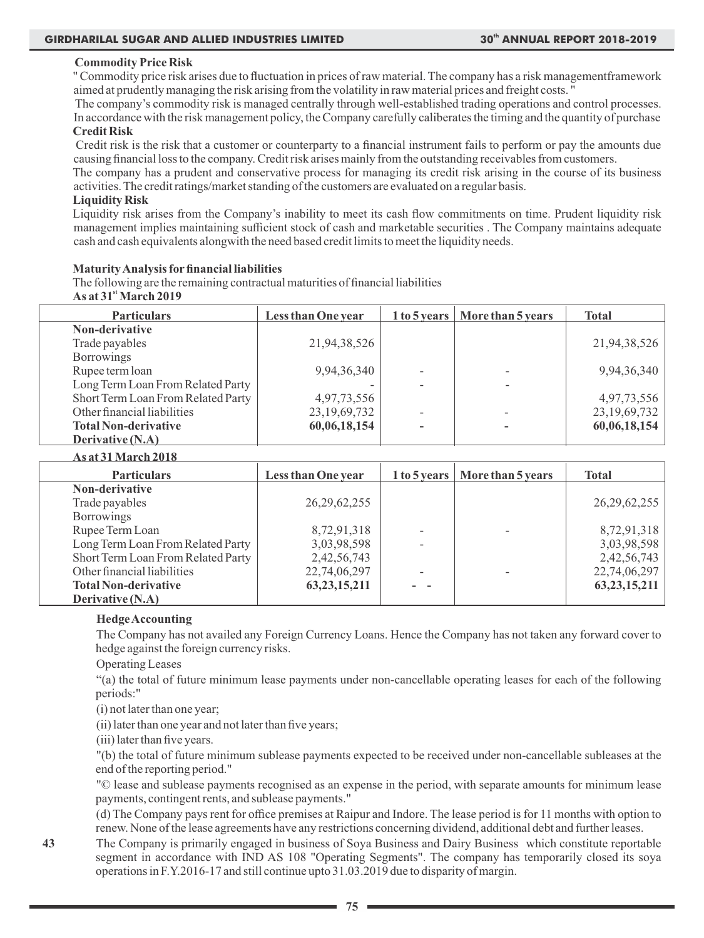# **Commodity Price Risk**

" Commodity price risk arises due to fluctuation in prices of raw material. The company has a risk managementframework aimed at prudently managing the risk arising from the volatility in raw material prices and freight costs. "

The company's commodity risk is managed centrally through well-established trading operations and control processes. In accordance with the risk management policy, the Company carefully caliberates the timing and the quantity of purchase **Credit Risk**

 Credit risk is the risk that a customer or counterparty to a financial instrument fails to perform or pay the amounts due causing financial loss to the company. Credit risk arises mainly from the outstanding receivables from customers.

The company has a prudent and conservative process for managing its credit risk arising in the course of its business activities. The credit ratings/market standing of the customers are evaluated on a regular basis.

# **Liquidity Risk**

Liquidity risk arises from the Company's inability to meet its cash flow commitments on time. Prudent liquidity risk management implies maintaining sufficient stock of cash and marketable securities . The Company maintains adequate cash and cash equivalents alongwith the need based credit limits to meet the liquidity needs.

# **Maturity Analysis forfinancial liabilities**

The following are the remaining contractual maturities of financial liabilities

# **st As at 31 March 2019**

| <b>Particulars</b>                 | Less than One year | 1 to 5 years   More than 5 years | <b>Total</b>    |
|------------------------------------|--------------------|----------------------------------|-----------------|
| Non-derivative                     |                    |                                  |                 |
| Trade payables                     | 21,94,38,526       |                                  | 21,94,38,526    |
| <b>Borrowings</b>                  |                    |                                  |                 |
| Rupee term loan                    | 9,94,36,340        |                                  | 9,94,36,340     |
| Long Term Loan From Related Party  |                    |                                  |                 |
| Short Term Loan From Related Party | 4,97,73,556        |                                  | 4,97,73,556     |
| Other financial liabilities        | 23, 19, 69, 732    |                                  | 23, 19, 69, 732 |
| <b>Total Non-derivative</b>        | 60,06,18,154       |                                  | 60,06,18,154    |
| Derivative (N.A)                   |                    |                                  |                 |

### **As at 31 March 2018**

| <b>Particulars</b>                 | <b>Less than One year</b> | 1 to 5 years   More than 5 years | <b>Total</b>    |
|------------------------------------|---------------------------|----------------------------------|-----------------|
| Non-derivative                     |                           |                                  |                 |
| Trade payables                     | 26, 29, 62, 255           |                                  | 26, 29, 62, 255 |
| <b>Borrowings</b>                  |                           |                                  |                 |
| Rupee Term Loan                    | 8,72,91,318               |                                  | 8,72,91,318     |
| Long Term Loan From Related Party  | 3,03,98,598               |                                  | 3,03,98,598     |
| Short Term Loan From Related Party | 2,42,56,743               |                                  | 2,42,56,743     |
| Other financial liabilities        | 22,74,06,297              |                                  | 22,74,06,297    |
| <b>Total Non-derivative</b>        | 63, 23, 15, 211           |                                  | 63, 23, 15, 211 |
| Derivative (N.A)                   |                           |                                  |                 |

# **Hedge Accounting**

The Company has not availed any Foreign Currency Loans. Hence the Company has not taken any forward cover to hedge against the foreign currency risks.

Operating Leases

"(a) the total of future minimum lease payments under non-cancellable operating leases for each of the following periods:"

(i) not later than one year;

(ii) later than one year and not later than five years;

(iii) later than five years.

"(b) the total of future minimum sublease payments expected to be received under non-cancellable subleases at the end of the reporting period."

"© lease and sublease payments recognised as an expense in the period, with separate amounts for minimum lease payments, contingent rents, and sublease payments."

(d) The Company pays rent for office premises at Raipur and Indore. The lease period is for 11 months with option to renew. None of the lease agreements have any restrictions concerning dividend, additional debt and further leases.

**43** The Company is primarily engaged in business of Soya Business and Dairy Business which constitute reportable segment in accordance with IND AS 108 "Operating Segments". The company has temporarily closed its soya operations in F.Y.2016-17 and still continue upto 31.03.2019 due to disparity of margin.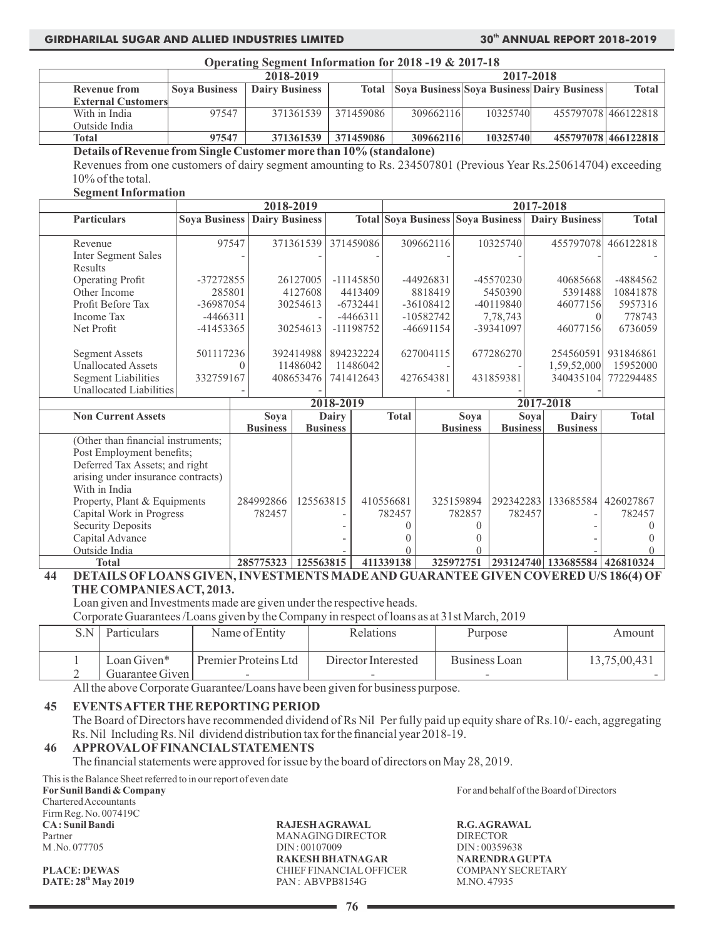# **GIRDHARILAL SUGAR AND ALLIED INDUSTRIES LIMITED th 30 ANNUAL REPORT 2018-2019**

# **Operating Segment Information for 2018 -19 & 2017-18**

|                           | 2018-2019            |                       |           | 2017-2018 |          |                                                   |                     |
|---------------------------|----------------------|-----------------------|-----------|-----------|----------|---------------------------------------------------|---------------------|
| <b>Revenue from</b>       | <b>Sova Business</b> | <b>Dairy Business</b> | Total     |           |          | <b>Sova Business Sova Business Dairy Business</b> | Total               |
| <b>External Customers</b> |                      |                       |           |           |          |                                                   |                     |
| With in India             | 97547                | 371361539             | 371459086 | 309662116 | 10325740 |                                                   | 4557970781466122818 |
| Outside India             |                      |                       |           |           |          |                                                   |                     |
| Total                     | 97547                | 371361539             | 371459086 | 309662116 | 10325740 |                                                   | 455797078 466122818 |

# **Details of Revenue from Single Customermore than 10% (standalone)**

Revenues from one customers of dairy segment amounting to Rs. 234507801 (Previous Year Rs.250614704) exceeding 10% of the total.

# **Segment Information**

| -                              | 2018-2019   |                                     |             | 2017-2018   |                                          |                       |              |
|--------------------------------|-------------|-------------------------------------|-------------|-------------|------------------------------------------|-----------------------|--------------|
| <b>Particulars</b>             |             | <b>Sova Business Dairy Business</b> |             |             | <b>Total Soya Business Soya Business</b> | <b>Dairy Business</b> | <b>Total</b> |
|                                |             |                                     |             |             |                                          |                       |              |
| Revenue                        | 97547       | 371361539                           | 371459086   | 309662116   | 10325740                                 | 455797078             | 466122818    |
| Inter Segment Sales            |             |                                     |             |             |                                          |                       |              |
| Results                        |             |                                     |             |             |                                          |                       |              |
| <b>Operating Profit</b>        | $-37272855$ | 26127005                            | $-11145850$ | -44926831   | $-45570230$                              | 40685668              | -4884562     |
| Other Income                   | 285801      | 4127608                             | 4413409     | 8818419     | 5450390                                  | 5391488               | 10841878     |
| Profit Before Tax              | -36987054   | 30254613                            | $-6732441$  | $-36108412$ | $-40119840$                              | 46077156              | 5957316      |
| Income Tax                     | $-4466311$  | ۰                                   | $-4466311$  | $-10582742$ | 7,78,743                                 |                       | 778743       |
| Net Profit                     | $-41453365$ | 30254613                            | $-11198752$ | $-46691154$ | -39341097                                | 46077156              | 6736059      |
|                                |             |                                     |             |             |                                          |                       |              |
| <b>Segment Assets</b>          | 501117236   | 392414988                           | 894232224   | 627004115   | 677286270                                | 254560591             | 931846861    |
| <b>Unallocated Assets</b>      |             | 11486042                            | 11486042    |             |                                          | 1,59,52,000           | 15952000     |
| Segment Liabilities            | 332759167   | 408653476                           | 741412643   | 427654381   | 431859381                                | 340435104             | 772294485    |
| <b>Unallocated Liabilities</b> |             |                                     |             |             |                                          |                       |              |

|                                    | 2018-2019       |                 |              | 2017-2018       |                 |                               |              |
|------------------------------------|-----------------|-----------------|--------------|-----------------|-----------------|-------------------------------|--------------|
| <b>Non Current Assets</b>          | Soya            | Dairy           | <b>Total</b> | Soya            | Sova            | Dairy                         | <b>Total</b> |
|                                    | <b>Business</b> | <b>Business</b> |              | <b>Business</b> | <b>Business</b> | <b>Business</b>               |              |
| (Other than financial instruments; |                 |                 |              |                 |                 |                               |              |
| Post Employment benefits;          |                 |                 |              |                 |                 |                               |              |
| Deferred Tax Assets; and right     |                 |                 |              |                 |                 |                               |              |
| arising under insurance contracts) |                 |                 |              |                 |                 |                               |              |
| With in India                      |                 |                 |              |                 |                 |                               |              |
| Property, Plant & Equipments       | 284992866       | 125563815       | 410556681    | 325159894       | 292342283       | 133685584                     | 426027867    |
| Capital Work in Progress           | 782457          | ۰               | 782457       | 782857          | 782457          |                               | 782457       |
| Security Deposits                  |                 |                 |              |                 |                 |                               |              |
| Capital Advance                    |                 | ۰               |              |                 |                 |                               |              |
| Outside India                      |                 |                 |              |                 |                 |                               |              |
| Total                              | 285775323       | 125563815       | 411339138    | 325972751       |                 | 293124740 133685584 426810324 |              |

# **44 DETAILS OFLOANS GIVEN, INVESTMENTS MADE AND GUARANTEE GIVEN COVERED U/S 186(4) OF THE COMPANIES ACT, 2013.**

Loan given and Investments made are given under the respective heads.

Corporate Guarantees /Loans given by the Company in respect of loans as at 31st March, 2019

| S.N. | Particulars                                                                                                     | Name of Entity       | <b>Relations</b>    | Purpose       | Amount       |  |  |  |
|------|-----------------------------------------------------------------------------------------------------------------|----------------------|---------------------|---------------|--------------|--|--|--|
|      | Loan Given*                                                                                                     | Premier Proteins Ltd | Director Interested | Business Loan | 13.75.00.431 |  |  |  |
|      | Guarantee Given                                                                                                 |                      |                     |               |              |  |  |  |
|      | the contract of the contract of the contract of the contract of the contract of the contract of the contract of |                      |                     |               |              |  |  |  |

All the above Corporate Guarantee/Loans have been given for business purpose.

# **45 EVENTS AFTER THE REPORTING PERIOD**

The Board of Directors have recommended dividend of Rs Nil Per fully paid up equity share of Rs.10/- each, aggregating Rs. Nil Including Rs. Nil dividend distribution tax for the financial year 2018-19.

# **46 APPROVALOFFINANCIALSTATEMENTS**

The financial statements were approved for issue by the board of directors on May 28, 2019.

This is the Balance Sheet referred to in our report of even date<br>For Sunil Bandi & Company

Chartered Accountants Firm Reg. No. 007419C

### **CA: Sunil Bandi RAJESH AGRAWAL R.G. AGRAWAL** Partner MANAGING DIRECTOR DIRECTOR DIRECTOR M.No. 077705 Partner MANAGING DIRECTOR DIN: 00359638 M .No. 077705 DIN : 00107009 DIN : 00359638 **RAKESH BHATNAGAR NARENDRAGUPTA PLACE: DEWAS** CHIEF FINANCIAL OFFICER COMPANYS<br>
DATE: 28<sup>th</sup> May 2019 **PAN: ABVPB8154G** M.NO. 47935 **PAN: ABVPB8154G**

For and behalf of the Board of Directors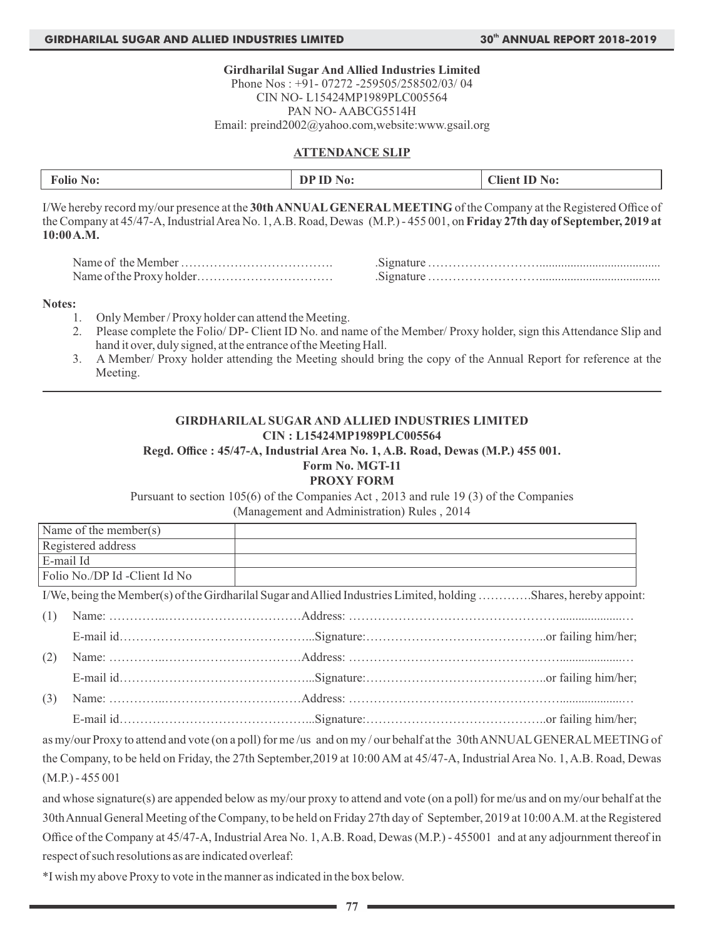**Girdharilal Sugar And Allied Industries Limited** Phone Nos : +91- 07272 -259505/258502/03/ 04 CIN NO- L15424MP1989PLC005564 PAN NO- AABCG5514H Email: preind2002@yahoo.com,website:www.gsail.org

# **ATTENDANCE SLIP**

| No: | $\pm 10$<br>ᄴ<br>$\sim$ $\sim$ $\sim$ $\sim$ $\sim$ $\sim$ | ___<br>DO O<br><b>Tien</b><br>NU. |
|-----|------------------------------------------------------------|-----------------------------------|
|     |                                                            |                                   |

I/We hereby record my/our presence at the **30th ANNUALGENERALMEETING** of the Company at the Registered Office of the Company at 45/47-A, Industrial Area No. 1, A.B. Road, Dewas (M.P.) - 455 001, on **Friday 27th day of September, 2019 at 10:00 A.M.**

### **Notes:**

- 1. Only Member / Proxy holder can attend the Meeting.
- 2. Please complete the Folio/ DP- Client ID No. and name of the Member/ Proxy holder, sign this Attendance Slip and hand it over, duly signed, at the entrance of the Meeting Hall.
- 3. A Member/ Proxy holder attending the Meeting should bring the copy of the Annual Report for reference at the Meeting.

# **GIRDHARILAL SUGAR AND ALLIED INDUSTRIES LIMITED CIN : L15424MP1989PLC005564**

**Regd. Office : 45/47-A, Industrial Area No. 1, A.B. Road, Dewas (M.P.) 455 001.**

# **Form No. MGT-11**

# **PROXY FORM**

Pursuant to section 105(6) of the Companies Act , 2013 and rule 19 (3) of the Companies (Management and Administration) Rules , 2014

|                                                                                                                   | Name of the member( $s$ )      |  |  |
|-------------------------------------------------------------------------------------------------------------------|--------------------------------|--|--|
|                                                                                                                   | Registered address             |  |  |
|                                                                                                                   | E-mail Id                      |  |  |
|                                                                                                                   | Folio No./DP Id - Client Id No |  |  |
| I/We, being the Member(s) of the Girdharilal Sugar and Allied Industries Limited, holding Shares, hereby appoint: |                                |  |  |
| (1)                                                                                                               |                                |  |  |
|                                                                                                                   |                                |  |  |
| (2)                                                                                                               |                                |  |  |
|                                                                                                                   |                                |  |  |
| (3)                                                                                                               |                                |  |  |

E-mail id………………………………………...Signature:……………………………………..or failing him/her;

as my/our Proxy to attend and vote (on a poll) for me /us and on my / our behalf at the 30th ANNUALGENERALMEETING of the Company, to be held on Friday, the 27th September,2019 at 10:00 AM at 45/47-A, Industrial Area No. 1, A.B. Road, Dewas  $(M.P.) - 455001$ 

and whose signature(s) are appended below as my/our proxy to attend and vote (on a poll) for me/us and on my/our behalf at the 30th Annual General Meeting of the Company, to be held on Friday 27th day of September, 2019 at 10:00 A.M. at the Registered Office of the Company at 45/47-A, Industrial Area No. 1, A.B. Road, Dewas (M.P.) - 455001 and at any adjournment thereof in respect of such resolutions as are indicated overleaf:

\*I wish my above Proxy to vote in the manner as indicated in the box below.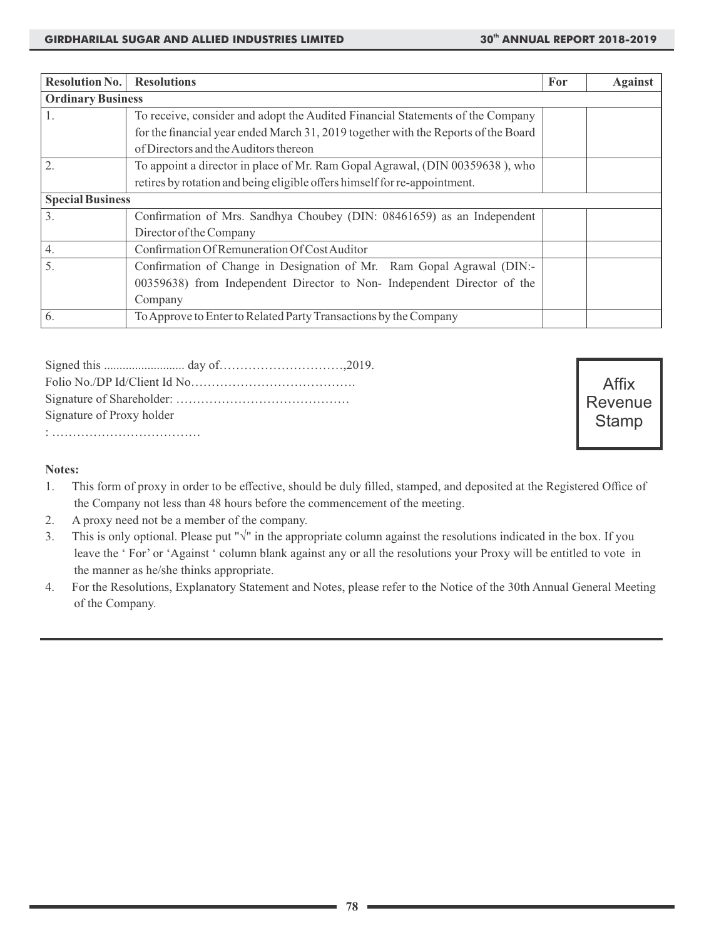| <b>Resolution No.</b>    | <b>Resolutions</b>                                                                 | For | Against |
|--------------------------|------------------------------------------------------------------------------------|-----|---------|
| <b>Ordinary Business</b> |                                                                                    |     |         |
| 1.                       | To receive, consider and adopt the Audited Financial Statements of the Company     |     |         |
|                          | for the financial year ended March 31, 2019 together with the Reports of the Board |     |         |
|                          | of Directors and the Auditors thereon                                              |     |         |
| 2.                       | To appoint a director in place of Mr. Ram Gopal Agrawal, (DIN 00359638), who       |     |         |
|                          | retires by rotation and being eligible offers himself for re-appointment.          |     |         |
| <b>Special Business</b>  |                                                                                    |     |         |
| 3.                       | Confirmation of Mrs. Sandhya Choubey (DIN: 08461659) as an Independent             |     |         |
|                          | Director of the Company                                                            |     |         |
| 4.                       | Confirmation Of Remuneration Of Cost Auditor                                       |     |         |
| 5.                       | Confirmation of Change in Designation of Mr. Ram Gopal Agrawal (DIN:-              |     |         |
|                          | 00359638) from Independent Director to Non-Independent Director of the             |     |         |
|                          | Company                                                                            |     |         |
| 6.                       | To Approve to Enter to Related Party Transactions by the Company                   |     |         |

| Signature of Proxy holder |  |  |
|---------------------------|--|--|
|                           |  |  |

Affix Revenue **Stamp** 

# **Notes:**

- 1. This form of proxy in order to be effective, should be duly filled, stamped, and deposited at the Registered Office of the Company not less than 48 hours before the commencement of the meeting.
- 2. A proxy need not be a member of the company.
- 3. This is only optional. Please put " $\sqrt{ }$ " in the appropriate column against the resolutions indicated in the box. If you leave the ' For' or 'Against ' column blank against any or all the resolutions your Proxy will be entitled to vote in the manner as he/she thinks appropriate.
- 4. For the Resolutions, Explanatory Statement and Notes, please refer to the Notice of the 30th Annual General Meeting of the Company.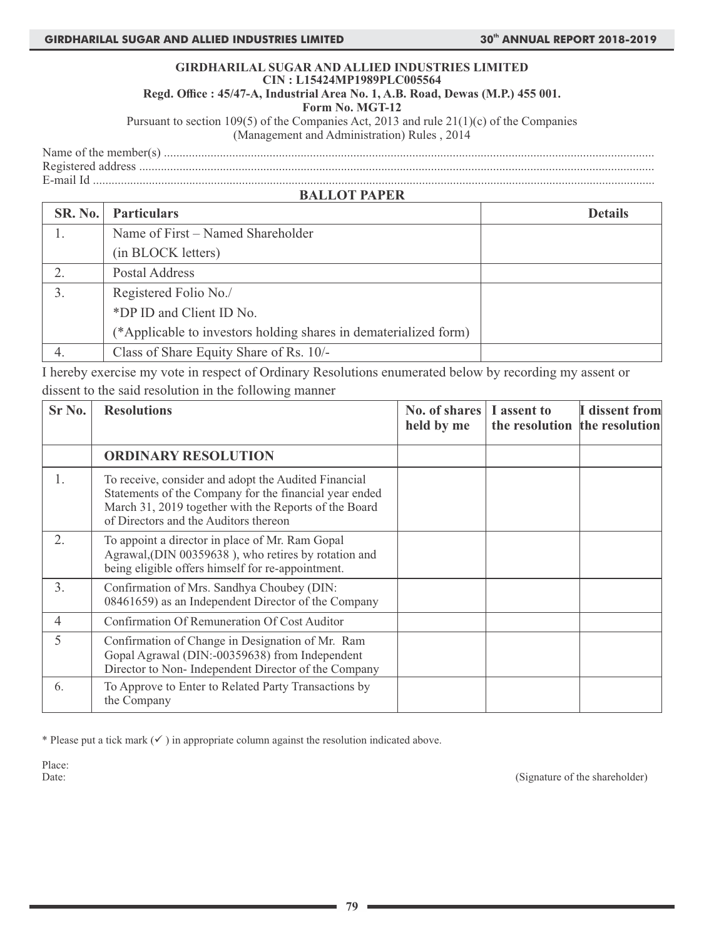### **GIRDHARILAL SUGAR AND ALLIED INDUSTRIES LIMITED CIN : L15424MP1989PLC005564**

**Regd. Office : 45/47-A, Industrial Area No. 1, A.B. Road, Dewas (M.P.) 455 001.**

**Form No. MGT-12**

Pursuant to section 109(5) of the Companies Act, 2013 and rule 21(1)(c) of the Companies (Management and Administration) Rules , 2014

Name of the member(s) .............................................................................................................................................................. Registered address ...................................................................................................................................................................... E-mail Id .....................................................................................................................................................................................

# **BALLOT PAPER**

| SR. No. | <b>Particulars</b>                                               | <b>Details</b> |
|---------|------------------------------------------------------------------|----------------|
|         | Name of First – Named Shareholder                                |                |
|         | (in BLOCK letters)                                               |                |
|         | Postal Address                                                   |                |
| 3.      | Registered Folio No./                                            |                |
|         | *DP ID and Client ID No.                                         |                |
|         | (*Applicable to investors holding shares in dematerialized form) |                |
| 4.      | Class of Share Equity Share of Rs. 10/-                          |                |

I hereby exercise my vote in respect of Ordinary Resolutions enumerated below by recording my assent or dissent to the said resolution in the following manner

| Sr No. | <b>Resolutions</b>                                                                                                                                                                                               | No. of shares<br>held by me | I assent to<br>the resolution the resolution | I dissent from |
|--------|------------------------------------------------------------------------------------------------------------------------------------------------------------------------------------------------------------------|-----------------------------|----------------------------------------------|----------------|
|        | <b>ORDINARY RESOLUTION</b>                                                                                                                                                                                       |                             |                                              |                |
| 1.     | To receive, consider and adopt the Audited Financial<br>Statements of the Company for the financial year ended<br>March 31, 2019 together with the Reports of the Board<br>of Directors and the Auditors thereon |                             |                                              |                |
| 2.     | To appoint a director in place of Mr. Ram Gopal<br>Agrawal, (DIN 00359638), who retires by rotation and<br>being eligible offers himself for re-appointment.                                                     |                             |                                              |                |
| 3.     | Confirmation of Mrs. Sandhya Choubey (DIN:<br>08461659) as an Independent Director of the Company                                                                                                                |                             |                                              |                |
| 4      | Confirmation Of Remuneration Of Cost Auditor                                                                                                                                                                     |                             |                                              |                |
| 5      | Confirmation of Change in Designation of Mr. Ram<br>Gopal Agrawal (DIN:-00359638) from Independent<br>Director to Non-Independent Director of the Company                                                        |                             |                                              |                |
| 6.     | To Approve to Enter to Related Party Transactions by<br>the Company                                                                                                                                              |                             |                                              |                |

\* Please put a tick mark  $(\checkmark)$  in appropriate column against the resolution indicated above.

Place:

Date: (Signature of the shareholder)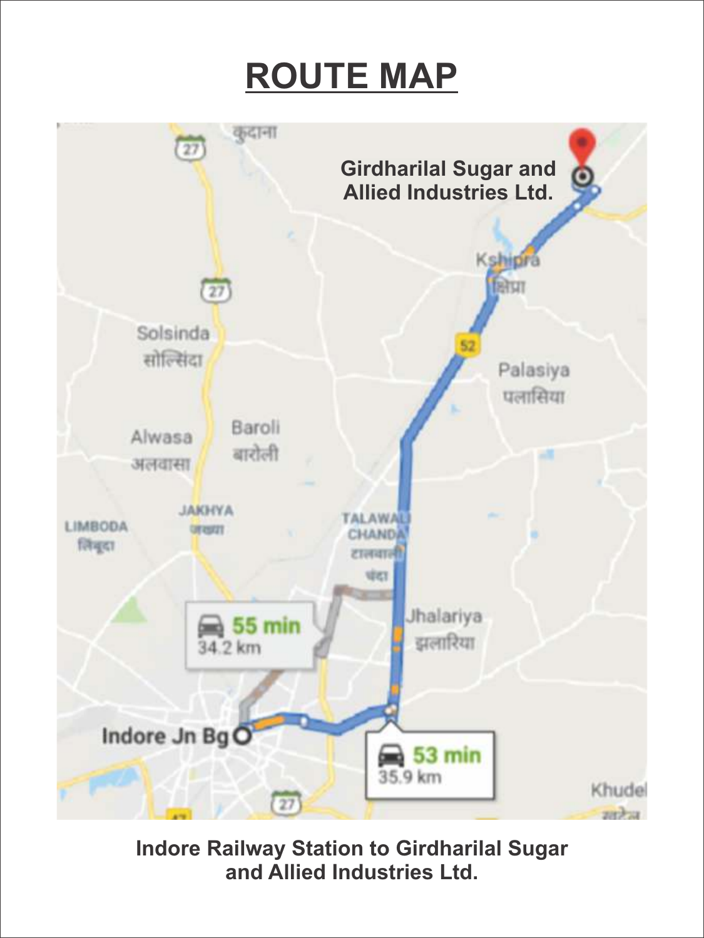# **ROUTE MAP**



**Indore Railway Station to Girdharilal Sugar and Allied Industries Ltd.**